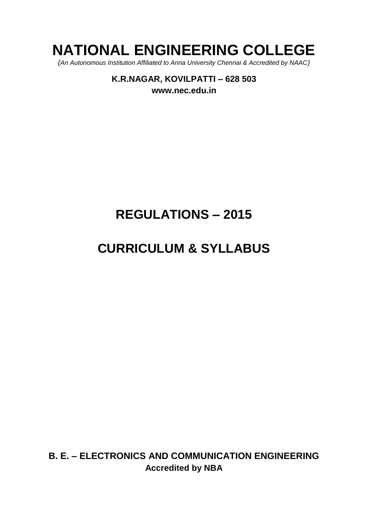# **NATIONAL ENGINEERING COLLEGE**

*(An Autonomous Institution Affiliated to Anna University Chennai & Accredited by NAAC)*

**K.R.NAGAR, KOVILPATTI – 628 503 [www.nec.edu.in](http://www.nec.edu.in/)**

# **REGULATIONS – 2015**

# **CURRICULUM & SYLLABUS**

**B. E. – ELECTRONICS AND COMMUNICATION ENGINEERING Accredited by NBA**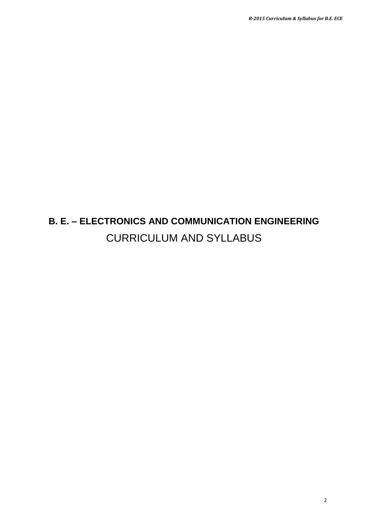# **B. E. – ELECTRONICS AND COMMUNICATION ENGINEERING** CURRICULUM AND SYLLABUS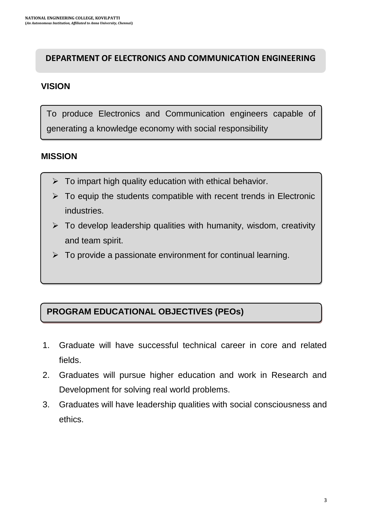# **DEPARTMENT OF ELECTRONICS AND COMMUNICATION ENGINEERING**

# **VISION**

To produce Electronics and Communication engineers capable of generating a knowledge economy with social responsibility

# **MISSION**

- $\triangleright$  To impart high quality education with ethical behavior.
- $\triangleright$  To equip the students compatible with recent trends in Electronic industries.
- $\triangleright$  To develop leadership qualities with humanity, wisdom, creativity and team spirit.
- $\triangleright$  To provide a passionate environment for continual learning.

# **PROGRAM EDUCATIONAL OBJECTIVES (PEOs)**

- 1. Graduate will have successful technical career in core and related fields.
- 2. Graduates will pursue higher education and work in Research and Development for solving real world problems.
- 3. Graduates will have leadership qualities with social consciousness and ethics.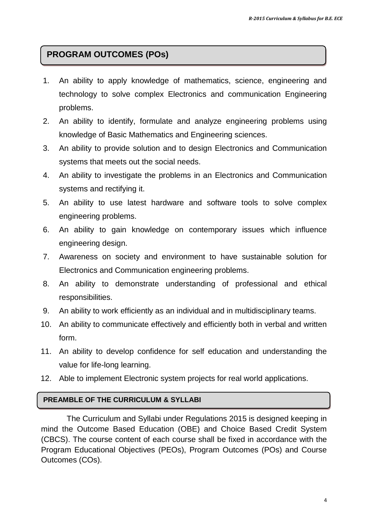# **PROGRAM OUTCOMES (POs)**

- 1. An ability to apply knowledge of mathematics, science, engineering and technology to solve complex Electronics and communication Engineering problems.
- 2. An ability to identify, formulate and analyze engineering problems using knowledge of Basic Mathematics and Engineering sciences.
- 3. An ability to provide solution and to design Electronics and Communication systems that meets out the social needs.
- 4. An ability to investigate the problems in an Electronics and Communication systems and rectifying it.
- 5. An ability to use latest hardware and software tools to solve complex engineering problems.
- 6. An ability to gain knowledge on contemporary issues which influence engineering design.
- 7. Awareness on society and environment to have sustainable solution for Electronics and Communication engineering problems.
- 8. An ability to demonstrate understanding of professional and ethical responsibilities.
- 9. An ability to work efficiently as an individual and in multidisciplinary teams.
- 10. An ability to communicate effectively and efficiently both in verbal and written form.
- 11. An ability to develop confidence for self education and understanding the value for life-long learning.
- 12. Able to implement Electronic system projects for real world applications.

#### **PREAMBLE OF THE CURRICULUM & SYLLABI**

The Curriculum and Syllabi under Regulations 2015 is designed keeping in mind the Outcome Based Education (OBE) and Choice Based Credit System (CBCS). The course content of each course shall be fixed in accordance with the Program Educational Objectives (PEOs), Program Outcomes (POs) and Course Outcomes (COs).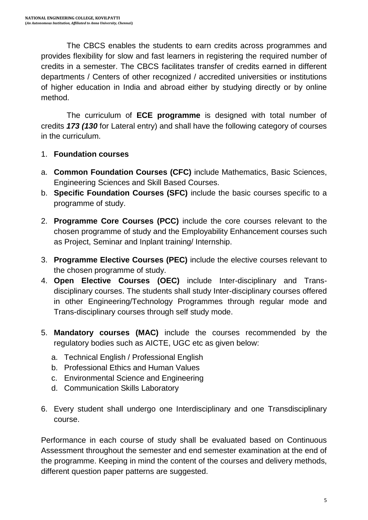The CBCS enables the students to earn credits across programmes and provides flexibility for slow and fast learners in registering the required number of credits in a semester. The CBCS facilitates transfer of credits earned in different departments / Centers of other recognized / accredited universities or institutions of higher education in India and abroad either by studying directly or by online method.

The curriculum of **ECE programme** is designed with total number of credits *173 (130* for Lateral entry) and shall have the following category of courses in the curriculum.

### 1. **Foundation courses**

- a. **Common Foundation Courses (CFC)** include Mathematics, Basic Sciences, Engineering Sciences and Skill Based Courses.
- b. **Specific Foundation Courses (SFC)** include the basic courses specific to a programme of study.
- 2. **Programme Core Courses (PCC)** include the core courses relevant to the chosen programme of study and the Employability Enhancement courses such as Project, Seminar and Inplant training/ Internship.
- 3. **Programme Elective Courses (PEC)** include the elective courses relevant to the chosen programme of study.
- 4. **Open Elective Courses (OEC)** include Inter-disciplinary and Transdisciplinary courses. The students shall study Inter-disciplinary courses offered in other Engineering/Technology Programmes through regular mode and Trans-disciplinary courses through self study mode.
- 5. **Mandatory courses (MAC)** include the courses recommended by the regulatory bodies such as AICTE, UGC etc as given below:
	- a. Technical English / Professional English
	- b. Professional Ethics and Human Values
	- c. Environmental Science and Engineering
	- d. Communication Skills Laboratory
- 6. Every student shall undergo one Interdisciplinary and one Transdisciplinary course.

Performance in each course of study shall be evaluated based on Continuous Assessment throughout the semester and end semester examination at the end of the programme. Keeping in mind the content of the courses and delivery methods, different question paper patterns are suggested.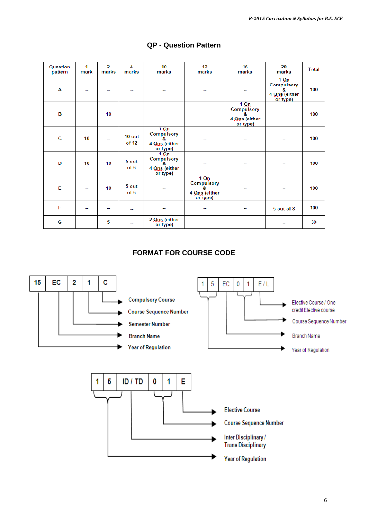| Question<br>pattern | 1<br>mark      | $\overline{2}$<br>marks | $\boldsymbol{A}$<br>marks | 10<br>marks                                                   | 12 <sup>°</sup><br>marks                                      | 16<br>marks                                                   | 20<br>marks                                                   | Total |
|---------------------|----------------|-------------------------|---------------------------|---------------------------------------------------------------|---------------------------------------------------------------|---------------------------------------------------------------|---------------------------------------------------------------|-------|
| A                   |                |                         |                           |                                                               |                                                               |                                                               | $1 \Omega n$<br>Compulsory<br>8.<br>4 Qns (either<br>or type) | 100   |
| B                   |                | 10                      |                           | --                                                            | н.                                                            | $1 \Omega n$<br>Compulsory<br>R.<br>4 Qns (either<br>or type) |                                                               | 100   |
| C                   | 10             | н.                      | 10 out<br>of 12           | $1 \Omega$<br>Compulsory<br>8.<br>4 Qns (either<br>or type)   |                                                               |                                                               |                                                               | 100   |
| D                   | 10             | 10                      | 5 out<br>of 6             | $1 \Omega n$<br>Compulsory<br>8.<br>4 Qns (either<br>or type) |                                                               | --                                                            |                                                               | 100   |
| E                   |                | 10                      | 5 out<br>of 6             |                                                               | $1 \Omega n$<br>Compulsory<br>8.<br>4 Qns (either<br>or type) | ۰.                                                            |                                                               | 100   |
| F                   |                | --                      | --                        |                                                               |                                                               |                                                               | 5 out of 8                                                    | 100   |
| G                   | $\overline{a}$ | 5                       | н.                        | 2 Qns (either<br>or type)                                     | $\overline{a}$                                                | $\sim$                                                        |                                                               | 30    |

#### **QP - Question Pattern**

### **FORMAT FOR COURSE CODE**

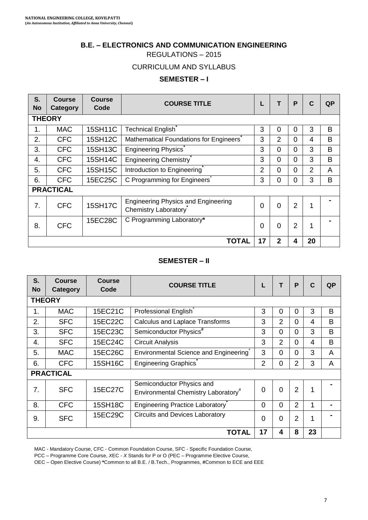#### **B.E. – ELECTRONICS AND COMMUNICATION ENGINEERING**

REGULATIONS – 2015

#### CURRICULUM AND SYLLABUS

#### **SEMESTER – I**

| S.<br><b>No</b> | <b>Course</b><br>Category | <b>Course</b><br>Code | <b>COURSE TITLE</b>                                                |                | т              | P              | $\mathbf C$    | QP |
|-----------------|---------------------------|-----------------------|--------------------------------------------------------------------|----------------|----------------|----------------|----------------|----|
|                 | <b>THEORY</b>             |                       |                                                                    |                |                |                |                |    |
| 1.              | <b>MAC</b>                | 15SH11C               | Technical English <sup>®</sup>                                     | 3              | 0              | 0              | 3              | B  |
| 2.              | <b>CFC</b>                | 15SH12C               | Mathematical Foundations for Engineers                             | 3              | $\overline{2}$ | $\Omega$       | 4              | B  |
| 3.              | <b>CFC</b>                | 15SH13C               | <b>Engineering Physics</b>                                         | 3              | 0              | 0              | 3              | B  |
| 4.              | <b>CFC</b>                | 15SH14C               | Engineering Chemistry                                              | 3              | $\Omega$       | 0              | 3              | B  |
| 5.              | <b>CFC</b>                | 15SH15C               | Introduction to Engineering                                        | $\overline{2}$ | 0              | 0              | $\overline{2}$ | A  |
| 6.              | <b>CFC</b>                | 15EC25C               | C Programming for Engineers                                        | 3              | 0              | 0              | 3              | B  |
|                 | <b>PRACTICAL</b>          |                       |                                                                    |                |                |                |                |    |
| 7.              | <b>CFC</b>                | 15SH17C               | <b>Engineering Physics and Engineering</b><br>Chemistry Laboratory | $\Omega$       | $\Omega$       | $\overline{2}$ | 1              |    |
| 8.              | <b>CFC</b>                | 15EC28C               | C Programming Laboratory*                                          | $\Omega$       | $\Omega$       | $\overline{2}$ | 1              |    |
|                 |                           |                       | TOTAL                                                              | 17             | $\mathbf{2}$   | 4              | 20             |    |

#### **SEMESTER – II**

| S.<br><b>No</b> | <b>Course</b><br>Category | <b>Course</b><br>Code | <b>COURSE TITLE</b>                                                          |                | т                       | P              | $\mathbf{C}$ | QP             |
|-----------------|---------------------------|-----------------------|------------------------------------------------------------------------------|----------------|-------------------------|----------------|--------------|----------------|
| <b>THEORY</b>   |                           |                       |                                                                              |                |                         |                |              |                |
| 1.              | MAC                       | 15EC21C               | Professional English                                                         | 3              | $\Omega$                | 0              | 3            | B              |
| 2.              | <b>SFC</b>                | 15EC22C               | Calculus and Laplace Transforms                                              | 3              | $\overline{2}$          | $\Omega$       | 4            | B              |
| 3.              | <b>SFC</b>                | 15EC23C               | Semiconductor Physics <sup>#</sup>                                           | 3              | $\Omega$                | $\Omega$       | 3            | B              |
| 4.              | <b>SFC</b>                | 15EC24C               | <b>Circuit Analysis</b>                                                      | 3              | $\overline{2}$          | $\Omega$       | 4            | B              |
| 5.              | <b>MAC</b>                | 15EC26C               | Environmental Science and Engineering                                        | 3              | $\Omega$                | $\Omega$       | 3            | A              |
| 6.              | <b>CFC</b>                | 15SH16C               | Engineering Graphics                                                         | $\overline{2}$ | $\Omega$                | $\overline{2}$ | 3            | A              |
|                 | <b>PRACTICAL</b>          |                       |                                                                              |                |                         |                |              |                |
| 7.              | <b>SFC</b>                | 15EC27C               | Semiconductor Physics and<br>Environmental Chemistry Laboratory <sup>#</sup> | $\Omega$       | $\Omega$                | $\overline{2}$ | 1            |                |
| 8.              | <b>CFC</b>                | 15SH18C               | Engineering Practice Laboratory                                              | $\Omega$       | $\Omega$                | $\overline{2}$ | 1            | $\blacksquare$ |
| 9.              | <b>SFC</b>                | 15EC29C               | Circuits and Devices Laboratory                                              | 0              | $\Omega$                | $\overline{2}$ | 1            |                |
|                 |                           |                       | <b>TOTAL</b>                                                                 | 17             | $\overline{\mathbf{4}}$ | 8              | 23           |                |

MAC - Mandatory Course, CFC - Common Foundation Course, SFC - Specific Foundation Course,

PCC – Programme Core Course, *X*EC - *X* Stands for P or O (PEC – Programme Elective Course,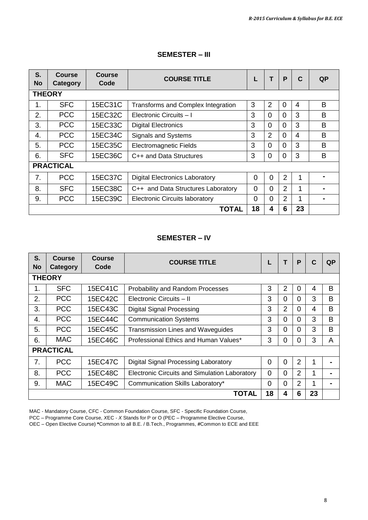| S.<br><b>No</b> | <b>Course</b><br>Category | <b>Course</b><br>Code | <b>COURSE TITLE</b>                   |          | т              | P              | C  | QP |
|-----------------|---------------------------|-----------------------|---------------------------------------|----------|----------------|----------------|----|----|
| <b>THEORY</b>   |                           |                       |                                       |          |                |                |    |    |
| 1.              | <b>SFC</b>                | 15EC31C               | Transforms and Complex Integration    | 3        | $\overline{2}$ | $\Omega$       | 4  | B  |
| 2.              | <b>PCC</b>                | 15EC32C               | Electronic Circuits - I               | 3        | $\Omega$       | $\Omega$       | 3  | B  |
| 3.              | <b>PCC</b>                | 15EC33C               | <b>Digital Electronics</b>            | 3        | $\Omega$       | $\Omega$       | 3  | B  |
| 4.              | <b>PCC</b>                | 15EC34C               | <b>Signals and Systems</b>            | 3        | $\mathfrak{p}$ | $\Omega$       | 4  | B  |
| 5.              | <b>PCC</b>                | 15EC35C               | <b>Electromagnetic Fields</b>         | 3        | $\Omega$       | $\Omega$       | 3  | B  |
| 6.              | <b>SFC</b>                | 15EC36C               | C++ and Data Structures               | 3        | $\Omega$       | $\Omega$       | 3  | B  |
|                 | <b>PRACTICAL</b>          |                       |                                       |          |                |                |    |    |
| 7 <sub>1</sub>  | <b>PCC</b>                | 15EC37C               | <b>Digital Electronics Laboratory</b> | 0        | 0              | $\overline{2}$ | 1  |    |
| 8.              | <b>SFC</b>                | 15EC38C               | C++ and Data Structures Laboratory    | $\Omega$ | $\Omega$       | $\overline{2}$ | 1  |    |
| 9.              | <b>PCC</b>                | 15EC39C               | Electronic Circuits laboratory        | $\Omega$ | $\Omega$       | $\overline{2}$ | 1  |    |
|                 |                           |                       | TOTAL                                 | 18       | 4              | 6              | 23 |    |

#### **SEMESTER – III**

#### **SEMESTER – IV**

| S.<br><b>No</b> | <b>Course</b><br>Category | <b>Course</b><br>Code | <b>COURSE TITLE</b>                           |          | т              | P | C  | QP |
|-----------------|---------------------------|-----------------------|-----------------------------------------------|----------|----------------|---|----|----|
|                 | <b>THEORY</b>             |                       |                                               |          |                |   |    |    |
| 1.              | <b>SFC</b>                | 15EC41C               | Probability and Random Processes              | 3        | 2              | 0 | 4  | В  |
| $\mathbf{2}$    | <b>PCC</b>                | 15EC42C               | Electronic Circuits - II                      | 3        | 0              | 0 | 3  | B  |
| 3.              | <b>PCC</b>                | 15EC43C               | Digital Signal Processing                     | 3        | $\overline{2}$ | 0 | 4  | B  |
| 4.              | <b>PCC</b>                | 15EC44C               | <b>Communication Systems</b>                  | 3        | $\Omega$       | 0 | 3  | B  |
| 5.              | <b>PCC</b>                | 15EC45C               | Transmission Lines and Waveguides             | 3        | 0              | 0 | 3  | B  |
| 6.              | <b>MAC</b>                | 15EC46C               | Professional Ethics and Human Values*         | 3        | 0              | 0 | 3  | A  |
|                 | <b>PRACTICAL</b>          |                       |                                               |          |                |   |    |    |
| 7.              | <b>PCC</b>                | 15EC47C               | Digital Signal Processing Laboratory          | $\Omega$ | 0              | 2 | 1  |    |
| 8.              | <b>PCC</b>                | 15EC48C               | Electronic Circuits and Simulation Laboratory | $\Omega$ | $\Omega$       | 2 | 1  |    |
| 9.              | <b>MAC</b>                | 15EC49C               | Communication Skills Laboratory*              | $\Omega$ | 0              | 2 | 1  |    |
|                 |                           |                       | TOTAL                                         | 18       | 4              | 6 | 23 |    |

MAC - Mandatory Course, CFC - Common Foundation Course, SFC - Specific Foundation Course,

PCC – Programme Core Course, *X*EC - *X* Stands for P or O (PEC – Programme Elective Course,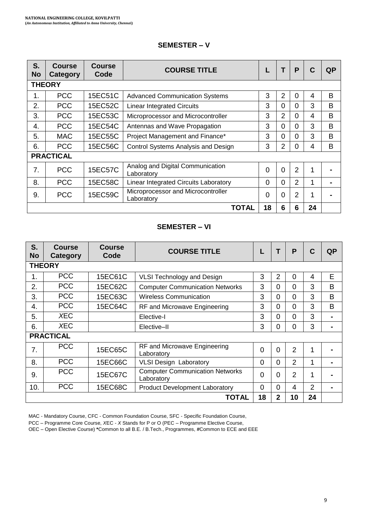| S.<br><b>No</b>  | <b>Course</b><br>Category | <b>Course</b><br>Code | <b>COURSE TITLE</b>                              |          | т              | P              | C  | QP |
|------------------|---------------------------|-----------------------|--------------------------------------------------|----------|----------------|----------------|----|----|
|                  | <b>THEORY</b>             |                       |                                                  |          |                |                |    |    |
| 1.               | <b>PCC</b>                | 15EC51C               | <b>Advanced Communication Systems</b>            | 3        | $\overline{2}$ | 0              | 4  | B  |
| 2.               | <b>PCC</b>                | 15EC52C               | <b>Linear Integrated Circuits</b>                | 3        | 0              | $\Omega$       | 3  | B  |
| 3.               | <b>PCC</b>                | 15EC53C               | Microprocessor and Microcontroller               | 3        | $\overline{2}$ | $\Omega$       | 4  | B  |
| $\overline{4}$ . | <b>PCC</b>                | 15EC54C               | Antennas and Wave Propagation                    | 3        | 0              | $\Omega$       | 3  | B  |
| 5.               | <b>MAC</b>                | 15EC55C               | Project Management and Finance*                  | 3        | 0              | 0              | 3  | B  |
| 6.               | <b>PCC</b>                | 15EC56C               | Control Systems Analysis and Design              | 3        | $\overline{2}$ | 0              | 4  | B  |
|                  | <b>PRACTICAL</b>          |                       |                                                  |          |                |                |    |    |
| 7.               | <b>PCC</b>                | 15EC57C               | Analog and Digital Communication<br>Laboratory   | $\Omega$ | $\Omega$       | $\overline{2}$ | 1  |    |
| 8.               | <b>PCC</b>                | 15EC58C               | Linear Integrated Circuits Laboratory            | $\Omega$ | 0              | $\overline{2}$ | 1  |    |
| 9.               | <b>PCC</b>                | 15EC59C               | Microprocessor and Microcontroller<br>Laboratorv | $\Omega$ | 0              | $\overline{2}$ | 1  |    |
|                  |                           |                       | TOTAL                                            | 18       | 6              | 6              | 24 |    |

#### **SEMESTER – V**

#### **SEMESTER – VI**

| S.<br>No | <b>Course</b><br>Category | <b>Course</b><br>Code | <b>COURSE TITLE</b>                                  | L        | Т              | P              | C  | QP |
|----------|---------------------------|-----------------------|------------------------------------------------------|----------|----------------|----------------|----|----|
|          | <b>THEORY</b>             |                       |                                                      |          |                |                |    |    |
| 1.       | <b>PCC</b>                | 15EC61C               | <b>VLSI Technology and Design</b>                    | 3        | $\overline{2}$ | 0              | 4  | Е  |
| 2.       | <b>PCC</b>                | 15EC62C               | <b>Computer Communication Networks</b>               | 3        | $\Omega$       | 0              | 3  | B  |
| 3.       | <b>PCC</b>                | 15EC63C               | <b>Wireless Communication</b>                        | 3        | $\Omega$       | $\Omega$       | 3  | B  |
| 4.       | <b>PCC</b>                | 15EC64C               | RF and Microwave Engineering                         | 3        | $\Omega$       | $\Omega$       | 3  | B  |
| 5.       | XEC.                      |                       | Elective-I                                           | 3        | $\Omega$       | 0              | 3  |    |
| 6.       | XEC.                      |                       | Elective-II                                          | 3        | $\Omega$       | 0              | 3  |    |
|          | <b>PRACTICAL</b>          |                       |                                                      |          |                |                |    |    |
| 7.       | <b>PCC</b>                | 15EC65C               | RF and Microwave Engineering<br>Laboratory           | $\Omega$ | $\Omega$       | $\mathfrak{p}$ | 1  |    |
| 8.       | <b>PCC</b>                | 15EC66C               | <b>VLSI Design Laboratory</b>                        | $\Omega$ | $\Omega$       | 2              | 1  |    |
| 9.       | <b>PCC</b>                | 15EC67C               | <b>Computer Communication Networks</b><br>Laboratorv | 0        | $\Omega$       | 2              | 1  |    |
| 10.      | <b>PCC</b>                | 15EC68C               | <b>Product Development Laboratory</b>                | 0        | $\Omega$       | 4              | 2  |    |
|          |                           |                       | TOTAL                                                | 18       | $\mathbf{2}$   | 10             | 24 |    |

MAC - Mandatory Course, CFC - Common Foundation Course, SFC - Specific Foundation Course,

PCC – Programme Core Course, *X*EC - *X* Stands for P or O (PEC – Programme Elective Course,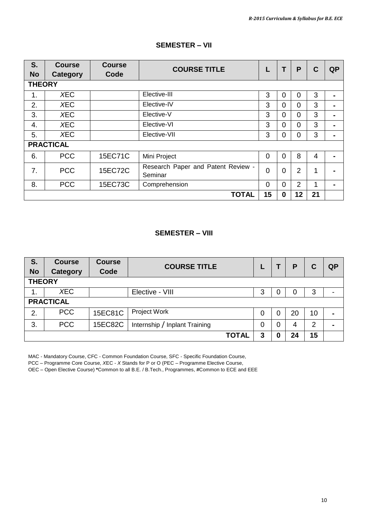| S.<br><b>No</b> | <b>Course</b><br><b>Category</b> | <b>Course</b><br>Code | <b>COURSE TITLE</b>                           |          | Т        | P              | C  | <b>QP</b>      |
|-----------------|----------------------------------|-----------------------|-----------------------------------------------|----------|----------|----------------|----|----------------|
| <b>THEORY</b>   |                                  |                       |                                               |          |          |                |    |                |
| 1.              | <b>XEC</b>                       |                       | Elective-III                                  | 3        | 0        | 0              | 3  |                |
| 2.              | <b>XEC</b>                       |                       | Elective-IV                                   | 3        | 0        | 0              | 3  | $\blacksquare$ |
| 3.              | <b>XEC</b>                       |                       | Elective-V                                    | 3        | $\Omega$ | $\Omega$       | 3  | $\blacksquare$ |
| 4.              | <b>XEC</b>                       |                       | Elective-VI                                   | 3        | $\Omega$ | 0              | 3  |                |
| 5.              | <b>XEC</b>                       |                       | Elective-VII                                  | 3        | 0        | 0              | 3  |                |
|                 | <b>PRACTICAL</b>                 |                       |                                               |          |          |                |    |                |
| 6.              | <b>PCC</b>                       | 15EC71C               | Mini Project                                  | $\Omega$ | 0        | 8              | 4  |                |
| 7.              | <b>PCC</b>                       | 15EC72C               | Research Paper and Patent Review -<br>Seminar | $\Omega$ | 0        | $\overline{2}$ | 1  |                |
| 8.              | <b>PCC</b>                       | 15EC73C               | Comprehension                                 | $\Omega$ | $\Omega$ | 2              | 1  |                |
|                 |                                  |                       | <b>TOTAL</b>                                  | 15       | 0        | 12             | 21 |                |

#### **SEMESTER – VII**

#### **SEMESTER – VIII**

| S.<br><b>No</b> | <b>Course</b><br><b>Category</b> | <b>Course</b><br>Code | <b>COURSE TITLE</b>           |   |   | P  | C              | <b>QP</b>      |
|-----------------|----------------------------------|-----------------------|-------------------------------|---|---|----|----------------|----------------|
| <b>THEORY</b>   |                                  |                       |                               |   |   |    |                |                |
| 1.              | <b>XEC</b>                       |                       | Elective - VIII               | 3 | O |    | 3              |                |
|                 | <b>PRACTICAL</b>                 |                       |                               |   |   |    |                |                |
| 2.              | <b>PCC</b>                       | 15EC81C               | Project Work                  | 0 | 0 | 20 | 10             | $\blacksquare$ |
| 3.              | <b>PCC</b>                       | 15EC82C               | Internship / Inplant Training | 0 | 0 | 4  | $\overline{2}$ |                |
|                 |                                  |                       | <b>TOTAL</b>                  | 3 | O | 24 | 15             |                |

MAC - Mandatory Course, CFC - Common Foundation Course, SFC - Specific Foundation Course,

PCC – Programme Core Course, *X*EC - *X* Stands for P or O (PEC – Programme Elective Course,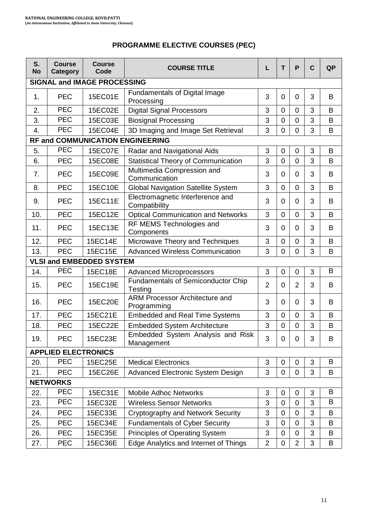# **PROGRAMME ELECTIVE COURSES (PEC)**

| S.<br>No | <b>Course</b><br>Category  | <b>Course</b><br>Code              | <b>COURSE TITLE</b>                               | L              | T                | P              | $\mathbf c$ | QP |
|----------|----------------------------|------------------------------------|---------------------------------------------------|----------------|------------------|----------------|-------------|----|
|          |                            | <b>SIGNAL and IMAGE PROCESSING</b> |                                                   |                |                  |                |             |    |
| 1.       | <b>PEC</b>                 | 15EC01E                            | Fundamentals of Digital Image<br>Processing       | 3              | $\Omega$         | 0              | 3           | B  |
| 2.       | <b>PEC</b>                 | 15EC02E                            | <b>Digital Signal Processors</b>                  | 3              | $\mathbf 0$      | 0              | 3           | В  |
| 3.       | <b>PEC</b>                 | 15EC03E                            | <b>Biosignal Processing</b>                       | 3              | $\mathbf 0$      | $\mathbf 0$    | 3           | B  |
| 4.       | <b>PEC</b>                 | 15EC04E                            | 3D Imaging and Image Set Retrieval                | 3              | 0                | 0              | 3           | В  |
|          |                            |                                    | RF and COMMUNICATION ENGINEERING                  |                |                  |                |             |    |
| 5.       | <b>PEC</b>                 | <b>15EC07E</b>                     | Radar and Navigational Aids                       | 3              | 0                | 0              | 3           | В  |
| 6.       | <b>PEC</b>                 | 15EC08E                            | <b>Statistical Theory of Communication</b>        | 3              | $\mathbf 0$      | 0              | 3           | В  |
| 7.       | <b>PEC</b>                 | 15EC09E                            | Multimedia Compression and<br>Communication       | 3              | 0                | $\Omega$       | 3           | В  |
| 8.       | <b>PEC</b>                 | 15EC10E                            | <b>Global Navigation Satellite System</b>         | 3              | $\mathbf 0$      | 0              | 3           | В  |
| 9.       | <b>PEC</b>                 | 15EC11E                            | Electromagnetic Interference and<br>Compatibility | 3              | $\Omega$         | $\Omega$       | 3           | B  |
| 10.      | <b>PEC</b>                 | 15EC12E                            | <b>Optical Communication and Networks</b>         | 3              | $\mathbf 0$      | 0              | 3           | B  |
| 11.      | <b>PEC</b>                 | 15EC13E                            | RF MEMS Technologies and<br>Components            | 3              | 0                | $\Omega$       | 3           | B  |
| 12.      | <b>PEC</b>                 | 15EC14E                            | Microwave Theory and Techniques                   | 3              | $\overline{0}$   | $\mathbf 0$    | 3           | B  |
| 13.      | <b>PEC</b>                 | 15EC15E                            | <b>Advanced Wireless Communication</b>            | 3              | $\mathbf 0$      | 0              | 3           | B  |
|          |                            | <b>VLSI and EMBEDDED SYSTEM</b>    |                                                   |                |                  |                |             |    |
| 14.      | <b>PEC</b>                 | 15EC18E                            | <b>Advanced Microprocessors</b>                   | 3              | 0                | 0              | 3           | B  |
| 15.      | <b>PEC</b>                 | 15EC19E                            | Fundamentals of Semiconductor Chip<br>Testing     | $\overline{2}$ | $\Omega$         | $\overline{2}$ | 3           | B  |
| 16.      | <b>PEC</b>                 | 15EC20E                            | ARM Processor Architecture and<br>Programming     | 3              | $\Omega$         | 0              | 3           | B  |
| 17.      | <b>PEC</b>                 | 15EC21E                            | <b>Embedded and Real Time Systems</b>             | 3              | $\mathbf 0$      | 0              | 3           | B  |
| 18.      | <b>PEC</b>                 | 15EC22E                            | <b>Embedded System Architecture</b>               | 3              | $\overline{0}$   | 0              | 3           | B  |
| 19.      | <b>PEC</b>                 | 15EC23E                            | Embedded System Analysis and Risk<br>Management   | 3              | 0                | 0              | 3           | B  |
|          | <b>APPLIED ELECTRONICS</b> |                                    |                                                   |                |                  |                |             |    |
| 20.      | <b>PEC</b>                 | 15EC25E                            | <b>Medical Electronics</b>                        | 3              | 0                | 0              | 3           | В  |
| 21.      | <b>PEC</b>                 | 15EC26E                            | Advanced Electronic System Design                 | 3              | $\mathbf 0$      | 0              | 3           | B  |
|          | <b>NETWORKS</b>            |                                    |                                                   |                |                  |                |             |    |
| 22.      | <b>PEC</b>                 | 15EC31E                            | <b>Mobile Adhoc Networks</b>                      | 3              | 0                | 0              | 3           | B  |
| 23.      | <b>PEC</b>                 | 15EC32E                            | <b>Wireless Sensor Networks</b>                   | 3              | $\mathbf 0$      | $\mathbf 0$    | 3           | B  |
| 24.      | <b>PEC</b>                 | 15EC33E                            | Cryptography and Network Security                 | 3              | 0                | 0              | 3           | B  |
| 25.      | <b>PEC</b>                 | 15EC34E                            | <b>Fundamentals of Cyber Security</b>             | 3              | $\boldsymbol{0}$ | 0              | 3           | В  |
| 26.      | <b>PEC</b>                 | 15EC35E                            | Principles of Operating System                    | 3              | $\mathbf 0$      | 0              | 3           | В  |
| 27.      | PEC                        | 15EC36E                            | Edge Analytics and Internet of Things             | $\overline{2}$ | $\pmb{0}$        | $\overline{2}$ | 3           | B  |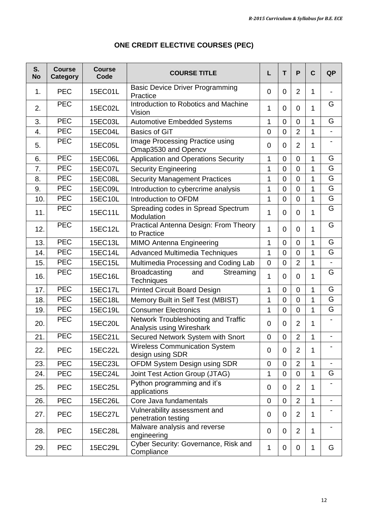| S.<br><b>No</b> | <b>Course</b><br>Category | <b>Course</b><br>Code | <b>COURSE TITLE</b>                                             | L            | т              | P              | $\mathbf c$  | <b>QP</b>                |
|-----------------|---------------------------|-----------------------|-----------------------------------------------------------------|--------------|----------------|----------------|--------------|--------------------------|
| 1.              | <b>PEC</b>                | 15EC01L               | <b>Basic Device Driver Programming</b><br>Practice              | $\Omega$     | $\Omega$       | $\overline{2}$ | 1            |                          |
| 2.              | $\overline{PEC}$          | 15EC02L               | Introduction to Robotics and Machine<br>Vision                  | 1            | 0              | $\Omega$       | 1            | G                        |
| 3.              | <b>PEC</b>                | 15EC03L               | <b>Automotive Embedded Systems</b>                              | 1            | $\mathbf 0$    | 0              | 1            | G                        |
| 4.              | <b>PEC</b>                | 15EC04L               | <b>Basics of GiT</b>                                            | 0            | $\mathbf 0$    | $\overline{2}$ | 1            | $\overline{\phantom{0}}$ |
| 5.              | <b>PEC</b>                | 15EC05L               | <b>Image Processing Practice using</b><br>Omap3530 and Opencv   | $\Omega$     | 0              | $\overline{2}$ | 1            | ۰                        |
| 6.              | <b>PEC</b>                | 15EC06L               | Application and Operations Security                             | 1            | $\overline{0}$ | 0              | 1            | G                        |
| 7.              | <b>PEC</b>                | <b>15EC07L</b>        | <b>Security Engineering</b>                                     | 1            | $\Omega$       | 0              | 1            | G                        |
| 8.              | <b>PEC</b>                | 15EC08L               | <b>Security Management Practices</b>                            | 1            | $\mathbf 0$    | $\mathbf 0$    | 1            | G                        |
| 9.              | <b>PEC</b>                | 15EC09L               | Introduction to cybercrime analysis                             | 1            | $\overline{0}$ | $\overline{0}$ | 1            | G                        |
| 10.             | PEC                       | 15EC10L               | Introduction to OFDM                                            | 1            | $\mathbf 0$    | 0              | 1            | G                        |
| 11.             | <b>PEC</b>                | 15EC11L               | Spreading codes in Spread Spectrum<br>Modulation                | 1            | $\Omega$       | $\Omega$       | 1            | G                        |
| 12.             | <b>PEC</b>                | 15EC12L               | Practical Antenna Design: From Theory<br>to Practice            | 1            | $\Omega$       | $\Omega$       | 1            | G                        |
| 13.             | <b>PEC</b>                | 15EC13L               | <b>MIMO Antenna Engineering</b>                                 | 1            | 0              | 0              | 1            | G                        |
| 14.             | <b>PEC</b>                | 15EC14L               | Advanced Multimedia Techniques                                  | 1            | $\overline{0}$ | $\mathbf 0$    | $\mathbf{1}$ | G                        |
| 15.             | <b>PEC</b>                | 15EC15L               | Multimedia Processing and Coding Lab                            | 0            | 0              | $\overline{2}$ | 1            |                          |
| 16.             | <b>PEC</b>                | 15EC16L               | <b>Broadcasting</b><br>Streaming<br>and<br>Techniques           | 1            | 0              | 0              | 1            | G                        |
| 17.             | <b>PEC</b>                | <b>15EC17L</b>        | <b>Printed Circuit Board Design</b>                             | 1            | $\Omega$       | 0              | 1            | G                        |
| 18.             | <b>PEC</b>                | 15EC18L               | Memory Built in Self Test (MBIST)                               | 1            | $\mathbf 0$    | $\mathbf 0$    | 1            | G                        |
| 19.             | <b>PEC</b>                | 15EC19L               | <b>Consumer Electronics</b>                                     | 1            | $\overline{0}$ | $\overline{0}$ | $\mathbf{1}$ | G                        |
| 20.             | <b>PEC</b>                | 15EC20L               | Network Troubleshooting and Traffic<br>Analysis using Wireshark | $\Omega$     | $\Omega$       | $\overline{2}$ | 1            | ٠                        |
| 21.             | <b>PEC</b>                | 15EC21L               | Secured Network System with Snort                               | $\pmb{0}$    | $\mathbf 0$    | $\overline{2}$ | 1            | $\overline{\phantom{0}}$ |
| 22.             | <b>PEC</b>                | 15EC22L               | <b>Wireless Communication System</b><br>design using SDR        | 0            | 0              | $\overline{2}$ | 1            | ٠                        |
| 23.             | <b>PEC</b>                | 15EC23L               | OFDM System Design using SDR                                    | 0            | 0              | $\overline{2}$ | 1            | $\overline{\phantom{a}}$ |
| 24.             | <b>PEC</b>                | 15EC24L               | Joint Test Action Group (JTAG)                                  | 1            | $\overline{0}$ | 0              | 1            | G                        |
| 25.             | <b>PEC</b>                | 15EC25L               | Python programming and it's<br>applications                     | 0            | 0              | $\overline{2}$ | 1            |                          |
| 26.             | <b>PEC</b>                | 15EC26L               | Core Java fundamentals                                          | 0            | 0              | 2              | 1            | ۰                        |
| 27.             | <b>PEC</b>                | <b>15EC27L</b>        | Vulnerability assessment and<br>penetration testing             | 0            | 0              | $\overline{2}$ | 1            |                          |
| 28.             | <b>PEC</b>                | 15EC28L               | Malware analysis and reverse<br>engineering                     | 0            | 0              | $\overline{2}$ | 1            |                          |
| 29.             | <b>PEC</b>                | 15EC29L               | Cyber Security: Governance, Risk and<br>Compliance              | $\mathbf{1}$ | 0              | 0              | $\mathbf{1}$ | G                        |

# **ONE CREDIT ELECTIVE COURSES (PEC)**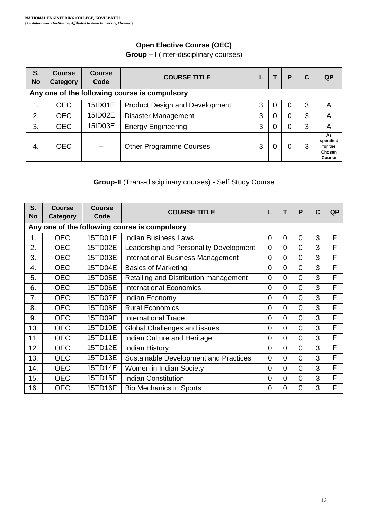# **Open Elective Course (OEC)**

**Group – I** (Inter-disciplinary courses)

| S.<br><b>No</b> | <b>Course</b><br>Category                     | <b>Course</b><br>Code | <b>COURSE TITLE</b>                   |   |   | Р | C | <b>QP</b>                                      |  |  |
|-----------------|-----------------------------------------------|-----------------------|---------------------------------------|---|---|---|---|------------------------------------------------|--|--|
|                 | Any one of the following course is compulsory |                       |                                       |   |   |   |   |                                                |  |  |
| 1.              | <b>OEC</b>                                    | 15ID01E               | <b>Product Design and Development</b> | 3 | 0 | 0 | 3 | A                                              |  |  |
| 2.              | <b>OEC</b>                                    | 15ID02E               | <b>Disaster Management</b>            | 3 | 0 | 0 | 3 | A                                              |  |  |
| 3.              | <b>OEC</b>                                    | 15ID03E               | <b>Energy Engineering</b>             | 3 | 0 | 0 | 3 | A                                              |  |  |
| 4.              | <b>OEC</b>                                    | $-$                   | <b>Other Programme Courses</b>        | 3 | 0 | 0 | 3 | As<br>specified<br>for the<br>Chosen<br>Course |  |  |

#### **Group-II** (Trans-disciplinary courses) - Self Study Course

| S.<br><b>No</b> | <b>Course</b><br>Category                     | Course<br>Code | <b>COURSE TITLE</b>                          | L        | т        | P        | C | QP |
|-----------------|-----------------------------------------------|----------------|----------------------------------------------|----------|----------|----------|---|----|
|                 | Any one of the following course is compulsory |                |                                              |          |          |          |   |    |
| 1.              | <b>OEC</b>                                    | 15TD01E        | <b>Indian Business Laws</b>                  | 0        | 0        | $\Omega$ | 3 | F  |
| 2.              | <b>OEC</b>                                    | 15TD02E        | Leadership and Personality Development       | 0        | 0        | 0        | 3 | F  |
| 3.              | <b>OEC</b>                                    | 15TD03E        | <b>International Business Management</b>     | 0        | 0        | $\Omega$ | 3 | F  |
| 4.              | <b>OEC</b>                                    | 15TD04E        | <b>Basics of Marketing</b>                   | 0        | $\Omega$ | $\Omega$ | 3 | F  |
| 5.              | <b>OEC</b>                                    | 15TD05E        | Retailing and Distribution management        | $\Omega$ | 0        | $\Omega$ | 3 | F  |
| 6.              | <b>OEC</b>                                    | 15TD06E        | International Economics                      | 0        | $\Omega$ | $\Omega$ | 3 | F  |
| 7.              | <b>OEC</b>                                    | 15TD07E        | Indian Economy                               | 0        | $\Omega$ | 0        | 3 | F  |
| 8.              | <b>OEC</b>                                    | 15TD08E        | <b>Rural Economics</b>                       | 0        | $\Omega$ | 0        | 3 | F  |
| 9.              | <b>OEC</b>                                    | 15TD09E        | International Trade                          | 0        | $\Omega$ | $\Omega$ | 3 | F  |
| 10.             | <b>OEC</b>                                    | 15TD10E        | Global Challenges and issues                 | 0        | $\Omega$ | 0        | 3 | F  |
| 11.             | <b>OEC</b>                                    | 15TD11E        | Indian Culture and Heritage                  | 0        | 0        | 0        | 3 | F  |
| 12.             | <b>OEC</b>                                    | 15TD12E        | <b>Indian History</b>                        | 0        | 0        | 0        | 3 | F  |
| 13.             | <b>OEC</b>                                    | 15TD13E        | <b>Sustainable Development and Practices</b> | 0        | $\Omega$ | 0        | 3 | F  |
| 14.             | <b>OEC</b>                                    | 15TD14E        | Women in Indian Society                      | 0        | 0        | 0        | 3 | F  |
| 15.             | <b>OEC</b>                                    | 15TD15E        | <b>Indian Constitution</b>                   | 0        | $\Omega$ | $\Omega$ | 3 | F  |
| 16.             | <b>OEC</b>                                    | 15TD16E        | <b>Bio Mechanics in Sports</b>               | 0        | 0        | 0        | 3 | F  |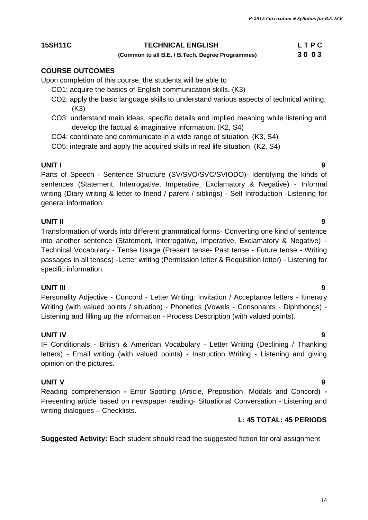14

#### **15SH11C TECHNICAL ENGLISH L T P C**

# **(Common to all B.E. / B.Tech. Degree Programmes) 3 0 0 3**

#### **COURSE OUTCOMES**

Upon completion of this course, the students will be able to

- CO1: acquire the basics of English communication skills**.** (K3)
- CO2: apply the basic language skills to understand various aspects of technical writing. (K3)
- CO3: understand main ideas, specific details and implied meaning while listening and develop the factual & imaginative information. (K2, S4)
- CO4: coordinate and communicate in a wide range of situation. (K3, S4)

CO5: integrate and apply the acquired skills in real life situation. (K2, S4)

#### **UNIT I 9**

Parts of Speech - Sentence Structure (SV/SVO/SVC/SVIODO)- Identifying the kinds of sentences (Statement, Interrogative, Imperative, Exclamatory & Negative) - Informal writing (Diary writing & letter to friend / parent / siblings) - Self Introduction -Listening for general information.

#### **UNIT II 9**

Transformation of words into different grammatical forms- Converting one kind of sentence into another sentence (Statement, Interrogative, Imperative, Exclamatory & Negative) - Technical Vocabulary - Tense Usage (Present tense- Past tense - Future tense - Writing passages in all tenses) -Letter writing (Permission letter & Requisition letter) - Listening for specific information.

#### **UNIT III 9**

Personality Adjective - Concord - Letter Writing: Invitation / Acceptance letters - Itinerary Writing (with valued points / situation) - Phonetics (Vowels - Consonants - Diphthongs) - Listening and filling up the information - Process Description (with valued points).

#### **UNIT IV 9**

IF Conditionals - British & American Vocabulary - Letter Writing (Declining / Thanking letters) - Email writing (with valued points) - Instruction Writing - Listening and giving opinion on the pictures.

#### **UNIT V 9**

Reading comprehension **-** Error Spotting (Article, Preposition, Modals and Concord) **-** Presenting article based on newspaper reading- Situational Conversation - Listening and writing dialogues – Checklists.

#### **L: 45 TOTAL: 45 PERIODS**

**Suggested Activity:** Each student should read the suggested fiction for oral assignment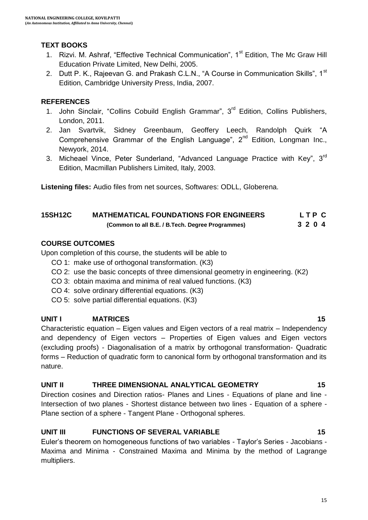#### **TEXT BOOKS**

- 1. Rizvi. M. Ashraf, "Effective Technical Communication", 1<sup>st</sup> Edition, The Mc Graw Hill Education Private Limited, New Delhi, 2005.
- 2. Dutt P. K., Rajeevan G. and Prakash C.L.N., "A Course in Communication Skills", 1<sup>st</sup> Edition, Cambridge University Press, India, 2007.

#### **REFERENCES**

- 1. John Sinclair, "Collins Cobuild English Grammar", 3<sup>rd</sup> Edition, Collins Publishers, London, 2011.
- 2. [Jan Svartvik,](https://www.google.co.in/search?biw=1024&bih=576&q=jan+svartvik&stick=H4sIAAAAAAAAAGOovnz8BQMDgwUHnxCXfq6-QV6SmUWxpRKYbVqem5xUpiWTnWyln5Sfn61fXpRZUpKaF1-eX5RtlVhakpFfpDedVfvFD4ETJcEfbsvvsX3qX_HuLQAx7IAcVQAAAA&sa=X&ei=dIYbVdvzPMSVuATNu4DIAg&ved=0CJYBEJsTKAEwEA) Sidney Greenbaum, Geoffery Leech, [Randolph Quirk](https://www.google.co.in/search?biw=1024&bih=576&q=randolph+quirk&stick=H4sIAAAAAAAAAGOovnz8BQMDgzkHnxCXfq6-QV6SmUWxpRIniG1cYlFUqCWTnWyln5Sfn61fXpRZUpKaF1-eX5RtlVhakpFfxB_W37_s6Y77f4pOrksIPb1Y-HuiEwCx_kweVAAAAA&sa=X&ei=dIYbVdvzPMSVuATNu4DIAg&ved=0CJgBEJsTKAMwEA) "A Comprehensive Grammar of the English Language",  $2<sup>nd</sup>$  Edition, Longman Inc., Newyork, 2014.
- 3. Micheael Vince, Peter Sunderland, "Advanced Language Practice with Kev". 3<sup>rd</sup> Edition, Macmillan Publishers Limited, Italy, 2003.

**Listening files:** Audio files from net sources, Softwares: ODLL, Globerena.

#### **15SH12C MATHEMATICAL FOUNDATIONS FOR ENGINEERS L T P C (Common to all B.E. / B.Tech. Degree Programmes) 3 2 0 4**

### **COURSE OUTCOMES**

Upon completion of this course, the students will be able to

- CO 1: make use of orthogonal transformation. (K3)
- CO 2: use the basic concepts of three dimensional geometry in engineering. (K2)
- CO 3: obtain maxima and minima of real valued functions. (K3)
- CO 4: solve ordinary differential equations. (K3)
- CO 5: solve partial differential equations. (K3)

### **UNIT I MATRICES 15**

Characteristic equation – Eigen values and Eigen vectors of a real matrix – Independency and dependency of Eigen vectors – Properties of Eigen values and Eigen vectors (excluding proofs) - Diagonalisation of a matrix by orthogonal transformation- Quadratic forms – Reduction of quadratic form to canonical form by orthogonal transformation and its nature.

#### **UNIT II THREE DIMENSIONAL ANALYTICAL GEOMETRY 15**

Direction cosines and Direction ratios- Planes and Lines - Equations of plane and line - Intersection of two planes - Shortest distance between two lines - Equation of a sphere - Plane section of a sphere - Tangent Plane - Orthogonal spheres.

### **UNIT III FUNCTIONS OF SEVERAL VARIABLE** 15

Euler"s theorem on homogeneous functions of two variables - Taylor"s Series - Jacobians - Maxima and Minima - Constrained Maxima and Minima by the method of Lagrange multipliers.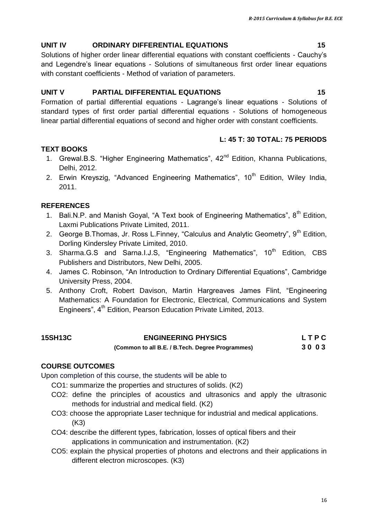# **UNIT IV ORDINARY DIFFERENTIAL EQUATIONS 15**

Solutions of higher order linear differential equations with constant coefficients - Cauchy"s and Legendre"s linear equations - Solutions of simultaneous first order linear equations with constant coefficients - Method of variation of parameters.

# **UNIT V PARTIAL DIFFERENTIAL EQUATIONS 15**

Formation of partial differential equations - Lagrange"s linear equations - Solutions of standard types of first order partial differential equations - Solutions of homogeneous linear partial differential equations of second and higher order with constant coefficients.

#### **L: 45 T: 30 TOTAL: 75 PERIODS**

### **TEXT BOOKS**

- 1. Grewal.B.S. "Higher Engineering Mathematics", 42<sup>nd</sup> Edition, Khanna Publications, Delhi, 2012.
- 2. Erwin Kreyszig, "Advanced Engineering Mathematics",  $10<sup>th</sup>$  Edition, Wiley India, 2011.

### **REFERENCES**

- 1. Bali.N.P. and Manish Goyal, "A Text book of Engineering Mathematics",  $8<sup>th</sup>$  Edition, Laxmi Publications Private Limited, 2011.
- 2. George B.Thomas, Jr. Ross L.Finney, "Calculus and Analytic Geometry", 9<sup>th</sup> Edition, Dorling Kindersley Private Limited, 2010.
- 3. Sharma.G.S and Sarna.I.J.S, "Engineering Mathematics", 10<sup>th</sup> Edition, CBS Publishers and Distributors, New Delhi, 2005.
- 4. James C. Robinson, "An Introduction to Ordinary Differential Equations", Cambridge University Press, 2004.
- 5. Anthony Croft, Robert Davison, Martin Hargreaves James Flint, "Engineering Mathematics: A Foundation for Electronic, Electrical, Communications and System Engineers", 4<sup>th</sup> Edition, Pearson Education Private Limited, 2013.

| <b>15SH13C</b> | <b>ENGINEERING PHYSICS</b>                       | LTPC |
|----------------|--------------------------------------------------|------|
|                | (Common to all B.E. / B.Tech. Degree Programmes) | 3003 |

### **COURSE OUTCOMES**

Upon completion of this course, the students will be able to

CO1: summarize the properties and structures of solids. (K2)

- CO2: define the principles of acoustics and ultrasonics and apply the ultrasonic methods for industrial and medical field. (K2)
- CO3: choose the appropriate Laser technique for industrial and medical applications. (K3)
- CO4: describe the different types, fabrication, losses of optical fibers and their applications in communication and instrumentation. (K2)
- CO5: explain the physical properties of photons and electrons and their applications in different electron microscopes. (K3)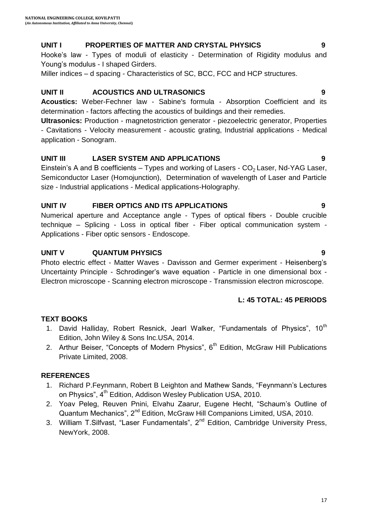### **UNIT I PROPERTIES OF MATTER AND CRYSTAL PHYSICS 9**

Hooke's law - Types of moduli of elasticity - Determination of Rigidity modulus and Young's modulus - I shaped Girders.

Miller indices – d spacing - Characteristics of SC, BCC, FCC and HCP structures.

#### **UNIT II ACOUSTICS AND ULTRASONICS 9**

**Acoustics:** Weber-Fechner law - Sabine's formula - Absorption Coefficient and its determination - factors affecting the acoustics of buildings and their remedies.

**Ultrasonics:** Production - magnetostriction generator - piezoelectric generator, Properties - Cavitations - Velocity measurement - acoustic grating, Industrial applications - Medical application - Sonogram.

### **UNIT III LASER SYSTEM AND APPLICATIONS 9**

Einstein's A and B coefficients – Types and working of Lasers -  $CO<sub>2</sub>$  Laser, Nd-YAG Laser, Semiconductor Laser (Homojunction), Determination of wavelength of Laser and Particle size - Industrial applications - Medical applications-Holography.

### **UNIT IV FIBER OPTICS AND ITS APPLICATIONS 9**

Numerical aperture and Acceptance angle - Types of optical fibers - Double crucible technique – Splicing - Loss in optical fiber - Fiber optical communication system - Applications - Fiber optic sensors - Endoscope.

### **UNIT V QUANTUM PHYSICS 9**

Photo electric effect - Matter Waves - Davisson and Germer experiment - Heisenberg"s Uncertainty Principle - Schrodinger"s wave equation - Particle in one dimensional box - Electron microscope - Scanning electron microscope - Transmission electron microscope.

#### **L: 45 TOTAL: 45 PERIODS**

#### **TEXT BOOKS**

- 1. David Halliday, Robert Resnick, Jearl Walker, "Fundamentals of Physics", 10<sup>th</sup> Edition, John Wiley & Sons Inc.USA, 2014.
- 2. Arthur Beiser, "Concepts of Modern Physics",  $6<sup>th</sup>$  Edition, McGraw Hill Publications Private Limited, 2008.

### **REFERENCES**

- 1. Richard P.Feynmann, Robert B Leighton and Mathew Sands, "Feynmann"s Lectures on Physics", 4<sup>th</sup> Edition, Addison Wesley Publication USA, 2010.
- 2. Yoav Peleg, Reuven Pnini, Elvahu Zaarur, Eugene Hecht, "Schaum"s Outline of Quantum Mechanics", 2<sup>nd</sup> Edition, McGraw Hill Companions Limited, USA, 2010.
- 3. William T.Silfvast, "Laser Fundamentals", 2<sup>nd</sup> Edition, Cambridge University Press, NewYork, 2008.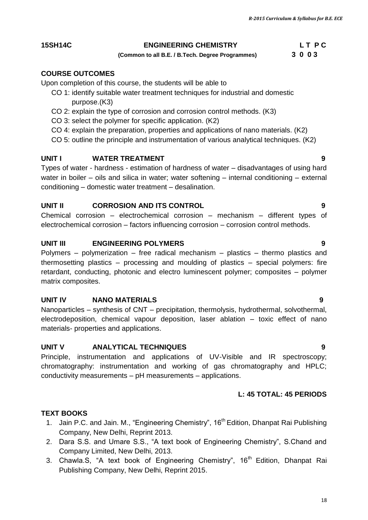#### **15SH14C ENGINEERING CHEMISTRY** L T P C

#### **(Common to all B.E. / B.Tech. Degree Programmes) 3 0 0 3**

#### **COURSE OUTCOMES**

Upon completion of this course, the students will be able to

- CO 1: identify suitable water treatment techniques for industrial and domestic purpose.(K3)
- CO 2: explain the type of corrosion and corrosion control methods. (K3)
- CO 3: select the polymer for specific application. (K2)
- CO 4: explain the preparation, properties and applications of nano materials. (K2)
- CO 5: outline the principle and instrumentation of various analytical techniques. (K2)

#### **UNIT I WATER TREATMENT** 9

Types of water - hardness - estimation of hardness of water – disadvantages of using hard water in boiler – oils and silica in water; water softening – internal conditioning – external conditioning – domestic water treatment – desalination.

#### **UNIT II CORROSION AND ITS CONTROL 9**

Chemical corrosion – electrochemical corrosion – mechanism – different types of electrochemical corrosion – factors influencing corrosion – corrosion control methods.

#### **UNIT III ENGINEERING POLYMERS 9**

Polymers – polymerization – free radical mechanism – plastics – thermo plastics and thermosetting plastics – processing and moulding of plastics – special polymers: fire retardant, conducting, photonic and electro luminescent polymer; composites – polymer matrix composites.

#### **UNIT IV NANO MATERIALS 9**

Nanoparticles – synthesis of CNT – precipitation, thermolysis, hydrothermal, solvothermal, electrodeposition, chemical vapour deposition, laser ablation – toxic effect of nano materials- properties and applications.

#### **UNIT V ANALYTICAL TECHNIQUES 9**

Principle, instrumentation and applications of UV-Visible and IR spectroscopy; chromatography: instrumentation and working of gas chromatography and HPLC; conductivity measurements – pH measurements – applications.

#### **L: 45 TOTAL: 45 PERIODS**

#### **TEXT BOOKS**

- 1. Jain P.C. and Jain. M., "Engineering Chemistry", 16<sup>th</sup> Edition, Dhanpat Rai Publishing Company, New Delhi, Reprint 2013.
- 2. Dara S.S. and Umare S.S., "A text book of Engineering Chemistry", S.Chand and Company Limited, New Delhi, 2013.
- 3. Chawla.S, "A text book of Engineering Chemistry", 16<sup>th</sup> Edition, Dhanpat Rai Publishing Company, New Delhi, Reprint 2015.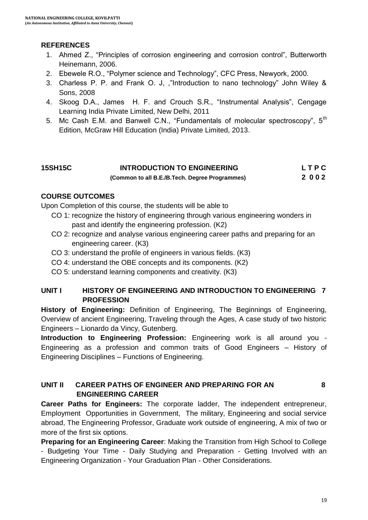### **REFERENCES**

- 1. Ahmed Z., "Principles of corrosion engineering and corrosion control", Butterworth Heinemann, 2006.
- 2. Ebewele R.O., "Polymer science and Technology", CFC Press, Newyork, 2000.
- 3. Charless P. P. and Frank O. J, ,"Introduction to nano technology" John Wiley & Sons, 2008
- 4. Skoog D.A., James H. F. and Crouch S.R., "Instrumental Analysis", Cengage Learning India Private Limited, New Delhi, 2011
- 5. Mc Cash E.M. and Banwell C.N., "Fundamentals of molecular spectroscopy", 5<sup>th</sup> Edition, McGraw Hill Education (India) Private Limited, 2013.

#### **15SH15C INTRODUCTION TO ENGINEERING L T P C (Common to all B.E./B.Tech. Degree Programmes) 2 0 0 2**

#### **COURSE OUTCOMES**

Upon Completion of this course, the students will be able to

- CO 1: recognize the history of engineering through various engineering wonders in past and identify the engineering profession. (K2)
- CO 2: recognize and analyse various engineering career paths and preparing for an engineering career. (K3)
- CO 3: understand the profile of engineers in various fields. (K3)
- CO 4: understand the OBE concepts and its components. (K2)
- CO 5: understand learning components and creativity. (K3)

#### **UNIT I HISTORY OF ENGINEERING AND INTRODUCTION TO ENGINEERING 7 PROFESSION**

**History of Engineering:** Definition of Engineering, The Beginnings of Engineering, Overview of ancient Engineering, Traveling through the Ages, A case study of two historic Engineers – Lionardo da Vincy, Gutenberg.

**Introduction to Engineering Profession:** Engineering work is all around you - Engineering as a profession and common traits of Good Engineers – History of Engineering Disciplines – Functions of Engineering.

#### **UNIT II CAREER PATHS OF ENGINEER AND PREPARING FOR AN 8 ENGINEERING CAREER**

**Career Paths for Engineers:** The corporate ladder, The independent entrepreneur, Employment Opportunities in Government, The military, Engineering and social service abroad, The Engineering Professor, Graduate work outside of engineering, A mix of two or more of the first six options.

**Preparing for an Engineering Career**: Making the Transition from High School to College - Budgeting Your Time - Daily Studying and Preparation - Getting Involved with an Engineering Organization - Your Graduation Plan - Other Considerations.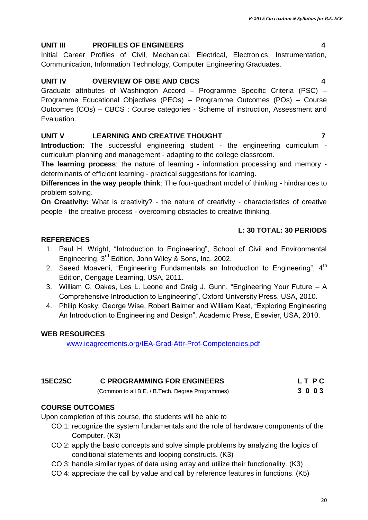#### **UNIT III PROFILES OF ENGINEERS 4**

Initial Career Profiles of Civil, Mechanical, Electrical, Electronics, Instrumentation, Communication, Information Technology, Computer Engineering Graduates.

#### **UNIT IV OVERVIEW OF OBE AND CBCS 4**

Graduate attributes of Washington Accord – Programme Specific Criteria (PSC) – Programme Educational Objectives (PEOs) – Programme Outcomes (POs) – Course Outcomes (COs) – CBCS : Course categories - Scheme of instruction, Assessment and Evaluation.

#### **UNIT V LEARNING AND CREATIVE THOUGHT 7**

**Introduction**: The successful engineering student - the engineering curriculum curriculum planning and management - adapting to the college classroom.

**The learning process**: the nature of learning - information processing and memory determinants of efficient learning - practical suggestions for learning.

**Differences in the way people think**: The four-quadrant model of thinking - hindrances to problem solving.

**On Creativity:** What is creativity? - the nature of creativity - characteristics of creative people - the creative process - overcoming obstacles to creative thinking.

#### **L: 30 TOTAL: 30 PERIODS**

#### **REFERENCES**

- 1. Paul H. Wright, "Introduction to Engineering", School of Civil and Environmental Engineering, 3rd Edition, John Wiley & Sons, Inc, 2002.
- 2. Saeed Moaveni, "Engineering Fundamentals an Introduction to Engineering", 4<sup>th</sup> Edition, Cengage Learning, USA, 2011.
- 3. William C. Oakes, Les L. Leone and Craig J. Gunn, "Engineering Your Future A Comprehensive Introduction to Engineering", Oxford University Press, USA, 2010.
- 4. Philip Kosky, George Wise, Robert Balmer and William Keat, "Exploring Engineering An Introduction to Engineering and Design", Academic Press, Elsevier, USA, 2010.

#### **WEB RESOURCES**

[www.ieagreements.org/IEA-Grad-Attr-Prof-Competencies.pdf](http://www.ieagreements.org/IEA-Grad-Attr-Prof-Competencies.pdf)

| <b>15EC25C</b> | <b>C PROGRAMMING FOR ENGINEERS</b>               | LT PC |
|----------------|--------------------------------------------------|-------|
|                | (Common to all B.E. / B.Tech. Degree Programmes) | 3003  |

#### **COURSE OUTCOMES**

Upon completion of this course, the students will be able to

- CO 1: recognize the system fundamentals and the role of hardware components of the Computer. (K3)
- CO 2: apply the basic concepts and solve simple problems by analyzing the logics of conditional statements and looping constructs. (K3)
- CO 3: handle similar types of data using array and utilize their functionality. (K3)
- CO 4: appreciate the call by value and call by reference features in functions. (K5)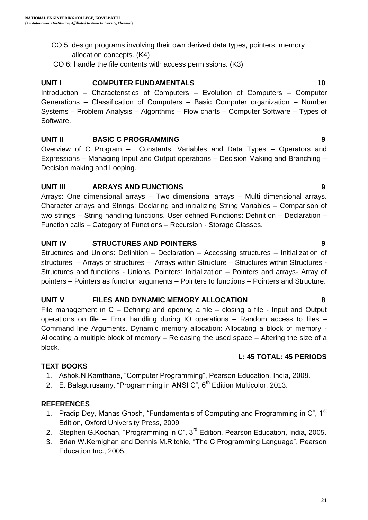- CO 5: design programs involving their own derived data types, pointers, memory allocation concepts. (K4)
- CO 6: handle the file contents with access permissions. (K3)

### **UNIT I** COMPUTER FUNDAMENTALS 10

Introduction – Characteristics of Computers – Evolution of Computers – Computer Generations – Classification of Computers – Basic Computer organization – Number Systems – Problem Analysis – Algorithms – Flow charts – Computer Software – Types of Software.

#### **UNIT II BASIC C PROGRAMMING 9**

Overview of C Program – Constants, Variables and Data Types – Operators and Expressions – Managing Input and Output operations – Decision Making and Branching – Decision making and Looping.

### **UNIT III ARRAYS AND FUNCTIONS 9**

Arrays: One dimensional arrays – Two dimensional arrays – Multi dimensional arrays. Character arrays and Strings: Declaring and initializing String Variables – Comparison of two strings – String handling functions. User defined Functions: Definition – Declaration – Function calls – Category of Functions – Recursion - Storage Classes.

### **UNIT IV STRUCTURES AND POINTERS 9**

Structures and Unions: Definition – Declaration – Accessing structures – Initialization of structures – Arrays of structures – Arrays within Structure – Structures within Structures - Structures and functions - Unions. Pointers: Initialization – Pointers and arrays- Array of pointers – Pointers as function arguments – Pointers to functions – Pointers and Structure.

#### **UNIT V FILES AND DYNAMIC MEMORY ALLOCATION 8**

File management in C – Defining and opening a file – closing a file - Input and Output operations on file – Error handling during IO operations – Random access to files – Command line Arguments. Dynamic memory allocation: Allocating a block of memory - Allocating a multiple block of memory – Releasing the used space – Altering the size of a block.

# **L: 45 TOTAL: 45 PERIODS**

#### **TEXT BOOKS**

- 1. Ashok.N.Kamthane, "Computer Programming", Pearson Education, India, 2008.
- 2. E. Balagurusamy, "Programming in ANSI  $C$ ",  $6<sup>th</sup>$  Edition Multicolor, 2013.

#### **REFERENCES**

- 1. Pradip Dey, Manas Ghosh, "Fundamentals of Computing and Programming in  $C^r$ , 1<sup>st</sup> Edition, Oxford University Press, 2009
- 2. Stephen G.Kochan, "Programming in C", 3<sup>rd</sup> Edition, Pearson Education, India, 2005.
- 3. Brian W.Kernighan and Dennis M.Ritchie, "The C Programming Language", Pearson Education Inc., 2005.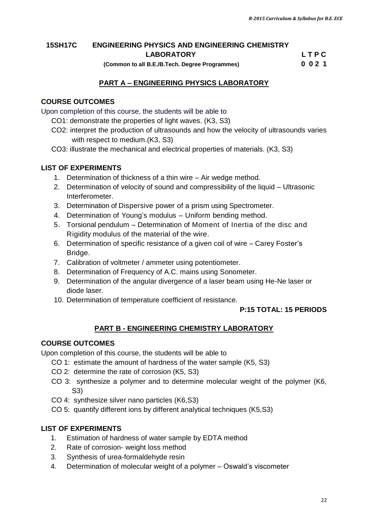#### **15SH17C ENGINEERING PHYSICS AND ENGINEERING CHEMISTRY LABORATORY L T P C**

 **(Common to all B.E./B.Tech. Degree Programmes) 0 0 2 1**

#### **PART A – ENGINEERING PHYSICS LABORATORY**

#### **COURSE OUTCOMES**

Upon completion of this course, the students will be able to

- CO1: demonstrate the properties of light waves. (K3, S3)
- CO2: interpret the production of ultrasounds and how the velocity of ultrasounds varies with respect to medium.(K3, S3)
- CO3: illustrate the mechanical and electrical properties of materials. (K3, S3)

#### **LIST OF EXPERIMENTS**

- 1. Determination of thickness of a thin wire Air wedge method.
- 2. Determination of velocity of sound and compressibility of the liquid Ultrasonic Interferometer.
- 3. Determination of Dispersive power of a prism using Spectrometer.
- 4. Determination of Young"s modulus Uniform bending method.
- 5. Torsional pendulum Determination of Moment of Inertia of the disc and Rigidity modulus of the material of the wire.
- 6. Determination of specific resistance of a given coil of wire Carey Foster"s Bridge.
- 7. Calibration of voltmeter / ammeter using potentiometer.
- 8. Determination of Frequency of A.C. mains using Sonometer.
- 9. Determination of the angular divergence of a laser beam using He-Ne laser or diode laser.
- 10. Determination of temperature coefficient of resistance.

#### **P:15 TOTAL: 15 PERIODS**

#### **PART B - ENGINEERING CHEMISTRY LABORATORY**

#### **COURSE OUTCOMES**

Upon completion of this course, the students will be able to

- CO 1: estimate the amount of hardness of the water sample (K5, S3)
- CO 2: determine the rate of corrosion (K5, S3)
- CO 3: synthesize a polymer and to determine molecular weight of the polymer (K6, S3)
- CO 4: synthesize silver nano particles (K6,S3)
- CO 5: quantify different ions by different analytical techniques (K5,S3)

#### **LIST OF EXPERIMENTS**

- 1. Estimation of hardness of water sample by EDTA method
- 2. Rate of corrosion- weight loss method
- 3. Synthesis of urea-formaldehyde resin
- 4. Determination of molecular weight of a polymer Oswald"s viscometer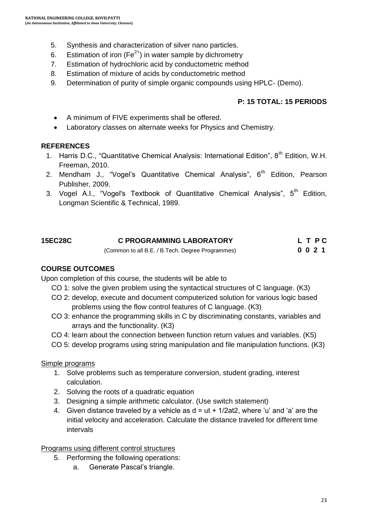- 5. Synthesis and characterization of silver nano particles.
- 6. Estimation of iron ( $Fe^{2+}$ ) in water sample by dichrometry
- 7. Estimation of hydrochloric acid by conductometric method
- 8. Estimation of mixture of acids by conductometric method
- 9. Determination of purity of simple organic compounds using HPLC- (Demo).

#### **P: 15 TOTAL: 15 PERIODS**

- A minimum of FIVE experiments shall be offered.
- Laboratory classes on alternate weeks for Physics and Chemistry.

#### **REFERENCES**

- 1. Harris D.C., "Quantitative Chemical Analysis: International Edition", 8<sup>th</sup> Edition, W.H. Freeman, 2010.
- 2. Mendham J., "Vogel's Quantitative Chemical Analysis",  $6<sup>th</sup>$  Edition, Pearson Publisher, 2009.
- 3. [Vogel](https://www.google.co.in/search?tbo=p&tbm=bks&q=inauthor:%22Arthur+Israel+Vogel%22) A.I., "Vogel's Textbook of Quantitative Chemical Analysis",  $5<sup>th</sup>$  Edition, Longman Scientific & Technical, 1989.

| <b>15EC28C</b> | <b>C PROGRAMMING LABORATORY</b>                  | L T P C |
|----------------|--------------------------------------------------|---------|
|                | (Common to all B.E. / B.Tech. Degree Programmes) | 0021    |

#### **COURSE OUTCOMES**

Upon completion of this course, the students will be able to

- CO 1: solve the given problem using the syntactical structures of C language. (K3)
- CO 2: develop, execute and document computerized solution for various logic based problems using the flow control features of C language. (K3)
- CO 3: enhance the programming skills in C by discriminating constants, variables and arrays and the functionality. (K3)
- CO 4: learn about the connection between function return values and variables. (K5)
- CO 5: develop programs using string manipulation and file manipulation functions. (K3)

#### Simple programs

- 1. Solve problems such as temperature conversion, student grading, interest calculation.
- 2. Solving the roots of a quadratic equation
- 3. Designing a simple arithmetic calculator. (Use switch statement)
- 4. Given distance traveled by a vehicle as  $d = ut + 1/2at2$ , where 'u' and 'a' are the initial velocity and acceleration. Calculate the distance traveled for different time intervals

Programs using different control structures

- 5. Performing the following operations:
	- a. Generate Pascal"s triangle.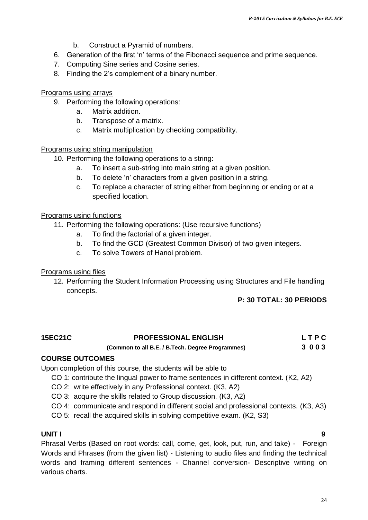- b. Construct a Pyramid of numbers.
- 6. Generation of the first 'n' terms of the Fibonacci sequence and prime sequence.
- 7. Computing Sine series and Cosine series.
- 8. Finding the 2"s complement of a binary number.

#### Programs using arrays

- 9. Performing the following operations:
	- a. Matrix addition.
	- b. Transpose of a matrix.
	- c. Matrix multiplication by checking compatibility.

#### Programs using string manipulation

- 10. Performing the following operations to a string:
	- a. To insert a sub-string into main string at a given position.
	- b. To delete 'n' characters from a given position in a string.
	- c. To replace a character of string either from beginning or ending or at a specified location.

#### Programs using functions

- 11. Performing the following operations: (Use recursive functions)
	- a. To find the factorial of a given integer.
	- b. To find the GCD (Greatest Common Divisor) of two given integers.
	- c. To solve Towers of Hanoi problem.

#### Programs using files

12. Performing the Student Information Processing using Structures and File handling concepts.

#### **P: 30 TOTAL: 30 PERIODS**

| <b>15EC21C</b> | <b>PROFESSIONAL ENGLISH</b> | LTPC |
|----------------|-----------------------------|------|
|                |                             |      |

#### **(Common to all B.E. / B.Tech. Degree Programmes) 3 0 0 3**

#### **COURSE OUTCOMES**

Upon completion of this course, the students will be able to

- CO 1: contribute the lingual power to frame sentences in different context. (K2, A2)
- CO 2: write effectively in any Professional context. (K3, A2)
- CO 3: acquire the skills related to Group discussion. (K3, A2)
- CO 4: communicate and respond in different social and professional contexts. (K3, A3)
- CO 5: recall the acquired skills in solving competitive exam. (K2, S3)

#### **UNIT I 9**

Phrasal Verbs (Based on root words: call, come, get, look, put, run, and take) - Foreign Words and Phrases (from the given list) - Listening to audio files and finding the technical words and framing different sentences - Channel conversion- Descriptive writing on various charts.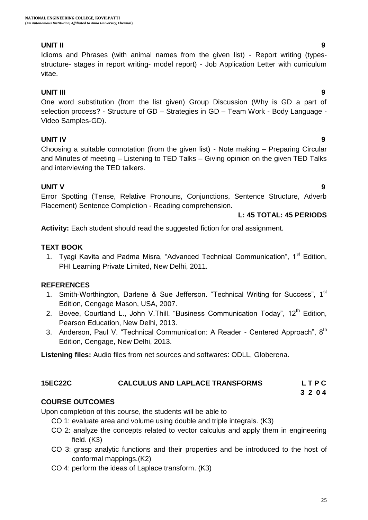#### **UNIT II 9**

Idioms and Phrases (with animal names from the given list) - Report writing (typesstructure- stages in report writing- model report) - Job Application Letter with curriculum vitae.

#### **UNIT III 9**

One word substitution (from the list given) Group Discussion (Why is GD a part of selection process? - Structure of GD – Strategies in GD – Team Work - Body Language - Video Samples-GD).

#### **UNIT IV 9**

Choosing a suitable connotation (from the given list) - Note making – Preparing Circular and Minutes of meeting – Listening to TED Talks – Giving opinion on the given TED Talks and interviewing the TED talkers.

#### **UNIT V 9**

Error Spotting (Tense, Relative Pronouns, Conjunctions, Sentence Structure, Adverb Placement) Sentence Completion - Reading comprehension.

#### **L: 45 TOTAL: 45 PERIODS**

**Activity:** Each student should read the suggested fiction for oral assignment.

#### **TEXT BOOK**

1. Tyagi Kavita and Padma Misra, "Advanced Technical Communication", 1<sup>st</sup> Edition. PHI Learning Private Limited, New Delhi, 2011.

#### **REFERENCES**

- 1. Smith-Worthington, Darlene & Sue Jefferson. "Technical Writing for Success", 1<sup>st</sup> Edition, Cengage Mason, USA, 2007.
- 2. Bovee, Courtland L., John V. Thill. "Business Communication Today",  $12<sup>th</sup>$  Edition, Pearson Education, New Delhi, 2013.
- 3. Anderson, Paul V. "Technical Communication: A Reader Centered Approach", 8<sup>th</sup> Edition, Cengage, New Delhi, 2013.

**Listening files:** Audio files from net sources and softwares: ODLL, Globerena.

#### **15EC22C CALCULUS AND LAPLACE TRANSFORMS L T P C**

#### **3 2 0 4**

#### **COURSE OUTCOMES**

Upon completion of this course, the students will be able to

- CO 1: evaluate area and volume using double and triple integrals. (K3)
- CO 2: analyze the concepts related to vector calculus and apply them in engineering field. (K3)
- CO 3: grasp analytic functions and their properties and be introduced to the host of conformal mappings.(K2)
- CO 4: perform the ideas of Laplace transform. (K3)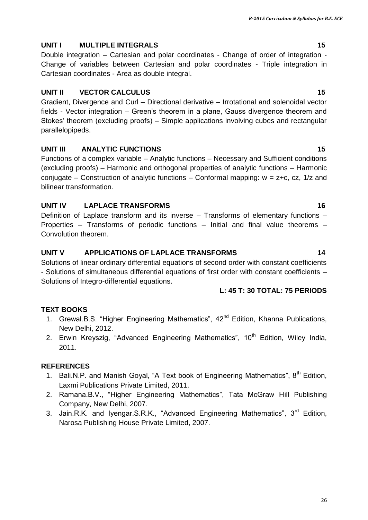26

# **UNIT I** MULTIPLE INTEGRALS 15

Double integration – Cartesian and polar coordinates - Change of order of integration - Change of variables between Cartesian and polar coordinates - Triple integration in Cartesian coordinates - Area as double integral.

# **UNIT II VECTOR CALCULUS** 15

Gradient, Divergence and Curl – Directional derivative – Irrotational and solenoidal vector fields - Vector integration – Green"s theorem in a plane, Gauss divergence theorem and Stokes" theorem (excluding proofs) – Simple applications involving cubes and rectangular parallelopipeds.

# **UNIT III ANALYTIC FUNCTIONS 15**

Functions of a complex variable – Analytic functions – Necessary and Sufficient conditions (excluding proofs) – Harmonic and orthogonal properties of analytic functions – Harmonic conjugate – Construction of analytic functions – Conformal mapping:  $w = z+c$ , cz, 1/z and bilinear transformation.

# **UNIT IV LAPLACE TRANSFORMS** 16

Definition of Laplace transform and its inverse – Transforms of elementary functions – Properties – Transforms of periodic functions – Initial and final value theorems – Convolution theorem.

# **UNIT V APPLICATIONS OF LAPLACE TRANSFORMS 14**

Solutions of linear ordinary differential equations of second order with constant coefficients - Solutions of simultaneous differential equations of first order with constant coefficients – Solutions of Integro-differential equations.

# **L: 45 T: 30 TOTAL: 75 PERIODS**

# **TEXT BOOKS**

- 1. Grewal.B.S. "Higher Engineering Mathematics", 42<sup>nd</sup> Edition, Khanna Publications, New Delhi, 2012.
- 2. Erwin Kreyszig, "Advanced Engineering Mathematics", 10<sup>th</sup> Edition, Wiley India, 2011.

# **REFERENCES**

- 1. Bali.N.P. and Manish Goval, "A Text book of Engineering Mathematics",  $8<sup>th</sup>$  Edition, Laxmi Publications Private Limited, 2011.
- 2. Ramana.B.V., "Higher Engineering Mathematics", Tata McGraw Hill Publishing Company, New Delhi, 2007.
- 3. Jain.R.K. and Iyengar.S.R.K., "Advanced Engineering Mathematics", 3<sup>rd</sup> Edition, Narosa Publishing House Private Limited, 2007.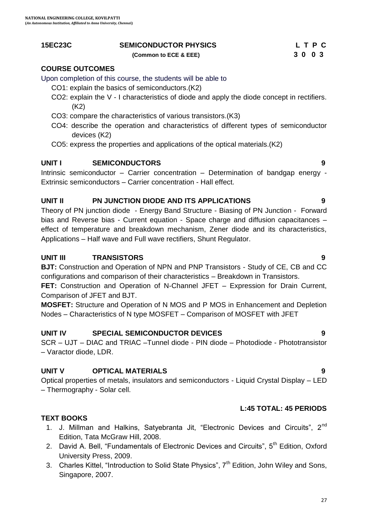### **15EC23C SEMICONDUCTOR PHYSICS L T P C**

 **(Common to ECE & EEE) 3 0 0 3**

#### **COURSE OUTCOMES**

Upon completion of this course, the students will be able to

- CO1: explain the basics of semiconductors.(K2)
- CO2: explain the V I characteristics of diode and apply the diode concept in rectifiers. (K2)
- CO3: compare the characteristics of various transistors.(K3)
- CO4: describe the operation and characteristics of different types of semiconductor devices (K2)
- CO5: express the properties and applications of the optical materials.(K2)

#### **UNIT I SEMICONDUCTORS 9**

Intrinsic semiconductor – Carrier concentration – Determination of bandgap energy - Extrinsic semiconductors – Carrier concentration - Hall effect.

#### **UNIT II PN JUNCTION DIODE AND ITS APPLICATIONS 9**

Theory of PN junction diode - Energy Band Structure - Biasing of PN Junction - Forward bias and Reverse bias - Current equation - Space charge and diffusion capacitances – effect of temperature and breakdown mechanism, Zener diode and its characteristics, Applications – Half wave and Full wave rectifiers, Shunt Regulator.

#### **UNIT III TRANSISTORS 9**

**BJT:** Construction and Operation of NPN and PNP Transistors - Study of CE, CB and CC configurations and comparison of their characteristics – Breakdown in Transistors.

**FET:** Construction and Operation of N-Channel JFET – Expression for Drain Current, Comparison of JFET and BJT.

**MOSFET:** Structure and Operation of N MOS and P MOS in Enhancement and Depletion Nodes – Characteristics of N type MOSFET – Comparison of MOSFET with JFET

#### **UNIT IV SPECIAL SEMICONDUCTOR DEVICES 9**

SCR – UJT – DIAC and TRIAC –Tunnel diode - PIN diode – Photodiode - Phototransistor – Varactor diode, LDR.

#### **UNIT V OPTICAL MATERIALS 9**

Optical properties of metals, insulators and semiconductors - Liquid Crystal Display – LED – Thermography - Solar cell.

#### **L:45 TOTAL: 45 PERIODS**

#### **TEXT BOOKS**

- 1. J. Millman and Halkins, Satyebranta Jit, "Electronic Devices and Circuits", 2<sup>nd</sup> Edition, Tata McGraw Hill, 2008.
- 2. David A. Bell, "Fundamentals of Electronic Devices and Circuits", 5<sup>th</sup> Edition, Oxford University Press, 2009.
- 3. Charles Kittel, "Introduction to Solid State Physics",  $7<sup>th</sup>$  Edition, John Wiley and Sons, Singapore, 2007.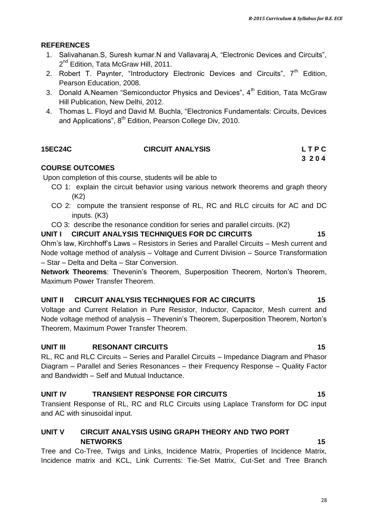#### **REFERENCES**

- 1. Salivahanan.S, Suresh kumar.N and Vallavaraj.A, "Electronic Devices and Circuits", 2<sup>nd</sup> Edition, Tata McGraw Hill, 2011.
- 2. Robert T. Paynter, "Introductory Electronic Devices and Circuits",  $7<sup>th</sup>$  Edition, Pearson Education, 2008.
- 3. Donald A.Neamen "Semiconductor Physics and Devices",  $4<sup>th</sup>$  Edition, Tata McGraw Hill Publication, New Delhi, 2012.
- 4. Thomas L. Floyd and David M. Buchla, "Electronics Fundamentals: Circuits, Devices and Applications", 8<sup>th</sup> Edition, Pearson College Div, 2010.

#### **15EC24C CIRCUIT ANALYSIS L T P C 3 2 0 4**

#### **COURSE OUTCOMES**

Upon completion of this course, students will be able to

- CO 1: explain the circuit behavior using various network theorems and graph theory (K2)
- CO 2: compute the transient response of RL, RC and RLC circuits for AC and DC inputs. (K3)
- CO 3: describe the resonance condition for series and parallel circuits. (K2)

#### UNIT I CIRCUIT ANALYSIS TECHNIQUES FOR DC CIRCUITS **15**

Ohm"s law, Kirchhoff"s Laws – Resistors in Series and Parallel Circuits – Mesh current and Node voltage method of analysis – Voltage and Current Division – Source Transformation – Star – Delta and Delta – Star Conversion.

**Network Theorems**: Thevenin"s Theorem, Superposition Theorem, Norton"s Theorem, Maximum Power Transfer Theorem.

#### **UNIT II CIRCUIT ANALYSIS TECHNIQUES FOR AC CIRCUITS 15**

Voltage and Current Relation in Pure Resistor, Inductor, Capacitor, Mesh current and Node voltage method of analysis – Thevenin"s Theorem, Superposition Theorem, Norton"s Theorem, Maximum Power Transfer Theorem.

#### **UNIT III** RESONANT CIRCUITS 15

RL, RC and RLC Circuits – Series and Parallel Circuits – Impedance Diagram and Phasor Diagram – Parallel and Series Resonances – their Frequency Response – Quality Factor and Bandwidth – Self and Mutual Inductance.

#### **UNIT IV TRANSIENT RESPONSE FOR CIRCUITS 15**

Transient Response of RL, RC and RLC Circuits using Laplace Transform for DC input and AC with sinusoidal input.

#### **UNIT V CIRCUIT ANALYSIS USING GRAPH THEORY AND TWO PORT NETWORKS 15**

Tree and Co-Tree, Twigs and Links, Incidence Matrix, Properties of Incidence Matrix, Incidence matrix and KCL, Link Currents: Tie-Set Matrix, Cut-Set and Tree Branch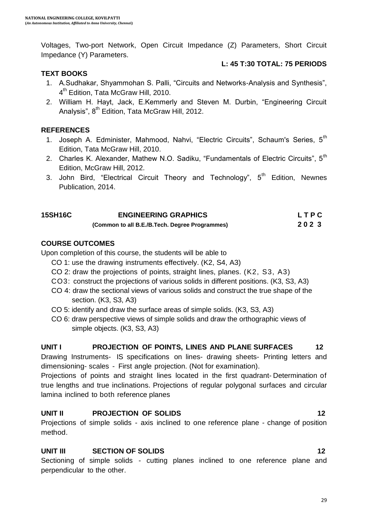Voltages, Two-port Network, Open Circuit Impedance (Z) Parameters, Short Circuit Impedance (Y) Parameters.

#### **TEXT BOOKS**

#### **L: 45 T:30 TOTAL: 75 PERIODS**

- 1. A.Sudhakar, Shyammohan S. Palli, "Circuits and Networks-Analysis and Synthesis", 4<sup>th</sup> Edition, Tata McGraw Hill, 2010.
- 2. William H. Hayt, Jack, E.Kemmerly and Steven M. Durbin, "Engineering Circuit Analysis", 8<sup>th</sup> Edition, Tata McGraw Hill, 2012.

#### **REFERENCES**

- 1. Joseph A. Edminister, Mahmood, Nahvi, "Electric Circuits", Schaum's Series, 5<sup>th</sup> Edition, Tata McGraw Hill, 2010.
- 2. Charles K. Alexander, Mathew N.O. Sadiku, "Fundamentals of Electric Circuits". 5<sup>th</sup> Edition, McGraw Hill, 2012.
- 3. John Bird, "Electrical Circuit Theory and Technology",  $5<sup>th</sup>$  Edition, Newnes Publication, 2014.

| <b>15SH16C</b> | <b>ENGINEERING GRAPHICS</b>                    | LTPC |
|----------------|------------------------------------------------|------|
|                | (Common to all B.E./B.Tech. Degree Programmes) | 2023 |

#### **COURSE OUTCOMES**

Upon completion of this course, the students will be able to

- CO 1: use the drawing instruments effectively. (K2, S4, A3)
- CO 2: draw the projections of points, straight lines, planes. (K2, S3, A3)
- CO3: construct the projections of various solids in different positions. (K3, S3, A3)
- CO 4: draw the sectional views of various solids and construct the true shape of the section. (K3, S3, A3)
- CO 5: identify and draw the surface areas of simple solids. (K3, S3, A3)
- CO 6: draw perspective views of simple solids and draw the orthographic views of simple objects. (K3, S3, A3)

#### **UNIT I PROJECTION OF POINTS, LINES AND PLANE SURFACES 12**

Drawing Instruments- IS specifications on lines- drawing sheets- Printing letters and dimensioning- scales - First angle projection. (Not for examination).

Projections of points and straight lines located in the first quadrant- Determination of true lengths and true inclinations. Projections of regular polygonal surfaces and circular lamina inclined to both reference planes

#### **UNIT II PROJECTION OF SOLIDS 12**

Projections of simple solids - axis inclined to one reference plane - change of position method.

#### **UNIT III SECTION OF SOLIDS 12**

Sectioning of simple solids - cutting planes inclined to one reference plane and perpendicular to the other.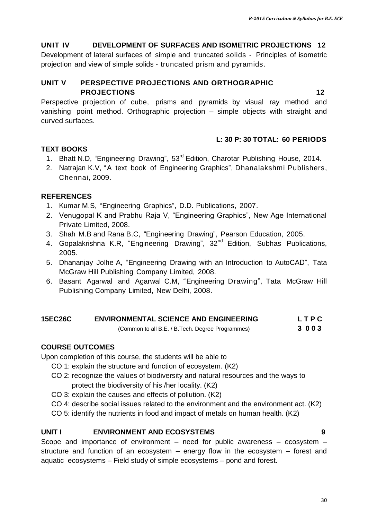#### **UNIT IV DEVELOPMENT OF SURFACES AND ISOMETRIC PROJECTIONS 12**

Development of lateral surfaces of simple and truncated solids - Principles of isometric projection and view of simple solids - truncated prism and pyramids.

#### **UNIT V PERSPECTIVE PROJECTIONS AND ORTHOGRAPHIC PROJECTIONS 12**

Perspective projection of cube, prisms and pyramids by visual ray method and vanishing point method. Orthographic projection – simple objects with straight and curved surfaces.

#### **L: 30 P: 30 TOTAL: 60 PERIODS**

#### **TEXT BOOKS**

- 1. Bhatt N.D, "Engineering Drawing", 53<sup>rd</sup> Edition, Charotar Publishing House, 2014.
- 2. Natrajan K.V, "A text book of Engineering Graphics", Dhanalakshmi Publishers, Chennai, 2009.

#### **REFERENCES**

- 1. Kumar M.S, "Engineering Graphics", D.D. Publications, 2007.
- 2. Venugopal K and Prabhu Raja V, "Engineering Graphics", New Age International Private Limited, 2008.
- 3. Shah M.B and Rana B.C, "Engineering Drawing", Pearson Education, 2005.
- 4. Gopalakrishna K.R, "Engineering Drawing", 32<sup>nd</sup> Edition, Subhas Publications, 2005.
- 5. Dhananjay Jolhe A, "Engineering Drawing with an Introduction to AutoCAD", Tata McGraw Hill Publishing Company Limited, 2008.
- 6. Basant Agarwal and Agarwal C.M, "Engineering Drawing", Tata McGraw Hill Publishing Company Limited, New Delhi, 2008.

| <b>15EC26C</b> | <b>ENVIRONMENTAL SCIENCE AND ENGINEERING</b>                                                                                                                                                                                                                                                                       | LTPC  |
|----------------|--------------------------------------------------------------------------------------------------------------------------------------------------------------------------------------------------------------------------------------------------------------------------------------------------------------------|-------|
|                | $\sqrt{2}$ $\sqrt{2}$ $\sqrt{2}$ $\sqrt{2}$ $\sqrt{2}$ $\sqrt{2}$ $\sqrt{2}$ $\sqrt{2}$ $\sqrt{2}$ $\sqrt{2}$ $\sqrt{2}$ $\sqrt{2}$ $\sqrt{2}$ $\sqrt{2}$ $\sqrt{2}$ $\sqrt{2}$ $\sqrt{2}$ $\sqrt{2}$ $\sqrt{2}$ $\sqrt{2}$ $\sqrt{2}$ $\sqrt{2}$ $\sqrt{2}$ $\sqrt{2}$ $\sqrt{2}$ $\sqrt{2}$ $\sqrt{2}$ $\sqrt{2$ | ימה מ |

(Common to all B.E. / B.Tech. Degree Programmes) **3 0 0 3**

#### **COURSE OUTCOMES**

Upon completion of this course, the students will be able to

- CO 1: explain the structure and function of ecosystem. (K2)
- CO 2: recognize the values of biodiversity and natural resources and the ways to protect the biodiversity of his /her locality. (K2)
- CO 3: explain the causes and effects of pollution. (K2)
- CO 4: describe social issues related to the environment and the environment act. (K2)
- CO 5: identify the nutrients in food and impact of metals on human health. (K2)

#### **UNIT I ENVIRONMENT AND ECOSYSTEMS 9**

Scope and importance of environment – need for public awareness – ecosystem – structure and function of an ecosystem – energy flow in the ecosystem – forest and aquatic ecosystems – Field study of simple ecosystems – pond and forest.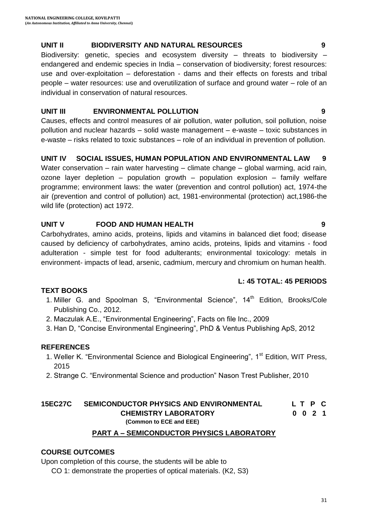#### **UNIT II BIODIVERSITY AND NATURAL RESOURCES 9**

Biodiversity: genetic, species and ecosystem diversity – threats to biodiversity – endangered and endemic species in India – conservation of biodiversity; forest resources: use and over-exploitation – deforestation - dams and their effects on forests and tribal people – water resources: use and overutilization of surface and ground water – role of an individual in conservation of natural resources.

#### **UNIT III ENVIRONMENTAL POLLUTION 9**

Causes, effects and control measures of air pollution, water pollution, soil pollution, noise pollution and nuclear hazards – solid waste management – e-waste – toxic substances in e-waste – risks related to toxic substances – role of an individual in prevention of pollution.

#### **UNIT IV SOCIAL ISSUES, HUMAN POPULATION AND ENVIRONMENTAL LAW 9**

Water conservation – rain water harvesting – climate change – global warming, acid rain, ozone layer depletion – population growth – population explosion – family welfare programme; environment laws: the water (prevention and control pollution) act, 1974-the air (prevention and control of pollution) act, 1981-environmental (protection) act,1986-the wild life (protection) act 1972.

#### **UNIT V FOOD AND HUMAN HEALTH 9**

Carbohydrates, amino acids, proteins, lipids and vitamins in balanced diet food; disease caused by deficiency of carbohydrates, amino acids, proteins, lipids and vitamins - food adulteration - simple test for food adulterants; environmental toxicology: metals in environment- impacts of lead, arsenic, cadmium, mercury and chromium on human health.

#### **L: 45 TOTAL: 45 PERIODS**

#### **TEXT BOOKS**

- 1. Miller G. and Spoolman S, "Environmental Science", 14<sup>th</sup> Edition, Brooks/Cole Publishing Co., 2012.
- 2. Maczulak A.E., "Environmental Engineering", Facts on file Inc., 2009
- 3. Han D, "Concise Environmental Engineering", PhD & Ventus Publishing ApS, 2012

#### **REFERENCES**

- 1. Weller K. "Environmental Science and Biological Engineering", 1<sup>st</sup> Edition, WIT Press, 2015
- 2. Strange C. "Environmental Science and production" Nason Trest Publisher, 2010

#### **15EC27C SEMICONDUCTOR PHYSICS AND ENVIRONMENTAL L T P C CHEMISTRY LABORATORY 0 0 2 1 (Common to ECE and EEE)**

#### **PART A – SEMICONDUCTOR PHYSICS LABORATORY**

#### **COURSE OUTCOMES**

Upon completion of this course, the students will be able to

CO 1: demonstrate the properties of optical materials. (K2, S3)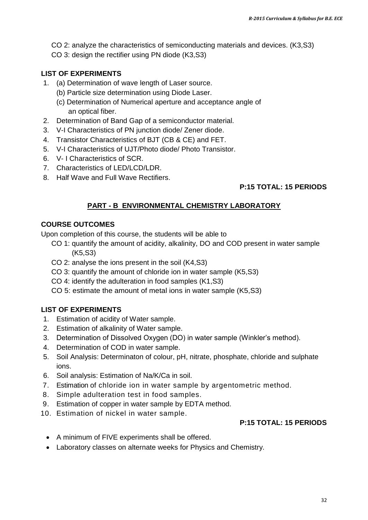- CO 2: analyze the characteristics of semiconducting materials and devices. (K3,S3)
- CO 3: design the rectifier using PN diode (K3,S3)

### **LIST OF EXPERIMENTS**

- 1. (a) Determination of wave length of Laser source.
	- (b) Particle size determination using Diode Laser.
	- (c) Determination of Numerical aperture and acceptance angle of an optical fiber.
- 2. Determination of Band Gap of a semiconductor material.
- 3. V-I Characteristics of PN junction diode/ Zener diode.
- 4. Transistor Characteristics of BJT (CB & CE) and FET.
- 5. V-I Characteristics of UJT/Photo diode/ Photo Transistor.
- 6. V- I Characteristics of SCR.
- 7. Characteristics of LED/LCD/LDR.
- 8. Half Wave and Full Wave Rectifiers.

### **P:15 TOTAL: 15 PERIODS**

### **PART - B ENVIRONMENTAL CHEMISTRY LABORATORY**

#### **COURSE OUTCOMES**

Upon completion of this course, the students will be able to

- CO 1: quantify the amount of acidity, alkalinity, DO and COD present in water sample (K5,S3)
- CO 2: analyse the ions present in the soil (K4,S3)
- CO 3: quantify the amount of chloride ion in water sample (K5,S3)
- CO 4: identify the adulteration in food samples (K1,S3)

CO 5: estimate the amount of metal ions in water sample (K5,S3)

#### **LIST OF EXPERIMENTS**

- 1. Estimation of acidity of Water sample.
- 2. Estimation of alkalinity of Water sample.
- 3. Determination of Dissolved Oxygen (DO) in water sample (Winkler"s method).
- 4. Determination of COD in water sample.
- 5. Soil Analysis: Determinaton of colour, pH, nitrate, phosphate, chloride and sulphate ions.
- 6. Soil analysis: Estimation of Na/K/Ca in soil.
- 7. Estimation of chloride ion in water sample by argentometric method.
- 8. Simple adulteration test in food samples.
- 9. Estimation of copper in water sample by EDTA method.
- 10. Estimation of nickel in water sample.

#### **P:15 TOTAL: 15 PERIODS**

- A minimum of FIVE experiments shall be offered.
- Laboratory classes on alternate weeks for Physics and Chemistry.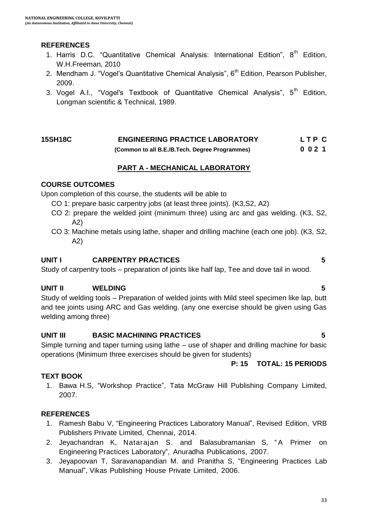#### **REFERENCES**

- 1. Harris D.C. "Quantitative Chemical Analysis: International Edition",  $8<sup>th</sup>$  Edition, W.H.Freeman, 2010
- 2. Mendham J. "Vogel's Quantitative Chemical Analysis",  $6<sup>th</sup>$  Edition, Pearson Publisher, 2009.
- 3. Vogel A.I., "Vogel's Textbook of Quantitative Chemical Analysis",  $5<sup>th</sup>$  Edition, Longman scientific & Technical, 1989.

#### **15SH18C ENGINEERING PRACTICE LABORATORY L T P C (Common to all B.E./B.Tech. Degree Programmes) 0 0 2 1**

#### **PART A - MECHANICAL LABORATORY**

#### **COURSE OUTCOMES**

Upon completion of this course, the students will be able to

- CO 1: prepare basic carpentry jobs (at least three joints). (K3,S2, A2)
- CO 2: prepare the welded joint (minimum three) using arc and gas welding. (K3, S2, A2)
- CO 3: Machine metals using lathe, shaper and drilling machine (each one job). (K3, S2, A2)

#### **UNIT I CARPENTRY PRACTICES 5**

Study of carpentry tools – preparation of joints like half lap, Tee and dove tail in wood.

#### **UNIT II WELDING 5**

Study of welding tools – Preparation of welded joints with Mild steel specimen like lap, butt and tee joints using ARC and Gas welding. (any one exercise should be given using Gas welding among three)

#### **UNIT III BASIC MACHINING PRACTICES 5**

Simple turning and taper turning using lathe – use of shaper and drilling machine for basic operations (Minimum three exercises should be given for students)

**P: 15 TOTAL: 15 PERIODS**

#### **TEXT BOOK**

1. Bawa H.S, "Workshop Practice", Tata McGraw Hill Publishing Company Limited, 2007.

#### **REFERENCES**

- 1. Ramesh Babu V, "Engineering Practices Laboratory Manual", Revised Edition, VRB Publishers Private Limited, Chennai, 2014.
- 2. Jeyachandran K, Natarajan S. and Balasubramanian S, "A Primer on Engineering Practices Laboratory", Anuradha Publications, 2007.
- 3. Jeyapoovan T, Saravanapandian M. and Pranitha S, "Engineering Practices Lab Manual", Vikas Publishing House Private Limited, 2006.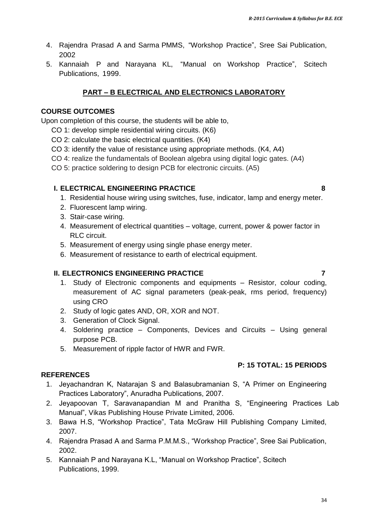- 4. Rajendra Prasad A and Sarma PMMS, "Workshop Practice", Sree Sai Publication, 2002
- 5. Kannaiah P and Narayana KL, "Manual on Workshop Practice", Scitech Publications, 1999.

### **PART – B ELECTRICAL AND ELECTRONICS LABORATORY**

### **COURSE OUTCOMES**

Upon completion of this course, the students will be able to,

- CO 1: develop simple residential wiring circuits. (K6)
- CO 2: calculate the basic electrical quantities. (K4)
- CO 3: identify the value of resistance using appropriate methods. (K4, A4)
- CO 4: realize the fundamentals of Boolean algebra using digital logic gates. (A4)
- CO 5: practice soldering to design PCB for electronic circuits. (A5)

### **I. ELECTRICAL ENGINEERING PRACTICE 8**

- 1. Residential house wiring using switches, fuse, indicator, lamp and energy meter.
- 2. Fluorescent lamp wiring.
- 3. Stair-case wiring.
- 4. Measurement of electrical quantities voltage, current, power & power factor in RLC circuit.
- 5. Measurement of energy using single phase energy meter.
- 6. Measurement of resistance to earth of electrical equipment.

#### **II. ELECTRONICS ENGINEERING PRACTICE 7**

- 1. Study of Electronic components and equipments Resistor, colour coding, measurement of AC signal parameters (peak-peak, rms period, frequency) using CRO
- 2. Study of logic gates AND, OR, XOR and NOT.
- 3. Generation of Clock Signal.
- 4. Soldering practice Components, Devices and Circuits Using general purpose PCB.
- 5. Measurement of ripple factor of HWR and FWR.

#### **P: 15 TOTAL: 15 PERIODS**

#### **REFERENCES**

- 1. Jeyachandran K, Natarajan S and Balasubramanian S, "A Primer on Engineering Practices Laboratory", Anuradha Publications, 2007.
- 2. Jeyapoovan T, Saravanapandian M and Pranitha S, "Engineering Practices Lab Manual", Vikas Publishing House Private Limited, 2006.
- 3. Bawa H.S, "Workshop Practice", Tata McGraw Hill Publishing Company Limited, 2007.
- 4. Rajendra Prasad A and Sarma P.M.M.S., "Workshop Practice", Sree Sai Publication, 2002.
- 5. Kannaiah P and Narayana K.L, "Manual on Workshop Practice", Scitech Publications, 1999.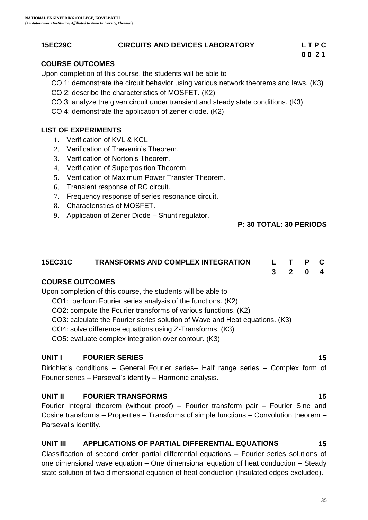### **15EC29C CIRCUITS AND DEVICES LABORATORY L T P C**

# **0 0 2 1**

#### **COURSE OUTCOMES**

Upon completion of this course, the students will be able to

- CO 1: demonstrate the circuit behavior using various network theorems and laws. (K3)
- CO 2: describe the characteristics of MOSFET. (K2)
- CO 3: analyze the given circuit under transient and steady state conditions. (K3)
- CO 4: demonstrate the application of zener diode. (K2)

#### **LIST OF EXPERIMENTS**

- 1. Verification of KVL & KCL
- 2. Verification of Thevenin's Theorem.
- 3. Verification of Norton"s Theorem.
- 4. Verification of Superposition Theorem.
- 5. Verification of Maximum Power Transfer Theorem.
- 6. Transient response of RC circuit.
- 7. Frequency response of series resonance circuit.
- 8. Characteristics of MOSFET.
- 9. Application of Zener Diode Shunt regulator.

#### **P: 30 TOTAL: 30 PERIODS**

## **15EC31C TRANSFORMS AND COMPLEX INTEGRATION L T P C**

**3 2 0 4**

#### **COURSE OUTCOMES**

Upon completion of this course, the students will be able to

- CO1: perform Fourier series analysis of the functions. (K2)
- CO2: compute the Fourier transforms of various functions. (K2)

CO3: calculate the Fourier series solution of Wave and Heat equations. (K3)

CO4: solve difference equations using Z-Transforms. (K3)

CO5: evaluate complex integration over contour. (K3)

#### **UNIT I FOURIER SERIES 15**

Dirichlet"s conditions – General Fourier series– Half range series – Complex form of Fourier series – Parseval"s identity – Harmonic analysis.

#### **UNIT II FOURIER TRANSFORMS** 15

Fourier Integral theorem (without proof) – Fourier transform pair – Fourier Sine and Cosine transforms – Properties – Transforms of simple functions – Convolution theorem – Parseval"s identity.

#### **UNIT III APPLICATIONS OF PARTIAL DIFFERENTIAL EQUATIONS 15**

Classification of second order partial differential equations – Fourier series solutions of one dimensional wave equation – One dimensional equation of heat conduction – Steady state solution of two dimensional equation of heat conduction (Insulated edges excluded).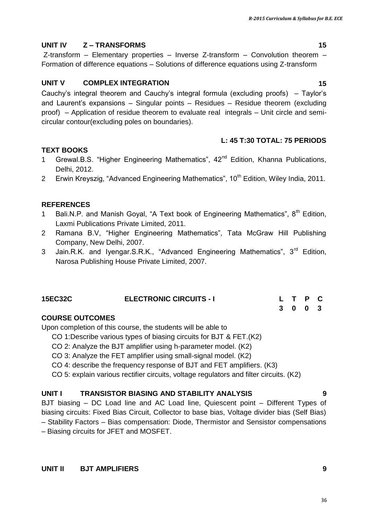# **UNIT IV Z – TRANSFORMS 15**

Z-transform – Elementary properties – Inverse Z-transform – Convolution theorem – Formation of difference equations – Solutions of difference equations using Z-transform

# **UNIT V COMPLEX INTEGRATION 15**

Cauchy"s integral theorem and Cauchy"s integral formula (excluding proofs) – Taylor"s and Laurent"s expansions – Singular points – Residues – Residue theorem (excluding proof) – Application of residue theorem to evaluate real integrals – Unit circle and semicircular contour(excluding poles on boundaries).

## **L: 45 T:30 TOTAL: 75 PERIODS**

# **TEXT BOOKS**

- 1 Grewal.B.S. "Higher Engineering Mathematics", 42<sup>nd</sup> Edition, Khanna Publications, Delhi, 2012.
- 2 Erwin Kreyszig, "Advanced Engineering Mathematics", 10<sup>th</sup> Edition, Wiley India, 2011.

# **REFERENCES**

- 1 Bali.N.P. and Manish Goyal, "A Text book of Engineering Mathematics",  $8^{th}$  Edition, Laxmi Publications Private Limited, 2011.
- 4. 2 Ramana B.V, "Higher Engineering Mathematics", Tata McGraw Hill Publishing Company, New Delhi, 2007.
- 3. Jain.R.K. and Iyengar.S.R.K., "Advanced Engineering Mathematics", 3<sup>rd</sup> Edition, Narosa Publishing House Private Limited, 2007.

#### **15EC32C ELECTRONIC CIRCUITS - I L T P C 3 0 0 3**

# **COURSE OUTCOMES**

Upon completion of this course, the students will be able to

- CO 1:Describe various types of biasing circuits for BJT & FET.(K2)
- CO 2: Analyze the BJT amplifier using h-parameter model. (K2)
- CO 3: Analyze the FET amplifier using small-signal model. (K2)
- CO 4: describe the frequency response of BJT and FET amplifiers. (K3)
- CO 5: explain various rectifier circuits, voltage regulators and filter circuits. (K2)

# **UNIT I TRANSISTOR BIASING AND STABILITY ANALYSIS 9**

BJT biasing – DC Load line and AC Load line, Quiescent point – Different Types of biasing circuits: Fixed Bias Circuit, Collector to base bias, Voltage divider bias (Self Bias) – Stability Factors – Bias compensation: Diode, Thermistor and Sensistor compensations

– Biasing circuits for JFET and MOSFET.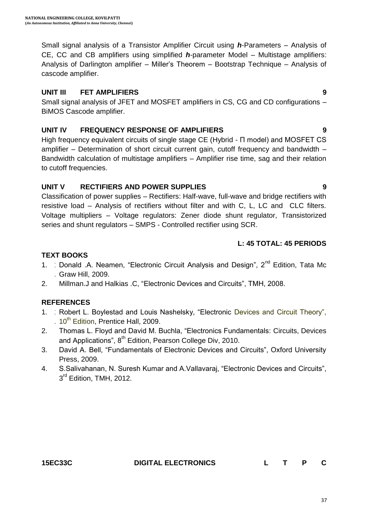Small signal analysis of a Transistor Amplifier Circuit using *h*-Parameters – Analysis of CE, CC and CB amplifiers using simplified *h*-parameter Model – Multistage amplifiers: Analysis of Darlington amplifier – Miller"s Theorem – Bootstrap Technique – Analysis of cascode amplifier.

#### **UNIT III FET AMPLIFIERS 9**

Small signal analysis of JFET and MOSFET amplifiers in CS, CG and CD configurations – BiMOS Cascode amplifier.

#### **UNIT IV FREQUENCY RESPONSE OF AMPLIFIERS 9**

High frequency equivalent circuits of single stage CE (Hybrid - Π model) and MOSFET CS amplifier – Determination of short circuit current gain, cutoff frequency and bandwidth – Bandwidth calculation of multistage amplifiers – Amplifier rise time, sag and their relation to cutoff frequencies.

### **UNIT V RECTIFIERS AND POWER SUPPLIES 9**

Classification of power supplies – Rectifiers: Half-wave, full-wave and bridge rectifiers with resistive load – Analysis of rectifiers without filter and with C, L, LC and CLC filters. Voltage multipliers – Voltage regulators: Zener diode shunt regulator, Transistorized series and shunt regulators – SMPS - Controlled rectifier using SCR.

## **L: 45 TOTAL: 45 PERIODS**

### **TEXT BOOKS**

- 1. Donald A. Neamen, "Electronic Circuit Analysis and Design", 2<sup>nd</sup> Edition, Tata Mc . Graw Hill, 2009.
- 2. Millman.J and Halkias .C, "Electronic Devices and Circuits", TMH, 2008.

## **REFERENCES**

- 1. 1 Robert L. Boylestad and Louis Nashelsky, "Electronic Devices and Circuit Theory", . 10<sup>th</sup> Edition, Prentice Hall, 2009.
- 2. Thomas L. Floyd and David M. Buchla, "Electronics Fundamentals: Circuits, Devices and Applications", 8<sup>th</sup> Edition, Pearson College Div, 2010.
- 3. David A. Bell, "Fundamentals of Electronic Devices and Circuits", Oxford University Press, 2009.
- 4. S.Salivahanan, N. Suresh Kumar and A.Vallavaraj, "Electronic Devices and Circuits", 3<sup>rd</sup> Edition, TMH, 2012.

**15EC33C DIGITAL ELECTRONICS L T P C**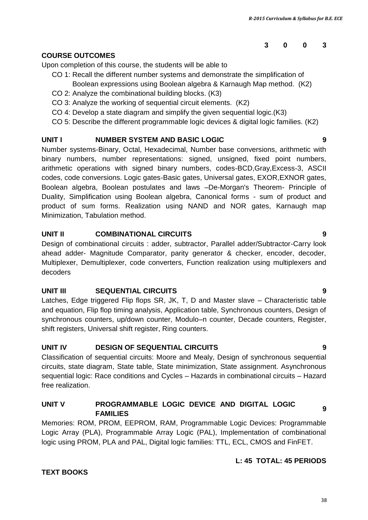### **COURSE OUTCOMES**

Upon completion of this course, the students will be able to

- CO 1: Recall the different number systems and demonstrate the simplification of
	- Boolean expressions using Boolean algebra & Karnaugh Map method. (K2)
- CO 2: Analyze the combinational building blocks. (K3)
- CO 3: Analyze the working of sequential circuit elements. (K2)
- CO 4: Develop a state diagram and simplify the given sequential logic.(K3)
- CO 5: Describe the different programmable logic devices & digital logic families. (K2)

# **UNIT I NUMBER SYSTEM AND BASIC LOGIC 9**

Number systems-Binary, Octal, Hexadecimal, Number base conversions, arithmetic with binary numbers, number representations: signed, unsigned, fixed point numbers, arithmetic operations with signed binary numbers, codes-BCD,Gray,Excess-3, ASCII codes, code conversions. Logic gates-Basic gates, Universal gates, EXOR,EXNOR gates, Boolean algebra, Boolean postulates and laws –De-Morgan's Theorem- Principle of Duality, Simplification using Boolean algebra, Canonical forms - sum of product and product of sum forms. Realization using NAND and NOR gates, Karnaugh map Minimization, Tabulation method.

## **UNIT II COMBINATIONAL CIRCUITS 9**

Design of combinational circuits : adder, subtractor, Parallel adder/Subtractor-Carry look ahead adder- Magnitude Comparator, parity generator & checker, encoder, decoder, Multiplexer, Demultiplexer, code converters, Function realization using multiplexers and decoders

## **UNIT III SEQUENTIAL CIRCUITS 9**

Latches, Edge triggered Flip flops SR, JK, T, D and Master slave – Characteristic table and equation, Flip flop timing analysis, Application table, Synchronous counters, Design of synchronous counters, up/down counter, Modulo–n counter, Decade counters, Register, shift registers, Universal shift register, Ring counters.

# **UNIT IV DESIGN OF SEQUENTIAL CIRCUITS 9**

Classification of sequential circuits: Moore and Mealy, Design of synchronous sequential circuits, state diagram, State table, State minimization, State assignment. Asynchronous sequential logic: Race conditions and Cycles – Hazards in combinational circuits – Hazard free realization.

# **UNIT V PROGRAMMABLE LOGIC DEVICE AND DIGITAL LOGIC FAMILIES <sup>9</sup>**

Memories: ROM, PROM, EEPROM, RAM, Programmable Logic Devices: Programmable Logic Array (PLA), Programmable Array Logic (PAL), Implementation of combinational logic using PROM, PLA and PAL, Digital logic families: TTL, ECL, CMOS and FinFET.

## **L: 45 TOTAL: 45 PERIODS**

# **TEXT BOOKS**

#### 38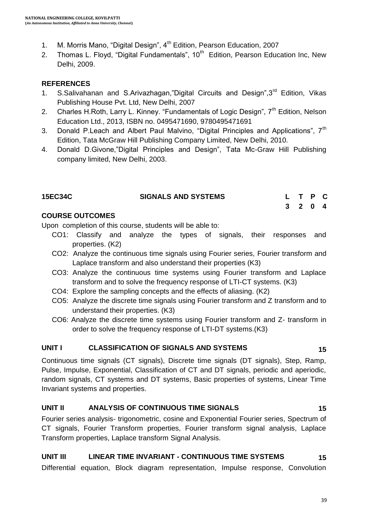- 1. M. Morris Mano, "Digital Design", 4<sup>th</sup> Edition, Pearson Education, 2007
- 2. Thomas L. Floyd, "Digital Fundamentals", 10<sup>th</sup> Edition, Pearson Education Inc, New Delhi, 2009.

### **REFERENCES**

- $1<sub>1</sub>$ S.Salivahanan and S.Arivazhagan,"Digital Circuits and Design",3<sup>rd</sup> Edition, Vikas Publishing House Pvt. Ltd, New Delhi, 2007
- 2. Charles H.Roth, Larry L. Kinney. "Fundamentals of Logic Design", 7<sup>th</sup> Edition, Nelson Education Ltd., 2013, ISBN no. 0495471690, 9780495471691
- 3. Donald P. Leach and Albert Paul Malvino, "Digital Principles and Applications",  $7<sup>th</sup>$ Edition, Tata McGraw Hill Publishing Company Limited, New Delhi, 2010.
- 4. Donald D.Givone,"Digital Principles and Design", Tata Mc-Graw Hill Publishing company limited, New Delhi, 2003.

| <b>15EC34C</b> | <b>SIGNALS AND SYSTEMS</b> | L T P C |  |  |
|----------------|----------------------------|---------|--|--|
|                |                            | 3 2 0 4 |  |  |

### **COURSE OUTCOMES**

Upon completion of this course, students will be able to:

- CO1: Classify and analyze the types of signals, their responses and properties. (K2)
- CO2: Analyze the continuous time signals using Fourier series, Fourier transform and Laplace transform and also understand their properties (K3)
- CO3: Analyze the continuous time systems using Fourier transform and Laplace transform and to solve the frequency response of LTI-CT systems. (K3)
- CO4: Explore the sampling concepts and the effects of aliasing. (K2)
- CO5: Analyze the discrete time signals using Fourier transform and Z transform and to understand their properties. (K3)
- CO6: Analyze the discrete time systems using Fourier transform and Z- transform in order to solve the frequency response of LTI-DT systems.(K3)

#### **UNIT I CLASSIFICATION OF SIGNALS AND SYSTEMS 15**

Continuous time signals (CT signals), Discrete time signals (DT signals), Step, Ramp, Pulse, Impulse, Exponential, Classification of CT and DT signals, periodic and aperiodic, random signals, CT systems and DT systems, Basic properties of systems, Linear Time Invariant systems and properties.

#### **UNIT II ANALYSIS OF CONTINUOUS TIME SIGNALS 15**

Fourier series analysis- trigonometric, cosine and Exponential Fourier series, Spectrum of CT signals, Fourier Transform properties, Fourier transform signal analysis, Laplace Transform properties, Laplace transform Signal Analysis.

#### **UNIT III LINEAR TIME INVARIANT - CONTINUOUS TIME SYSTEMS 15**

Differential equation, Block diagram representation, Impulse response, Convolution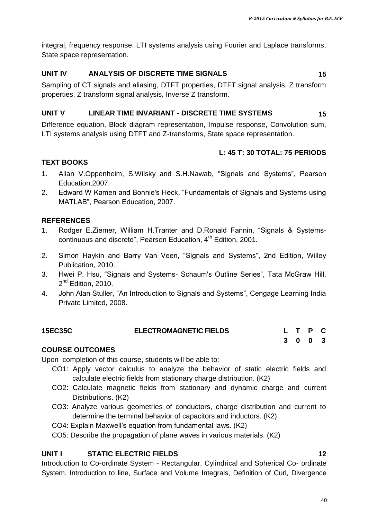integral, frequency response, LTI systems analysis using Fourier and Laplace transforms, State space representation.

#### **UNIT IV ANALYSIS OF DISCRETE TIME SIGNALS 15**

Sampling of CT signals and aliasing, DTFT properties, DTFT signal analysis, Z transform properties, Z transform signal analysis, Inverse Z transform.

#### **UNIT V LINEAR TIME INVARIANT - DISCRETE TIME SYSTEMS 15**

Difference equation, Block diagram representation, Impulse response, Convolution sum, LTI systems analysis using DTFT and Z-transforms, State space representation.

#### **L: 45 T: 30 TOTAL: 75 PERIODS**

#### **TEXT BOOKS**

- $1<sub>1</sub>$ . Education,2007. Allan V.Oppenheim, S.Wilsky and S.H.Nawab, "Signals and Systems", Pearson
- 2. Edward W Kamen and Bonnie's Heck, "Fundamentals of Signals and Systems using 2 MATLAB", Pearson Education, 2007.

### **REFERENCES**

- $1.$ . Rodger E.Ziemer, William H.Tranter and D.Ronald Fannin, "Signals & Systemscontinuous and discrete", Pearson Education, 4<sup>th</sup> Edition, 2001.
- 2. Simon Haykin and Barry Van Veen, "Signals and Systems", 2nd Edition, Willey Publication, 2010.
- 3. Hwei P. Hsu, "Signals and Systems- Schaum's Outline Series", Tata McGraw Hill, 2<sup>nd</sup> Edition, 2010.
- 4. John Alan Stuller, "An Introduction to Signals and Systems", Cengage Learning India Private Limited, 2008.

| <b>15EC35C</b>         | <b>ELECTROMAGNETIC FIELDS</b> |  | L T P C |  |
|------------------------|-------------------------------|--|---------|--|
|                        |                               |  | 3 0 0 3 |  |
| <b>COURSE OUTCOMES</b> |                               |  |         |  |

Upon completion of this course, students will be able to:

- CO1: Apply vector calculus to analyze the behavior of static electric fields and calculate electric fields from stationary charge distribution. (K2)
- CO2: Calculate magnetic fields from stationary and dynamic charge and current Distributions. (K2)
- CO3: Analyze various geometries of conductors, charge distribution and current to determine the terminal behavior of capacitors and inductors. (K2)
- CO4: Explain Maxwell"s equation from fundamental laws. (K2)

CO5: Describe the propagation of plane waves in various materials. (K2)

#### **UNIT I STATIC ELECTRIC FIELDS 12**

Introduction to Co-ordinate System - Rectangular, Cylindrical and Spherical Co- ordinate System, Introduction to line, Surface and Volume Integrals, Definition of Curl, Divergence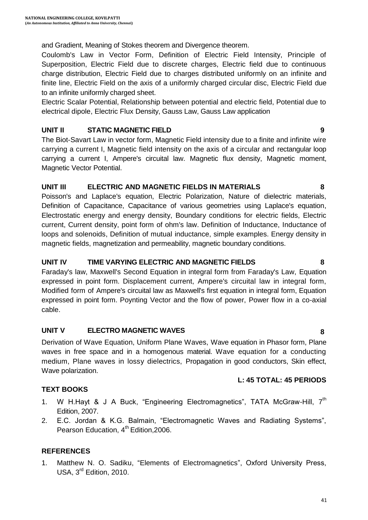and Gradient, Meaning of Stokes theorem and Divergence theorem.

Coulomb's Law in Vector Form, Definition of Electric Field Intensity, Principle of Superposition, Electric Field due to discrete charges, Electric field due to continuous charge distribution, Electric Field due to charges distributed uniformly on an infinite and finite line, Electric Field on the axis of a uniformly charged circular disc, Electric Field due to an infinite uniformly charged sheet.

Electric Scalar Potential, Relationship between potential and electric field, Potential due to electrical dipole, Electric Flux Density, Gauss Law, Gauss Law application

#### **UNIT II STATIC MAGNETIC FIELD 9**

The Biot-Savart Law in vector form, Magnetic Field intensity due to a finite and infinite wire carrying a current I, Magnetic field intensity on the axis of a circular and rectangular loop carrying a current I, Ampere's circuital law. Magnetic flux density, Magnetic moment, Magnetic Vector Potential.

#### **UNIT III ELECTRIC AND MAGNETIC FIELDS IN MATERIALS 8**

Poisson's and Laplace's equation, Electric Polarization, Nature of dielectric materials, Definition of Capacitance, Capacitance of various geometries using Laplace's equation, Electrostatic energy and energy density, Boundary conditions for electric fields, Electric current, Current density, point form of ohm's law. Definition of Inductance, Inductance of loops and solenoids, Definition of mutual inductance, simple examples. Energy density in magnetic fields, magnetization and permeability, magnetic boundary conditions.

#### **UNIT IV TIME VARYING ELECTRIC AND MAGNETIC FIELDS 8**

Faraday's law, Maxwell's Second Equation in integral form from Faraday's Law, Equation expressed in point form. Displacement current, Ampere's circuital law in integral form, Modified form of Ampere's circuital law as Maxwell's first equation in integral form, Equation expressed in point form. Poynting Vector and the flow of power, Power flow in a co-axial cable.

#### **UNIT V ELECTRO MAGNETIC WAVES 8**

Derivation of Wave Equation, Uniform Plane Waves, Wave equation in Phasor form, Plane waves in free space and in a homogenous material. Wave equation for a conducting medium, Plane waves in lossy dielectrics, Propagation in good conductors, Skin effect, Wave polarization.

#### **L: 45 TOTAL: 45 PERIODS**

#### **TEXT BOOKS**

- 1. W H.Hayt & J A Buck, "Engineering Electromagnetics", TATA McGraw-Hill,  $7<sup>th</sup>$ Edition, 2007.
- 2. E.C. Jordan & K.G. Balmain, "Electromagnetic Waves and Radiating Systems", Pearson Education,  $4<sup>th</sup>$  Edition, 2006.

#### **REFERENCES**

1. Matthew N. O. Sadiku, "Elements of Electromagnetics", Oxford University Press, USA, 3<sup>rd</sup> Edition, 2010.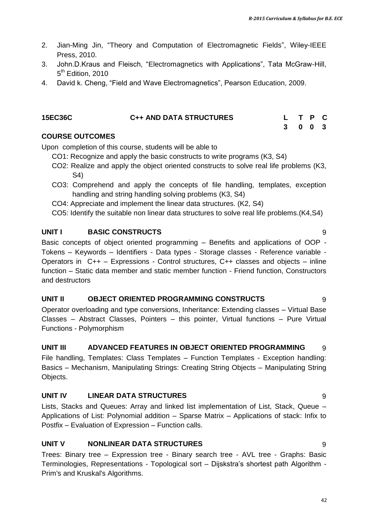- 2. Jian-Ming Jin, "Theory and Computation of Electromagnetic Fields", Wiley-IEEE Press, 2010.
- 3. John.D.Kraus and Fleisch, "Electromagnetics with Applications", Tata McGraw-Hill, 5<sup>th</sup> Edition, 2010
- 4. David k. Cheng, "Field and Wave Electromagnetics", Pearson Education, 2009.

| <b>15EC36C</b> | <b>C++ AND DATA STRUCTURES</b> | L T P C |  |
|----------------|--------------------------------|---------|--|
|                |                                | 3 0 0 3 |  |

#### **COURSE OUTCOMES**

Upon completion of this course, students will be able to

- CO1: Recognize and apply the basic constructs to write programs (K3, S4)
- CO2: Realize and apply the object oriented constructs to solve real life problems (K3, S4)
- CO3: Comprehend and apply the concepts of file handling, templates, exception handling and string handling solving problems (K3, S4)
- CO4: Appreciate and implement the linear data structures. (K2, S4)
- CO5: Identify the suitable non linear data structures to solve real life problems.(K4,S4)

#### **UNIT I BASIC CONSTRUCTS** 9

Basic concepts of object oriented programming – Benefits and applications of OOP - Tokens – Keywords – Identifiers - Data types - Storage classes - Reference variable - Operators in C++ – Expressions - Control structures, C++ classes and objects – inline function – Static data member and static member function - Friend function, Constructors and destructors

#### **UNIT II OBJECT ORIENTED PROGRAMMING CONSTRUCTS** 9

Operator overloading and type conversions, Inheritance: Extending classes – Virtual Base Classes – Abstract Classes, Pointers – this pointer, Virtual functions – Pure Virtual Functions - Polymorphism

#### **UNIT III ADVANCED FEATURES IN OBJECT ORIENTED PROGRAMMING** 9

File handling, Templates: Class Templates – Function Templates - Exception handling: Basics – Mechanism, Manipulating Strings: Creating String Objects – Manipulating String Objects.

#### **UNIT IV LINEAR DATA STRUCTURES** 9

Lists, Stacks and Queues: Array and linked list implementation of List, Stack, Queue – Applications of List: Polynomial addition – Sparse Matrix – Applications of stack: Infix to Postfix – Evaluation of Expression – Function calls.

#### **UNIT V NONLINEAR DATA STRUCTURES** 9

Trees: Binary tree – Expression tree - Binary search tree - AVL tree - Graphs: Basic Terminologies, Representations - Topological sort – Dijskstra's shortest path Algorithm -Prim's and Kruskal's Algorithms.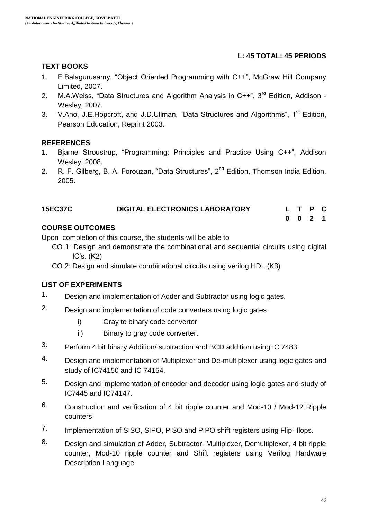### **L: 45 TOTAL: 45 PERIODS**

#### **TEXT BOOKS**

- 1. E.Balagurusamy, "Object Oriented Programming with C++", McGraw Hill Company Limited, 2007.
- 2. M.A.Weiss, "Data Structures and Algorithm Analysis in C++", 3<sup>rd</sup> Edition, Addison -Wesley, 2007.
- 3. V.Aho, J.E.Hopcroft, and J.D.Ullman, "Data Structures and Algorithms", 1<sup>st</sup> Edition, Pearson Education, Reprint 2003.

#### **REFERENCES**

- 1. Bjarne Stroustrup, "Programming: Principles and Practice Using C++", Addison Wesley, 2008.
- 2. R. F. Gilberg, B. A. Forouzan, "Data Structures", 2<sup>nd</sup> Edition, Thomson India Edition, 2005.

| <b>15EC37C</b> | <b>DIGITAL ELECTRONICS LABORATORY</b> |  | L T P C            |  |
|----------------|---------------------------------------|--|--------------------|--|
|                |                                       |  | $0 \t 0 \t 2 \t 1$ |  |

#### **COURSE OUTCOMES**

Upon completion of this course, the students will be able to

- CO 1: Design and demonstrate the combinational and sequential circuits using digital IC"s. (K2)
- CO 2: Design and simulate combinational circuits using verilog HDL.(K3)

- 1. Design and implementation of Adder and Subtractor using logic gates.
- 2. Design and implementation of code converters using logic gates
	- i) Gray to binary code converter
	- ii) Binary to gray code converter.
- 3. Perform 4 bit binary Addition/ subtraction and BCD addition using IC 7483.
- 4. Design and implementation of Multiplexer and De-multiplexer using logic gates and study of IC74150 and IC 74154.
- 5. Design and implementation of encoder and decoder using logic gates and study of IC7445 and IC74147.
- 6. Construction and verification of 4 bit ripple counter and Mod-10 / Mod-12 Ripple counters.
- 7. Implementation of SISO, SIPO, PISO and PIPO shift registers using Flip-flops.
- 8. Design and simulation of Adder, Subtractor, Multiplexer, Demultiplexer, 4 bit ripple counter, Mod-10 ripple counter and Shift registers using Verilog Hardware Description Language.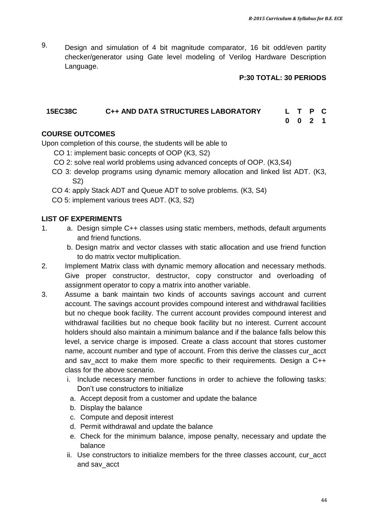9. Design and simulation of 4 bit magnitude comparator, 16 bit odd/even partity checker/generator using Gate level modeling of Verilog Hardware Description Language.

#### **P:30 TOTAL: 30 PERIODS**

### **15EC38C C++ AND DATA STRUCTURES LABORATORY L T P C**

**0 0 2 1**

### **COURSE OUTCOMES**

Upon completion of this course, the students will be able to

- CO 1: implement basic concepts of OOP (K3, S2)
- CO 2: solve real world problems using advanced concepts of OOP. (K3,S4)
- CO 3: develop programs using dynamic memory allocation and linked list ADT. (K3, S2)
- CO 4: apply Stack ADT and Queue ADT to solve problems. (K3, S4)
- CO 5: implement various trees ADT. (K3, S2)

- 1. a. Design simple C++ classes using static members, methods, default arguments and friend functions.
	- b. Design matrix and vector classes with static allocation and use friend function to do matrix vector multiplication.
- 2. Implement Matrix class with dynamic memory allocation and necessary methods. Give proper constructor, destructor, copy constructor and overloading of assignment operator to copy a matrix into another variable.
- 3. Assume a bank maintain two kinds of accounts savings account and current account. The savings account provides compound interest and withdrawal facilities but no cheque book facility. The current account provides compound interest and withdrawal facilities but no cheque book facility but no interest. Current account holders should also maintain a minimum balance and if the balance falls below this level, a service charge is imposed. Create a class account that stores customer name, account number and type of account. From this derive the classes cur\_acct and sav\_acct to make them more specific to their requirements. Design a C++ class for the above scenario.
	- i. Include necessary member functions in order to achieve the following tasks: Don"t use constructors to initialize
	- a. Accept deposit from a customer and update the balance
	- b. Display the balance
	- c. Compute and deposit interest
	- d. Permit withdrawal and update the balance
	- e. Check for the minimum balance, impose penalty, necessary and update the balance
	- ii. Use constructors to initialize members for the three classes account, cur\_acct and sav\_acct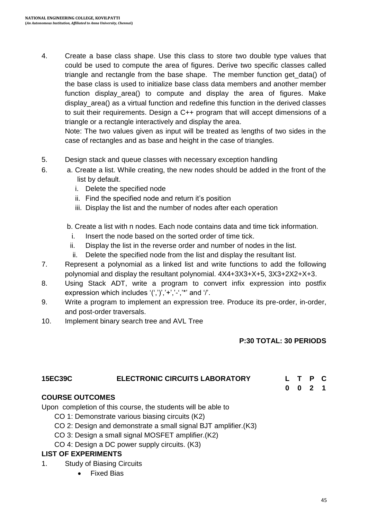4. Create a base class shape. Use this class to store two double type values that could be used to compute the area of figures. Derive two specific classes called triangle and rectangle from the base shape. The member function get data() of the base class is used to initialize base class data members and another member function display area() to compute and display the area of figures. Make display\_area() as a virtual function and redefine this function in the derived classes to suit their requirements. Design a C++ program that will accept dimensions of a triangle or a rectangle interactively and display the area.

Note: The two values given as input will be treated as lengths of two sides in the case of rectangles and as base and height in the case of triangles.

- 5. Design stack and queue classes with necessary exception handling
- 6. a. Create a list. While creating, the new nodes should be added in the front of the list by default.
	- i. Delete the specified node
	- ii. Find the specified node and return it's position
	- iii. Display the list and the number of nodes after each operation
	- b. Create a list with n nodes. Each node contains data and time tick information.
		- i. Insert the node based on the sorted order of time tick.
	- ii. Display the list in the reverse order and number of nodes in the list.
	- ii. Delete the specified node from the list and display the resultant list.
- 7. Represent a polynomial as a linked list and write functions to add the following polynomial and display the resultant polynomial. 4X4+3X3+X+5, 3X3+2X2+X+3.
- 8. Using Stack ADT, write a program to convert infix expression into postfix expression which includes  $'(',')$ ,'+','-','\*' and '/'.
- 9. Write a program to implement an expression tree. Produce its pre-order, in-order, and post-order traversals.
- 10. Implement binary search tree and AVL Tree

#### **P:30 TOTAL: 30 PERIODS**

**0 0 2 1**

#### **15EC39C ELECTRONIC CIRCUITS LABORATORY L T P C**

#### **COURSE OUTCOMES**

Upon completion of this course, the students will be able to

- CO 1: Demonstrate various biasing circuits (K2)
- CO 2: Design and demonstrate a small signal BJT amplifier.(K3)
- CO 3: Design a small signal MOSFET amplifier.(K2)
- CO 4: Design a DC power supply circuits. (K3)

- 1. Study of Biasing Circuits
	- Fixed Bias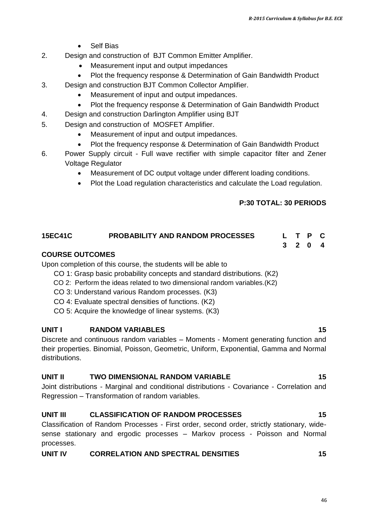- Self Bias
- 2. Design and construction of BJT Common Emitter Amplifier.
	- Measurement input and output impedances
	- Plot the frequency response & Determination of Gain Bandwidth Product
- 3. Design and construction BJT Common Collector Amplifier.
	- Measurement of input and output impedances.
	- Plot the frequency response & Determination of Gain Bandwidth Product
- 4. Design and construction Darlington Amplifier using BJT
- 5. Design and construction of MOSFET Amplifier.
	- Measurement of input and output impedances.
	- Plot the frequency response & Determination of Gain Bandwidth Product
- 6. Power Supply circuit Full wave rectifier with simple capacitor filter and Zener Voltage Regulator
	- Measurement of DC output voltage under different loading conditions.
	- Plot the Load regulation characteristics and calculate the Load regulation.

#### **P:30 TOTAL: 30 PERIODS**

## **15EC41C PROBABILITY AND RANDOM PROCESSES L T P C**

**3 2 0 4**

#### **COURSE OUTCOMES**

Upon completion of this course, the students will be able to

- CO 1: Grasp basic probability concepts and standard distributions. (K2)
- CO 2: Perform the ideas related to two dimensional random variables.(K2)
- CO 3: Understand various Random processes. (K3)
- CO 4: Evaluate spectral densities of functions. (K2)
- CO 5: Acquire the knowledge of linear systems. (K3)

#### **UNIT I RANDOM VARIABLES 15**

Discrete and continuous random variables – Moments - Moment generating function and their properties. Binomial, Poisson, Geometric, Uniform, Exponential, Gamma and Normal distributions.

#### **UNIT II TWO DIMENSIONAL RANDOM VARIABLE 15**

Joint distributions - Marginal and conditional distributions - Covariance - Correlation and Regression – Transformation of random variables.

#### **UNIT III CLASSIFICATION OF RANDOM PROCESSES 15**

Classification of Random Processes - First order, second order, strictly stationary, widesense stationary and ergodic processes – Markov process - Poisson and Normal processes.

### **UNIT IV CORRELATION AND SPECTRAL DENSITIES 15**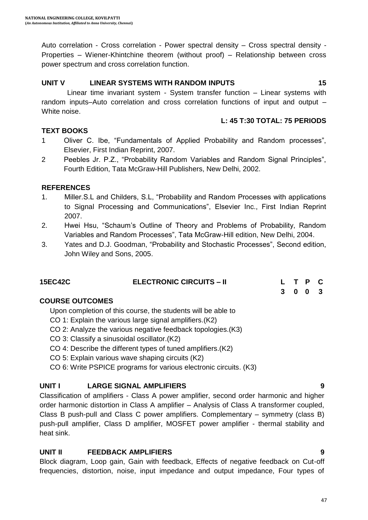Auto correlation - Cross correlation - Power spectral density – Cross spectral density - Properties – Wiener-Khintchine theorem (without proof) – Relationship between cross power spectrum and cross correlation function.

#### **UNIT V LINEAR SYSTEMS WITH RANDOM INPUTS 15**

Linear time invariant system - System transfer function – Linear systems with random inputs–Auto correlation and cross correlation functions of input and output – White noise.

#### **L: 45 T:30 TOTAL: 75 PERIODS**

#### **TEXT BOOKS**

- 1 Oliver C. Ibe, "Fundamentals of Applied Probability and Random processes", Elsevier, First Indian Reprint, 2007.
- 2 Peebles Jr. P.Z., "Probability Random Variables and Random Signal Principles", Fourth Edition, Tata McGraw-Hill Publishers, New Delhi, 2002.

#### **REFERENCES**

- 1. Miller.S.L and Childers, S.L, "Probability and Random Processes with applications to Signal Processing and Communications", Elsevier Inc., First Indian Reprint 2007.
- 2. Hwei Hsu, "Schaum"s Outline of Theory and Problems of Probability, Random Variables and Random Processes", Tata McGraw-Hill edition, New Delhi, 2004.
- 3. Yates and D.J. Goodman, "Probability and Stochastic Processes", Second edition, John Wiley and Sons, 2005.

| <b>15EC42C</b> | <b>ELECTRONIC CIRCUITS – II</b> |  | L T P C |  |
|----------------|---------------------------------|--|---------|--|
|                |                                 |  | 3 0 0 3 |  |

#### **COURSE OUTCOMES**

Upon completion of this course, the students will be able to

- CO 1: Explain the various large signal amplifiers.(K2)
- CO 2: Analyze the various negative feedback topologies.(K3)
- CO 3: Classify a sinusoidal oscillator.(K2)
- CO 4: Describe the different types of tuned amplifiers.(K2)
- CO 5: Explain various wave shaping circuits (K2)
- CO 6: Write PSPICE programs for various electronic circuits. (K3)

#### **UNIT I LARGE SIGNAL AMPLIFIERS 9**

Classification of amplifiers - Class A power amplifier, second order harmonic and higher order harmonic distortion in Class A amplifier – Analysis of Class A transformer coupled, Class B push-pull and Class C power amplifiers. Complementary – symmetry (class B) push-pull amplifier, Class D amplifier, MOSFET power amplifier - thermal stability and heat sink.

#### **UNIT II FEEDBACK AMPLIFIERS 9**

Block diagram, Loop gain, Gain with feedback, Effects of negative feedback on Cut-off frequencies, distortion, noise, input impedance and output impedance, Four types of

#### 47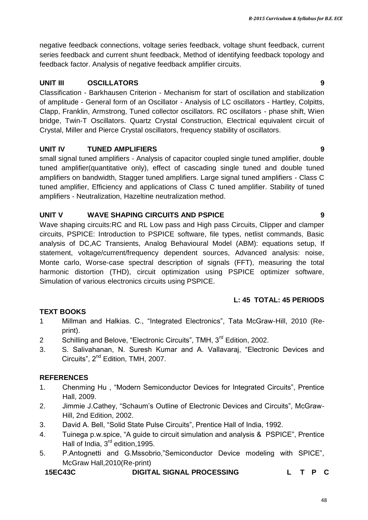negative feedback connections, voltage series feedback, voltage shunt feedback, current series feedback and current shunt feedback, Method of identifying feedback topology and feedback factor. Analysis of negative feedback amplifier circuits.

#### **UNIT III OSCILLATORS 9**

Classification - Barkhausen Criterion - Mechanism for start of oscillation and stabilization of amplitude - General form of an Oscillator - Analysis of LC oscillators - Hartley, Colpitts, Clapp, Franklin, Armstrong, Tuned collector oscillators. RC oscillators - phase shift, Wien bridge, Twin-T Oscillators. Quartz Crystal Construction, Electrical equivalent circuit of Crystal, Miller and Pierce Crystal oscillators, frequency stability of oscillators.

#### **UNIT IV TUNED AMPLIFIERS 9**

small signal tuned amplifiers - Analysis of capacitor coupled single tuned amplifier, double tuned amplifier(quantitative only), effect of cascading single tuned and double tuned amplifiers on bandwidth, Stagger tuned amplifiers. Large signal tuned amplifiers - Class C tuned amplifier, Efficiency and applications of Class C tuned amplifier. Stability of tuned amplifiers - Neutralization, Hazeltine neutralization method.

#### **UNIT V WAVE SHAPING CIRCUITS AND PSPICE 9**

Wave shaping circuits:RC and RL Low pass and High pass Circuits, Clipper and clamper circuits, PSPICE: Introduction to PSPICE software, file types, netlist commands, Basic analysis of DC,AC Transients, Analog Behavioural Model (ABM): equations setup, If statement, voltage/current/frequency dependent sources, Advanced analysis: noise, Monte carlo, Worse-case spectral description of signals (FFT), measuring the total harmonic distortion (THD), circuit optimization using PSPICE optimizer software, Simulation of various electronics circuits using PSPICE.

## **L: 45 TOTAL: 45 PERIODS**

#### **TEXT BOOKS**

- 1 Millman and Halkias. C., "Integrated Electronics", Tata McGraw-Hill, 2010 (Reprint).
- 2 Schilling and Belove, "Electronic Circuits", TMH, 3<sup>rd</sup> Edition, 2002.
- 3. S. Salivahanan, N. Suresh Kumar and A. Vallavaraj, "Electronic Devices and Circuits", 2<sup>nd</sup> Edition, TMH, 2007.

#### **REFERENCES**

- 1. Chenming Hu , "Modern Semiconductor Devices for Integrated Circuits", Prentice Hall, 2009.
- 2. Jimmie J.Cathey, "Schaum"s Outline of Electronic Devices and Circuits", McGraw-Hill, 2nd Edition, 2002.
- 3. David A. Bell, "Solid State Pulse Circuits", Prentice Hall of India, 1992.
- 4. Tuinega p.w.spice, "A guide to circuit simulation and analysis & PSPICE", Prentice Hall of India, 3<sup>rd</sup> edition, 1995.
- 5. P.Antognetti and G.Mssobrio,"Semiconductor Device modeling with SPICE", McGraw Hall,2010(Re-print)

**15EC43C DIGITAL SIGNAL PROCESSING L T P C**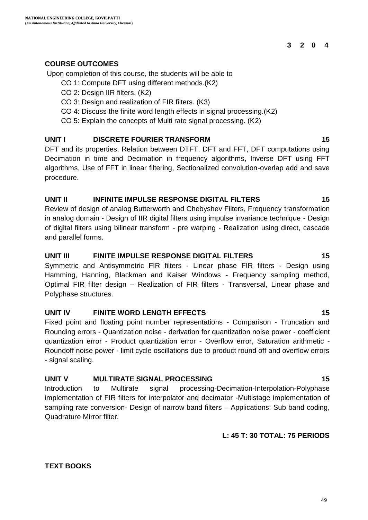#### **3 2 0 4**

#### **COURSE OUTCOMES**

Upon completion of this course, the students will be able to

- CO 1: Compute DFT using different methods.(K2)
- CO 2: Design IIR filters. (K2)
- CO 3: Design and realization of FIR filters. (K3)
- CO 4: Discuss the finite word length effects in signal processing.(K2)

CO 5: Explain the concepts of Multi rate signal processing. (K2)

#### **UNIT I DISCRETE FOURIER TRANSFORM 15**

DFT and its properties, Relation between DTFT, DFT and FFT, DFT computations using Decimation in time and Decimation in frequency algorithms, Inverse DFT using FFT algorithms, Use of FFT in linear filtering, Sectionalized convolution-overlap add and save procedure.

#### **UNIT II INFINITE IMPULSE RESPONSE DIGITAL FILTERS 15**

Review of design of analog Butterworth and Chebyshev Filters, Frequency transformation in analog domain - Design of IIR digital filters using impulse invariance technique - Design of digital filters using bilinear transform - pre warping - Realization using direct, cascade and parallel forms.

#### **UNIT III FINITE IMPULSE RESPONSE DIGITAL FILTERS 15**

Symmetric and Antisymmetric FIR filters - Linear phase FIR filters - Design using Hamming, Hanning, Blackman and Kaiser Windows - Frequency sampling method, Optimal FIR filter design – Realization of FIR filters - Transversal, Linear phase and Polyphase structures.

#### **UNIT IV FINITE WORD LENGTH EFFECTS 15**

Fixed point and floating point number representations - Comparison - Truncation and Rounding errors - Quantization noise - derivation for quantization noise power - coefficient quantization error - Product quantization error - Overflow error, Saturation arithmetic - Roundoff noise power - limit cycle oscillations due to product round off and overflow errors - signal scaling.

#### **UNIT V MULTIRATE SIGNAL PROCESSING 15**

Introduction to Multirate signal processing-Decimation-Interpolation-Polyphase implementation of FIR filters for interpolator and decimator -Multistage implementation of sampling rate conversion- Design of narrow band filters – Applications: Sub band coding, Quadrature Mirror filter.

#### **L: 45 T: 30 TOTAL: 75 PERIODS**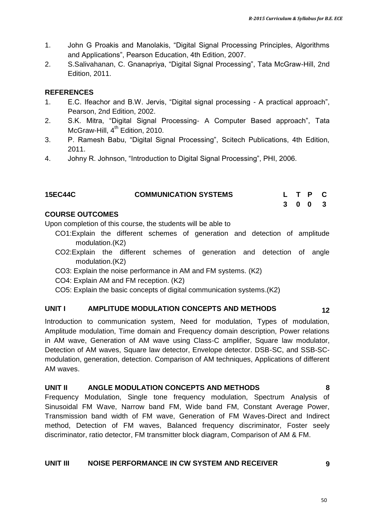- 1. John G Proakis and Manolakis, "Digital Signal Processing Principles, Algorithms and Applications", Pearson Education, 4th Edition, 2007.
- 2. S.Salivahanan, C. Gnanapriya, "Digital Signal Processing", Tata McGraw-Hill, 2nd Edition, 2011.

#### **REFERENCES**

- 1. E.C. Ifeachor and B.W. Jervis, "Digital signal processing A practical approach", Pearson, 2nd Edition, 2002.
- 2. S.K. Mitra, "Digital Signal Processing- A Computer Based approach", Tata McGraw-Hill, 4<sup>th</sup> Edition, 2010.
- 3. P. Ramesh Babu, "Digital Signal Processing", Scitech Publications, 4th Edition, 2011.
- 4. Johny R. Johnson, "Introduction to Digital Signal Processing", PHI, 2006.

| <b>15EC44C</b> | <b>COMMUNICATION SYSTEMS</b> |  | L T P C |  |
|----------------|------------------------------|--|---------|--|
|                |                              |  | 3 0 0 3 |  |

#### **COURSE OUTCOMES**

Upon completion of this course, the students will be able to

- CO1:Explain the different schemes of generation and detection of amplitude modulation.(K2)
- CO2:Explain the different schemes of generation and detection of angle modulation.(K2)
- CO3: Explain the noise performance in AM and FM systems. (K2)
- CO4: Explain AM and FM reception. (K2)
- CO5: Explain the basic concepts of digital communication systems.(K2)

#### **UNIT I AMPLITUDE MODULATION CONCEPTS AND METHODS 12**

Introduction to communication system, Need for modulation, Types of modulation, Amplitude modulation, Time domain and Frequency domain description, Power relations in AM wave, Generation of AM wave using Class-C amplifier, Square law modulator, Detection of AM waves, Square law detector, Envelope detector. DSB-SC, and SSB-SCmodulation, generation, detection. Comparison of AM techniques, Applications of different AM waves.

#### **UNIT II ANGLE MODULATION CONCEPTS AND METHODS 8**

Frequency Modulation, Single tone frequency modulation, Spectrum Analysis of Sinusoidal FM Wave, Narrow band FM, Wide band FM, Constant Average Power, Transmission band width of FM wave, Generation of FM Waves-Direct and Indirect method, Detection of FM waves, Balanced frequency discriminator, Foster seely discriminator, ratio detector, FM transmitter block diagram, Comparison of AM & FM.

#### **UNIT III NOISE PERFORMANCE IN CW SYSTEM AND RECEIVER 9**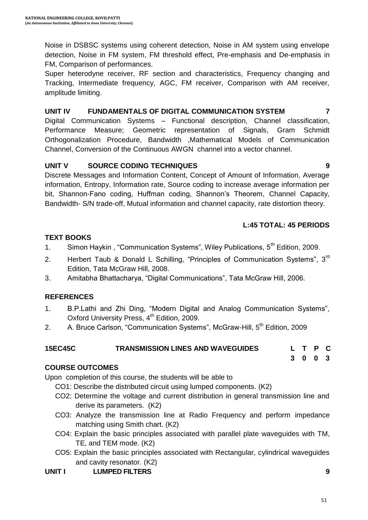Noise in DSBSC systems using coherent detection, Noise in AM system using envelope detection, Noise in FM system, FM threshold effect, Pre-emphasis and De-emphasis in FM, Comparison of performances.

Super heterodyne receiver, RF section and characteristics, Frequency changing and Tracking, Intermediate frequency, AGC, FM receiver, Comparison with AM receiver, amplitude limiting.

# **UNIT IV FUNDAMENTALS OF DIGITAL COMMUNICATION SYSTEM 7**

Digital Communication Systems – Functional description, Channel classification, Performance Measure; Geometric representation of Signals, Gram Schmidt Orthogonalization Procedure, Bandwidth ,Mathematical Models of Communication Channel, Conversion of the Continuous AWGN channel into a vector channel.

# **UNIT V SOURCE CODING TECHNIQUES 9**

Discrete Messages and Information Content, Concept of Amount of Information, Average information, Entropy, Information rate, Source coding to increase average information per bit, Shannon-Fano coding, Huffman coding, Shannon"s Theorem, Channel Capacity, Bandwidth- S/N trade-off, Mutual information and channel capacity, rate distortion theory.

# **L:45 TOTAL: 45 PERIODS**

# **TEXT BOOKS**

- 1. Simon Haykin, "Communication Systems", Wiley Publications, 5<sup>th</sup> Edition, 2009.
- 2. Herbert Taub & Donald L Schilling, "Principles of Communication Systems",  $3<sup>rd</sup>$ Edition, Tata McGraw Hill, 2008.
- 3. Amitabha Bhattacharya, "Digital Communications", Tata McGraw Hill, 2006.

# **REFERENCES**

- 1. B.P.Lathi and Zhi Ding, "Modern Digital and Analog Communication Systems", Oxford University Press, 4<sup>th</sup> Edition, 2009.
- 2. A. Bruce Carlson, "Communication Systems", McGraw-Hill, 5<sup>th</sup> Edition, 2009

| <b>15EC45C</b> | <b>TRANSMISSION LINES AND WAVEGUIDES</b> |  | L T P C |  |
|----------------|------------------------------------------|--|---------|--|
|                |                                          |  | 3 0 0 3 |  |

# **COURSE OUTCOMES**

Upon completion of this course, the students will be able to

- CO1: Describe the distributed circuit using lumped components. (K2)
- CO2: Determine the voltage and current distribution in general transmission line and derive its parameters. (K2)
- CO3: Analyze the transmission line at Radio Frequency and perform impedance matching using Smith chart. (K2)
- CO4: Explain the basic principles associated with parallel plate waveguides with TM, TE, and TEM mode. (K2)
- CO5: Explain the basic principles associated with Rectangular, cylindrical waveguides and cavity resonator. (K2)
- **UNIT I LUMPED FILTERS 9**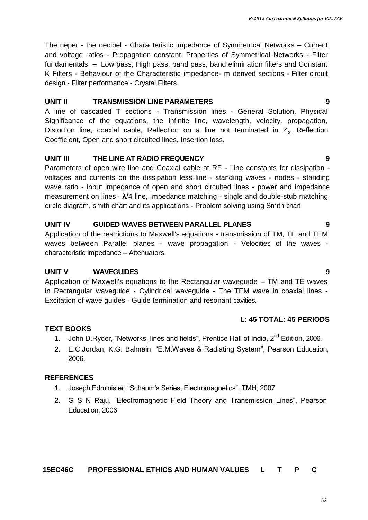The neper - the decibel - Characteristic impedance of Symmetrical Networks – Current and voltage ratios - Propagation constant, Properties of Symmetrical Networks - Filter fundamentals – Low pass, High pass, band pass, band elimination filters and Constant K Filters - Behaviour of the Characteristic impedance- m derived sections - Filter circuit design - Filter performance - Crystal Filters.

#### **UNIT II TRANSMISSION LINE PARAMETERS 9**

A line of cascaded T sections - Transmission lines - General Solution, Physical Significance of the equations, the infinite line, wavelength, velocity, propagation, Distortion line, coaxial cable, Reflection on a line not terminated in  $Z_0$ , Reflection Coefficient, Open and short circuited lines, Insertion loss.

#### **UNIT III THE LINE AT RADIO FREQUENCY 9**

Parameters of open wire line and Coaxial cable at RF - Line constants for dissipation voltages and currents on the dissipation less line - standing waves - nodes - standing wave ratio - input impedance of open and short circuited lines - power and impedance measurement on lines –**λ**/4 line, Impedance matching - single and double-stub matching, circle diagram, smith chart and its applications - Problem solving using Smith chart

#### **UNIT IV GUIDED WAVES BETWEEN PARALLEL PLANES 9**

Application of the restrictions to Maxwell's equations - transmission of TM, TE and TEM waves between Parallel planes - wave propagation - Velocities of the waves characteristic impedance – Attenuators.

#### **UNIT V WAVEGUIDES 9**

Application of Maxwell's equations to the Rectangular waveguide – TM and TE waves in Rectangular waveguide - Cylindrical waveguide - The TEM wave in coaxial lines - Excitation of wave guides - Guide termination and resonant cavities.

#### **L: 45 TOTAL: 45 PERIODS**

#### **TEXT BOOKS**

- 1. John D.Ryder, "Networks, lines and fields", Prentice Hall of India, 2<sup>nd</sup> Edition. 2006.
- 2. E.C.Jordan, K.G. Balmain, "E.M.Waves & Radiating System", Pearson Education, 2006.

#### **REFERENCES**

- 1. Joseph Edminister, "Schaum's Series, Electromagnetics", TMH, 2007
- 2. G S N Raju, "Electromagnetic Field Theory and Transmission Lines", Pearson Education, 2006

## **15EC46C PROFESSIONAL ETHICS AND HUMAN VALUES L T P C**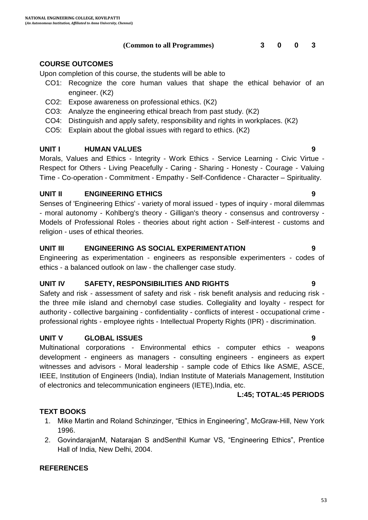**(Common to all Programmes) 3 0 0 3**

### **COURSE OUTCOMES**

Upon completion of this course, the students will be able to

- CO1: Recognize the core human values that shape the ethical behavior of an engineer. (K2)
- CO2: Expose awareness on professional ethics. (K2)
- CO3: Analyze the engineering ethical breach from past study. (K2)
- CO4: Distinguish and apply safety, responsibility and rights in workplaces. (K2)
- CO5: Explain about the global issues with regard to ethics. (K2)

#### **UNIT I HUMAN VALUES 9**

Morals, Values and Ethics - Integrity - Work Ethics - Service Learning - Civic Virtue - Respect for Others - Living Peacefully - Caring - Sharing - Honesty - Courage - Valuing Time - Co-operation - Commitment - Empathy - Self-Confidence - Character – Spirituality.

#### **UNIT II ENGINEERING ETHICS 9**

Senses of 'Engineering Ethics' - variety of moral issued - types of inquiry - moral dilemmas - moral autonomy - Kohlberg's theory - Gilligan's theory - consensus and controversy - Models of Professional Roles - theories about right action - Self-interest - customs and religion - uses of ethical theories.

#### **UNIT III ENGINEERING AS SOCIAL EXPERIMENTATION 9**

Engineering as experimentation - engineers as responsible experimenters - codes of ethics - a balanced outlook on law - the challenger case study.

#### **UNIT IV SAFETY, RESPONSIBILITIES AND RIGHTS 9**

Safety and risk - assessment of safety and risk - risk benefit analysis and reducing risk the three mile island and chernobyl case studies. Collegiality and loyalty - respect for authority - collective bargaining - confidentiality - conflicts of interest - occupational crime professional rights - employee rights - Intellectual Property Rights (IPR) - discrimination.

#### **UNIT V GLOBAL ISSUES 9**

Multinational corporations - Environmental ethics - computer ethics - weapons development - engineers as managers - consulting engineers - engineers as expert witnesses and advisors - Moral leadership - sample code of Ethics like ASME, ASCE, IEEE, Institution of Engineers (India), Indian Institute of Materials Management, Institution of electronics and telecommunication engineers (IETE),India, etc.

#### **L:45; TOTAL:45 PERIODS**

#### **TEXT BOOKS**

- 1. Mike Martin and Roland Schinzinger, "Ethics in Engineering", McGraw-Hill, New York 1996.
- 2. GovindarajanM, Natarajan S andSenthil Kumar VS, "Engineering Ethics", Prentice Hall of India, New Delhi, 2004.

#### **REFERENCES**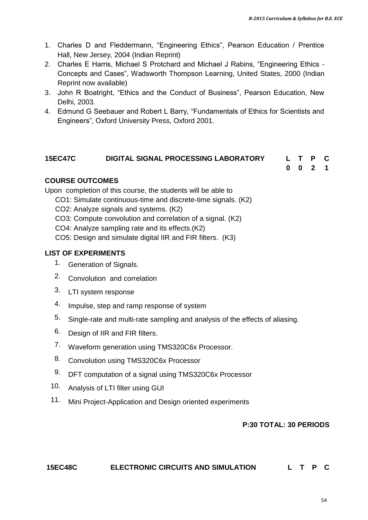- 1. Charles D and Fleddermann, "Engineering Ethics", Pearson Education / Prentice Hall, New Jersey, 2004 (Indian Reprint)
- 2. Charles E Harris, Michael S Protchard and Michael J Rabins, "Engineering Ethics Concepts and Cases", Wadsworth Thompson Learning, United States, 2000 (Indian Reprint now available)
- 3. John R Boatright, "Ethics and the Conduct of Business", Pearson Education, New Delhi, 2003.
- 4. Edmund G Seebauer and Robert L Barry, "Fundamentals of Ethics for Scientists and Engineers", Oxford University Press, Oxford 2001.

## **15EC47C DIGITAL SIGNAL PROCESSING LABORATORY L T P C**

**0 0 2 1**

#### **COURSE OUTCOMES**

Upon completion of this course, the students will be able to

- CO1: Simulate continuous-time and discrete-time signals. (K2)
- CO2: Analyze signals and systems. (K2)
- CO3: Compute convolution and correlation of a signal. (K2)

CO4: Analyze sampling rate and its effects.(K2)

CO5: Design and simulate digital IIR and FIR filters. (K3)

### **LIST OF EXPERIMENTS**

- 1. Generation of Signals.
- 2. Convolution and correlation
- 3. LTI system response
- 4. Impulse, step and ramp response of system
- 5. Single-rate and multi-rate sampling and analysis of the effects of aliasing.
- 6. Design of IIR and FIR filters.
- 7. Waveform generation using TMS320C6x Processor.
- 8. Convolution using TMS320C6x Processor
- 9. DFT computation of a signal using TMS320C6x Processor
- 10. Analysis of LTI filter using GUI
- 11. Mini Project-Application and Design oriented experiments

#### **P:30 TOTAL: 30 PERIODS**

#### **15EC48C ELECTRONIC CIRCUITS AND SIMULATION L T P C**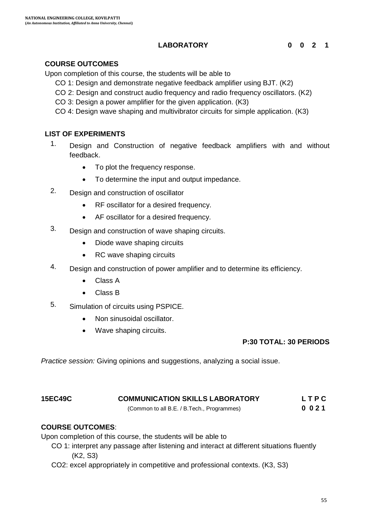### **LABORATORY 0 0 2 1**

#### **COURSE OUTCOMES**

Upon completion of this course, the students will be able to

- CO 1: Design and demonstrate negative feedback amplifier using BJT. (K2)
- CO 2: Design and construct audio frequency and radio frequency oscillators. (K2)
- CO 3: Design a power amplifier for the given application. (K3)
- CO 4: Design wave shaping and multivibrator circuits for simple application. (K3)

#### **LIST OF EXPERIMENTS**

- 1. Design and Construction of negative feedback amplifiers with and without feedback.
	- To plot the frequency response.
	- To determine the input and output impedance.
- 2. Design and construction of oscillator
	- RF oscillator for a desired frequency.
	- AF oscillator for a desired frequency.
- 3. Design and construction of wave shaping circuits.
	- Diode wave shaping circuits
	- RC wave shaping circuits
- 4. Design and construction of power amplifier and to determine its efficiency.
	- Class A
	- Class B
- 5. Simulation of circuits using PSPICE.
	- Non sinusoidal oscillator.
	- Wave shaping circuits.

#### **P:30 TOTAL: 30 PERIODS**

*Practice session:* Giving opinions and suggestions, analyzing a social issue.

#### **15EC49C COMMUNICATION SKILLS LABORATORY L T P C**

(Common to all B.E. / B.Tech., Programmes) **0 0 2 1**

#### **COURSE OUTCOMES**:

Upon completion of this course, the students will be able to

- CO 1: interpret any passage after listening and interact at different situations fluently (K2, S3)
- CO2: excel appropriately in competitive and professional contexts. (K3, S3)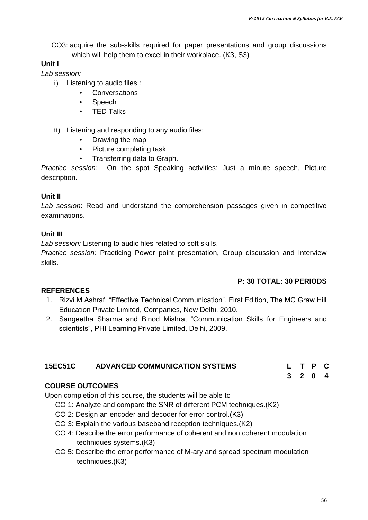CO3: acquire the sub-skills required for paper presentations and group discussions which will help them to excel in their workplace. (K3, S3)

## **Unit I**

*Lab session:* 

- i) Listening to audio files :
	- Conversations
	- Speech
	- TED Talks
- ii) Listening and responding to any audio files:
	- Drawing the map
	- Picture completing task
	- Transferring data to Graph.

*Practice session:* On the spot Speaking activities: Just a minute speech, Picture description.

#### **Unit II**

*Lab session*: Read and understand the comprehension passages given in competitive examinations.

#### **Unit III**

*Lab session:* Listening to audio files related to soft skills.

*Practice session:* Practicing Power point presentation, Group discussion and Interview skills.

#### **P: 30 TOTAL: 30 PERIODS**

#### **REFERENCES**

- 1. Rizvi.M.Ashraf, "Effective Technical Communication", First Edition, The MC Graw Hill Education Private Limited, Companies, New Delhi, 2010.
- 2. Sangeetha Sharma and Binod Mishra, "Communication Skills for Engineers and scientists", PHI Learning Private Limited, Delhi, 2009.

| <b>ADVANCED COMMUNICATION SYSTEMS</b><br><b>15EC51C</b> |  | L T P C |         |  |
|---------------------------------------------------------|--|---------|---------|--|
|                                                         |  |         | 3 2 0 4 |  |

#### **COURSE OUTCOMES**

Upon completion of this course, the students will be able to

- CO 1: Analyze and compare the SNR of different PCM techniques.(K2)
- CO 2: Design an encoder and decoder for error control.(K3)
- CO 3: Explain the various baseband reception techniques.(K2)
- CO 4: Describe the error performance of coherent and non coherent modulation techniques systems.(K3)
- CO 5: Describe the error performance of M-ary and spread spectrum modulation techniques.(K3)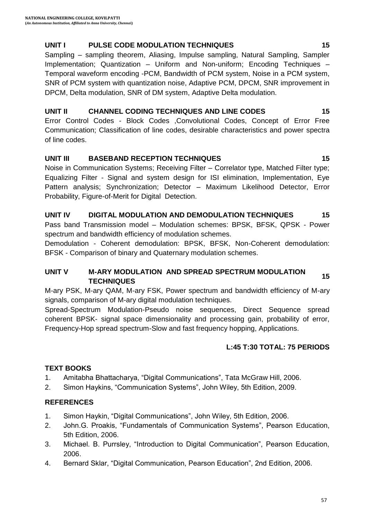#### **UNIT I PULSE CODE MODULATION TECHNIQUES 15**

Sampling – sampling theorem, Aliasing, Impulse sampling, Natural Sampling, Sampler Implementation; Quantization – Uniform and Non-uniform; Encoding Techniques – Temporal waveform encoding -PCM, Bandwidth of PCM system, Noise in a PCM system, SNR of PCM system with quantization noise, Adaptive PCM, DPCM, SNR improvement in DPCM, Delta modulation, SNR of DM system, Adaptive Delta modulation.

#### **UNIT II CHANNEL CODING TECHNIQUES AND LINE CODES 15**

Error Control Codes - Block Codes ,Convolutional Codes, Concept of Error Free Communication; Classification of line codes, desirable characteristics and power spectra of line codes.

### **UNIT III BASEBAND RECEPTION TECHNIQUES 15**

Noise in Communication Systems; Receiving Filter – Correlator type, Matched Filter type; Equalizing Filter - Signal and system design for ISI elimination, Implementation, Eye Pattern analysis; Synchronization; Detector – Maximum Likelihood Detector, Error Probability, Figure-of-Merit for Digital Detection.

### **UNIT IV DIGITAL MODULATION AND DEMODULATION TECHNIQUES 15**

Pass band Transmission model – Modulation schemes: BPSK, BFSK, QPSK - Power spectrum and bandwidth efficiency of modulation schemes.

Demodulation - Coherent demodulation: BPSK, BFSK, Non-Coherent demodulation: BFSK - Comparison of binary and Quaternary modulation schemes.

# **UNIT V M-ARY MODULATION AND SPREAD SPECTRUM MODULATION TECHNIQUES <sup>15</sup>**

M-ary PSK, M-ary QAM, M-ary FSK, Power spectrum and bandwidth efficiency of M-ary signals, comparison of M-ary digital modulation techniques.

Spread-Spectrum Modulation-Pseudo noise sequences, Direct Sequence spread coherent BPSK- signal space dimensionality and processing gain, probability of error, Frequency-Hop spread spectrum-Slow and fast frequency hopping, Applications.

## **L:45 T:30 TOTAL: 75 PERIODS**

## **TEXT BOOKS**

- 1. Amitabha Bhattacharya, "Digital Communications", Tata McGraw Hill, 2006.
- 2. Simon Haykins, "Communication Systems", John Wiley, 5th Edition, 2009.

## **REFERENCES**

- 1. Simon Haykin, "Digital Communications", John Wiley, 5th Edition, 2006.
- 2. John.G. Proakis, "Fundamentals of Communication Systems", Pearson Education, 5th Edition, 2006.
- 3. Michael. B. Purrsley, "Introduction to Digital Communication", Pearson Education, 2006.
- 4. Bernard Sklar, "Digital Communication, Pearson Education", 2nd Edition, 2006.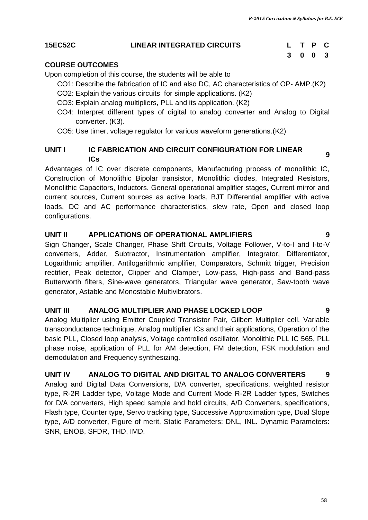#### **15EC52C LINEAR INTEGRATED CIRCUITS L T P C**

# **3 0 0 3**

#### **COURSE OUTCOMES**

Upon completion of this course, the students will be able to

- CO1: Describe the fabrication of IC and also DC, AC characteristics of OP- AMP.(K2)
- CO2: Explain the various circuits for simple applications. (K2)
- CO3: Explain analog multipliers, PLL and its application. (K2)
- CO4: Interpret different types of digital to analog converter and Analog to Digital converter. (K3).
- CO5: Use timer, voltage regulator for various waveform generations.(K2)

#### **UNIT I IC FABRICATION AND CIRCUIT CONFIGURATION FOR LINEAR ICS** *PHONONTION AND SINGUIT SOM ISSNATION TON EINER M*

Advantages of IC over discrete components, Manufacturing process of monolithic IC, Construction of Monolithic Bipolar transistor, Monolithic diodes, Integrated Resistors, Monolithic Capacitors, Inductors. General operational amplifier stages, Current mirror and current sources, Current sources as active loads, BJT Differential amplifier with active loads, DC and AC performance characteristics, slew rate, Open and closed loop configurations.

#### **UNIT II APPLICATIONS OF OPERATIONAL AMPLIFIERS 9**

Sign Changer, Scale Changer, Phase Shift Circuits, Voltage Follower, V-to-I and I-to-V converters, Adder, Subtractor, Instrumentation amplifier, Integrator, Differentiator, Logarithmic amplifier, Antilogarithmic amplifier, Comparators, Schmitt trigger, Precision rectifier, Peak detector, Clipper and Clamper, Low-pass, High-pass and Band-pass Butterworth filters, Sine-wave generators, Triangular wave generator, Saw-tooth wave generator, Astable and Monostable Multivibrators.

#### **UNIT III ANALOG MULTIPLIER AND PHASE LOCKED LOOP 9**

Analog Multiplier using Emitter Coupled Transistor Pair, Gilbert Multiplier cell, Variable transconductance technique, Analog multiplier ICs and their applications, Operation of the basic PLL, Closed loop analysis, Voltage controlled oscillator, Monolithic PLL IC 565, PLL phase noise, application of PLL for AM detection, FM detection, FSK modulation and demodulation and Frequency synthesizing.

#### **UNIT IV ANALOG TO DIGITAL AND DIGITAL TO ANALOG CONVERTERS 9**

Analog and Digital Data Conversions, D/A converter, specifications, weighted resistor type, R-2R Ladder type, Voltage Mode and Current Mode R-2R Ladder types, Switches for D/A converters, High speed sample and hold circuits, A/D Converters, specifications, Flash type, Counter type, Servo tracking type, Successive Approximation type, Dual Slope type, A/D converter, Figure of merit, Static Parameters: DNL, INL. Dynamic Parameters: SNR, ENOB, SFDR, THD, IMD.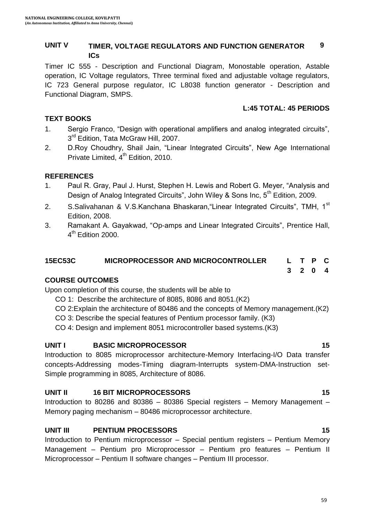#### **UNIT V TIMER, VOLTAGE REGULATORS AND FUNCTION GENERATOR ICs 9**

Timer IC 555 - Description and Functional Diagram, Monostable operation, Astable operation, IC Voltage regulators, Three terminal fixed and adjustable voltage regulators, IC 723 General purpose regulator, IC L8038 function generator - Description and Functional Diagram, SMPS.

#### **L:45 TOTAL: 45 PERIODS**

**3 2 0 4**

#### **TEXT BOOKS**

- 1. Sergio Franco, "Design with operational amplifiers and analog integrated circuits", 3<sup>rd</sup> Edition, Tata McGraw Hill, 2007.
- 2. D.Roy Choudhry, Shail Jain, "Linear Integrated Circuits", New Age International Private Limited, 4<sup>th</sup> Edition, 2010.

### **REFERENCES**

- 1. Paul R. Gray, Paul J. Hurst, Stephen H. Lewis and Robert G. Meyer, "Analysis and Design of Analog Integrated Circuits", John Wiley & Sons Inc,  $5<sup>th</sup>$  Edition, 2009.
- 2. S.Salivahanan & V.S.Kanchana Bhaskaran, "Linear Integrated Circuits", TMH, 1<sup>st</sup> Edition, 2008.
- 3. Ramakant A. Gayakwad, "Op-amps and Linear Integrated Circuits", Prentice Hall, 4<sup>th</sup> Edition 2000.

#### **15EC53C MICROPROCESSOR AND MICROCONTROLLER L T P C**

#### **COURSE OUTCOMES**

Upon completion of this course, the students will be able to

- CO 1: Describe the architecture of 8085, 8086 and 8051.(K2)
- CO 2:Explain the architecture of 80486 and the concepts of Memory management.(K2)
- CO 3: Describe the special features of Pentium processor family. (K3)
- CO 4: Design and implement 8051 microcontroller based systems.(K3)

#### **UNIT I BASIC MICROPROCESSOR 15**

Introduction to 8085 microprocessor architecture-Memory Interfacing-I/O Data transfer concepts-Addressing modes-Timing diagram-Interrupts system-DMA-Instruction set-Simple programming in 8085, Architecture of 8086.

#### **UNIT II 16 BIT MICROPROCESSORS 15**

Introduction to 80286 and 80386 – 80386 Special registers – Memory Management – Memory paging mechanism – 80486 microprocessor architecture.

#### **UNIT III PENTIUM PROCESSORS 15**

Introduction to Pentium microprocessor – Special pentium registers – Pentium Memory Management – Pentium pro Microprocessor – Pentium pro features – Pentium II Microprocessor – Pentium II software changes – Pentium III processor.

#### 59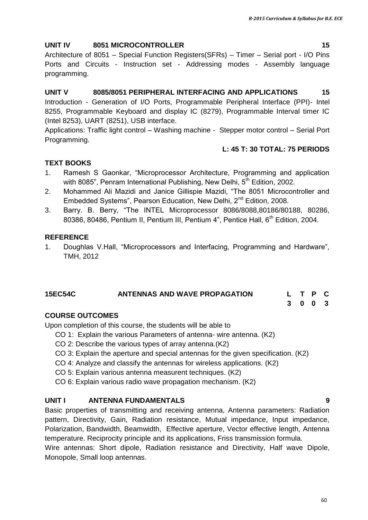#### **UNIT IV 8051 MICROCONTROLLER 15**

Architecture of 8051 – Special Function Registers(SFRs) – Timer – Serial port - I/O Pins Ports and Circuits - Instruction set - Addressing modes - Assembly language programming.

# **UNIT V 8085/8051 PERIPHERAL INTERFACING AND APPLICATIONS 15**

Introduction - Generation of I/O Ports, Programmable Peripheral Interface (PPI)- Intel 8255, Programmable Keyboard and display IC (8279), Programmable Interval timer IC (Intel 8253), UART (8251), USB interface.

Applications: Traffic light control – Washing machine - Stepper motor control – Serial Port Programming.

### **L: 45 T: 30 TOTAL: 75 PERIODS**

## **TEXT BOOKS**

- 1. Ramesh S Gaonkar, "Microprocessor Architecture, Programming and application with 8085". Penram International Publishing, New Delhi, 5<sup>th</sup> Edition, 2002.
- 2. Mohammed Ali Mazidi and Janice Gillispie Mazidi, "The 8051 Microcontroller and Embedded Systems", Pearson Education, New Delhi, 2<sup>nd</sup> Edition, 2008.
- 3. Barry. B. Berry, "The INTEL Microprocessor 8086/8088,80186/80188, 80286, 80386, 80486, Pentium II, Pentium III, Pentium 4", Pentice Hall, 6<sup>th</sup> Edition, 2004.

### **REFERENCE**

1. Doughlas V.Hall, "Microprocessors and Interfacing, Programming and Hardware", TMH, 2012

#### **15EC54C ANTENNAS AND WAVE PROPAGATION L T P C**

**3 0 0 3**

## **COURSE OUTCOMES**

Upon completion of this course, the students will be able to

- CO 1: Explain the various Parameters of antenna- wire antenna. (K2)
- CO 2: Describe the various types of array antenna.(K2)
- CO 3: Explain the aperture and special antennas for the given specification. (K2)
- CO 4: Analyze and classify the antennas for wireless applications. (K2)
- CO 5: Explain various antenna measurent techniques. (K2)
- CO 6: Explain various radio wave propagation mechanism. (K2)

#### **UNIT I ANTENNA FUNDAMENTALS 9**

Basic properties of transmitting and receiving antenna, Antenna parameters: Radiation pattern, Directivity, Gain, Radiation resistance, Mutual impedance, Input impedance, Polarization, Bandwidth, Beamwidth, Effective aperture, Vector effective length, Antenna temperature. Reciprocity principle and its applications, Friss transmission formula.

Wire antennas: Short dipole, Radiation resistance and Directivity, Half wave Dipole, Monopole, Small loop antennas.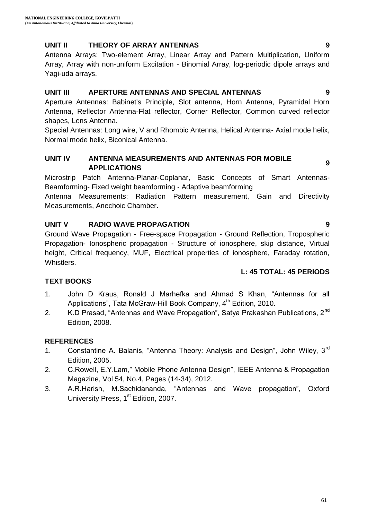#### **UNIT II THEORY OF ARRAY ANTENNAS 9**

Antenna Arrays: Two-element Array, Linear Array and Pattern Multiplication, Uniform Array, Array with non-uniform Excitation - Binomial Array, log-periodic dipole arrays and Yagi-uda arrays.

#### **UNIT III APERTURE ANTENNAS AND SPECIAL ANTENNAS 9**

Aperture Antennas: Babinet's Principle, Slot antenna, Horn Antenna, Pyramidal Horn Antenna, Reflector Antenna-Flat reflector, Corner Reflector, Common curved reflector shapes, Lens Antenna.

Special Antennas: Long wire, V and Rhombic Antenna, Helical Antenna- Axial mode helix, Normal mode helix, Biconical Antenna.

#### **UNIT IV ANTENNA MEASUREMENTS AND ANTENNAS FOR MOBILE ANTENNA MEASONEMENTS AND ANTENNAST SN MOBILE** 9

Microstrip Patch Antenna-Planar-Coplanar, Basic Concepts of Smart Antennas-Beamforming- Fixed weight beamforming - Adaptive beamforming

Antenna Measurements: Radiation Pattern measurement, Gain and Directivity Measurements, Anechoic Chamber.

## **UNIT V RADIO WAVE PROPAGATION 9**

Ground Wave Propagation - Free-space Propagation - Ground Reflection, Tropospheric Propagation- Ionospheric propagation - Structure of ionosphere, skip distance, Virtual height, Critical frequency, MUF, Electrical properties of ionosphere, Faraday rotation, Whistlers.

#### **L: 45 TOTAL: 45 PERIODS**

## **TEXT BOOKS**

- 1. John D Kraus, Ronald J Marhefka and Ahmad S Khan, "Antennas for all Applications", Tata McGraw-Hill Book Company, 4<sup>th</sup> Edition, 2010.
- 2. K.D Prasad, "Antennas and Wave Propagation", Satya Prakashan Publications, 2<sup>nd</sup> Edition, 2008.

#### **REFERENCES**

- 1. Constantine A. Balanis, "Antenna Theory: Analysis and Design", John Wiley,  $3^{rd}$ Edition, 2005.
- 2. C.Rowell, E.Y.Lam," Mobile Phone Antenna Design", IEEE Antenna & Propagation Magazine, Vol 54, No.4, Pages (14-34), 2012.
- 3. A.R.Harish, M.Sachidananda, "Antennas and Wave propagation", Oxford University Press, 1<sup>st</sup> Edition, 2007.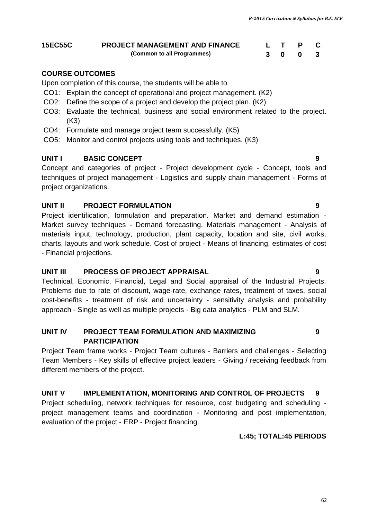| <b>15EC55C</b> | <b>PROJECT MANAGEMENT AND FINANCE</b> |     |  |
|----------------|---------------------------------------|-----|--|
|                | (Common to all Programmes)            | 300 |  |

#### **COURSE OUTCOMES**

Upon completion of this course, the students will be able to

- CO1: Explain the concept of operational and project management. (K2)
- CO2: Define the scope of a project and develop the project plan. (K2)
- CO3: Evaluate the technical, business and social environment related to the project. (K3)
- CO4: Formulate and manage project team successfully. (K5)
- CO5: Monitor and control projects using tools and techniques. (K3)

#### **UNIT I BASIC CONCEPT 9**

Concept and categories of project - Project development cycle - Concept, tools and techniques of project management - Logistics and supply chain management - Forms of project organizations.

#### **UNIT II PROJECT FORMULATION 9**

Project identification, formulation and preparation. Market and demand estimation - Market survey techniques - Demand forecasting. Materials management - Analysis of materials input, technology, production, plant capacity, location and site, civil works, charts, layouts and work schedule. Cost of project - Means of financing, estimates of cost - Financial projections.

#### **UNIT III PROCESS OF PROJECT APPRAISAL 9**

Technical, Economic, Financial, Legal and Social appraisal of the Industrial Projects. Problems due to rate of discount, wage-rate, exchange rates, treatment of taxes, social cost-benefits - treatment of risk and uncertainty - sensitivity analysis and probability approach - Single as well as multiple projects - Big data analytics - PLM and SLM.

#### **UNIT IV PROJECT TEAM FORMULATION AND MAXIMIZING PARTICIPATION**

Project Team frame works - Project Team cultures - Barriers and challenges - Selecting Team Members - Key skills of effective project leaders - Giving / receiving feedback from different members of the project.

#### **UNIT V IMPLEMENTATION, MONITORING AND CONTROL OF PROJECTS 9**

Project scheduling, network techniques for resource, cost budgeting and scheduling project management teams and coordination - Monitoring and post implementation, evaluation of the project - ERP - Project financing.

#### **L:45; TOTAL:45 PERIODS**

**9**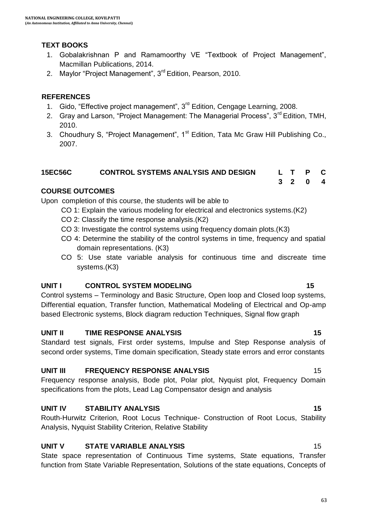#### **TEXT BOOKS**

- 1. Gobalakrishnan P and Ramamoorthy VE "Textbook of Project Management", Macmillan Publications, 2014.
- 2. Maylor "Project Management", 3<sup>rd</sup> Edition, Pearson, 2010.

#### **REFERENCES**

- 1. Gido, "Effective project management", 3<sup>rd</sup> Edition, Cengage Learning, 2008.
- 2. Gray and Larson, "Project Management: The Managerial Process", 3<sup>rd</sup> Edition, TMH, 2010.
- 3. Choudhury S, "Project Management", 1<sup>st</sup> Edition, Tata Mc Graw Hill Publishing Co., 2007.

### **15EC56C CONTROL SYSTEMS ANALYSIS AND DESIGN L T P C**

#### **COURSE OUTCOMES**

Upon completion of this course, the students will be able to

- CO 1: Explain the various modeling for electrical and electronics systems.(K2)
- CO 2: Classify the time response analysis.(K2)
- CO 3: Investigate the control systems using frequency domain plots.(K3)
- CO 4: Determine the stability of the control systems in time, frequency and spatial domain representations. (K3)
- CO 5: Use state variable analysis for continuous time and discreate time systems.(K3)

#### **UNIT I CONTROL SYSTEM MODELING 15**

Control systems – Terminology and Basic Structure, Open loop and Closed loop systems, Differential equation, Transfer function, Mathematical Modeling of Electrical and Op-amp based Electronic systems, Block diagram reduction Techniques, Signal flow graph

#### **UNIT II TIME RESPONSE ANALYSIS 15**

Standard test signals, First order systems, Impulse and Step Response analysis of second order systems, Time domain specification, Steady state errors and error constants

#### **UNIT III FREQUENCY RESPONSE ANALYSIS** 15

Frequency response analysis, Bode plot, Polar plot, Nyquist plot, Frequency Domain specifications from the plots, Lead Lag Compensator design and analysis

#### **UNIT IV STABILITY ANALYSIS 15**

Routh-Hurwitz Criterion, Root Locus Technique- Construction of Root Locus, Stability Analysis, Nyquist Stability Criterion, Relative Stability

#### **UNIT V STATE VARIABLE ANALYSIS** 15

State space representation of Continuous Time systems, State equations, Transfer function from State Variable Representation, Solutions of the state equations, Concepts of

**3 2 0 4**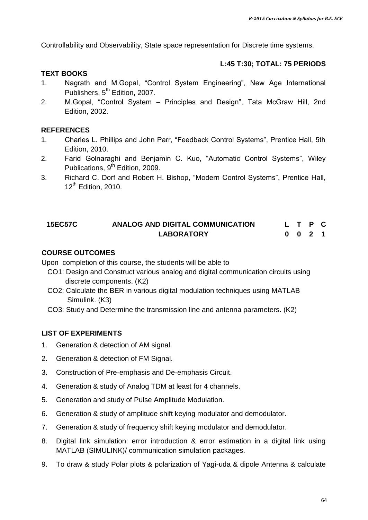Controllability and Observability, State space representation for Discrete time systems.

#### **L:45 T:30; TOTAL: 75 PERIODS**

#### **TEXT BOOKS**

- 1. Nagrath and M.Gopal, "Control System Engineering", New Age International Publishers, 5<sup>th</sup> Edition, 2007.
- 2. M.Gopal, "Control System Principles and Design", Tata McGraw Hill, 2nd Edition, 2002.

#### **REFERENCES**

- 1. Charles L. Phillips and John Parr, "Feedback Control Systems", Prentice Hall, 5th Edition, 2010.
- 2. Farid Golnaraghi and Benjamin C. Kuo, "Automatic Control Systems", Wiley Publications, 9<sup>th</sup> Edition, 2009.
- 3. Richard C. Dorf and Robert H. Bishop, "Modern Control Systems", Prentice Hall, 12<sup>th</sup> Edition, 2010.

#### **15EC57C ANALOG AND DIGITAL COMMUNICATION LABORATORY L T P C 0 0 2 1**

#### **COURSE OUTCOMES**

Upon completion of this course, the students will be able to

- CO1: Design and Construct various analog and digital communication circuits using discrete components. (K2)
- CO2: Calculate the BER in various digital modulation techniques using MATLAB Simulink. (K3)
- CO3: Study and Determine the transmission line and antenna parameters. (K2)

- 1. Generation & detection of AM signal.
- 2. Generation & detection of FM Signal.
- 3. Construction of Pre-emphasis and De-emphasis Circuit.
- 4. Generation & study of Analog TDM at least for 4 channels.
- 5. Generation and study of Pulse Amplitude Modulation.
- 6. Generation & study of amplitude shift keying modulator and demodulator.
- 7. Generation & study of frequency shift keying modulator and demodulator.
- 8. Digital link simulation: error introduction & error estimation in a digital link using MATLAB (SIMULINK)/ communication simulation packages.
- 9. To draw & study Polar plots & polarization of Yagi-uda & dipole Antenna & calculate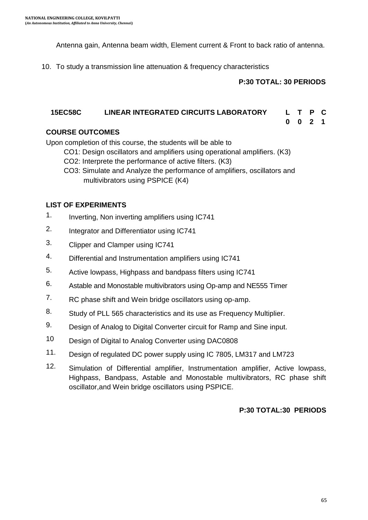Antenna gain, Antenna beam width, Element current & Front to back ratio of antenna.

10. To study a transmission line attenuation & frequency characteristics

#### **P:30 TOTAL: 30 PERIODS**

#### **15EC58C LINEAR INTEGRATED CIRCUITS LABORATORY L T P C**

**0 0 2 1**

#### **COURSE OUTCOMES**

Upon completion of this course, the students will be able to

- CO1: Design oscillators and amplifiers using operational amplifiers. (K3)
- CO2: Interprete the performance of active filters. (K3)
- CO3: Simulate and Analyze the performance of amplifiers, oscillators and multivibrators using PSPICE (K4)

#### **LIST OF EXPERIMENTS**

- 1. Inverting, Non inverting amplifiers using IC741
- 2. Integrator and Differentiator using IC741
- 3. Clipper and Clamper using IC741
- 4. Differential and Instrumentation amplifiers using IC741
- 5. Active lowpass, Highpass and bandpass filters using IC741
- 6. Astable and Monostable multivibrators using Op-amp and NE555 Timer
- 7. RC phase shift and Wein bridge oscillators using op-amp.
- 8. Study of PLL 565 characteristics and its use as Frequency Multiplier.
- 9. Design of Analog to Digital Converter circuit for Ramp and Sine input.
- 10 Design of Digital to Analog Converter using DAC0808
- 11. Design of regulated DC power supply using IC 7805, LM317 and LM723
- 12. Simulation of Differential amplifier, Instrumentation amplifier, Active lowpass, Highpass, Bandpass, Astable and Monostable multivibrators, RC phase shift oscillator,and Wein bridge oscillators using PSPICE.

#### **P:30 TOTAL:30 PERIODS**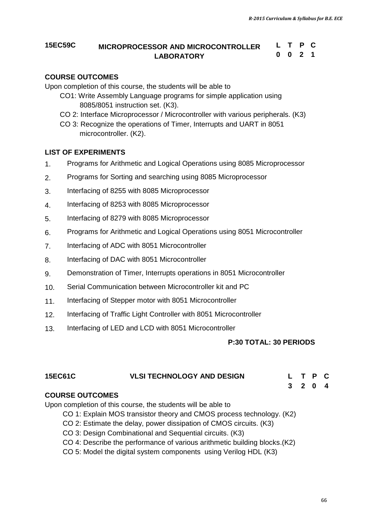### **15EC59C MICROPROCESSOR AND MICROCONTROLLER LABORATORY**

```
L T P C
0 0 2 1
```
#### **COURSE OUTCOMES**

Upon completion of this course, the students will be able to

- CO1: Write Assembly Language programs for simple application using 8085/8051 instruction set. (K3).
- CO 2: Interface Microprocessor / Microcontroller with various peripherals. (K3)
- CO 3: Recognize the operations of Timer, Interrupts and UART in 8051 microcontroller. (K2).

#### **LIST OF EXPERIMENTS**

- 1. Programs for Arithmetic and Logical Operations using 8085 Microprocessor
- 2. Programs for Sorting and searching using 8085 Microprocessor
- 3. Interfacing of 8255 with 8085 Microprocessor
- 4. Interfacing of 8253 with 8085 Microprocessor
- 5. Interfacing of 8279 with 8085 Microprocessor
- 6. Programs for Arithmetic and Logical Operations using 8051 Microcontroller
- 7. Interfacing of ADC with 8051 Microcontroller
- 8. Interfacing of DAC with 8051 Microcontroller
- 9. Demonstration of Timer, Interrupts operations in 8051 Microcontroller
- 10. Serial Communication between Microcontroller kit and PC
- 11. Interfacing of Stepper motor with 8051 Microcontroller
- 12. Interfacing of Traffic Light Controller with 8051 Microcontroller
- 13. Interfacing of LED and LCD with 8051 Microcontroller

#### 1. **P:30 TOTAL: 30 PERIODS**

# **3 2 0 4**

#### **COURSE OUTCOMES**

Upon completion of this course, the students will be able to

- CO 1: Explain MOS transistor theory and CMOS process technology. (K2)
- CO 2: Estimate the delay, power dissipation of CMOS circuits. (K3)
- CO 3: Design Combinational and Sequential circuits. (K3)
- CO 4: Describe the performance of various arithmetic building blocks.(K2)
- CO 5: Model the digital system components using Verilog HDL (K3)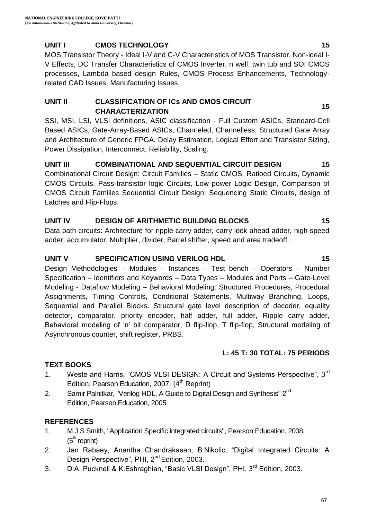### **UNIT I CMOS TECHNOLOGY 15**

MOS Transistor Theory - Ideal I-V and C-V Characteristics of MOS Transistor, Non-ideal I-V Effects, DC Transfer Characteristics of CMOS Inverter, n well, twin tub and SOI CMOS processes, Lambda based design Rules, CMOS Process Enhancements, Technologyrelated CAD Issues, Manufacturing Issues.

#### **UNIT II CLASSIFICATION OF ICs AND CMOS CIRCUIT CHARACTERIZATION 15**

SSI, MSI, LSI, VLSI definitions, ASIC classification - Full Custom ASICs, Standard-Cell Based ASICs, Gate-Array-Based ASICs, Channeled, Channelless, Structured Gate Array and Architecture of Generic FPGA. Delay Estimation, Logical Effort and Transistor Sizing, Power Dissipation, Interconnect, Reliability, Scaling.

#### **UNIT III COMBINATIONAL AND SEQUENTIAL CIRCUIT DESIGN 15** Combinational Circuit Design: Circuit Families – Static CMOS, Ratioed Circuits, Dynamic CMOS Circuits, Pass-transistor logic Circuits, Low power Logic Design, Comparison of CMOS Circuit Families Sequential Circuit Design: Sequencing Static Circuits, design of Latches and Flip-Flops.

### **UNIT IV DESIGN OF ARITHMETIC BUILDING BLOCKS 15**

Data path circuits: Architecture for ripple carry adder, carry look ahead adder, high speed adder, accumulator, Multiplier, divider, Barrel shifter, speed and area tradeoff.

#### **UNIT V SPECIFICATION USING VERILOG HDL 15**

Design Methodologies – Modules – Instances – Test bench – Operators – Number Specification – Identifiers and Keywords – Data Types – Modules and Ports – Gate-Level Modeling - Dataflow Modeling – Behavioral Modeling: Structured Procedures, Procedural Assignments, Timing Controls, Conditional Statements, Multiway Branching, Loops, Sequential and Parallel Blocks. Structural gate level description of decoder, equality detector, comparator, priority encoder, half adder, full adder, Ripple carry adder, Behavioral modeling of 'n' bit comparator, D flip-flop, T flip-flop, Structural modeling of Asynchronous counter, shift register, PRBS.

#### **L: 45 T: 30 TOTAL: 75 PERIODS**

#### **TEXT BOOKS**

- 1. Weste and Harris, "CMOS VLSI DESIGN: A Circuit and Systems Perspective", 3<sup>rd</sup> Edition, Pearson Education, 2007. (4<sup>th</sup> Reprint)
- 2. Samir Palnitkar, "Verilog HDL, A Guide to Digital Design and Synthesis" 2<sup>nd</sup> Edition, Pearson Education, 2005.

#### **REFERENCES**

- 1. M.J.S Smith, "Application Specific integrated circuits", Pearson Education, 2008.  $(5<sup>m</sup>$  reprint)
- 2. Jan Rabaey, Anantha Chandrakasan, B.Nikolic, "Digital Integrated Circuits: A Design Perspective", PHI, 2<sup>nd</sup> Edition, 2003.
- 3. D.A. Pucknell & K.Eshraghian, "Basic VLSI Design", PHI, 3<sup>rd</sup> Edition, 2003.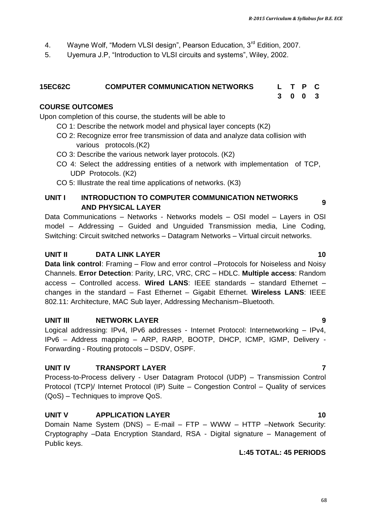- 4. Wayne Wolf, "Modern VLSI design", Pearson Education, 3<sup>rd</sup> Edition, 2007.
- 5. Uyemura J.P, "Introduction to VLSI circuits and systems", Wiley, 2002.

#### **15EC62C COMPUTER COMMUNICATION NETWORKS L T P C 3 0 0 3**

#### **COURSE OUTCOMES**

Upon completion of this course, the students will be able to

CO 1: Describe the network model and physical layer concepts (K2)

- CO 2: Recognize error free transmission of data and analyze data collision with various protocols.(K2)
- CO 3: Describe the various network layer protocols. (K2)
- CO 4: Select the addressing entities of a network with implementation of TCP, UDP Protocols. (K2)
- CO 5: Illustrate the real time applications of networks. (K3)

#### **UNIT I INTRODUCTION TO COMPUTER COMMUNICATION NETWORKS AND PHYSICAL LAYER COMMONIGATION NETWORKS**

Data Communications – Networks - Networks models – OSI model – Layers in OSI model – Addressing – Guided and Unguided Transmission media, Line Coding, Switching: Circuit switched networks – Datagram Networks – Virtual circuit networks.

#### **UNIT II DATA LINK LAYER** 10

**Data link control**: Framing – Flow and error control –Protocols for Noiseless and Noisy Channels. **Error Detection**: Parity, LRC, VRC, CRC – HDLC. **Multiple access**: Random access – Controlled access. **Wired LANS**: IEEE standards – standard Ethernet – changes in the standard – Fast Ethernet – Gigabit Ethernet. **Wireless LANS**: IEEE 802.11: Architecture, MAC Sub layer, Addressing Mechanism–Bluetooth.

#### **UNIT III NETWORK LAYER 9**

Logical addressing: IPv4, IPv6 addresses - Internet Protocol: Internetworking – IPv4, IPv6 – Address mapping – ARP, RARP, BOOTP, DHCP, ICMP, IGMP, Delivery - Forwarding - Routing protocols – DSDV, OSPF.

#### **UNIT IV TRANSPORT LAYER 7**

Process-to-Process delivery - User Datagram Protocol (UDP) – Transmission Control Protocol (TCP)/ Internet Protocol (IP) Suite – Congestion Control – Quality of services (QoS) – Techniques to improve QoS.

#### **UNIT V APPLICATION LAYER 10 10**

Domain Name System (DNS) – E-mail – FTP – WWW – HTTP –Network Security: Cryptography –Data Encryption Standard, RSA - Digital signature – Management of Public keys.

#### **L:45 TOTAL: 45 PERIODS**

#### 68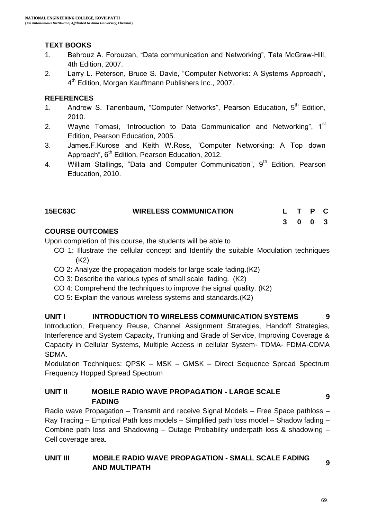### **TEXT BOOKS**

- 1. Behrouz A. Forouzan, "Data communication and Networking", Tata McGraw-Hill, 4th Edition, 2007.
- 2. Larry L. Peterson, Bruce S. Davie, "Computer Networks: A Systems Approach", 4<sup>th</sup> Edition, Morgan Kauffmann Publishers Inc., 2007.

#### **REFERENCES**

- 1. Andrew S. Tanenbaum, "Computer Networks", Pearson Education, 5<sup>th</sup> Edition, 2010.
- 2. Wayne Tomasi, "Introduction to Data Communication and Networking",  $1<sup>st</sup>$ Edition, Pearson Education, 2005.
- 3. James.F.Kurose and Keith W.Ross, "Computer Networking: A Top down Approach", 6<sup>th</sup> Edition, Pearson Education, 2012.
- 4. William Stallings, "Data and Computer Communication",  $9<sup>th</sup>$  Edition, Pearson Education, 2010.

| <b>15EC63C</b> | <b>WIRELESS COMMUNICATION</b> |  | L T P C |  |
|----------------|-------------------------------|--|---------|--|
|                |                               |  | 3 0 0 3 |  |

#### **COURSE OUTCOMES**

Upon completion of this course, the students will be able to

- CO 1: Illustrate the cellular concept and Identify the suitable Modulation techniques (K2)
- CO 2: Analyze the propagation models for large scale fading.(K2)
- CO 3: Describe the various types of small scale fading. (K2)
- CO 4: Comprehend the techniques to improve the signal quality. (K2)
- CO 5: Explain the various wireless systems and standards.(K2)

#### **UNIT I INTRODUCTION TO WIRELESS COMMUNICATION SYSTEMS 9**

Introduction, Frequency Reuse, Channel Assignment Strategies, Handoff Strategies, Interference and System Capacity, Trunking and Grade of Service, Improving Coverage & Capacity in Cellular Systems, Multiple Access in cellular System- TDMA- FDMA-CDMA SDMA.

Modulation Techniques: QPSK – MSK – GMSK – Direct Sequence Spread Spectrum Frequency Hopped Spread Spectrum

#### **UNIT II MOBILE RADIO WAVE PROPAGATION - LARGE SCALE FADING PARTLY AND ADAMON EARCE COALL 9**

Radio wave Propagation – Transmit and receive Signal Models – Free Space pathloss – Ray Tracing – Empirical Path loss models – Simplified path loss model – Shadow fading – Combine path loss and Shadowing – Outage Probability underpath loss & shadowing – Cell coverage area.

#### **UNIT III MOBILE RADIO WAVE PROPAGATION - SMALL SCALE FADING AND MULTIPATH AND MULTIPATH**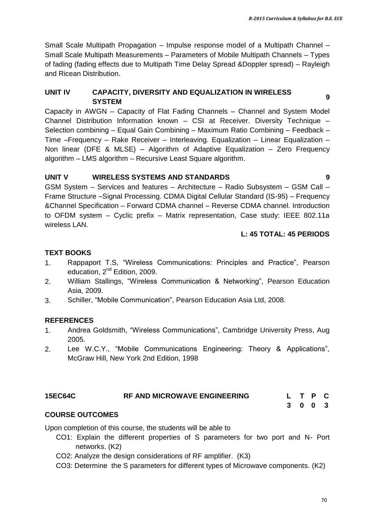Small Scale Multipath Propagation – Impulse response model of a Multipath Channel – Small Scale Multipath Measurements – Parameters of Mobile Multipath Channels – Types of fading (fading effects due to Multipath Time Delay Spread &Doppler spread) – Rayleigh and Ricean Distribution.

# **UNIT IV CAPACITY, DIVERSITY AND EQUALIZATION IN WIRELESS SYSTEM <sup>9</sup>**

Capacity in AWGN – Capacity of Flat Fading Channels – Channel and System Model Channel Distribution Information known – CSI at Receiver. Diversity Technique – Selection combining – Equal Gain Combining – Maximum Ratio Combining – Feedback – Time –Frequency – Rake Receiver – Interleaving. Equalization – Linear Equalization – Non linear (DFE & MLSE) – Algorithm of Adaptive Equalization – Zero Frequency algorithm – LMS algorithm – Recursive Least Square algorithm.

#### **UNIT V WIRELESS SYSTEMS AND STANDARDS 9**

GSM System – Services and features – Architecture – Radio Subsystem – GSM Call – Frame Structure –Signal Processing. CDMA Digital Cellular Standard (IS-95) – Frequency &Channel Specification – Forward CDMA channel – Reverse CDMA channel. Introduction to OFDM system – Cyclic prefix – Matrix representation, Case study: IEEE 802.11a wireless LAN.

#### **L: 45 TOTAL: 45 PERIODS**

#### **TEXT BOOKS**

- 1. Rappaport T.S, "Wireless Communications: Principles and Practice", Pearson education,  $2^{nd}$  Edition, 2009.
- 2. William Stallings, "Wireless Communication & Networking", Pearson Education Asia, 2009.
- 3. Schiller, "Mobile Communication", Pearson Education Asia Ltd, 2008.

#### **REFERENCES**

- 1. Andrea Goldsmith, "Wireless Communications", Cambridge University Press, Aug 2005.
- 2. Lee W.C.Y., "Mobile Communications Engineering: Theory & Applications", McGraw Hill, New York 2nd Edition, 1998

#### **15EC64C RF AND MICROWAVE ENGINEERING L T P C**

**3 0 0 3**

#### **COURSE OUTCOMES**

Upon completion of this course, the students will be able to

- CO1: Explain the different properties of S parameters for two port and N- Port networks. (K2)
- CO2: Analyze the design considerations of RF amplifier. (K3)
- CO3: Determine the S parameters for different types of Microwave components. (K2)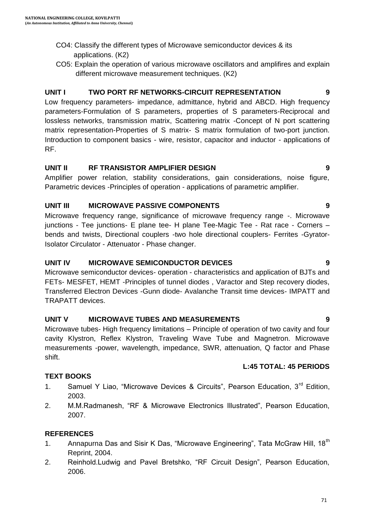- CO4: Classify the different types of Microwave semiconductor devices & its applications. (K2)
- CO5: Explain the operation of various microwave oscillators and amplifires and explain different microwave measurement techniques. (K2)

### **UNIT I TWO PORT RF NETWORKS-CIRCUIT REPRESENTATION 9**

Low frequency parameters- impedance, admittance, hybrid and ABCD. High frequency parameters-Formulation of S parameters, properties of S parameters-Reciprocal and lossless networks, transmission matrix, Scattering matrix -Concept of N port scattering matrix representation-Properties of S matrix- S matrix formulation of two-port junction. Introduction to component basics - wire, resistor, capacitor and inductor - applications of RF.

#### **UNIT II RF TRANSISTOR AMPLIFIER DESIGN 9**

Amplifier power relation, stability considerations, gain considerations, noise figure, Parametric devices -Principles of operation - applications of parametric amplifier.

### **UNIT III MICROWAVE PASSIVE COMPONENTS 9**

Microwave frequency range, significance of microwave frequency range -. Microwave junctions - Tee junctions- E plane tee- H plane Tee-Magic Tee - Rat race - Corners – bends and twists, Directional couplers -two hole directional couplers- Ferrites -Gyrator-Isolator Circulator - Attenuator - Phase changer.

#### **UNIT IV MICROWAVE SEMICONDUCTOR DEVICES 9**

Microwave semiconductor devices- operation - characteristics and application of BJTs and FETs- MESFET, HEMT -Principles of tunnel diodes , Varactor and Step recovery diodes, Transferred Electron Devices -Gunn diode- Avalanche Transit time devices- IMPATT and TRAPATT devices.

#### **UNIT V MICROWAVE TUBES AND MEASUREMENTS 9**

Microwave tubes- High frequency limitations – Principle of operation of two cavity and four cavity Klystron, Reflex Klystron, Traveling Wave Tube and Magnetron. Microwave measurements -power, wavelength, impedance, SWR, attenuation, Q factor and Phase shift.

#### **TEXT BOOKS**

- 1. Samuel Y Liao, "Microwave Devices & Circuits", Pearson Education, 3<sup>rd</sup> Edition, 2003.
- 2. M.M.Radmanesh, "RF & Microwave Electronics Illustrated", Pearson Education, 2007.

#### **REFERENCES**

- 1. Annapurna Das and Sisir K Das, "Microwave Engineering", Tata McGraw Hill, 18<sup>th</sup> Reprint, 2004.
- 2. Reinhold.Ludwig and Pavel Bretshko, "RF Circuit Design", Pearson Education, 2006.

# **L:45 TOTAL: 45 PERIODS**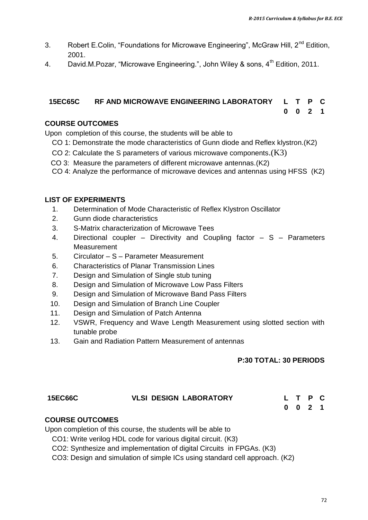- 3. Robert E.Colin, "Foundations for Microwave Engineering", McGraw Hill, 2<sup>nd</sup> Edition. 2001.
- 4. David.M.Pozar, "Microwave Engineering.", John Wiley & sons, 4<sup>th</sup> Edition, 2011.

#### **15EC65C RF AND MICROWAVE ENGINEERING LABORATORY L T P C 0 0 2 1**

#### **COURSE OUTCOMES**

Upon completion of this course, the students will be able to

- CO 1: Demonstrate the mode characteristics of Gunn diode and Reflex klystron.(K2)
- CO 2: Calculate the S parameters of various microwave components. $(K3)$
- CO 3: Measure the parameters of different microwave antennas.(K2)
- CO 4: Analyze the performance of microwave devices and antennas using HFSS (K2)

#### **LIST OF EXPERIMENTS**

- 1. Determination of Mode Characteristic of Reflex Klystron Oscillator
- 2. Gunn diode characteristics
- 3. S-Matrix characterization of Microwave Tees
- 4. Directional coupler Directivity and Coupling factor S Parameters **Measurement**
- 5. Circulator S Parameter Measurement
- 6. Characteristics of Planar Transmission Lines
- 7. Design and Simulation of Single stub tuning
- 8. Design and Simulation of Microwave Low Pass Filters
- 9. Design and Simulation of Microwave Band Pass Filters
- 10. Design and Simulation of Branch Line Coupler
- 11. Design and Simulation of Patch Antenna
- 12. VSWR, Frequency and Wave Length Measurement using slotted section with tunable probe
- 13. Gain and Radiation Pattern Measurement of antennas

#### **P:30 TOTAL: 30 PERIODS**

| <b>15EC66C</b> | <b>VLSI DESIGN LABORATORY</b> | L T P C            |  |
|----------------|-------------------------------|--------------------|--|
|                |                               | $0 \t 0 \t 2 \t 1$ |  |

#### **COURSE OUTCOMES**

Upon completion of this course, the students will be able to

CO1: Write verilog HDL code for various digital circuit. (K3)

CO2: Synthesize and implementation of digital Circuits in FPGAs. (K3)

CO3: Design and simulation of simple ICs using standard cell approach. (K2)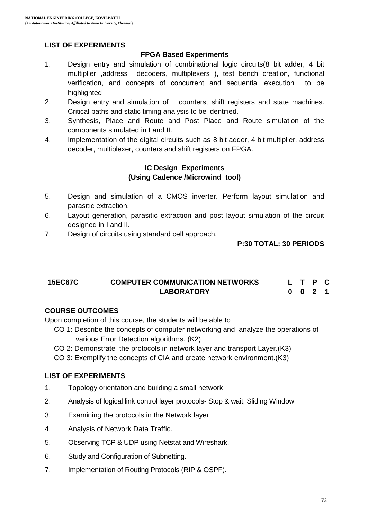#### **LIST OF EXPERIMENTS**

#### **FPGA Based Experiments**

- 1. Design entry and simulation of combinational logic circuits(8 bit adder, 4 bit multiplier ,address decoders, multiplexers ), test bench creation, functional verification, and concepts of concurrent and sequential execution to be highlighted
- 2. Design entry and simulation of counters, shift registers and state machines. Critical paths and static timing analysis to be identified.
- 3. Synthesis, Place and Route and Post Place and Route simulation of the components simulated in I and II.
- 4. Implementation of the digital circuits such as 8 bit adder, 4 bit multiplier, address decoder, multiplexer, counters and shift registers on FPGA.

#### **IC Design Experiments (Using Cadence /Microwind tool)**

- 5. Design and simulation of a CMOS inverter. Perform layout simulation and parasitic extraction.
- 6. Layout generation, parasitic extraction and post layout simulation of the circuit designed in I and II.
- 7. Design of circuits using standard cell approach.

#### **P:30 TOTAL: 30 PERIODS**

#### **15EC67C COMPUTER COMMUNICATION NETWORKS LABORATORY L T P C 0 0 2 1**

#### **COURSE OUTCOMES**

Upon completion of this course, the students will be able to

- CO 1: Describe the concepts of computer networking and analyze the operations of various Error Detection algorithms. (K2)
- CO 2: Demonstrate the protocols in network layer and transport Layer.(K3)
- CO 3: Exemplify the concepts of CIA and create network environment.(K3)

#### **LIST OF EXPERIMENTS**

- 1. Topology orientation and building a small network
- 2. Analysis of logical link control layer protocols- Stop & wait, Sliding Window
- 3. Examining the protocols in the Network layer
- 4. Analysis of Network Data Traffic.
- 5. Observing TCP & UDP using Netstat and Wireshark.
- 6. Study and Configuration of Subnetting.
- 7. Implementation of Routing Protocols (RIP & OSPF).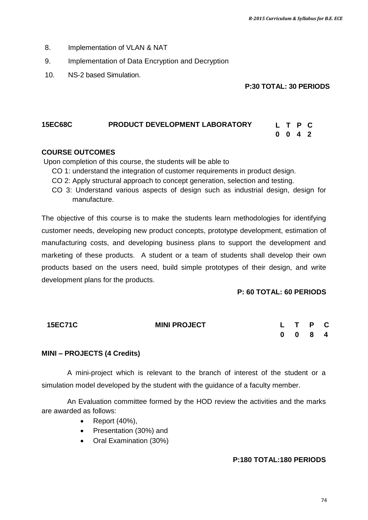- 8. Implementation of VLAN & NAT
- 9. Implementation of Data Encryption and Decryption
- 10. NS-2 based Simulation.

```
P:30 TOTAL: 30 PERIODS
```
**0 0 4 2**

### **15EC68C PRODUCT DEVELOPMENT LABORATORY L T P C**

#### **COURSE OUTCOMES**

Upon completion of this course, the students will be able to

- CO 1: understand the integration of customer requirements in product design.
- CO 2: Apply structural approach to concept generation, selection and testing.
- CO 3: Understand various aspects of design such as industrial design, design for manufacture.

The objective of this course is to make the students learn methodologies for identifying customer needs, developing new product concepts, prototype development, estimation of manufacturing costs, and developing business plans to support the development and marketing of these products. A student or a team of students shall develop their own products based on the users need, build simple prototypes of their design, and write development plans for the products.

#### **P: 60 TOTAL: 60 PERIODS**

| <b>15EC71C</b> | <b>MINI PROJECT</b> | L T P C                     |  |  |
|----------------|---------------------|-----------------------------|--|--|
|                |                     | $0 \quad 0 \quad 8 \quad 4$ |  |  |

#### **MINI – PROJECTS (4 Credits)**

A mini-project which is relevant to the branch of interest of the student or a simulation model developed by the student with the guidance of a faculty member.

An Evaluation committee formed by the HOD review the activities and the marks are awarded as follows:

- Report (40%),
- Presentation (30%) and
- Oral Examination (30%)

#### **P:180 TOTAL:180 PERIODS**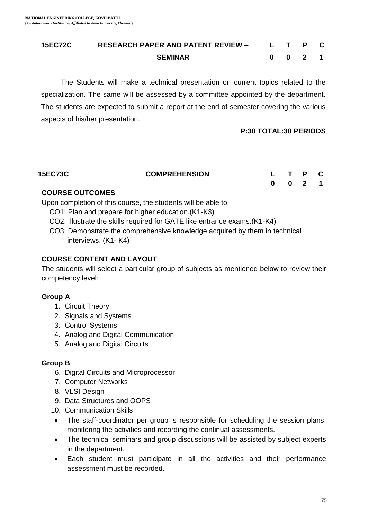#### **15EC72C RESEARCH PAPER AND PATENT REVIEW – SEMINAR L T P C 0 0 2 1**

 The Students will make a technical presentation on current topics related to the specialization. The same will be assessed by a committee appointed by the department. The students are expected to submit a report at the end of semester covering the various aspects of his/her presentation.

#### **P:30 TOTAL:30 PERIODS**

| <b>15EC73C</b> | <b>COMPREHENSION</b> | L T P C |         |  |
|----------------|----------------------|---------|---------|--|
|                |                      |         | 0 0 2 1 |  |

#### **COURSE OUTCOMES**

Upon completion of this course, the students will be able to

- CO1: Plan and prepare for higher education.(K1-K3)
- CO2: Illustrate the skills required for GATE like entrance exams.(K1-K4)

 CO3: Demonstrate the comprehensive knowledge acquired by them in technical interviews. (K1- K4)

#### **COURSE CONTENT AND LAYOUT**

The students will select a particular group of subjects as mentioned below to review their competency level:

#### **Group A**

- 1. Circuit Theory
- 2. Signals and Systems
- 3. Control Systems
- 4. Analog and Digital Communication
- 5. Analog and Digital Circuits

#### **Group B**

- 6. Digital Circuits and Microprocessor
- 7. Computer Networks
- 8. VLSI Design
- 9. Data Structures and OOPS
- 10. Communication Skills
- The staff-coordinator per group is responsible for scheduling the session plans, monitoring the activities and recording the continual assessments.
- The technical seminars and group discussions will be assisted by subject experts in the department.
- Each student must participate in all the activities and their performance assessment must be recorded.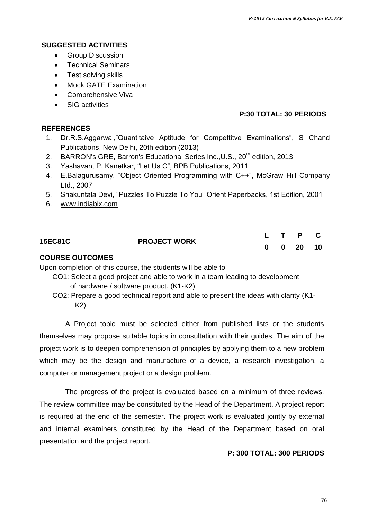#### **SUGGESTED ACTIVITIES**

- Group Discussion
- Technical Seminars
- Test solving skills
- Mock GATE Examination
- Comprehensive Viva
- SIG activities

#### **P:30 TOTAL: 30 PERIODS**

#### **REFERENCES**

- 1. Dr.R.S.Aggarwal,"Quantitaive Aptitude for Compettitve Examinations", S Chand Publications, New Delhi, 20th edition (2013)
- 2. BARRON's GRE, Barron's Educational Series Inc., U.S., 20<sup>th</sup> edition, 2013
- 3. Yashavant P. Kanetkar, "Let Us C", BPB Publications, 2011
- 4. E.Balagurusamy, "Object Oriented Programming with C++", McGraw Hill Company Ltd., 2007
- 5. Shakuntala Devi, "Puzzles To Puzzle To You" Orient Paperbacks, 1st Edition, 2001
- 6. [www.indiabix.com](http://www.indiabix.com/)

| <b>15EC81C</b> |                     |  | L T P C              |  |
|----------------|---------------------|--|----------------------|--|
|                | <b>PROJECT WORK</b> |  | $0 \t 0 \t 20 \t 10$ |  |

#### **COURSE OUTCOMES**

Upon completion of this course, the students will be able to

- CO1: Select a good project and able to work in a team leading to development of hardware / software product. (K1-K2)
- CO2: Prepare a good technical report and able to present the ideas with clarity (K1- K2)

A Project topic must be selected either from published lists or the students themselves may propose suitable topics in consultation with their guides. The aim of the project work is to deepen comprehension of principles by applying them to a new problem which may be the design and manufacture of a device, a research investigation, a computer or management project or a design problem.

The progress of the project is evaluated based on a minimum of three reviews. The review committee may be constituted by the Head of the Department. A project report is required at the end of the semester. The project work is evaluated jointly by external and internal examiners constituted by the Head of the Department based on oral presentation and the project report.

#### **P: 300 TOTAL: 300 PERIODS**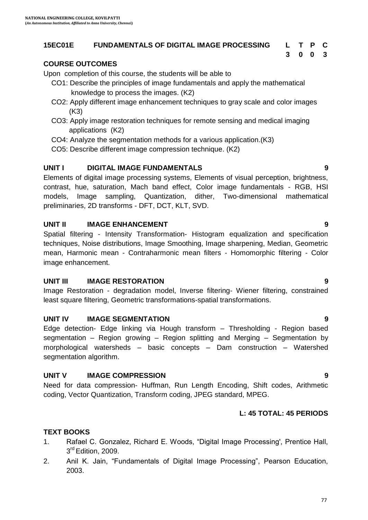#### **15EC01E FUNDAMENTALS OF DIGITAL IMAGE PROCESSING L T P C**

# **3 0 0 3**

#### **COURSE OUTCOMES**

Upon completion of this course, the students will be able to

- CO1: Describe the principles of image fundamentals and apply the mathematical knowledge to process the images. (K2)
- CO2: Apply different image enhancement techniques to gray scale and color images (K3)
- CO3: Apply image restoration techniques for remote sensing and medical imaging applications (K2)
- CO4: Analyze the segmentation methods for a various application.(K3)
- CO5: Describe different image compression technique. (K2)

#### **UNIT I DIGITAL IMAGE FUNDAMENTALS 9**

Elements of digital image processing systems, Elements of visual perception, brightness, contrast, hue, saturation, Mach band effect, Color image fundamentals - RGB, HSI models, Image sampling, Quantization, dither, Two-dimensional mathematical preliminaries, 2D transforms - DFT, DCT, KLT, SVD.

#### **UNIT II IMAGE ENHANCEMENT 9**

Spatial filtering - Intensity Transformation- Histogram equalization and specification techniques, Noise distributions, Image Smoothing, Image sharpening, Median, Geometric mean, Harmonic mean - Contraharmonic mean filters - Homomorphic filtering - Color image enhancement.

#### **UNIT III IMAGE RESTORATION 9**

Image Restoration - degradation model, Inverse filtering- Wiener filtering, constrained least square filtering, Geometric transformations-spatial transformations.

#### **UNIT IV IMAGE SEGMENTATION 9**

Edge detection- Edge linking via Hough transform – Thresholding - Region based segmentation – Region growing – Region splitting and Merging – Segmentation by morphological watersheds – basic concepts – Dam construction – Watershed segmentation algorithm.

#### **UNIT V IMAGE COMPRESSION 9**

Need for data compression- Huffman, Run Length Encoding, Shift codes, Arithmetic coding, Vector Quantization, Transform coding, JPEG standard, MPEG.

#### **L: 45 TOTAL: 45 PERIODS**

#### **TEXT BOOKS**

- 1. Rafael C. Gonzalez, Richard E. Woods, "Digital Image Processing', Prentice Hall, 3<sup>rd</sup> Edition, 2009.
- 2. Anil K. Jain, "Fundamentals of Digital Image Processing", Pearson Education, 2003.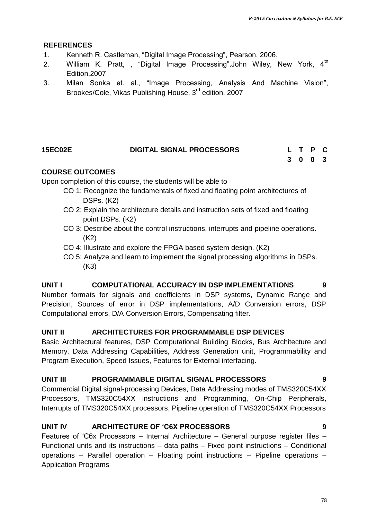#### **REFERENCES**

- 1. Kenneth R. Castleman, "Digital Image Processing", Pearson, 2006.
- 2. William K. Pratt, , "Digital Image Processing", John Wiley, New York, 4<sup>th</sup> Edition,2007
- 3. Milan Sonka et. al., "Image Processing, Analysis And Machine Vision", Brookes/Cole, Vikas Publishing House, 3<sup>rd</sup> edition, 2007

#### **15EC02E DIGITAL SIGNAL PROCESSORS L T P C 3 0 0 3**

#### **COURSE OUTCOMES**

Upon completion of this course, the students will be able to

- CO 1: Recognize the fundamentals of fixed and floating point architectures of DSPs. (K2)
- CO 2: Explain the architecture details and instruction sets of fixed and floating point DSPs. (K2)
- CO 3: Describe about the control instructions, interrupts and pipeline operations. (K2)
- CO 4: Illustrate and explore the FPGA based system design. (K2)
- CO 5: Analyze and learn to implement the signal processing algorithms in DSPs. (K3)

#### **UNIT I COMPUTATIONAL ACCURACY IN DSP IMPLEMENTATIONS 9**

Number formats for signals and coefficients in DSP systems, Dynamic Range and Precision, Sources of error in DSP implementations, A/D Conversion errors, DSP Computational errors, D/A Conversion Errors, Compensating filter.

#### **UNIT II ARCHITECTURES FOR PROGRAMMABLE DSP DEVICES**

Basic Architectural features, DSP Computational Building Blocks, Bus Architecture and Memory, Data Addressing Capabilities, Address Generation unit, Programmability and Program Execution, Speed Issues, Features for External interfacing.

#### **UNIT III PROGRAMMABLE DIGITAL SIGNAL PROCESSORS 9**

Commercial Digital signal-processing Devices, Data Addressing modes of TMS320C54XX Processors, TMS320C54XX instructions and Programming, On-Chip Peripherals, Interrupts of TMS320C54XX processors, Pipeline operation of TMS320C54XX Processors

#### **UNIT IV ARCHITECTURE OF 'C6X PROCESSORS 9**

Features of "C6x Processors – Internal Architecture – General purpose register files – Functional units and its instructions – data paths – Fixed point instructions – Conditional operations – Parallel operation – Floating point instructions – Pipeline operations – Application Programs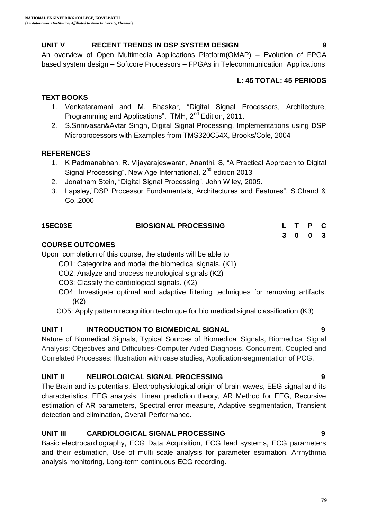#### **UNIT V RECENT TRENDS IN DSP SYSTEM DESIGN 9**

An overview of Open Multimedia Applications Platform(OMAP) – Evolution of FPGA based system design – Softcore Processors – FPGAs in Telecommunication Applications

#### **L: 45 TOTAL: 45 PERIODS**

#### **TEXT BOOKS**

- 1. Venkataramani and M. Bhaskar, "Digital Signal Processors, Architecture, Programming and Applications", TMH, 2<sup>nd</sup> Edition, 2011.
- 2. S.Srinivasan&Avtar Singh, Digital Signal Processing, Implementations using DSP Microprocessors with Examples from TMS320C54X, Brooks/Cole, 2004

#### **REFERENCES**

- 1. K Padmanabhan, R. Vijayarajeswaran, Ananthi. S, "A Practical Approach to Digital Signal Processing", New Age International,  $2^{nd}$  edition 2013
- 2. Jonatham Stein, "Digital Signal Processing", John Wiley, 2005.
- 3. Lapsley,"DSP Processor Fundamentals, Architectures and Features", S.Chand & Co.,2000

| <b>15EC03E</b>         | <b>BIOSIGNAL PROCESSING</b> | L T P C |  |
|------------------------|-----------------------------|---------|--|
|                        |                             | 3 0 0 3 |  |
| <b>COURSE OUTCOMES</b> |                             |         |  |

#### Upon completion of this course, the students will be able to

CO1: Categorize and model the biomedical signals. (K1)

- CO2: Analyze and process neurological signals (K2)
- CO3: Classify the cardiological signals. (K2)
- CO4: Investigate optimal and adaptive filtering techniques for removing artifacts. (K2)
- CO5: Apply pattern recognition technique for bio medical signal classification (K3)

### **UNIT I INTRODUCTION TO BIOMEDICAL SIGNAL 9**

Nature of Biomedical Signals, Typical Sources of Biomedical Signals, Biomedical Signal Analysis: Objectives and Difficulties-Computer Aided Diagnosis. Concurrent, Coupled and Correlated Processes: Illustration with case studies, Application-segmentation of PCG.

#### **UNIT II NEUROLOGICAL SIGNAL PROCESSING 9**

The Brain and its potentials, Electrophysiological origin of brain waves, EEG signal and its characteristics, EEG analysis, Linear prediction theory, AR Method for EEG, Recursive estimation of AR parameters, Spectral error measure, Adaptive segmentation, Transient detection and elimination, Overall Performance.

### **UNIT III CARDIOLOGICAL SIGNAL PROCESSING 9**

Basic electrocardiography, ECG Data Acquisition, ECG lead systems, ECG parameters and their estimation, Use of multi scale analysis for parameter estimation, Arrhythmia analysis monitoring, Long-term continuous ECG recording.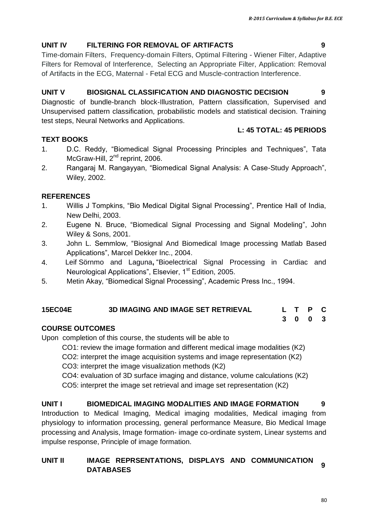**L: 45 TOTAL: 45 PERIODS**

#### **UNIT IV FILTERING FOR REMOVAL OF ARTIFACTS 9**

Time-domain Filters, Frequency-domain Filters, Optimal Filtering - Wiener Filter, Adaptive Filters for Removal of Interference, Selecting an Appropriate Filter, Application: Removal of Artifacts in the ECG, Maternal - Fetal ECG and Muscle-contraction Interference.

#### **UNIT V BIOSIGNAL CLASSIFICATION AND DIAGNOSTIC DECISION 9**

Diagnostic of bundle-branch block-Illustration, Pattern classification, Supervised and Unsupervised pattern classification, probabilistic models and statistical decision. Training test steps, Neural Networks and Applications.

#### **TEXT BOOKS**

- 1. D.C. Reddy, "Biomedical Signal Processing Principles and Techniques", Tata McGraw-Hill, 2<sup>nd</sup> reprint, 2006.
- 2. Rangaraj M. Rangayyan, "Biomedical Signal Analysis: A Case-Study Approach", Wiley, 2002.

#### **REFERENCES**

- 1. Willis J Tompkins, "Bio Medical Digital Signal Processing", Prentice Hall of India, New Delhi, 2003.
- 2. Eugene N. Bruce, "Biomedical Signal Processing and Signal Modeling", John Wiley & Sons, 2001.
- 3. John L. Semmlow, "Biosignal And Biomedical Image processing Matlab Based Applications", Marcel Dekker Inc., 2004.
- 4. Leif Sörnmo and Laguna**,** "Bioelectrical Signal Processing in Cardiac and Neurological Applications", Elsevier, 1<sup>st</sup> Edition, 2005.
- 5. Metin Akay, "Biomedical Signal Processing", Academic Press Inc., 1994.

#### **15EC04E 3D IMAGING AND IMAGE SET RETRIEVAL L T P C**

# **3 0 0 3**

#### **COURSE OUTCOMES**

Upon completion of this course, the students will be able to

CO1: review the image formation and different medical image modalities (K2)

CO2: interpret the image acquisition systems and image representation (K2)

CO3: interpret the image visualization methods (K2)

CO4: evaluation of 3D surface imaging and distance, volume calculations (K2)

CO5: interpret the image set retrieval and image set representation (K2)

# **UNIT I BIOMEDICAL IMAGING MODALITIES AND IMAGE FORMATION 9**

Introduction to Medical Imaging, Medical imaging modalities, Medical imaging from physiology to information processing, general performance Measure, Bio Medical Image processing and Analysis, Image formation- image co-ordinate system, Linear systems and impulse response, Principle of image formation.

# **UNIT II IMAGE REPRSENTATIONS, DISPLAYS AND COMMUNICATION DATABASES <sup>9</sup>**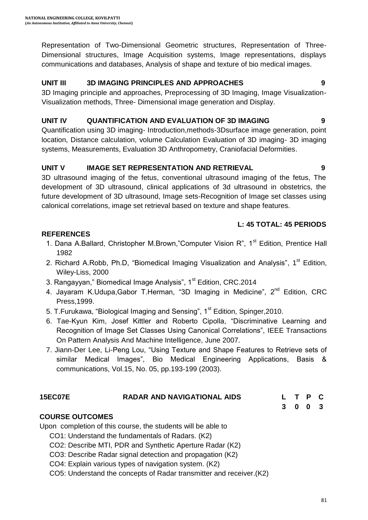Representation of Two-Dimensional Geometric structures, Representation of Three-Dimensional structures, Image Acquisition systems, Image representations, displays communications and databases, Analysis of shape and texture of bio medical images.

# **UNIT III 3D IMAGING PRINCIPLES AND APPROACHES 9**

3D Imaging principle and approaches, Preprocessing of 3D Imaging, Image Visualization-Visualization methods, Three- Dimensional image generation and Display.

# **UNIT IV QUANTIFICATION AND EVALUATION OF 3D IMAGING 9**

Quantification using 3D imaging- Introduction,methods-3Dsurface image generation, point location, Distance calculation, volume Calculation Evaluation of 3D imaging- 3D imaging systems, Measurements, Evaluation 3D Anthropometry, Craniofacial Deformities.

# **UNIT V IMAGE SET REPRESENTATION AND RETRIEVAL 9**

3D ultrasound imaging of the fetus, conventional ultrasound imaging of the fetus, The development of 3D ultrasound, clinical applications of 3d ultrasound in obstetrics, the future development of 3D ultrasound, Image sets-Recognition of Image set classes using calonical correlations, image set retrieval based on texture and shape features.

# **L: 45 TOTAL: 45 PERIODS**

# **REFERENCES**

- 1. Dana A.Ballard, Christopher M.Brown,"Computer Vision R", 1<sup>st</sup> Edition, Prentice Hall 1982
- 2. Richard A.Robb, Ph.D, "Biomedical Imaging Visualization and Analysis", 1<sup>st</sup> Edition, Wiley-Liss, 2000
- 3. Rangayyan," Biomedical Image Analysis", 1<sup>st</sup> Edition, CRC.2014
- 4. Jayaram K.Udupa, Gabor T.Herman, "3D Imaging in Medicine",  $2^{nd}$  Edition, CRC Press,1999.
- 5. T. Furukawa, "Biological Imaging and Sensing", 1<sup>st</sup> Edition, Spinger, 2010.
- 6. Tae-Kyun Kim, Josef Kittler and Roberto Cipolla, "Discriminative Learning and Recognition of Image Set Classes Using Canonical Correlations", IEEE Transactions On Pattern Analysis And Machine Intelligence, June 2007.
- 7. Jiann-Der Lee, Li-Peng Lou, "Using Texture and Shape Features to Retrieve sets of similar Medical Images", Bio Medical Engineering Applications, Basis & communications, Vol.15, No. 05, pp.193-199 (2003).

# **15EC07E RADAR AND NAVIGATIONAL AIDS L T P C**

**3 0 0 3**

# **COURSE OUTCOMES**

Upon completion of this course, the students will be able to

- CO1: Understand the fundamentals of Radars. (K2)
- CO2: Describe MTI, PDR and Synthetic Aperture Radar (K2)
- CO3: Describe Radar signal detection and propagation (K2)
- CO4: Explain various types of navigation system. (K2)
- CO5: Understand the concepts of Radar transmitter and receiver.(K2)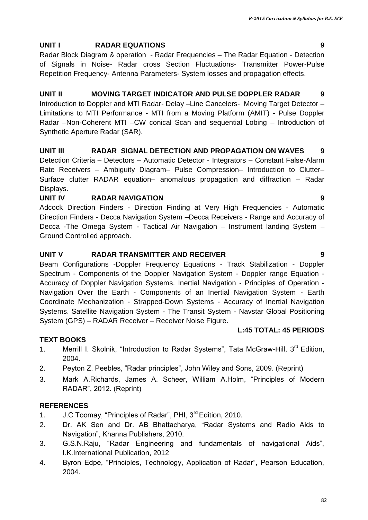#### **UNIT I RADAR EQUATIONS 9**

Radar Block Diagram & operation - Radar Frequencies – The Radar Equation - Detection of Signals in Noise- Radar cross Section Fluctuations- Transmitter Power-Pulse Repetition Frequency- Antenna Parameters- System losses and propagation effects.

#### **UNIT II MOVING TARGET INDICATOR AND PULSE DOPPLER RADAR 9**

Introduction to Doppler and MTI Radar- Delay –Line Cancelers- Moving Target Detector – Limitations to MTI Performance - MTI from a Moving Platform (AMIT) - Pulse Doppler Radar –Non-Coherent MTI –CW conical Scan and sequential Lobing – Introduction of Synthetic Aperture Radar (SAR).

#### **UNIT III RADAR SIGNAL DETECTION AND PROPAGATION ON WAVES 9**

Detection Criteria – Detectors – Automatic Detector - Integrators – Constant False-Alarm Rate Receivers – Ambiguity Diagram– Pulse Compression– Introduction to Clutter– Surface clutter RADAR equation– anomalous propagation and diffraction – Radar Displays.

#### **UNIT IV RADAR NAVIGATION 9**

Adcock Direction Finders - Direction Finding at Very High Frequencies - Automatic Direction Finders - Decca Navigation System –Decca Receivers - Range and Accuracy of Decca -The Omega System - Tactical Air Navigation – Instrument landing System – Ground Controlled approach.

#### **UNIT V RADAR TRANSMITTER AND RECEIVER 9**

Beam Configurations -Doppler Frequency Equations - Track Stabilization - Doppler Spectrum - Components of the Doppler Navigation System - Doppler range Equation - Accuracy of Doppler Navigation Systems. Inertial Navigation - Principles of Operation - Navigation Over the Earth - Components of an Inertial Navigation System - Earth Coordinate Mechanization - Strapped-Down Systems - Accuracy of Inertial Navigation Systems. Satellite Navigation System - The Transit System - Navstar Global Positioning System (GPS) – RADAR Receiver – Receiver Noise Figure.

#### **L:45 TOTAL: 45 PERIODS**

#### **TEXT BOOKS**

- 1. Merrill I. Skolnik, "Introduction to Radar Systems", Tata McGraw-Hill,  $3^{rd}$  Edition, 2004.
- 2. Peyton Z. Peebles, "Radar principles", John Wiley and Sons, 2009. (Reprint)
- 3. Mark A.Richards, James A. Scheer, William A.Holm, "Principles of Modern RADAR", 2012. (Reprint)

#### **REFERENCES**

- 1. J.C Toomay, "Principles of Radar", PHI, 3<sup>rd</sup> Edition, 2010.
- 2. Dr. AK Sen and Dr. AB Bhattacharya, "Radar Systems and Radio Aids to Navigation", Khanna Publishers, 2010.
- 3. G.S.N.Raju, "Radar Engineering and fundamentals of navigational Aids", I.K.International Publication, 2012
- 4. Byron Edpe, "Principles, Technology, Application of Radar", Pearson Education, 2004.

82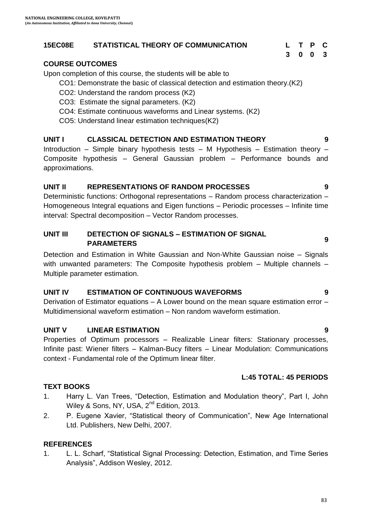#### **15EC08E STATISTICAL THEORY OF COMMUNICATION L T P C**

#### **COURSE OUTCOMES**

Upon completion of this course, the students will be able to

- CO1: Demonstrate the basic of classical detection and estimation theory.(K2)
- CO2: Understand the random process (K2)
- CO3: Estimate the signal parameters. (K2)
- CO4: Estimate continuous waveforms and Linear systems. (K2)
- CO5: Understand linear estimation techniques(K2)

#### **UNIT I CLASSICAL DETECTION AND ESTIMATION THEORY 9**

Introduction – Simple binary hypothesis tests – M Hypothesis – Estimation theory – Composite hypothesis – General Gaussian problem – Performance bounds and approximations.

#### **UNIT II REPRESENTATIONS OF RANDOM PROCESSES 9**

Deterministic functions: Orthogonal representations – Random process characterization – Homogeneous Integral equations and Eigen functions – Periodic processes – Infinite time interval: Spectral decomposition – Vector Random processes.

#### **UNIT III DETECTION OF SIGNALS – ESTIMATION OF SIGNAL PARAMETERS <sup>9</sup>**

Detection and Estimation in White Gaussian and Non-White Gaussian noise – Signals with unwanted parameters: The Composite hypothesis problem – Multiple channels – Multiple parameter estimation.

#### **UNIT IV ESTIMATION OF CONTINUOUS WAVEFORMS 9**

Derivation of Estimator equations – A Lower bound on the mean square estimation error – Multidimensional waveform estimation – Non random waveform estimation.

### **UNIT V LINEAR ESTIMATION 9**

Properties of Optimum processors – Realizable Linear filters: Stationary processes, Infinite past: Wiener filters – Kalman-Bucy filters – Linear Modulation: Communications context - Fundamental role of the Optimum linear filter.

#### **L:45 TOTAL: 45 PERIODS**

#### **TEXT BOOKS**

- 1. Harry L. Van Trees, "Detection, Estimation and Modulation theory", Part I, John Wiley & Sons, NY, USA, 2<sup>nd</sup> Edition, 2013.
- 2. P. Eugene Xavier, "Statistical theory of Communication", New Age International Ltd. Publishers, New Delhi, 2007.

#### **REFERENCES**

1. L. L. Scharf, "Statistical Signal Processing: Detection, Estimation, and Time Series Analysis", Addison Wesley, 2012.

**3 0 0 3**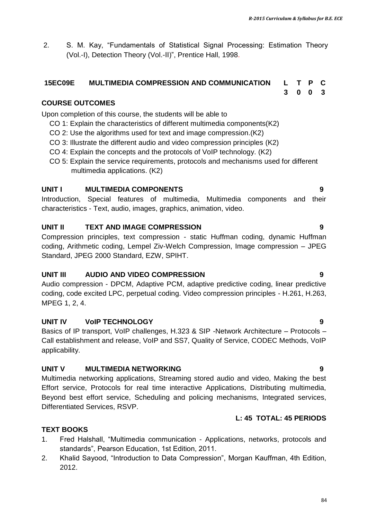*R-2015 Curriculum & Syllabus for B.E. ECE*

**3 0 0 3**

2. S. M. Kay, "Fundamentals of Statistical Signal Processing: Estimation Theory (Vol.-I), Detection Theory (Vol.-II)", Prentice Hall, 1998.

#### **15EC09E MULTIMEDIA COMPRESSION AND COMMUNICATION L T P C**

#### **COURSE OUTCOMES**

Upon completion of this course, the students will be able to

- CO 1: Explain the characteristics of different multimedia components(K2)
- CO 2: Use the algorithms used for text and image compression.(K2)
- CO 3: Illustrate the different audio and video compression principles (K2)
- CO 4: Explain the concepts and the protocols of VoIP technology. (K2)
- CO 5: Explain the service requirements, protocols and mechanisms used for different multimedia applications. (K2)

#### **UNIT I MULTIMEDIA COMPONENTS 9**

Introduction, Special features of multimedia, Multimedia components and their characteristics - Text, audio, images, graphics, animation, video.

#### **UNIT II TEXT AND IMAGE COMPRESSION 9**

Compression principles, text compression - static Huffman coding, dynamic Huffman coding, Arithmetic coding, Lempel Ziv-Welch Compression, Image compression – JPEG Standard, JPEG 2000 Standard, EZW, SPIHT.

#### **UNIT III AUDIO AND VIDEO COMPRESSION 9**

Audio compression - DPCM, Adaptive PCM, adaptive predictive coding, linear predictive coding, code excited LPC, perpetual coding. Video compression principles - H.261, H.263, MPEG 1, 2, 4.

#### **UNIT IV VoIP TECHNOLOGY 9**

Basics of IP transport, VoIP challenges, H.323 & SIP -Network Architecture – Protocols – Call establishment and release, VoIP and SS7, Quality of Service, CODEC Methods, VoIP applicability.

#### **UNIT V MULTIMEDIA NETWORKING 9**

Multimedia networking applications, Streaming stored audio and video, Making the best Effort service, Protocols for real time interactive Applications, Distributing multimedia, Beyond best effort service, Scheduling and policing mechanisms, Integrated services, Differentiated Services, RSVP.

#### **L: 45 TOTAL: 45 PERIODS**

#### **TEXT BOOKS**

- 1. Fred Halshall, "Multimedia communication Applications, networks, protocols and standards", Pearson Education, 1st Edition, 2011.
- 2. Khalid Sayood, "Introduction to Data Compression", Morgan Kauffman, 4th Edition, 2012.

84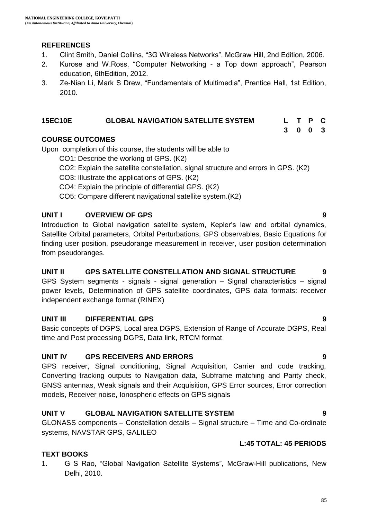#### **REFERENCES**

- 1. Clint Smith, Daniel Collins, "3G Wireless Networks", McGraw Hill, 2nd Edition, 2006.
- 2. Kurose and W.Ross, "Computer Networking a Top down approach", Pearson education, 6thEdition, 2012.
- 3. Ze-Nian Li, Mark S Drew, "Fundamentals of Multimedia", Prentice Hall, 1st Edition, 2010.

#### **15EC10E GLOBAL NAVIGATION SATELLITE SYSTEM L T P C**

#### **COURSE OUTCOMES**

Upon completion of this course, the students will be able to

- CO1: Describe the working of GPS. (K2)
- CO2: Explain the satellite constellation, signal structure and errors in GPS. (K2)
- CO3: Illustrate the applications of GPS. (K2)
- CO4: Explain the principle of differential GPS. (K2)
- CO5: Compare different navigational satellite system.(K2)

#### **UNIT I OVERVIEW OF GPS 9**

Introduction to Global navigation satellite system, Kepler"s law and orbital dynamics, Satellite Orbital parameters, Orbital Perturbations, GPS observables, Basic Equations for finding user position, pseudorange measurement in receiver, user position determination from pseudoranges.

#### **UNIT II GPS SATELLITE CONSTELLATION AND SIGNAL STRUCTURE 9**

GPS System segments - signals - signal generation – Signal characteristics – signal power levels, Determination of GPS satellite coordinates, GPS data formats: receiver independent exchange format (RINEX)

#### **UNIT III DIFFERENTIAL GPS 9**

Basic concepts of DGPS, Local area DGPS, Extension of Range of Accurate DGPS, Real time and Post processing DGPS, Data link, RTCM format

#### **UNIT IV GPS RECEIVERS AND ERRORS 9**

GPS receiver, Signal conditioning, Signal Acquisition, Carrier and code tracking, Converting tracking outputs to Navigation data, Subframe matching and Parity check, GNSS antennas, Weak signals and their Acquisition, GPS Error sources, Error correction models, Receiver noise, Ionospheric effects on GPS signals

#### **UNIT V GLOBAL NAVIGATION SATELLITE SYSTEM 9**

GLONASS components – Constellation details – Signal structure – Time and Co-ordinate systems, NAVSTAR GPS, GALILEO

#### **L:45 TOTAL: 45 PERIODS**

**3 0 0 3**

#### **TEXT BOOKS**

1. G S Rao, "Global Navigation Satellite Systems", McGraw-Hill publications, New Delhi, 2010.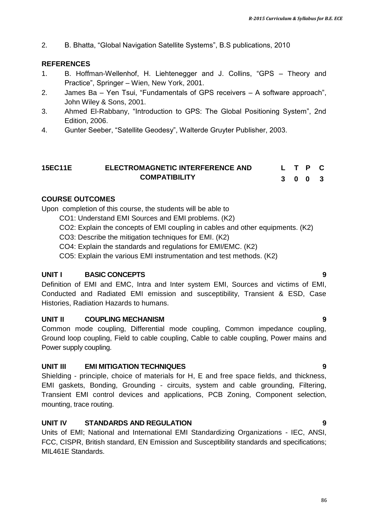2. B. Bhatta, "Global Navigation Satellite Systems", B.S publications, 2010

#### **REFERENCES**

- 1. B. Hoffman-Wellenhof, H. Liehtenegger and J. Collins, "GPS Theory and Practice", Springer – Wien, New York, 2001.
- 2. James Ba Yen Tsui, "Fundamentals of GPS receivers A software approach", John Wiley & Sons, 2001.
- 3. Ahmed El-Rabbany, "Introduction to GPS: The Global Positioning System", 2nd Edition, 2006.
- 4. Gunter Seeber, "Satellite Geodesy", Walterde Gruyter Publisher, 2003.

#### **15EC11E ELECTROMAGNETIC INTERFERENCE AND COMPATIBILITY L T P C 3 0 0 3**

#### **COURSE OUTCOMES**

Upon completion of this course, the students will be able to

- CO1: Understand EMI Sources and EMI problems. (K2)
- CO2: Explain the concepts of EMI coupling in cables and other equipments. (K2)
- CO3: Describe the mitigation techniques for EMI. (K2)
- CO4: Explain the standards and regulations for EMI/EMC. (K2)
- CO5: Explain the various EMI instrumentation and test methods. (K2)

#### **UNIT I BASIC CONCEPTS 9**

Definition of EMI and EMC, Intra and Inter system EMI, Sources and victims of EMI, Conducted and Radiated EMI emission and susceptibility, Transient & ESD, Case Histories, Radiation Hazards to humans.

#### **UNIT II COUPLING MECHANISM 9**

Common mode coupling, Differential mode coupling, Common impedance coupling, Ground loop coupling, Field to cable coupling, Cable to cable coupling, Power mains and Power supply coupling.

#### **UNIT III EMI MITIGATION TECHNIQUES 9**

Shielding - principle, choice of materials for H, E and free space fields, and thickness, EMI gaskets, Bonding, Grounding - circuits, system and cable grounding, Filtering, Transient EMI control devices and applications, PCB Zoning, Component selection, mounting, trace routing.

#### **UNIT IV STANDARDS AND REGULATION 9**

Units of EMI; National and International EMI Standardizing Organizations - IEC, ANSI, FCC, CISPR, British standard, EN Emission and Susceptibility standards and specifications; MIL461E Standards.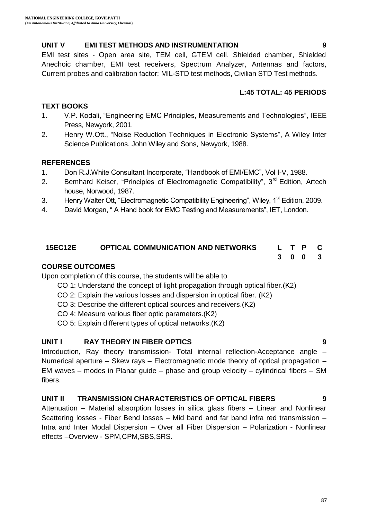#### **UNIT V EMI TEST METHODS AND INSTRUMENTATION 9**

EMI test sites - Open area site, TEM cell, GTEM cell, Shielded chamber, Shielded Anechoic chamber, EMI test receivers, Spectrum Analyzer, Antennas and factors, Current probes and calibration factor; MIL-STD test methods, Civilian STD Test methods.

#### **L:45 TOTAL: 45 PERIODS**

#### **TEXT BOOKS**

- 1. V.P. Kodali, "Engineering EMC Principles, Measurements and Technologies", IEEE Press, Newyork, 2001.
- 2. Henry W.Ott., "Noise Reduction Techniques in Electronic Systems", A Wiley Inter Science Publications, John Wiley and Sons, Newyork, 1988.

#### **REFERENCES**

- 1. Don R.J.White Consultant Incorporate, "Handbook of EMI/EMC", Vol I-V, 1988.
- 2. Bemhard Keiser, "Principles of Electromagnetic Compatibility", 3<sup>rd</sup> Edition. Artech house, Norwood, 1987.
- 3. Henry Walter Ott, "Electromagnetic Compatibility Engineering", Wiley, 1<sup>st</sup> Edition, 2009.
- 4. David Morgan, " A Hand book for EMC Testing and Measurements", IET, London.

#### **15EC12E OPTICAL COMMUNICATION AND NETWORKS L T P C 3 0 0 3**

#### **COURSE OUTCOMES**

Upon completion of this course, the students will be able to

- CO 1: Understand the concept of light propagation through optical fiber.(K2)
- CO 2: Explain the various losses and dispersion in optical fiber. (K2)
- CO 3: Describe the different optical sources and receivers.(K2)
- CO 4: Measure various fiber optic parameters.(K2)
- CO 5: Explain different types of optical networks.(K2)

#### **UNIT I RAY THEORY IN FIBER OPTICS 9**

Introduction**,** Ray theory transmission- Total internal reflection-Acceptance angle – Numerical aperture – Skew rays – Electromagnetic mode theory of optical propagation – EM waves – modes in Planar guide – phase and group velocity – cylindrical fibers – SM fibers.

#### **UNIT II TRANSMISSION CHARACTERISTICS OF OPTICAL FIBERS 9**

Attenuation – Material absorption losses in silica glass fibers – Linear and Nonlinear Scattering losses - Fiber Bend losses – Mid band and far band infra red transmission – Intra and Inter Modal Dispersion – Over all Fiber Dispersion – Polarization - Nonlinear effects –Overview - SPM,CPM,SBS,SRS.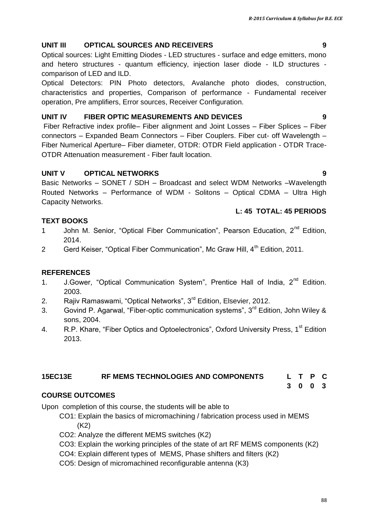88

### **UNIT III OPTICAL SOURCES AND RECEIVERS 9**

Optical sources: Light Emitting Diodes - LED structures - surface and edge emitters, mono and hetero structures - quantum efficiency, injection laser diode - ILD structures comparison of LED and ILD.

Optical Detectors: PIN Photo detectors, Avalanche photo diodes, construction, characteristics and properties, Comparison of performance - Fundamental receiver operation, Pre amplifiers, Error sources, Receiver Configuration.

#### **UNIT IV FIBER OPTIC MEASUREMENTS AND DEVICES 9**

Fiber Refractive index profile– Fiber alignment and Joint Losses – Fiber Splices – Fiber connectors – Expanded Beam Connectors – Fiber Couplers. Fiber cut- off Wavelength – Fiber Numerical Aperture– Fiber diameter, OTDR: OTDR Field application - OTDR Trace-OTDR Attenuation measurement - Fiber fault location.

#### **UNIT V OPTICAL NETWORKS 9**

Basic Networks – SONET / SDH – Broadcast and select WDM Networks –Wavelength Routed Networks – Performance of WDM - Solitons – Optical CDMA – Ultra High Capacity Networks.

#### **L: 45 TOTAL: 45 PERIODS**

### **TEXT BOOKS**

- 1 John M. Senior, "Optical Fiber Communication", Pearson Education, 2<sup>nd</sup> Edition, 2014.
- 2 Gerd Keiser, "Optical Fiber Communication", Mc Graw Hill, 4<sup>th</sup> Edition, 2011.

#### **REFERENCES**

- 1. J.Gower, "Optical Communication System", Prentice Hall of India, 2<sup>nd</sup> Edition. 2003.
- 2. Rajiv Ramaswami, "Optical Networks", 3<sup>rd</sup> Edition, Elsevier, 2012.
- 3. Govind P. Agarwal, "Fiber-optic communication systems", 3<sup>rd</sup> Edition, John Wiley & sons, 2004.
- 4. R.P. Khare, "Fiber Optics and Optoelectronics", Oxford University Press, 1<sup>st</sup> Edition 2013.

# **15EC13E RF MEMS TECHNOLOGIES AND COMPONENTS L T P C**

**3 0 0 3**

### **COURSE OUTCOMES**

Upon completion of this course, the students will be able to

- CO1: Explain the basics of micromachining / fabrication process used in MEMS (K2)
- CO2: Analyze the different MEMS switches (K2)
- CO3: Explain the working principles of the state of art RF MEMS components (K2)
- CO4: Explain different types of MEMS, Phase shifters and filters (K2)
- CO5: Design of micromachined reconfigurable antenna (K3)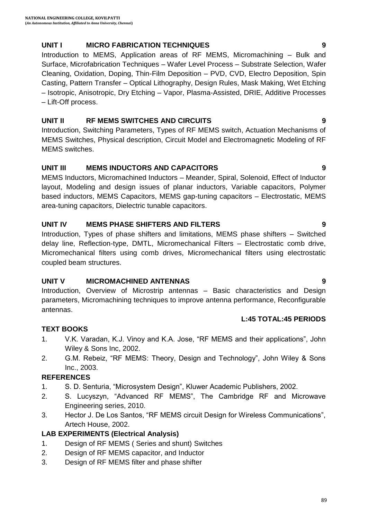#### **UNIT I MICRO FABRICATION TECHNIQUES 9**

Introduction to MEMS, Application areas of RF MEMS, Micromachining – Bulk and Surface, Microfabrication Techniques – Wafer Level Process – Substrate Selection, Wafer Cleaning, Oxidation, Doping, Thin-Film Deposition – PVD, CVD, Electro Deposition, Spin Casting, Pattern Transfer – Optical Lithography, Design Rules, Mask Making, Wet Etching – Isotropic, Anisotropic, Dry Etching – Vapor, Plasma-Assisted, DRIE, Additive Processes – Lift-Off process.

#### **UNIT II RF MEMS SWITCHES AND CIRCUITS 9**

Introduction, Switching Parameters, Types of RF MEMS switch, Actuation Mechanisms of MEMS Switches, Physical description, Circuit Model and Electromagnetic Modeling of RF MEMS switches.

#### **UNIT III MEMS INDUCTORS AND CAPACITORS 9**

MEMS Inductors, Micromachined Inductors – Meander, Spiral, Solenoid, Effect of Inductor layout, Modeling and design issues of planar inductors, Variable capacitors, Polymer based inductors, MEMS Capacitors, MEMS gap-tuning capacitors – Electrostatic, MEMS area-tuning capacitors, Dielectric tunable capacitors.

#### **UNIT IV MEMS PHASE SHIFTERS AND FILTERS 9**

Introduction, Types of phase shifters and limitations, MEMS phase shifters – Switched delay line, Reflection-type, DMTL, Micromechanical Filters – Electrostatic comb drive, Micromechanical filters using comb drives, Micromechanical filters using electrostatic coupled beam structures.

#### **UNIT V MICROMACHINED ANTENNAS 9**

Introduction, Overview of Microstrip antennas – Basic characteristics and Design parameters, Micromachining techniques to improve antenna performance, Reconfigurable antennas.

#### **L:45 TOTAL:45 PERIODS**

### **TEXT BOOKS**

- 1. V.K. Varadan, K.J. Vinoy and K.A. Jose, "RF MEMS and their applications", John Wiley & Sons Inc, 2002.
- 2. G.M. Rebeiz, "RF MEMS: Theory, Design and Technology", John Wiley & Sons Inc., 2003.

#### **REFERENCES**

- 1. S. D. Senturia, "Microsystem Design", Kluwer Academic Publishers, 2002.
- 2. S. Lucyszyn, "Advanced RF MEMS", The Cambridge RF and Microwave Engineering series, 2010.
- 3. Hector J. De Los Santos, "RF MEMS circuit Design for Wireless Communications", Artech House, 2002.

### **LAB EXPERIMENTS (Electrical Analysis)**

- 1. Design of RF MEMS ( Series and shunt) Switches
- 2. Design of RF MEMS capacitor, and Inductor
- 3. Design of RF MEMS filter and phase shifter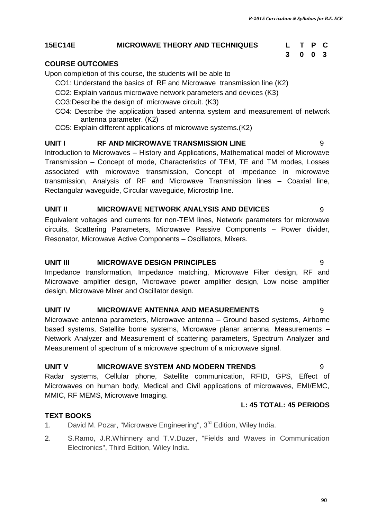#### **15EC14E MICROWAVE THEORY AND TECHNIQUES L T P C**

# **3 0 0 3**

#### **COURSE OUTCOMES**

Upon completion of this course, the students will be able to

- CO1: Understand the basics of RF and Microwave transmission line (K2)
- CO2: Explain various microwave network parameters and devices (K3)
- CO3:Describe the design of microwave circuit. (K3)
- CO4: Describe the application based antenna system and measurement of network antenna parameter. (K2)
- CO5: Explain different applications of microwave systems.(K2)

#### **UNIT I RF AND MICROWAVE TRANSMISSION LINE** 9

Introduction to Microwaves – History and Applications, Mathematical model of Microwave Transmission – Concept of mode, Characteristics of TEM, TE and TM modes, Losses associated with microwave transmission, Concept of impedance in microwave transmission, Analysis of RF and Microwave Transmission lines – Coaxial line, Rectangular waveguide, Circular waveguide, Microstrip line.

#### **UNIT II MICROWAVE NETWORK ANALYSIS AND DEVICES** 9

Equivalent voltages and currents for non-TEM lines, Network parameters for microwave circuits, Scattering Parameters, Microwave Passive Components – Power divider, Resonator, Microwave Active Components – Oscillators, Mixers.

#### **UNIT III MICROWAVE DESIGN PRINCIPLES** 9

Impedance transformation, Impedance matching, Microwave Filter design, RF and Microwave amplifier design, Microwave power amplifier design, Low noise amplifier design, Microwave Mixer and Oscillator design.

#### **UNIT IV MICROWAVE ANTENNA AND MEASUREMENTS** 9

Microwave antenna parameters, Microwave antenna – Ground based systems, Airborne based systems, Satellite borne systems, Microwave planar antenna. Measurements – Network Analyzer and Measurement of scattering parameters, Spectrum Analyzer and Measurement of spectrum of a microwave spectrum of a microwave signal.

#### **UNIT V MICROWAVE SYSTEM AND MODERN TRENDS** 9

Radar systems, Cellular phone, Satellite communication, RFID, GPS, Effect of Microwaves on human body, Medical and Civil applications of microwaves, EMI/EMC, MMIC, RF MEMS, Microwave Imaging.

#### **L: 45 TOTAL: 45 PERIODS**

#### **TEXT BOOKS**

- 1. David M. Pozar, "Microwave Engineering", 3<sup>rd</sup> Edition, Wiley India.
- 2. S.Ramo, J.R.Whinnery and T.V.Duzer, "Fields and Waves in Communication Electronics", Third Edition, Wiley India.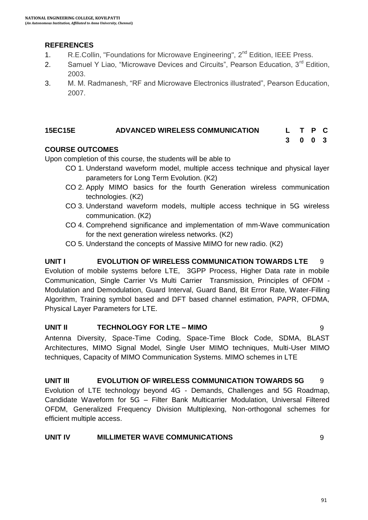#### **REFERENCES**

- 1. R.E.Collin, "Foundations for Microwave Engineering", 2<sup>nd</sup> Edition, IEEE Press.
- 2. Samuel Y Liao, "Microwave Devices and Circuits", Pearson Education,  $3^{rd}$  Edition, 2003.
- 3. M. M. Radmanesh, "RF and Microwave Electronics illustrated", Pearson Education, 2007.

#### **15EC15E ADVANCED WIRELESS COMMUNICATION L T P C**

#### **COURSE OUTCOMES**

Upon completion of this course, the students will be able to

- CO 1. Understand waveform model, multiple access technique and physical layer parameters for Long Term Evolution. (K2)
- CO 2. Apply MIMO basics for the fourth Generation wireless communication technologies. (K2)
- CO 3. Understand waveform models, multiple access technique in 5G wireless communication. (K2)
- CO 4. Comprehend significance and implementation of mm-Wave communication for the next generation wireless networks. (K2)
- CO 5. Understand the concepts of Massive MIMO for new radio. (K2)

#### **UNIT I EVOLUTION OF WIRELESS COMMUNICATION TOWARDS LTE** 9 Evolution of mobile systems before LTE, 3GPP Process, Higher Data rate in mobile Communication, Single Carrier Vs Multi Carrier Transmission, Principles of OFDM - Modulation and Demodulation, Guard Interval, Guard Band, Bit Error Rate, Water-Filling Algorithm, Training symbol based and DFT based channel estimation, PAPR, OFDMA,

Physical Layer Parameters for LTE.

#### **UNIT II TECHNOLOGY FOR LTE – MIMO** 9

Antenna Diversity, Space-Time Coding, Space-Time Block Code, SDMA, BLAST Architectures, MIMO Signal Model, Single User MIMO techniques, Multi-User MIMO techniques, Capacity of MIMO Communication Systems. MIMO schemes in LTE

# **UNIT III EVOLUTION OF WIRELESS COMMUNICATION TOWARDS 5G** 9

Evolution of LTE technology beyond 4G - Demands, Challenges and 5G Roadmap, Candidate Waveform for 5G – Filter Bank Multicarrier Modulation, Universal Filtered OFDM, Generalized Frequency Division Multiplexing, Non-orthogonal schemes for efficient multiple access.

#### **UNIT IV MILLIMETER WAVE COMMUNICATIONS** 9

**3 0 0 3**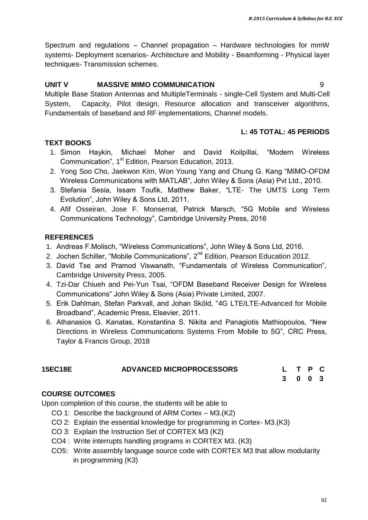Spectrum and regulations – Channel propagation – Hardware technologies for mmW systems- Deployment scenarios- Architecture and Mobility - Beamforming - Physical layer techniques- Transmission schemes.

#### **UNIT V MASSIVE MIMO COMMUNICATION** 9

Multiple Base Station Antennas and MultipleTerminals - single-Cell System and Multi-Cell System, Capacity, Pilot design, Resource allocation and transceiver algorithms, Fundamentals of baseband and RF implementations, Channel models.

#### **L: 45 TOTAL: 45 PERIODS**

#### **TEXT BOOKS**

- 1. Simon Haykin, Michael Moher and David Koilpillai, "Modern Wireless Communication", 1<sup>st</sup> Edition, Pearson Education, 2013.
- 2. Yong Soo Cho, Jaekwon Kim, Won Young Yang and Chung G. Kang "MIMO-OFDM Wireless Communications with MATLAB", John Wiley & Sons (Asia) Pvt Ltd., 2010.
- 3. Stefania Sesia, Issam Toufik, Matthew Baker, "LTE- The UMTS Long Term Evolution", John Wiley & Sons Ltd, 2011.
- 4. Afif Osseiran, Jose F. Monserrat, Patrick Marsch, "5G Mobile and Wireless Communications Technology", Cambridge University Press, 2016

#### **REFERENCES**

- 1. Andreas F.Molisch, "Wireless Communications", John Wiley & Sons Ltd, 2016.
- 2. Jochen Schiller, "Mobile Communications", 2<sup>nd</sup> Edition, Pearson Education 2012.
- 3. David Tse and Pramod Viswanath, "Fundamentals of Wireless Communication", Cambridge University Press, 2005.
- 4. Tzi-Dar Chiueh and Pei-Yun Tsai, "OFDM Baseband Receiver Design for Wireless Communications" John Wiley & Sons (Asia) Private Limited, 2007.
- 5. Erik Dahlman, Stefan Parkvall, and Johan Sköld, "4G LTE/LTE-Advanced for Mobile Broadband", Academic Press, Elsevier, 2011.
- 6. Athanasios G. Kanatas, Konstantina S. Nikita and Panagiotis Mathiopoulos, "New Directions in Wireless Communications Systems From Mobile to 5G", CRC Press, Taylor & Francis Group, 2018

# **15EC18E ADVANCED MICROPROCESSORS L T P C**

**3 0 0 3**

#### **COURSE OUTCOMES**

Upon completion of this course, the students will be able to

- CO 1: Describe the background of ARM Cortex M3.(K2)
- CO 2: Explain the essential knowledge for programming in Cortex- M3.(K3)
- CO 3: Explain the Instruction Set of CORTEX M3 (K2)
- CO4 : Write interrupts handling programs in CORTEX M3. (K3)
- CO5: Write assembly language source code with CORTEX M3 that allow modularity in programming (K3)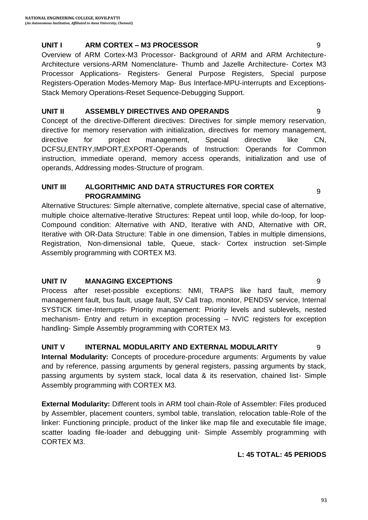#### **UNIT I ARM CORTEX – M3 PROCESSOR** 9

Overview of ARM Cortex-M3 Processor- Background of ARM and ARM Architecture-Architecture versions-ARM Nomenclature- Thumb and Jazelle Architecture- Cortex M3 Processor Applications- Registers- General Purpose Registers, Special purpose Registers-Operation Modes-Memory Map- Bus Interface-MPU-interrupts and Exceptions-Stack Memory Operations-Reset Sequence-Debugging Support.

#### **UNIT II ASSEMBLY DIRECTIVES AND OPERANDS** 9

Concept of the directive-Different directives: Directives for simple memory reservation, directive for memory reservation with initialization, directives for memory management, directive for project management, Special directive like CN, DCFSU,ENTRY,IMPORT,EXPORT-Operands of Instruction: Operands for Common instruction, immediate operand, memory access operands, initialization and use of operands, Addressing modes-Structure of program.

#### **UNIT III ALGORITHMIC AND DATA STRUCTURES FOR CORTEX PROGRAMMING** AND DATA UTROUT UNLESS TON UDITIES

Alternative Structures: Simple alternative, complete alternative, special case of alternative, multiple choice alternative-Iterative Structures: Repeat until loop, while do-loop, for loop-Compound condition: Alternative with AND, Iterative with AND, Alternative with OR, Iterative with OR-Data Structure: Table in one dimension, Tables in multiple dimensions, Registration, Non-dimensional table, Queue, stack- Cortex instruction set-Simple Assembly programming with CORTEX M3.

#### **UNIT IV MANAGING EXCEPTIONS** 9

Process after reset-possible exceptions: NMI, TRAPS like hard fault, memory management fault, bus fault, usage fault, SV Call trap, monitor, PENDSV service, Internal SYSTICK timer-Interrupts- Priority management: Priority levels and sublevels, nested mechanism- Entry and return in exception processing – NVIC registers for exception handling- Simple Assembly programming with CORTEX M3.

### **UNIT V INTERNAL MODULARITY AND EXTERNAL MODULARITY** 9

**Internal Modularity:** Concepts of procedure-procedure arguments: Arguments by value and by reference, passing arguments by general registers, passing arguments by stack, passing arguments by system stack, local data & its reservation, chained list- Simple Assembly programming with CORTEX M3.

**External Modularity:** Different tools in ARM tool chain-Role of Assembler: Files produced by Assembler, placement counters, symbol table, translation, relocation table-Role of the linker: Functioning principle, product of the linker like map file and executable file image, scatter loading file-loader and debugging unit- Simple Assembly programming with CORTEX M3.

### **L: 45 TOTAL: 45 PERIODS**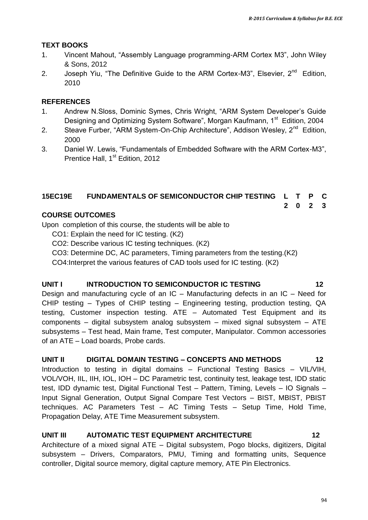#### **TEXT BOOKS**

- 1. Vincent Mahout, "Assembly Language programming-ARM Cortex M3", John Wiley & Sons, 2012
- 2. Joseph Yiu, "The Definitive Guide to the ARM Cortex-M3", Elsevier, 2<sup>nd</sup> Edition, 2010

#### **REFERENCES**

- 1. Andrew N.Sloss, Dominic Symes, Chris Wright, "ARM System Developer"s Guide Designing and Optimizing System Software", Morgan Kaufmann, 1<sup>st</sup> Edition, 2004
- 2. Steave Furber, "ARM System-On-Chip Architecture", Addison Wesley, 2<sup>nd</sup> Edition, 2000
- 3. Daniel W. Lewis, "Fundamentals of Embedded Software with the ARM Cortex-M3", Prentice Hall, 1<sup>st</sup> Edition, 2012

#### **15EC19E FUNDAMENTALS OF SEMICONDUCTOR CHIP TESTING L T P C**

**2 0 2 3**

#### **COURSE OUTCOMES**

Upon completion of this course, the students will be able to

- CO1: Explain the need for IC testing. (K2)
- CO2: Describe various IC testing techniques. (K2)
- CO3: Determine DC, AC parameters, Timing parameters from the testing.(K2)

CO4:Interpret the various features of CAD tools used for IC testing. (K2)

#### **UNIT I INTRODUCTION TO SEMICONDUCTOR IC TESTING 12**

Design and manufacturing cycle of an IC – Manufacturing defects in an IC – Need for CHIP testing – Types of CHIP testing – Engineering testing, production testing, QA testing, Customer inspection testing. ATE – Automated Test Equipment and its components – digital subsystem analog subsystem – mixed signal subsystem – ATE subsystems – Test head, Main frame, Test computer, Manipulator. Common accessories of an ATE – Load boards, Probe cards.

#### **UNIT II DIGITAL DOMAIN TESTING – CONCEPTS AND METHODS 12**

Introduction to testing in digital domains – Functional Testing Basics – VIL/VIH, VOL/VOH, IIL, IIH, IOL, IOH – DC Parametric test, continuity test, leakage test, IDD static test, IDD dynamic test, Digital Functional Test – Pattern, Timing, Levels – IO Signals – Input Signal Generation, Output Signal Compare Test Vectors – BIST, MBIST, PBIST techniques. AC Parameters Test – AC Timing Tests – Setup Time, Hold Time, Propagation Delay, ATE Time Measurement subsystem.

#### **UNIT III AUTOMATIC TEST EQUIPMENT ARCHITECTURE 12**

Architecture of a mixed signal ATE – Digital subsystem, Pogo blocks, digitizers, Digital subsystem – Drivers, Comparators, PMU, Timing and formatting units, Sequence controller, Digital source memory, digital capture memory, ATE Pin Electronics.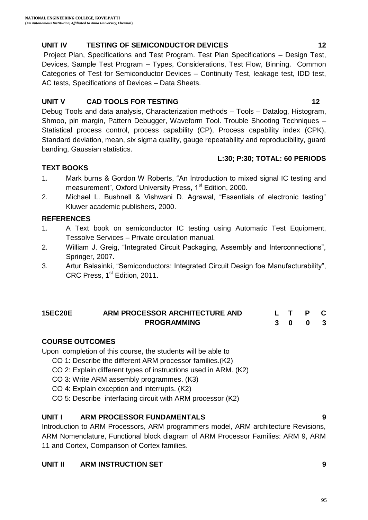# **UNIT IV TESTING OF SEMICONDUCTOR DEVICES 12**

Project Plan, Specifications and Test Program. Test Plan Specifications – Design Test, Devices, Sample Test Program – Types, Considerations, Test Flow, Binning. Common Categories of Test for Semiconductor Devices – Continuity Test, leakage test, IDD test, AC tests, Specifications of Devices – Data Sheets.

# **UNIT V CAD TOOLS FOR TESTING 12**

Debug Tools and data analysis, Characterization methods – Tools – Datalog, Histogram, Shmoo, pin margin, Pattern Debugger, Waveform Tool. Trouble Shooting Techniques – Statistical process control, process capability (CP), Process capability index (CPK), Standard deviation, mean, six sigma quality, gauge repeatability and reproducibility, guard banding, Gaussian statistics.

# **TEXT BOOKS**

- 1. Mark burns & Gordon W Roberts, "An Introduction to mixed signal IC testing and measurement", Oxford University Press, 1<sup>st</sup> Edition, 2000.
- 2. Michael L. Bushnell & Vishwani D. Agrawal, "Essentials of electronic testing" Kluwer academic publishers, 2000.

# **REFERENCES**

- 1. A Text book on semiconductor IC testing using Automatic Test Equipment, Tessolve Services – Private circulation manual.
- 2. William J. Greig, "Integrated Circuit Packaging, Assembly and Interconnections", Springer, 2007.
- 3. Artur Balasinki, "Semiconductors: Integrated Circuit Design foe Manufacturability", CRC Press, 1<sup>st</sup> Edition, 2011.

#### **15EC20E ARM PROCESSOR ARCHITECTURE AND PROGRAMMING L T P C 3 0 0 3**

### **COURSE OUTCOMES**

Upon completion of this course, the students will be able to

- CO 1: Describe the different ARM processor families.(K2)
- CO 2: Explain different types of instructions used in ARM. (K2)
- CO 3: Write ARM assembly programmes. (K3)
- CO 4: Explain exception and interrupts. (K2)
- CO 5: Describe interfacing circuit with ARM processor (K2)

# **UNIT I ARM PROCESSOR FUNDAMENTALS 9**

Introduction to ARM Processors, ARM programmers model, ARM architecture Revisions, ARM Nomenclature, Functional block diagram of ARM Processor Families: ARM 9, ARM 11 and Cortex, Comparison of Cortex families.

# **UNIT II ARM INSTRUCTION SET 9**



**L:30; P:30; TOTAL: 60 PERIODS**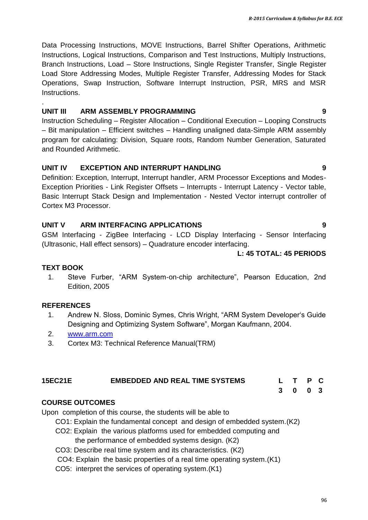Data Processing Instructions, MOVE Instructions, Barrel Shifter Operations, Arithmetic Instructions, Logical Instructions, Comparison and Test Instructions, Multiply Instructions, Branch Instructions, Load – Store Instructions, Single Register Transfer, Single Register Load Store Addressing Modes, Multiple Register Transfer, Addressing Modes for Stack Operations, Swap Instruction, Software Interrupt Instruction, PSR, MRS and MSR Instructions.

#### **UNIT III ARM ASSEMBLY PROGRAMMING 9**

Instruction Scheduling – Register Allocation – Conditional Execution – Looping Constructs – Bit manipulation – Efficient switches – Handling unaligned data-Simple ARM assembly program for calculating: Division, Square roots, Random Number Generation, Saturated and Rounded Arithmetic.

#### **UNIT IV EXCEPTION AND INTERRUPT HANDLING 9**

Definition: Exception, Interrupt, Interrupt handler, ARM Processor Exceptions and Modes-Exception Priorities - Link Register Offsets – Interrupts - Interrupt Latency - Vector table, Basic Interrupt Stack Design and Implementation - Nested Vector interrupt controller of Cortex M3 Processor.

#### **UNIT V ARM INTERFACING APPLICATIONS 9**

GSM Interfacing - ZigBee Interfacing - LCD Display Interfacing - Sensor Interfacing (Ultrasonic, Hall effect sensors) – Quadrature encoder interfacing.

#### **L: 45 TOTAL: 45 PERIODS**

#### **TEXT BOOK**

.

1. Steve Furber, "ARM System-on-chip architecture", Pearson Education, 2nd Edition, 2005

#### **REFERENCES**

- 1. Andrew N. Sloss, Dominic Symes, Chris Wright, "ARM System Developer"s Guide Designing and Optimizing System Software", Morgan Kaufmann, 2004.
- 2. [www.arm.com](http://www.arm.com/)
- 3. Cortex M3: Technical Reference Manual(TRM)

#### **15EC21E EMBEDDED AND REAL TIME SYSTEMS L T P C**

#### **COURSE OUTCOMES**

Upon completion of this course, the students will be able to

- CO1: Explain the fundamental concept and design of embedded system.(K2)
- CO2: Explain the various platforms used for embedded computing and

the performance of embedded systems design. (K2)

- CO3: Describe real time system and its characteristics. (K2)
- CO4: Explain the basic properties of a real time operating system.(K1)
- CO5: interpret the services of operating system.(K1)

### **3 0 0 3**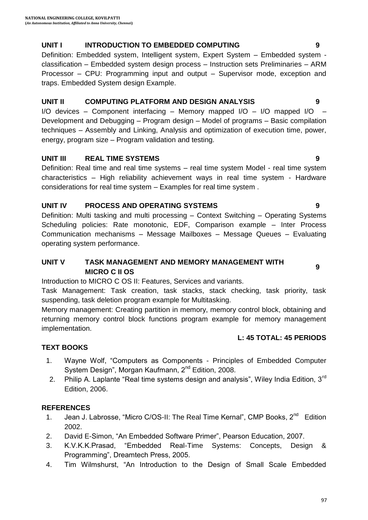#### **UNIT I INTRODUCTION TO EMBEDDED COMPUTING 9**

Definition: Embedded system, Intelligent system, Expert System – Embedded system classification – Embedded system design process – Instruction sets Preliminaries – ARM Processor – CPU: Programming input and output – Supervisor mode, exception and traps. Embedded System design Example.

#### **UNIT II COMPUTING PLATFORM AND DESIGN ANALYSIS 9**

I/O devices – Component interfacing – Memory mapped I/O – I/O mapped I/O – Development and Debugging – Program design – Model of programs – Basic compilation techniques – Assembly and Linking, Analysis and optimization of execution time, power, energy, program size – Program validation and testing.

#### **UNIT III REAL TIME SYSTEMS 9**

Definition: Real time and real time systems – real time system Model - real time system characteristics – High reliability achievement ways in real time system - Hardware considerations for real time system – Examples for real time system .

### **UNIT IV PROCESS AND OPERATING SYSTEMS 9**

Definition: Multi tasking and multi processing – Context Switching – Operating Systems Scheduling policies: Rate monotonic, EDF, Comparison example – Inter Process Communication mechanisms – Message Mailboxes – Message Queues – Evaluating operating system performance.

### **UNIT V TASK MANAGEMENT AND MEMORY MANAGEMENT WITH MICRO C II OS 9**

Introduction to MICRO C OS II: Features, Services and variants.

Task Management: Task creation, task stacks, stack checking, task priority, task suspending, task deletion program example for Multitasking.

Memory management: Creating partition in memory, memory control block, obtaining and returning memory control block functions program example for memory management implementation.

#### **L: 45 TOTAL: 45 PERIODS**

### **TEXT BOOKS**

- 1. Wayne Wolf, "Computers as Components Principles of Embedded Computer System Design", Morgan Kaufmann, 2<sup>nd</sup> Edition, 2008.
- 2. Philip A. Laplante "Real time systems design and analysis", Wiley India Edition, 3<sup>rd</sup> Edition, 2006.

#### **REFERENCES**

- 1. Jean J. Labrosse, "Micro C/OS-II: The Real Time Kernal", CMP Books, 2<sup>nd</sup> Edition 2002.
- 2. David E-Simon, "An Embedded Software Primer", Pearson Education, 2007.
- 3. K.V.K.K.Prasad, "Embedded Real-Time Systems: Concepts, Design & Programming", Dreamtech Press, 2005.
- 4. Tim Wilmshurst, "An Introduction to the Design of Small Scale Embedded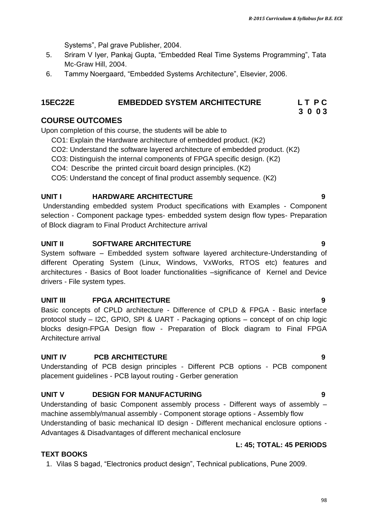Systems", Pal grave Publisher, 2004.

- 5. Sriram V Iyer, Pankaj Gupta, "Embedded Real Time Systems Programming", Tata Mc-Graw Hill, 2004.
- 6. Tammy Noergaard, "Embedded Systems Architecture", Elsevier, 2006.

#### **15EC22E EMBEDDED SYSTEM ARCHITECTURE L T P C**

#### **COURSE OUTCOMES**

Upon completion of this course, the students will be able to

- CO1: Explain the Hardware architecture of embedded product. (K2)
- CO2: Understand the software layered architecture of embedded product. (K2)
- CO3: Distinguish the internal components of FPGA specific design. (K2)
- CO4: Describe the printed circuit board design principles. (K2)
- CO5: Understand the concept of final product assembly sequence. (K2)

#### **UNIT I HARDWARE ARCHITECTURE 9**

Understanding embedded system Product specifications with Examples - Component selection - Component package types- embedded system design flow types- Preparation of Block diagram to Final Product Architecture arrival

#### **UNIT II SOFTWARE ARCHITECTURE 9**

System software – Embedded system software layered architecture-Understanding of different Operating System (Linux, Windows, VxWorks, RTOS etc) features and architectures - Basics of Boot loader functionalities –significance of Kernel and Device drivers - File system types.

#### **UNIT III FPGA ARCHITECTURE 9**

Basic concepts of CPLD architecture - Difference of CPLD & FPGA - Basic interface protocol study – I2C, GPIO, SPI & UART - Packaging options – concept of on chip logic blocks design-FPGA Design flow - Preparation of Block diagram to Final FPGA Architecture arrival

#### **UNIT IV PCB ARCHITECTURE 9**

Understanding of PCB design principles - Different PCB options - PCB component placement guidelines - PCB layout routing - Gerber generation

#### **UNIT V DESIGN FOR MANUFACTURING 9**

Understanding of basic Component assembly process - Different ways of assembly – machine assembly/manual assembly - Component storage options - Assembly flow Understanding of basic mechanical ID design - Different mechanical enclosure options - Advantages & Disadvantages of different mechanical enclosure

#### **L: 45; TOTAL: 45 PERIODS**

#### **TEXT BOOKS**

1. Vilas S bagad, "Electronics product design", Technical publications, Pune 2009.

**3 0 0 3**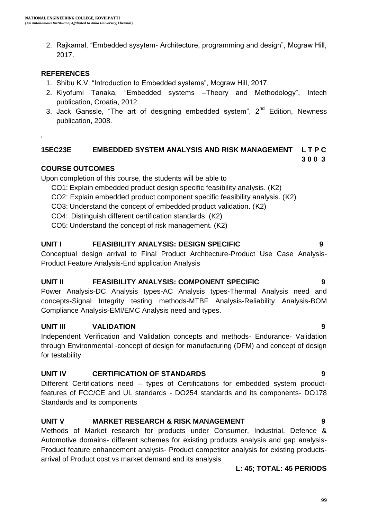2. Rajkamal, "Embedded sysytem- Architecture, programming and design", Mcgraw Hill, 2017.

#### **REFERENCES**

- 1. Shibu K.V, "Introduction to Embedded systems", Mcgraw Hill, 2017.
- 2. Kiyofumi Tanaka, "Embedded systems –Theory and Methodology", Intech publication, Croatia, 2012.
- 3. Jack Ganssle, "The art of designing embedded system",  $2^{nd}$  Edition, Newness publication, 2008.

#### **15EC23E EMBEDDED SYSTEM ANALYSIS AND RISK MANAGEMENT L T P C 3 0 0 3**

#### **COURSE OUTCOMES**

Upon completion of this course, the students will be able to

- CO1: Explain embedded product design specific feasibility analysis. (K2)
- CO2: Explain embedded product component specific feasibility analysis. (K2)
- CO3: Understand the concept of embedded product validation. (K2)
- CO4: Distinguish different certification standards. (K2)
- CO5: Understand the concept of risk management. (K2)

#### **UNIT I FEASIBILITY ANALYSIS: DESIGN SPECIFIC 9**

Conceptual design arrival to Final Product Architecture-Product Use Case Analysis-Product Feature Analysis-End application Analysis

#### **UNIT II FEASIBILITY ANALYSIS: COMPONENT SPECIFIC 9**

Power Analysis-DC Analysis types-AC Analysis types-Thermal Analysis need and concepts-Signal Integrity testing methods-MTBF Analysis-Reliability Analysis-BOM Compliance Analysis-EMI/EMC Analysis need and types.

#### **UNIT III VALIDATION 9**

Independent Verification and Validation concepts and methods- Endurance- Validation through Environmental -concept of design for manufacturing (DFM) and concept of design for testability

#### **UNIT IV CERTIFICATION OF STANDARDS 9**

Different Certifications need – types of Certifications for embedded system productfeatures of FCC/CE and UL standards - DO254 standards and its components- DO178 Standards and its components

#### **UNIT V MARKET RESEARCH & RISK MANAGEMENT 9**

Methods of Market research for products under Consumer, Industrial, Defence & Automotive domains- different schemes for existing products analysis and gap analysis-Product feature enhancement analysis- Product competitor analysis for existing productsarrival of Product cost vs market demand and its analysis

#### **L: 45; TOTAL: 45 PERIODS**

#### 99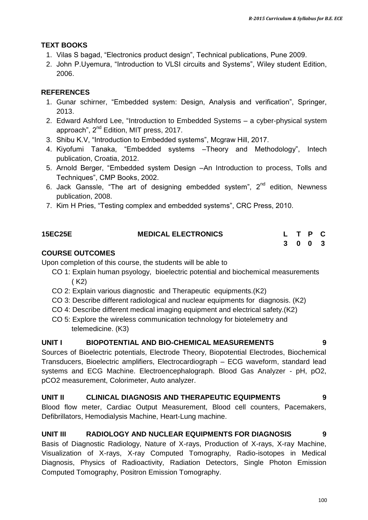#### **TEXT BOOKS**

- 1. Vilas S bagad, "Electronics product design", Technical publications, Pune 2009.
- 2. John P.Uyemura, "Introduction to VLSI circuits and Systems", Wiley student Edition, 2006.

#### **REFERENCES**

- 1. Gunar schirner, "Embedded system: Design, Analysis and verification", Springer, 2013.
- 2. Edward Ashford Lee, "Introduction to Embedded Systems a cyber-physical system approach", 2<sup>nd</sup> Edition, MIT press, 2017.
- 3. Shibu K.V, "Introduction to Embedded systems", Mcgraw Hill, 2017.
- 4. Kiyofumi Tanaka, "Embedded systems –Theory and Methodology", Intech publication, Croatia, 2012.
- 5. Arnold Berger, "Embedded system Design –An Introduction to process, Tolls and Techniques", CMP Books, 2002.
- 6. Jack Ganssle, "The art of designing embedded system", 2<sup>nd</sup> edition, Newness publication, 2008.
- 7. Kim H Pries, "Testing complex and embedded systems", CRC Press, 2010.

| <b>15EC25E</b> | <b>MEDICAL ELECTRONICS</b> | L T P C |  |  |
|----------------|----------------------------|---------|--|--|
|                |                            | 3 0 0 3 |  |  |

#### **COURSE OUTCOMES**

Upon completion of this course, the students will be able to

- CO 1: Explain human psyology, bioelectric potential and biochemical measurements ( K2)
- CO 2: Explain various diagnostic and Therapeutic equipments.(K2)
- CO 3: Describe different radiological and nuclear equipments for diagnosis. (K2)
- CO 4: Describe different medical imaging equipment and electrical safety.(K2)
- CO 5: Explore the wireless communication technology for biotelemetry and telemedicine. (K3)

#### **UNIT I BIOPOTENTIAL AND BIO-CHEMICAL MEASUREMENTS 9**

Sources of Bioelectric potentials, Electrode Theory, Biopotential Electrodes, Biochemical Transducers, Bioelectric amplifiers, Electrocardiograph – ECG waveform, standard lead systems and ECG Machine. Electroencephalograph. Blood Gas Analyzer - pH, pO2, pCO2 measurement, Colorimeter, Auto analyzer.

#### **UNIT II CLINICAL DIAGNOSIS AND THERAPEUTIC EQUIPMENTS 9**

Blood flow meter, Cardiac Output Measurement, Blood cell counters, Pacemakers, Defibrillators, Hemodialysis Machine, Heart-Lung machine.

#### **UNIT III RADIOLOGY AND NUCLEAR EQUIPMENTS FOR DIAGNOSIS 9**

Basis of Diagnostic Radiology, Nature of X-rays, Production of X-rays, X-ray Machine, Visualization of X-rays, X-ray Computed Tomography, Radio-isotopes in Medical Diagnosis, Physics of Radioactivity, Radiation Detectors, Single Photon Emission Computed Tomography, Positron Emission Tomography.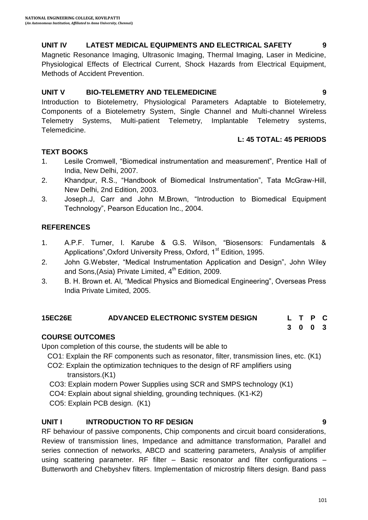#### **UNIT IV LATEST MEDICAL EQUIPMENTS AND ELECTRICAL SAFETY 9**

Magnetic Resonance Imaging, Ultrasonic Imaging, Thermal Imaging, Laser in Medicine, Physiological Effects of Electrical Current, Shock Hazards from Electrical Equipment, Methods of Accident Prevention.

#### **UNIT V BIO-TELEMETRY AND TELEMEDICINE 9**

Introduction to Biotelemetry, Physiological Parameters Adaptable to Biotelemetry, Components of a Biotelemetry System, Single Channel and Multi-channel Wireless Telemetry Systems, Multi-patient Telemetry, Implantable Telemetry systems, Telemedicine.

#### **L: 45 TOTAL: 45 PERIODS**

#### **TEXT BOOKS**

- 1. Lesile Cromwell, "Biomedical instrumentation and measurement", Prentice Hall of India, New Delhi, 2007.
- 2. Khandpur, R.S., "Handbook of Biomedical Instrumentation", Tata McGraw-Hill, New Delhi, 2nd Edition, 2003.
- 3. Joseph.J, Carr and John M.Brown, "Introduction to Biomedical Equipment Technology", Pearson Education Inc., 2004.

#### **REFERENCES**

- 1. A.P.F. Turner, I. Karube & G.S. Wilson, "Biosensors: Fundamentals & Applications", Oxford University Press, Oxford, 1<sup>st</sup> Edition, 1995.
- 2. John G.Webster, "Medical Instrumentation Application and Design", John Wiley and Sons, (Asia) Private Limited,  $4<sup>th</sup>$  Edition, 2009.
- 3. B. H. Brown et. Al, "Medical Physics and Biomedical Engineering", Overseas Press India Private Limited, 2005.

# **15EC26E ADVANCED ELECTRONIC SYSTEM DESIGN L T P C**

#### **COURSE OUTCOMES**

Upon completion of this course, the students will be able to

- CO1: Explain the RF components such as resonator, filter, transmission lines, etc. (K1)
- CO2: Explain the optimization techniques to the design of RF amplifiers using transistors.(K1)
- CO3: Explain modern Power Supplies using SCR and SMPS technology (K1)
- CO4: Explain about signal shielding, grounding techniques. (K1-K2)
- CO5: Explain PCB design. (K1)

#### **UNIT I INTRODUCTION TO RF DESIGN 9**

RF behaviour of passive components, Chip components and circuit board considerations, Review of transmission lines, Impedance and admittance transformation, Parallel and series connection of networks, ABCD and scattering parameters, Analysis of amplifier using scattering parameter. RF filter – Basic resonator and filter configurations – Butterworth and Chebyshev filters. Implementation of microstrip filters design. Band pass

**3 0 0 3**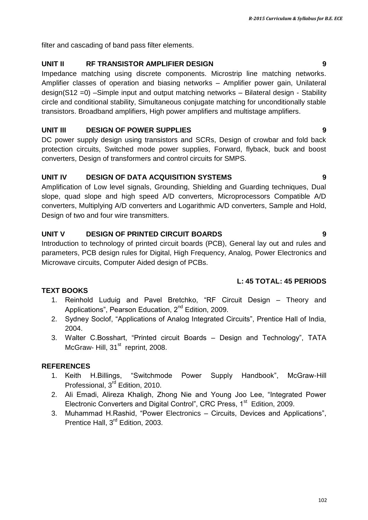filter and cascading of band pass filter elements.

# **UNIT II RF TRANSISTOR AMPLIFIER DESIGN 9**

Impedance matching using discrete components. Microstrip line matching networks. Amplifier classes of operation and biasing networks – Amplifier power gain, Unilateral design(S12 =0) –Simple input and output matching networks – Bilateral design - Stability circle and conditional stability, Simultaneous conjugate matching for unconditionally stable transistors. Broadband amplifiers, High power amplifiers and multistage amplifiers.

# **UNIT III DESIGN OF POWER SUPPLIES 9**

DC power supply design using transistors and SCRs, Design of crowbar and fold back protection circuits, Switched mode power supplies, Forward, flyback, buck and boost converters, Design of transformers and control circuits for SMPS.

# **UNIT IV DESIGN OF DATA ACQUISITION SYSTEMS 9**

Amplification of Low level signals, Grounding, Shielding and Guarding techniques, Dual slope, quad slope and high speed A/D converters, Microprocessors Compatible A/D converters, Multiplying A/D converters and Logarithmic A/D converters, Sample and Hold, Design of two and four wire transmitters.

# **UNIT V DESIGN OF PRINTED CIRCUIT BOARDS 9**

Introduction to technology of printed circuit boards (PCB), General lay out and rules and parameters, PCB design rules for Digital, High Frequency, Analog, Power Electronics and Microwave circuits, Computer Aided design of PCBs.

# **L: 45 TOTAL: 45 PERIODS**

# **TEXT BOOKS**

- 1. Reinhold Luduig and Pavel Bretchko, "RF Circuit Design Theory and Applications", Pearson Education, 2<sup>nd</sup> Edition, 2009.
- 2. Sydney Soclof, "Applications of Analog Integrated Circuits", Prentice Hall of India, 2004.
- 3. Walter C.Bosshart, "Printed circuit Boards Design and Technology", TATA McGraw- Hill, 31<sup>st</sup> reprint, 2008.

# **REFERENCES**

- 1. Keith H.Billings, "Switchmode Power Supply Handbook", McGraw-Hill Professional, 3<sup>rd</sup> Edition, 2010.
- 2. Ali Emadi, Alireza Khaligh, Zhong Nie and Young Joo Lee, "Integrated Power Electronic Converters and Digital Control", CRC Press,  $1<sup>st</sup>$  Edition, 2009.
- 3. Muhammad H.Rashid, "Power Electronics Circuits, Devices and Applications", Prentice Hall, 3<sup>rd</sup> Edition, 2003.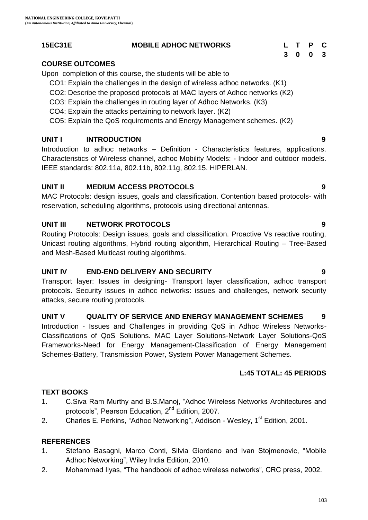#### **15EC31E MOBILE ADHOC NETWORKS L T P C**

#### **COURSE OUTCOMES**

Upon completion of this course, the students will be able to

- CO1: Explain the challenges in the design of wireless adhoc networks. (K1)
- CO2: Describe the proposed protocols at MAC layers of Adhoc networks (K2)
- CO3: Explain the challenges in routing layer of Adhoc Networks. (K3)
- CO4: Explain the attacks pertaining to network layer. (K2)

CO5: Explain the QoS requirements and Energy Management schemes. (K2)

### **UNIT I INTRODUCTION 9**

Introduction to adhoc networks – Definition - Characteristics features, applications. Characteristics of Wireless channel, adhoc Mobility Models: - Indoor and outdoor models. IEEE standards: 802.11a, 802.11b, 802.11g, 802.15. HIPERLAN.

#### **UNIT II MEDIUM ACCESS PROTOCOLS 9**

MAC Protocols: design issues, goals and classification. Contention based protocols- with reservation, scheduling algorithms, protocols using directional antennas.

#### **UNIT III NETWORK PROTOCOLS 9**

Routing Protocols: Design issues, goals and classification. Proactive Vs reactive routing, Unicast routing algorithms, Hybrid routing algorithm, Hierarchical Routing – Tree-Based and Mesh-Based Multicast routing algorithms.

#### **UNIT IV END-END DELIVERY AND SECURITY 9**

Transport layer: Issues in designing- Transport layer classification, adhoc transport protocols. Security issues in adhoc networks: issues and challenges, network security attacks, secure routing protocols.

#### **UNIT V QUALITY OF SERVICE AND ENERGY MANAGEMENT SCHEMES 9**

Introduction - Issues and Challenges in providing QoS in Adhoc Wireless Networks-Classifications of QoS Solutions. MAC Layer Solutions-Network Layer Solutions-QoS Frameworks-Need for Energy Management-Classification of Energy Management Schemes-Battery, Transmission Power, System Power Management Schemes.

### **L:45 TOTAL: 45 PERIODS**

#### **TEXT BOOKS**

- 1. C.Siva Ram Murthy and B.S.Manoj, "Adhoc Wireless Networks Architectures and protocols", Pearson Education, 2<sup>nd</sup> Edition, 2007.
- 2. Charles E. Perkins, "Adhoc Networking", Addison Wesley, 1<sup>st</sup> Edition, 2001.

### **REFERENCES**

- 1. Stefano Basagni, Marco Conti, Silvia Giordano and Ivan Stojmenovic, "Mobile Adhoc Networking", Wiley India Edition, 2010.
- 2. Mohammad Ilyas, "The handbook of adhoc wireless networks", CRC press, 2002.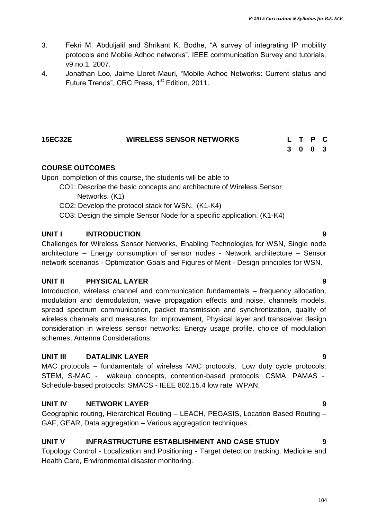- 3. Fekri M. Abduljalil and Shrikant K. Bodhe, "A survey of integrating IP mobility protocols and Mobile Adhoc networks", IEEE communication Survey and tutorials, v9.no.1, 2007.
- 4. Jonathan Loo, Jaime Lloret Mauri, "Mobile Adhoc Networks: Current status and Future Trends", CRC Press, 1<sup>st</sup> Edition, 2011.

| <b>15EC32E</b> | <b>WIRELESS SENSOR NETWORKS</b> |         | L T P C |  |
|----------------|---------------------------------|---------|---------|--|
|                |                                 | 3 0 0 3 |         |  |

**COURSE OUTCOMES**

Upon completion of this course, the students will be able to

- CO1: Describe the basic concepts and architecture of Wireless Sensor Networks. (K1)
- CO2: Develop the protocol stack for WSN. (K1-K4)
- CO3: Design the simple Sensor Node for a specific application. (K1-K4)

#### **UNIT I INTRODUCTION 9**

Challenges for Wireless Sensor Networks, Enabling Technologies for WSN, Single node architecture – Energy consumption of sensor nodes - Network architecture – Sensor network scenarios - Optimization Goals and Figures of Merit - Design principles for WSN.

#### **UNIT II PHYSICAL LAYER 9**

Introduction, wireless channel and communication fundamentals – frequency allocation, modulation and demodulation, wave propagation effects and noise, channels models, spread spectrum communication, packet transmission and synchronization, quality of wireless channels and measures for improvement, Physical layer and transceiver design consideration in wireless sensor networks: Energy usage profile, choice of modulation schemes, Antenna Considerations.

#### **UNIT III DATALINK LAYER 9**

MAC protocols – fundamentals of wireless MAC protocols, Low duty cycle protocols: STEM, S-MAC - wakeup concepts, contention-based protocols: CSMA, PAMAS - Schedule-based protocols: SMACS - IEEE 802.15.4 low rate WPAN.

#### **UNIT IV NETWORK LAYER 9**

Geographic routing, Hierarchical Routing – LEACH, PEGASIS, Location Based Routing – GAF, GEAR, Data aggregation – Various aggregation techniques.

#### **UNIT V INFRASTRUCTURE ESTABLISHMENT AND CASE STUDY 9**

Topology Control - Localization and Positioning - Target detection tracking, Medicine and Health Care, Environmental disaster monitoring.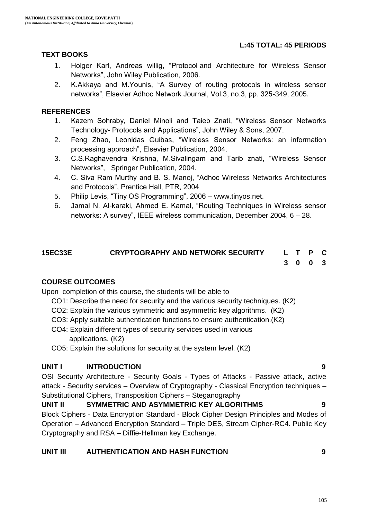#### **L:45 TOTAL: 45 PERIODS**

#### **TEXT BOOKS**

- 1. Holger Karl, Andreas willig, "Protocol and Architecture for Wireless Sensor Networks", John Wiley Publication, 2006.
- 2. K.Akkaya and M.Younis, "A Survey of routing protocols in wireless sensor networks", Elsevier Adhoc Network Journal, Vol.3, no.3, pp. 325-349, 2005.

#### **REFERENCES**

- 1. Kazem Sohraby, Daniel Minoli and Taieb Znati, "Wireless Sensor Networks Technology- Protocols and Applications", John Wiley & Sons, 2007.
- 2. Feng Zhao, Leonidas Guibas, "Wireless Sensor Networks: an information processing approach", Elsevier Publication, 2004.
- 3. C.S.Raghavendra Krishna, M.Sivalingam and Tarib znati, "Wireless Sensor Networks", Springer Publication, 2004.
- 4. C. Siva Ram Murthy and B. S. Manoj, "Adhoc Wireless Networks Architectures and Protocols", Prentice Hall, PTR, 2004
- 5. Philip Levis, "Tiny OS Programming", 2006 www.tinyos.net.
- 6. Jamal N. Al-karaki, Ahmed E. Kamal, "Routing Techniques in Wireless sensor networks: A survey", IEEE wireless communication, December 2004, 6 – 28.

#### **15EC33E CRYPTOGRAPHY AND NETWORK SECURITY L T P C 3 0 0 3**

#### **COURSE OUTCOMES**

Upon completion of this course, the students will be able to

- CO1: Describe the need for security and the various security techniques. (K2)
- CO2: Explain the various symmetric and asymmetric key algorithms. (K2)
- CO3: Apply suitable authentication functions to ensure authentication.(K2)
- CO4: Explain different types of security services used in various applications. (K2)
- CO5: Explain the solutions for security at the system level. (K2)

#### **UNIT I INTRODUCTION 9**

OSI Security Architecture - Security Goals - Types of Attacks - Passive attack, active attack - Security services – Overview of Cryptography - Classical Encryption techniques – Substitutional Ciphers, Transposition Ciphers – Steganography

#### **UNIT II SYMMETRIC AND ASYMMETRIC KEY ALGORITHMS 9** Block Ciphers - Data Encryption Standard - Block Cipher Design Principles and Modes of Operation – Advanced Encryption Standard – Triple DES, Stream Cipher-RC4. Public Key Cryptography and RSA – Diffie-Hellman key Exchange.

#### **UNIT III AUTHENTICATION AND HASH FUNCTION 9**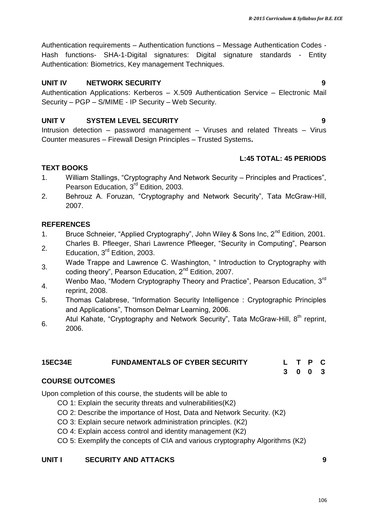106

Authentication requirements – Authentication functions – Message Authentication Codes - Hash functions- SHA-1-Digital signatures: Digital signature standards - Entity Authentication: Biometrics, Key management Techniques.

#### **UNIT IV NETWORK SECURITY 9**

Authentication Applications: Kerberos – X.509 Authentication Service – Electronic Mail Security – PGP – S/MIME - IP Security – Web Security.

#### **UNIT V SYSTEM LEVEL SECURITY 9**

Intrusion detection – password management – Viruses and related Threats – Virus Counter measures – Firewall Design Principles – Trusted Systems**.**

### **L:45 TOTAL: 45 PERIODS**

#### **TEXT BOOKS**

- 1. William Stallings, "Cryptography And Network Security Principles and Practices", Pearson Education, 3<sup>rd</sup> Edition, 2003.
- 2. Behrouz A. Foruzan, "Cryptography and Network Security", Tata McGraw-Hill, 2007.

#### **REFERENCES**

- 1. Bruce Schneier, "Applied Cryptography", John Wiley & Sons Inc, 2<sup>nd</sup> Edition, 2001.
- 2. Charles B. Pfleeger, Shari Lawrence Pfleeger, "Security in Computing", Pearson Education, 3<sup>rd</sup> Edition, 2003.
- 3. Wade Trappe and Lawrence C. Washington, " Introduction to Cryptography with coding theory", Pearson Education, 2nd Edition, 2007.
- 4. Wenbo Mao, "Modern Cryptography Theory and Practice", Pearson Education, 3<sup>rd</sup> reprint, 2008.
- 5. Thomas Calabrese, "Information Security Intelligence : Cryptographic Principles and Applications", Thomson Delmar Learning, 2006.
- 6. Atul Kahate, "Cryptography and Network Security", Tata McGraw-Hill,  $8^{th}$  reprint, 2006.

#### **15EC34E FUNDAMENTALS OF CYBER SECURITY L T P C**

**3 0 0 3**

#### **COURSE OUTCOMES**

Upon completion of this course, the students will be able to

- CO 1: Explain the security threats and vulnerabilities(K2)
- CO 2: Describe the importance of Host, Data and Network Security. (K2)
- CO 3: Explain secure network administration principles. (K2)
- CO 4: Explain access control and identity management (K2)
- CO 5: Exemplify the concepts of CIA and various cryptography Algorithms (K2)

#### **UNIT I SECURITY AND ATTACKS 9**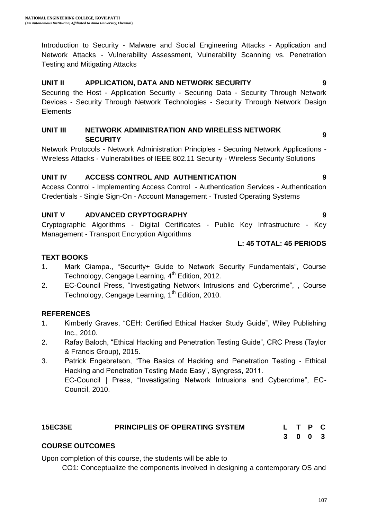Introduction to Security - Malware and Social Engineering Attacks - Application and Network Attacks - Vulnerability Assessment, Vulnerability Scanning vs. Penetration Testing and Mitigating Attacks

# **UNIT II APPLICATION, DATA AND NETWORK SECURITY 9**

Securing the Host - Application Security - Securing Data - Security Through Network Devices - Security Through Network Technologies - Security Through Network Design **Elements** 

#### **UNIT III NETWORK ADMINISTRATION AND WIRELESS NETWORK SECURITY 9**

Network Protocols - Network Administration Principles - Securing Network Applications - Wireless Attacks - Vulnerabilities of IEEE 802.11 Security - Wireless Security Solutions

#### **UNIT IV ACCESS CONTROL AND AUTHENTICATION 9**

Access Control - Implementing Access Control - Authentication Services - Authentication Credentials - Single Sign-On - Account Management - Trusted Operating Systems

#### **UNIT V ADVANCED CRYPTOGRAPHY 9**

Cryptographic Algorithms - Digital Certificates - Public Key Infrastructure - Key Management - Transport Encryption Algorithms

#### **L: 45 TOTAL: 45 PERIODS**

#### **TEXT BOOKS**

- 5. 1. Mark Ciampa., "Security+ Guide to Network Security Fundamentals", Course Technology, Cengage Learning, 4<sup>th</sup> Edition, 2012.
- 6. 2. EC-Council Press, "Investigating Network Intrusions and Cybercrime", , Course Technology, Cengage Learning, 1<sup>th</sup> Edition, 2010.

#### **REFERENCES**

- 7. 1. Kimberly Graves, "CEH: Certified Ethical Hacker Study Guide", Wiley Publishing Inc., 2010.
- 8. 2. Rafay Baloch, "Ethical Hacking and Penetration Testing Guide", CRC Press (Taylor & Francis Group), 2015.
- 9. 3. Patrick Engebretson, "The Basics of Hacking and Penetration Testing Ethical Hacking and Penetration Testing Made Easy", Syngress, 2011. EC-Council | Press, "Investigating Network Intrusions and Cybercrime", EC-Council, 2010.

### **15EC35E PRINCIPLES OF OPERATING SYSTEM L T P C**

**3 0 0 3**

#### **COURSE OUTCOMES**

Upon completion of this course, the students will be able to

CO1: Conceptualize the components involved in designing a contemporary OS and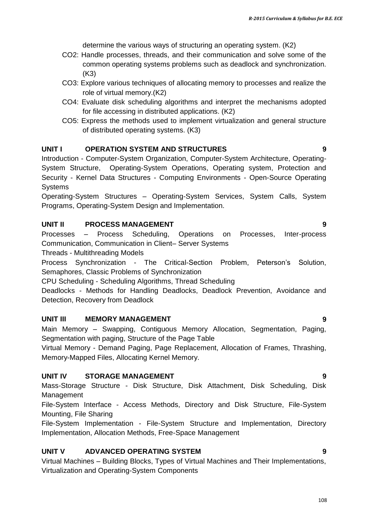determine the various ways of structuring an operating system. (K2)

- CO2: Handle processes, threads, and their communication and solve some of the common operating systems problems such as deadlock and synchronization. (K3)
- CO3: Explore various techniques of allocating memory to processes and realize the role of virtual memory.(K2)
- CO4: Evaluate disk scheduling algorithms and interpret the mechanisms adopted for file accessing in distributed applications. (K2)
- CO5: Express the methods used to implement virtualization and general structure of distributed operating systems. (K3)

#### **UNIT I OPERATION SYSTEM AND STRUCTURES 9**

Introduction - Computer-System Organization, Computer-System Architecture, Operating-System Structure, Operating-System Operations, Operating system, Protection and Security - Kernel Data Structures - Computing Environments - Open-Source Operating **Systems** 

Operating-System Structures – Operating-System Services, System Calls, System Programs, Operating-System Design and Implementation.

#### **UNIT II PROCESS MANAGEMENT 9**

Processes – Process Scheduling, Operations on Processes, Inter-process Communication, Communication in Client– Server Systems

Threads - Multithreading Models

Process Synchronization - The Critical-Section Problem, Peterson"s Solution, Semaphores, Classic Problems of Synchronization

CPU Scheduling - Scheduling Algorithms, Thread Scheduling

Deadlocks - Methods for Handling Deadlocks, Deadlock Prevention, Avoidance and Detection, Recovery from Deadlock

#### **UNIT III MEMORY MANAGEMENT 9**

Main Memory – Swapping, Contiguous Memory Allocation, Segmentation, Paging, Segmentation with paging, Structure of the Page Table

Virtual Memory - Demand Paging, Page Replacement, Allocation of Frames, Thrashing, Memory-Mapped Files, Allocating Kernel Memory.

#### **UNIT IV STORAGE MANAGEMENT 9**

Mass-Storage Structure - Disk Structure, Disk Attachment, Disk Scheduling, Disk Management

File-System Interface - Access Methods, Directory and Disk Structure, File-System Mounting, File Sharing

File-System Implementation - File-System Structure and Implementation, Directory Implementation, Allocation Methods, Free-Space Management

#### **UNIT V ADVANCED OPERATING SYSTEM 9**

Virtual Machines – Building Blocks, Types of Virtual Machines and Their Implementations, Virtualization and Operating-System Components

108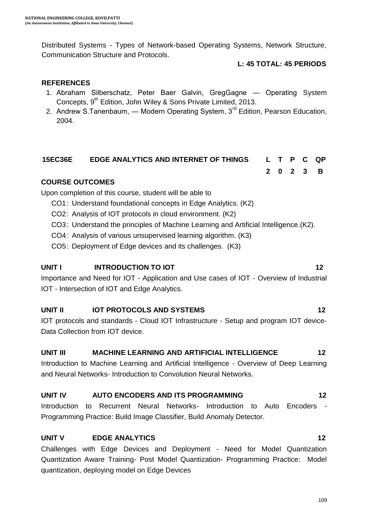Distributed Systems - Types of Network-based Operating Systems, Network Structure, Communication Structure and Protocols.

#### **L: 45 TOTAL: 45 PERIODS**

#### **REFERENCES**

- 1. Abraham Silberschatz, Peter Baer Galvin, GregGagne ― Operating System Concepts, 9<sup>th</sup> Edition, John Wiley & Sons Private Limited, 2013.
- 2. Andrew S.Tanenbaum, Modern Operating System,  $3<sup>rd</sup>$  Edition, Pearson Education, 2004.

# **15EC36E EDGE ANALYTICS AND INTERNET OF THINGS L T P C QP**

**2 0 2 3 B**

#### **COURSE OUTCOMES**

Upon completion of this course, student will be able to

- CO1: Understand foundational concepts in Edge Analytics. (K2)
- CO2: Analysis of IOT protocols in cloud environment. (K2)
- CO3: Understand the principles of Machine Learning and Artificial Intelligence.(K2).
- CO4: Analysis of various unsupervised learning algorithm. (K3)
- CO5: Deployment of Edge devices and its challenges. (K3)

#### **UNIT I INTRODUCTION TO IOT 12**

Importance and Need for IOT - Application and Use cases of IOT - Overview of Industrial IOT - Intersection of IOT and Edge Analytics.

#### **UNIT II IOT PROTOCOLS AND SYSTEMS** 12

IOT protocols and standards - Cloud IOT Infrastructure - Setup and program IOT device-Data Collection from IOT device.

#### **UNIT III MACHINE LEARNING AND ARTIFICIAL INTELLIGENCE 12**

Introduction to Machine Learning and Artificial Intelligence - Overview of Deep Learning and Neural Networks- Introduction to Convolution Neural Networks.

#### **UNIT IV AUTO ENCODERS AND ITS PROGRAMMING 12**

Introduction to Recurrent Neural Networks- Introduction to Auto Encoders - Programming Practice: Build Image Classifier, Build Anomaly Detector.

#### **UNIT V EDGE ANALYTICS** 12

Challenges with Edge Devices and Deployment - Need for Model Quantization Quantization Aware Training- Post Model Quantization- Programming Practice: Model quantization, deploying model on Edge Devices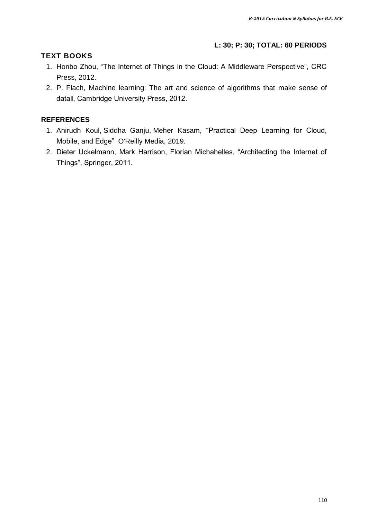#### **L: 30; P: 30; TOTAL: 60 PERIODS**

#### **TEXT BOOKS**

- 1. Honbo Zhou, "The Internet of Things in the Cloud: A Middleware Perspective", CRC Press, 2012.
- 2. P. Flach, Machine learning: The art and science of algorithms that make sense of data‖, Cambridge University Press, 2012.

#### **REFERENCES**

- 1. [Anirudh Koul,](https://www.google.co.in/search?hl=en&sxsrf=ALeKk01EZHRUFsUe3zy8fiUjrbGOnGEFfg:1608020201132&q=inauthor:%22Anirudh+Koul%22&tbm=bks) [Siddha Ganju,](https://www.google.co.in/search?hl=en&sxsrf=ALeKk01EZHRUFsUe3zy8fiUjrbGOnGEFfg:1608020201132&q=inauthor:%22Siddha+Ganju%22&tbm=bks) [Meher Kasam](https://www.google.co.in/search?hl=en&sxsrf=ALeKk01EZHRUFsUe3zy8fiUjrbGOnGEFfg:1608020201132&q=inauthor:%22Meher+Kasam%22&tbm=bks), "Practical Deep Learning for Cloud, Mobile, and Edge" [O'Reilly Media,](https://www.google.co.in/search?hl=en&gbpv=1&dq=deploy+model+on+edge+device&printsec=frontcover&q=inpublisher:%22O%27Reilly+Media%22&tbm=bks&sa=X&ved=2ahUKEwivxu6Gxs_tAhVFqksFHR6lD_YQmxMoADAIegQIGhAC&sxsrf=ALeKk01EZHRUFsUe3zy8fiUjrbGOnGEFfg:1608020201132) 2019.
- 2. Dieter Uckelmann, Mark Harrison, Florian Michahelles, "Architecting the Internet of Things", Springer, 2011.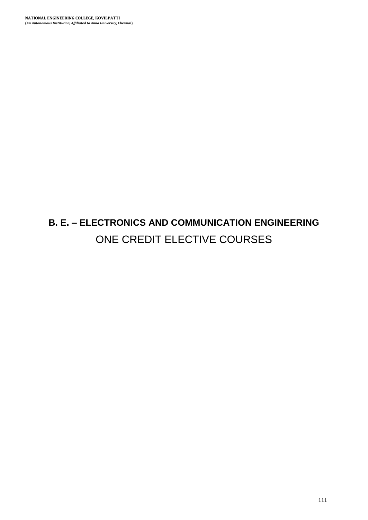# **B. E. – ELECTRONICS AND COMMUNICATION ENGINEERING** ONE CREDIT ELECTIVE COURSES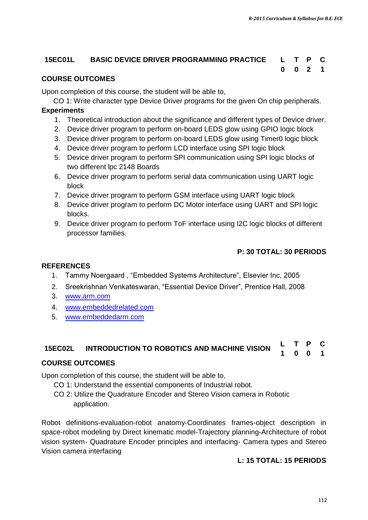## **15EC01L BASIC DEVICE DRIVER PROGRAMMING PRACTICE L T P C**

## **0 0 2 1**

#### **COURSE OUTCOMES**

Upon completion of this course, the student will be able to,

CO 1: Write character type Device Driver programs for the given On chip peripherals.

#### **Experiments**

- 1. Theoretical introduction about the significance and different types of Device driver.
- 2. Device driver program to perform on-board LEDS glow using GPIO logic block
- 3. Device driver program to perform on-board LEDS glow using Timer0 logic block
- 4. Device driver program to perform LCD interface using SPI logic block
- 5. Device driver program to perform SPI communication using SPI logic blocks of two different lpc 2148 Boards
- 6. Device driver program to perform serial data communication using UART logic block
- 7. Device driver program to perform GSM interface using UART logic block
- 8. Device driver program to perform DC Motor interface using UART and SPI logic blocks.
- 9. Device driver program to perform ToF interface using I2C logic blocks of different processor families.

#### **P: 30 TOTAL: 30 PERIODS**

#### **REFERENCES**

- 1. Tammy Noergaard , "Embedded Systems Architecture", Elsevier Inc, 2005
- 2. Sreekrishnan Venkateswaran, "Essential Device Driver", Prentice Hall, 2008
- 3. [www.arm.com](http://www.arm.com/)
- 4. [www.embeddedrelated.com](http://www.embeddedrelated.com/)
- 5. [www.embeddedarm.com](http://www.embeddedarm.com/)

#### **15EC02L INTRODUCTION TO ROBOTICS AND MACHINE VISION <sup>L</sup> <sup>T</sup> <sup>P</sup> <sup>C</sup> 1 0 0 1**

#### **COURSE OUTCOMES**

Upon completion of this course, the student will be able to,

- CO 1: Understand the essential components of Industrial robot.
- CO 2: Utilize the Quadrature Encoder and Stereo Vision camera in Robotic application.

Robot definitions-evaluation-robot anatomy-Coordinates frames-object description in space-robot modeling by Direct kinematic model-Trajectory planning-Architecture of robot vision system- Quadrature Encoder principles and interfacing- Camera types and Stereo Vision camera interfacing

#### **L: 15 TOTAL: 15 PERIODS**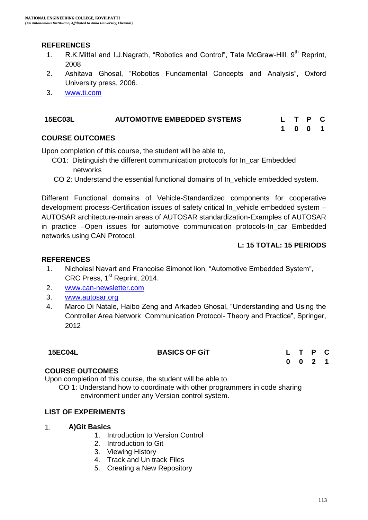#### **REFERENCES**

- 1. R.K.Mittal and I.J.Nagrath, "Robotics and Control", Tata McGraw-Hill, 9<sup>th</sup> Reprint, 2008
- 2. Ashitava Ghosal, "Robotics Fundamental Concepts and Analysis", Oxford University press, 2006.
- 3. [www.ti.com](http://www.ti.com/)

| <b>15EC03L</b> | <b>AUTOMOTIVE EMBEDDED SYSTEMS</b> |  | L T P C |  |
|----------------|------------------------------------|--|---------|--|
|                |                                    |  | 1001    |  |

#### **COURSE OUTCOMES**

Upon completion of this course, the student will be able to,

- CO1: Distinguish the different communication protocols for In\_car Embedded networks
- CO 2: Understand the essential functional domains of In vehicle embedded system.

Different Functional domains of Vehicle-Standardized components for cooperative development process-Certification issues of safety critical In\_vehicle embedded system – AUTOSAR architecture-main areas of AUTOSAR standardization-Examples of AUTOSAR in practice –Open issues for automotive communication protocols-In car Embedded networks using CAN Protocol.

#### **L: 15 TOTAL: 15 PERIODS**

#### **REFERENCES**

- 1. Nicholasl Navart and Francoise Simonot lion, "Automotive Embedded System", CRC Press, 1<sup>st</sup> Reprint, 2014.
- 2. [www.can-newsletter.com](http://www.can-newsletter.com/)
- 3. [www.autosar.org](http://www.autosar.org/)
- 4. Marco Di Natale, Haibo Zeng and Arkadeb Ghosal, "Understanding and Using the Controller Area Network Communication Protocol- Theory and Practice", Springer, 2012

#### **15EC04L BASICS OF GiT L T P C**

**0 0 2 1**

#### **COURSE OUTCOMES**

Upon completion of this course, the student will be able to

 CO 1: Understand how to coordinate with other programmers in code sharing environment under any Version control system.

#### **LIST OF EXPERIMENTS**

- 1. **A)Git Basics**
	- 1. Introduction to Version Control
	- 2. Introduction to Git
	- 3. Viewing History
	- 4. Track and Un track Files
	- 5. Creating a New Repository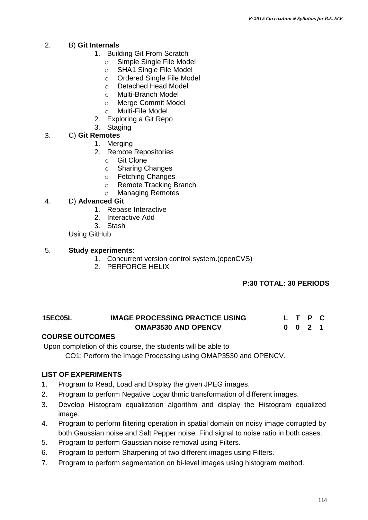#### 2. B) **Git Internals**

- 1. Building Git From Scratch
	- o Simple Single File Model
	- o SHA1 Single File Model
	- o Ordered Single File Model<br>
	o Detached Head Model
	- Detached Head Model
	- o Multi-Branch Model
	- o Merge Commit Model
	- o Multi-File Model
- 2. Exploring a Git Repo
- 3. Staging

#### 3. C) **Git Remotes**

- 1. Merging
- 2. Remote Repositories
	- o Git Clone
	- o Sharing Changes
	- o Fetching Changes
	- o Remote Tracking Branch
	- o Managing Remotes

#### 4. D) **Advanced Git**

- 1. Rebase Interactive
- 2. Interactive Add
- 3. Stash

Using GitHub

#### 5. **Study experiments:**

- 1. Concurrent version control system.(openCVS)
- 2. PERFORCE HELIX

#### **P:30 TOTAL: 30 PERIODS**

#### **15EC05L IMAGE PROCESSING PRACTICE USING OMAP3530 AND OPENCV L T P C 0 0 2 1**

#### **COURSE OUTCOMES**

Upon completion of this course, the students will be able to

CO1: Perform the Image Processing using OMAP3530 and OPENCV.

#### **LIST OF EXPERIMENTS**

- 1. Program to Read, Load and Display the given JPEG images.
- 2. Program to perform Negative Logarithmic transformation of different images.
- 3. Develop Histogram equalization algorithm and display the Histogram equalized image.
- 4. Program to perform filtering operation in spatial domain on noisy image corrupted by both Gaussian noise and Salt Pepper noise. Find signal to noise ratio in both cases.
- 5. Program to perform Gaussian noise removal using Filters.
- 6. Program to perform Sharpening of two different images using Filters.
- 7. Program to perform segmentation on bi-level images using histogram method.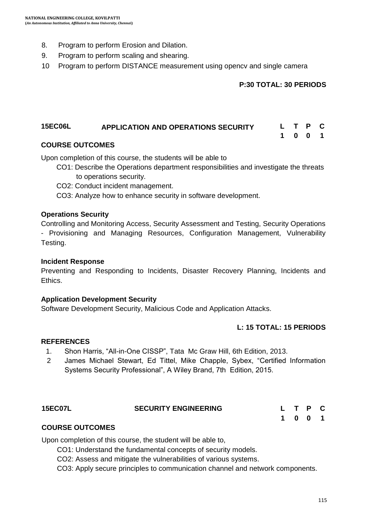- 8. Program to perform Erosion and Dilation.
- 9. Program to perform scaling and shearing.
- 10 Program to perform DISTANCE measurement using opencv and single camera

#### **P:30 TOTAL: 30 PERIODS**

#### **15EC06L APPLICATION AND OPERATIONS SECURITY L T P C 1 0 0 1**

#### **COURSE OUTCOMES**

Upon completion of this course, the students will be able to

- CO1: Describe the Operations department responsibilities and investigate the threats to operations security.
- CO2: Conduct incident management.

CO3: Analyze how to enhance security in software development.

#### **Operations Security**

Controlling and Monitoring Access, Security Assessment and Testing, Security Operations - Provisioning and Managing Resources, Configuration Management, Vulnerability Testing.

#### **Incident Response**

Preventing and Responding to Incidents, Disaster Recovery Planning, Incidents and Ethics.

#### **Application Development Security**

Software Development Security, Malicious Code and Application Attacks.

#### **L: 15 TOTAL: 15 PERIODS**

#### **REFERENCES**

- 1. Shon Harris, "All-in-One CISSP", Tata Mc Graw Hill, 6th Edition, 2013.
- 2 James Michael Stewart, Ed Tittel, Mike Chapple, Sybex, "Certified Information Systems Security Professional", A Wiley Brand, 7th Edition, 2015.

#### **15EC07L SECURITY ENGINEERING L T P C**

| L.                   | $\mathbf{T}$ | - P | C |
|----------------------|--------------|-----|---|
| $\blacktriangleleft$ | $\bf{0}$     | - 0 | 1 |

#### **COURSE OUTCOMES**

Upon completion of this course, the student will be able to,

CO1: Understand the fundamental concepts of security models.

CO2: Assess and mitigate the vulnerabilities of various systems.

CO3: Apply secure principles to communication channel and network components.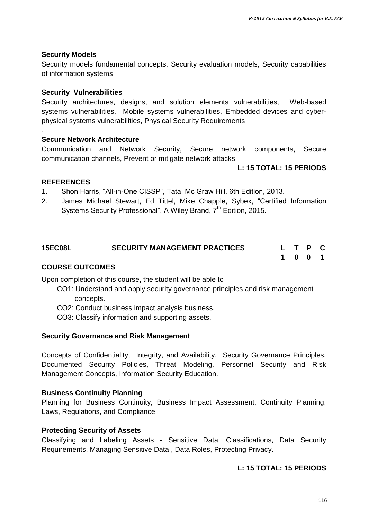#### **Security Models**

Security models fundamental concepts, Security evaluation models, Security capabilities of information systems

#### **Security Vulnerabilities**

Security architectures, designs, and solution elements vulnerabilities, Web-based systems vulnerabilities, Mobile systems vulnerabilities, Embedded devices and cyberphysical systems vulnerabilities, Physical Security Requirements

#### **Secure Network Architecture**

Communication and Network Security, Secure network components, Secure communication channels, Prevent or mitigate network attacks

#### **L: 15 TOTAL: 15 PERIODS**

#### **REFERENCES**

.

- 1. 1. Shon Harris, "All-in-One CISSP", Tata Mc Graw Hill, 6th Edition, 2013.
- 2. 2. James Michael Stewart, Ed Tittel, Mike Chapple, Sybex, "Certified Information Systems Security Professional", A Wiley Brand, 7<sup>th</sup> Edition, 2015.

| <b>15EC08L</b>         | <b>SECURITY MANAGEMENT PRACTICES</b> |  | L T P C |  |
|------------------------|--------------------------------------|--|---------|--|
|                        |                                      |  | 1001    |  |
| <b>COURSE OUTCOMES</b> |                                      |  |         |  |

Upon completion of this course, the student will be able to

- CO1: Understand and apply security governance principles and risk management concepts.
- CO2: Conduct business impact analysis business.
- CO3: Classify information and supporting assets.

#### **Security Governance and Risk Management**

Concepts of Confidentiality, Integrity, and Availability, Security Governance Principles, Documented Security Policies, Threat Modeling, Personnel Security and Risk Management Concepts, Information Security Education.

#### **Business Continuity Planning**

Planning for Business Continuity, Business Impact Assessment, Continuity Planning, Laws, Regulations, and Compliance

#### **Protecting Security of Assets**

Classifying and Labeling Assets - Sensitive Data, Classifications, Data Security Requirements, Managing Sensitive Data , Data Roles, Protecting Privacy.

#### **L: 15 TOTAL: 15 PERIODS**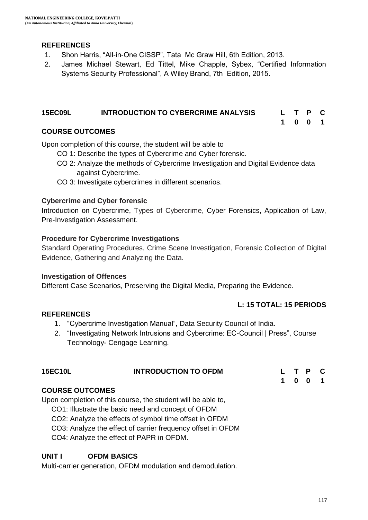#### **REFERENCES**

- 3. 1. Shon Harris, "All-in-One CISSP", Tata Mc Graw Hill, 6th Edition, 2013.
- 4. 2. James Michael Stewart, Ed Tittel, Mike Chapple, Sybex, "Certified Information Systems Security Professional", A Wiley Brand, 7th Edition, 2015.

#### **15EC09L INTRODUCTION TO CYBERCRIME ANALYSIS L T P C**

**1 0 0 1**

#### **COURSE OUTCOMES**

Upon completion of this course, the student will be able to

- CO 1: Describe the types of Cybercrime and Cyber forensic.
- CO 2: Analyze the methods of Cybercrime Investigation and Digital Evidence data against Cybercrime.
- CO 3: Investigate cybercrimes in different scenarios.

#### **Cybercrime and Cyber forensic**

Introduction on Cybercrime, Types of Cybercrime, Cyber Forensics, Application of Law, Pre-Investigation Assessment.

#### **Procedure for Cybercrime Investigations**

Standard Operating Procedures, Crime Scene Investigation, Forensic Collection of Digital Evidence, Gathering and Analyzing the Data.

#### **Investigation of Offences**

Different Case Scenarios, Preserving the Digital Media, Preparing the Evidence.

#### **L: 15 TOTAL: 15 PERIODS**

#### **REFERENCES**

- 1. "Cybercrime Investigation Manual", Data Security Council of India.
- 2. "Investigating Network Intrusions and Cybercrime: EC-Council | Press", Course Technology- Cengage Learning.

| <b>15EC10L</b> | <b>INTRODUCTION TO OFDM</b> | L T P C |  |         |  |  |
|----------------|-----------------------------|---------|--|---------|--|--|
|                |                             |         |  | 1 0 0 1 |  |  |

#### **COURSE OUTCOMES**

Upon completion of this course, the student will be able to,

CO1: Illustrate the basic need and concept of OFDM

CO2: Analyze the effects of symbol time offset in OFDM

CO3: Analyze the effect of carrier frequency offset in OFDM

CO4: Analyze the effect of PAPR in OFDM.

#### **UNIT I OFDM BASICS**

Multi-carrier generation, OFDM modulation and demodulation.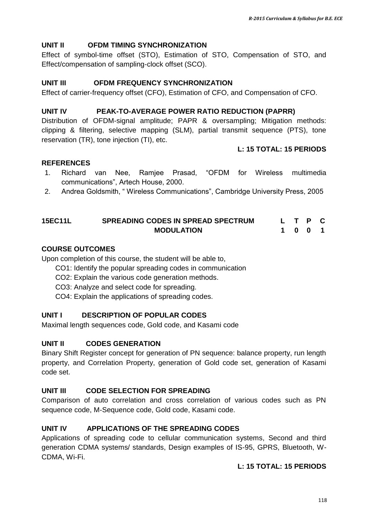#### **UNIT II OFDM TIMING SYNCHRONIZATION**

Effect of symbol-time offset (STO), Estimation of STO, Compensation of STO, and Effect/compensation of sampling-clock offset (SCO).

#### **UNIT III OFDM FREQUENCY SYNCHRONIZATION**

Effect of carrier-frequency offset (CFO), Estimation of CFO, and Compensation of CFO.

#### **UNIT IV PEAK-TO-AVERAGE POWER RATIO REDUCTION (PAPRR)**

Distribution of OFDM-signal amplitude; PAPR & oversampling; Mitigation methods: clipping & filtering, selective mapping (SLM), partial transmit sequence (PTS), tone reservation (TR), tone injection (TI), etc.

#### **L: 15 TOTAL: 15 PERIODS**

#### **REFERENCES**

- 1. Richard van Nee, Ramjee Prasad, "OFDM for Wireless multimedia communications", Artech House, 2000.
- 2. Andrea Goldsmith, " Wireless Communications", Cambridge University Press, 2005

#### **15EC11L SPREADING CODES IN SPREAD SPECTRUM MODULATION L T P C 1 0 0 1**

#### **COURSE OUTCOMES**

Upon completion of this course, the student will be able to,

- CO1: Identify the popular spreading codes in communication
- CO2: Explain the various code generation methods.
- CO3: Analyze and select code for spreading.
- CO4: Explain the applications of spreading codes.

#### **UNIT I DESCRIPTION OF POPULAR CODES**

Maximal length sequences code, Gold code, and Kasami code

#### **UNIT II CODES GENERATION**

Binary Shift Register concept for generation of PN sequence: balance property, run length property, and Correlation Property, generation of Gold code set, generation of Kasami code set.

#### **UNIT III CODE SELECTION FOR SPREADING**

Comparison of auto correlation and cross correlation of various codes such as PN sequence code, M-Sequence code, Gold code, Kasami code.

#### **UNIT IV APPLICATIONS OF THE SPREADING CODES**

Applications of spreading code to cellular communication systems, Second and third generation CDMA systems/ standards, Design examples of IS-95, GPRS, Bluetooth, W-CDMA, Wi-Fi.

#### **L: 15 TOTAL: 15 PERIODS**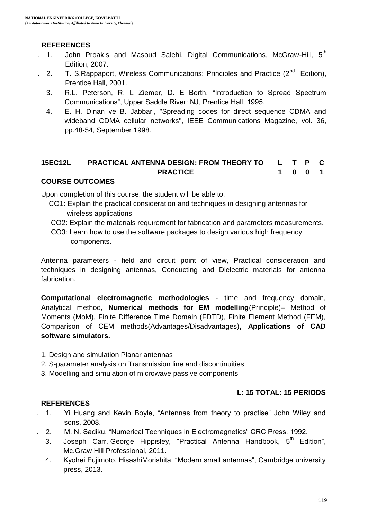#### **REFERENCES**

- 1. John Proakis and Masoud Salehi, Digital Communications, McGraw-Hill, 5<sup>th</sup> Edition, 2007.
- 2. T. S.Rappaport, Wireless Communications: Principles and Practice  $(2^{nd}$  Edition), Prentice Hall, 2001.
	- 3. R.L. Peterson, R. L Ziemer, D. E Borth, "Introduction to Spread Spectrum Communications", Upper Saddle River: NJ, Prentice Hall, 1995.
	- 4. E. H. Dinan ve B. Jabbari, "Spreading codes for direct sequence CDMA and wideband CDMA cellular networks", IEEE Communications Magazine, vol. 36, pp.48-54, September 1998.

#### **15EC12L PRACTICAL ANTENNA DESIGN: FROM THEORY TO PRACTICE L T P C 1 0 0 1**

#### **COURSE OUTCOMES**

Upon completion of this course, the student will be able to,

- CO1: Explain the practical consideration and techniques in designing antennas for wireless applications
- CO2: Explain the materials requirement for fabrication and parameters measurements.
- CO3: Learn how to use the software packages to design various high frequency components.

Antenna parameters - field and circuit point of view, Practical consideration and techniques in designing antennas, Conducting and Dielectric materials for antenna fabrication.

**Computational electromagnetic methodologies** - time and frequency domain, Analytical method, **Numerical methods for EM modelling**(Principle)– Method of Moments (MoM), Finite Difference Time Domain (FDTD), Finite Element Method (FEM), Comparison of CEM methods(Advantages/Disadvantages)**, Applications of CAD software simulators.**

- 1. Design and simulation Planar antennas
- 2. S-parameter analysis on Transmission line and discontinuities
- 3. Modelling and simulation of microwave passive components

#### **L: 15 TOTAL: 15 PERIODS**

#### **REFERENCES**

- 7. 1. Yi Huang and Kevin Boyle, "Antennas from theory to practise" John Wiley and sons, 2008.
- 2. M. N. Sadiku, "Numerical Techniques in Electromagnetics" CRC Press, 1992.
- 3. Joseph Carr, George Hippisley, "Practical Antenna Handbook, 5<sup>th</sup> Edition", Mc.Graw Hill Professional, 2011.
- 4. Kyohei Fujimoto, HisashiMorishita, "Modern small antennas", Cambridge university press, 2013.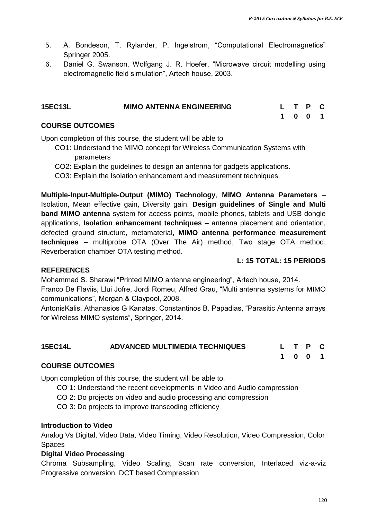- 5. A. Bondeson, T. Rylander, P. Ingelstrom, "Computational Electromagnetics" Springer 2005.
- 6. Daniel G. Swanson, Wolfgang J. R. Hoefer, "Microwave circuit modelling using electromagnetic field simulation", Artech house, 2003.

| <b>15EC13L</b> | <b>MIMO ANTENNA ENGINEERING</b> | L T P C |  |  |
|----------------|---------------------------------|---------|--|--|
|                |                                 | 1001    |  |  |

#### **COURSE OUTCOMES**

Upon completion of this course, the student will be able to

- CO1: Understand the MIMO concept for Wireless Communication Systems with parameters
- CO2: Explain the guidelines to design an antenna for gadgets applications.
- CO3: Explain the Isolation enhancement and measurement techniques.

**Multiple-Input-Multiple-Output (MIMO) Technology**, **MIMO Antenna Parameters** – Isolation, Mean effective gain, Diversity gain. **Design guidelines of Single and Multi band MIMO antenna** system for access points, mobile phones, tablets and USB dongle applications, **Isolation enhancement techniques** – antenna placement and orientation, defected ground structure, metamaterial, **MIMO antenna performance measurement techniques –** multiprobe OTA (Over The Air) method, Two stage OTA method, Reverberation chamber OTA testing method.

#### **L: 15 TOTAL: 15 PERIODS**

#### **REFERENCES**

Mohammad S. Sharawi "Printed MIMO antenna engineering", Artech house, 2014. Franco De Flaviis, Llui Jofre, Jordi Romeu, Alfred Grau, "Multi antenna systems for MIMO communications", Morgan & Claypool, 2008.

AntonisKalis, Athanasios G Kanatas, Constantinos B. Papadias, "Parasitic Antenna arrays for Wireless MIMO systems", Springer, 2014.

| <b>15EC14L</b> | ADVANCED MULTIMEDIA TECHNIQUES |  | L T P C |  |
|----------------|--------------------------------|--|---------|--|
|                |                                |  | 1001    |  |

#### **COURSE OUTCOMES**

Upon completion of this course, the student will be able to,

CO 1: Understand the recent developments in Video and Audio compression

CO 2: Do projects on video and audio processing and compression

CO 3: Do projects to improve transcoding efficiency

#### **Introduction to Video**

Analog Vs Digital, Video Data, Video Timing, Video Resolution, Video Compression, Color Spaces

#### **Digital Video Processing**

Chroma Subsampling, Video Scaling, Scan rate conversion, Interlaced viz-a-viz Progressive conversion, DCT based Compression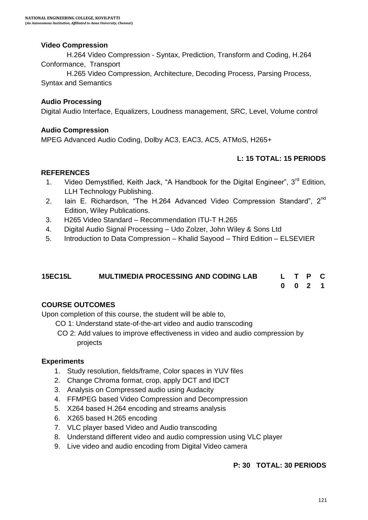#### **Video Compression**

 H.264 Video Compression - Syntax, Prediction, Transform and Coding, H.264 Conformance, Transport

 H.265 Video Compression, Architecture, Decoding Process, Parsing Process, Syntax and Semantics

#### **Audio Processing**

Digital Audio Interface, Equalizers, Loudness management, SRC, Level, Volume control

#### **Audio Compression**

MPEG Advanced Audio Coding, Dolby AC3, EAC3, AC5, ATMoS, H265+

#### **L: 15 TOTAL: 15 PERIODS**

#### **REFERENCES**

- 1. Video Demystified, Keith Jack, "A Handbook for the Digital Engineer", 3<sup>rd</sup> Edition, LLH Technology Publishing.
- 2. Iain E. Richardson, "The H.264 Advanced Video Compression Standard",  $2^{nd}$ Edition, Wiley Publications.
- 3. H265 Video Standard Recommendation ITU-T H.265
- 4. Digital Audio Signal Processing Udo Zolzer, John Wiley & Sons Ltd
- 5. Introduction to Data Compression Khalid Sayood Third Edition ELSEVIER

| 15EC15L | <b>MULTIMEDIA PROCESSING AND CODING LAB</b> | L T P C |  |  |
|---------|---------------------------------------------|---------|--|--|
|         |                                             | 0 0 2 1 |  |  |

#### **COURSE OUTCOMES**

Upon completion of this course, the student will be able to,

- CO 1: Understand state-of-the-art video and audio transcoding
- CO 2: Add values to improve effectiveness in video and audio compression by projects

#### **Experiments**

- 1. Study resolution, fields/frame, Color spaces in YUV files
- 2. Change Chroma format, crop, apply DCT and IDCT
- 3. Analysis on Compressed audio using Audacity
- 4. FFMPEG based Video Compression and Decompression
- 5. X264 based H.264 encoding and streams analysis
- 6. X265 based H.265 encoding
- 7. VLC player based Video and Audio transcoding
- 8. Understand different video and audio compression using VLC player
- 9. Live video and audio encoding from Digital Video camera

#### **P: 30 TOTAL: 30 PERIODS**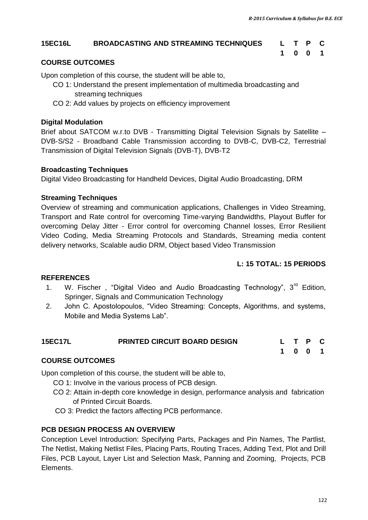#### **15EC16L BROADCASTING AND STREAMING TECHNIQUES L T P C**

## **1 0 0 1**

#### **COURSE OUTCOMES**

Upon completion of this course, the student will be able to,

- CO 1: Understand the present implementation of multimedia broadcasting and streaming techniques
- CO 2: Add values by projects on efficiency improvement

#### **Digital Modulation**

Brief about SATCOM w.r.to DVB - Transmitting Digital Television Signals by Satellite – DVB-S/S2 - Broadband Cable Transmission according to DVB-C, DVB-C2, Terrestrial Transmission of Digital Television Signals (DVB-T), DVB-T2

#### **Broadcasting Techniques**

Digital Video Broadcasting for Handheld Devices, Digital Audio Broadcasting, DRM

#### **Streaming Techniques**

Overview of streaming and communication applications, Challenges in Video Streaming, Transport and Rate control for overcoming Time-varying Bandwidths, Playout Buffer for overcoming Delay Jitter - Error control for overcoming Channel losses, Error Resilient Video Coding, Media Streaming Protocols and Standards, Streaming media content delivery networks, Scalable audio DRM, Object based Video Transmission

#### **L: 15 TOTAL: 15 PERIODS**

#### **REFERENCES**

- 1. W. Fischer, "Digital Video and Audio Broadcasting Technology",  $3^{rd}$  Edition, Springer, Signals and Communication Technology
- 2. John C. Apostolopoulos, "Video Streaming: Concepts, Algorithms, and systems, Mobile and Media Systems Lab".

| <b>15EC17L</b> | <b>PRINTED CIRCUIT BOARD DESIGN</b> | L T P C |  |  |
|----------------|-------------------------------------|---------|--|--|
|                |                                     | 1001    |  |  |

#### **COURSE OUTCOMES**

Upon completion of this course, the student will be able to,

- CO 1: Involve in the various process of PCB design.
- CO 2: Attain in-depth core knowledge in design, performance analysis and fabrication of Printed Circuit Boards.
- CO 3: Predict the factors affecting PCB performance.

#### **PCB DESIGN PROCESS AN OVERVIEW**

Conception Level Introduction: Specifying Parts, Packages and Pin Names, The Partlist, The Netlist, Making Netlist Files, Placing Parts, Routing Traces, Adding Text, Plot and Drill Files, PCB Layout, Layer List and Selection Mask, Panning and Zooming, Projects, PCB Elements.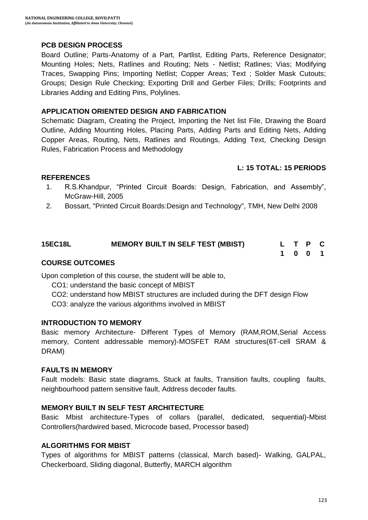#### **PCB DESIGN PROCESS**

Board Outline; Parts-Anatomy of a Part, Partlist, Editing Parts, Reference Designator; Mounting Holes; Nets, Ratlines and Routing; Nets - Netlist; Ratlines; Vias; Modifying Traces, Swapping Pins; Importing Netlist; Copper Areas; Text ; Solder Mask Cutouts; Groups; Design Rule Checking; Exporting Drill and Gerber Files; Drills; Footprints and Libraries Adding and Editing Pins, Polylines.

#### **APPLICATION ORIENTED DESIGN AND FABRICATION**

Schematic Diagram, Creating the Project, Importing the Net list File, Drawing the Board Outline, Adding Mounting Holes, Placing Parts, Adding Parts and Editing Nets, Adding Copper Areas, Routing, Nets, Ratlines and Routings, Adding Text, Checking Design Rules, Fabrication Process and Methodology

#### **L: 15 TOTAL: 15 PERIODS**

#### **REFERENCES**

- 1. R.S.Khandpur, "Printed Circuit Boards: Design, Fabrication, and Assembly", McGraw-Hill, 2005
- 2. Bossart, "Printed Circuit Boards:Design and Technology", TMH, New Delhi 2008

| 15EC18L | <b>MEMORY BUILT IN SELF TEST (MBIST)</b> |  | L T P C |  |
|---------|------------------------------------------|--|---------|--|
|         |                                          |  | 1001    |  |

#### **COURSE OUTCOMES**

Upon completion of this course, the student will be able to,

- CO1: understand the basic concept of MBIST
- CO2: understand how MBIST structures are included during the DFT design Flow
- CO3: analyze the various algorithms involved in MBIST

#### **INTRODUCTION TO MEMORY**

Basic memory Architecture- Different Types of Memory (RAM,ROM,Serial Access memory, Content addressable memory)-MOSFET RAM structures(6T-cell SRAM & DRAM)

#### **FAULTS IN MEMORY**

Fault models: Basic state diagrams, Stuck at faults, Transition faults, coupling faults, neighbourhood pattern sensitive fault, Address decoder faults.

#### **MEMORY BUILT IN SELF TEST ARCHITECTURE**

Basic Mbist architecture-Types of collars (parallel, dedicated, sequential)-Mbist Controllers(hardwired based, Microcode based, Processor based)

#### **ALGORITHMS FOR MBIST**

Types of algorithms for MBIST patterns (classical, March based)- Walking, GALPAL, Checkerboard, Sliding diagonal, Butterfly, MARCH algorithm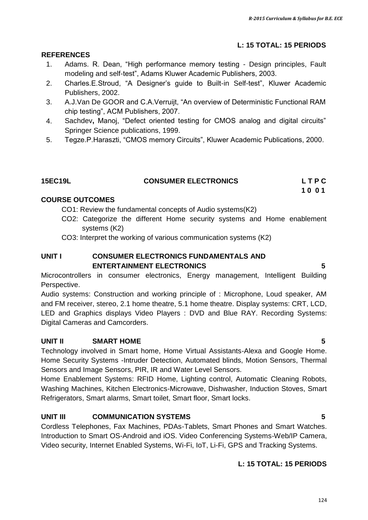#### **L: 15 TOTAL: 15 PERIODS**

#### **REFERENCES**

- 1. Adams. R. Dean, "High performance memory testing Design principles, Fault modeling and self-test", Adams Kluwer Academic Publishers, 2003.
- 2. Charles.E.Stroud, "A Designer"s guide to Built-in Self-test", Kluwer Academic Publishers, 2002.
- 3. A.J.Van De GOOR and C.A.Verruijt, "An overview of Deterministic Functional RAM chip testing", ACM Publishers, 2007.
- 4. Sachdev**,** Manoj, "Defect oriented testing for CMOS analog and digital circuits" Springer Science publications, 1999.
- 5. Tegze.P.Haraszti, "CMOS memory Circuits", Kluwer Academic Publications, 2000.

| <b>15EC19L</b> | <b>CONSUMER ELECTRONICS</b> | LTPC |
|----------------|-----------------------------|------|
|                |                             | 1001 |

#### **COURSE OUTCOMES**

- CO1: Review the fundamental concepts of Audio systems(K2)
- CO2: Categorize the different Home security systems and Home enablement systems (K2)

CO3: Interpret the working of various communication systems (K2)

#### **UNIT I CONSUMER ELECTRONICS FUNDAMENTALS AND ENTERTAINMENT ELECTRONICS 5**

Microcontrollers in consumer electronics, Energy management, Intelligent Building Perspective.

Audio systems: Construction and working principle of : Microphone, Loud speaker, AM and FM receiver, stereo, 2.1 home theatre, 5.1 home theatre. Display systems: CRT, LCD, LED and Graphics displays Video Players : DVD and Blue RAY. Recording Systems: Digital Cameras and Camcorders.

#### **UNIT II SMART HOME 5**

Technology involved in Smart home, Home Virtual Assistants-Alexa and Google Home. Home Security Systems -Intruder Detection, Automated blinds, Motion Sensors, Thermal Sensors and Image Sensors, PIR, IR and Water Level Sensors.

Home Enablement Systems: RFID Home, Lighting control, Automatic Cleaning Robots, Washing Machines, Kitchen Electronics-Microwave, Dishwasher, Induction Stoves, Smart Refrigerators, Smart alarms, Smart toilet, Smart floor, Smart locks.

#### **UNIT III COMMUNICATION SYSTEMS 5**

Cordless Telephones, Fax Machines, PDAs-Tablets, Smart Phones and Smart Watches. Introduction to Smart OS-Android and iOS. Video Conferencing Systems-Web/IP Camera, Video security, Internet Enabled Systems, Wi-Fi, IoT, Li-Fi, GPS and Tracking Systems.

#### **L: 15 TOTAL: 15 PERIODS**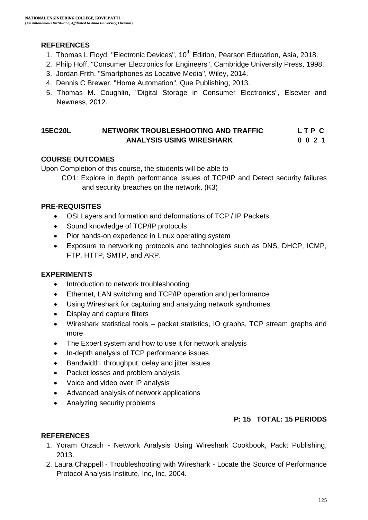#### **REFERENCES**

- 1. Thomas L Floyd, "Electronic Devices", 10<sup>th</sup> Edition, Pearson Education, Asia, 2018.
- 2. Philp Hoff, "Consumer Electronics for Engineers", Cambridge University Press, 1998.
- 3. Jordan Frith, "Smartphones as Locative Media", Wiley, 2014.
- 4. Dennis C Brewer, "Home Automation", Que Publishing, 2013.
- 5. Thomas M. Coughlin, "Digital Storage in Consumer Electronics", Elsevier and Newness, 2012.

#### **15EC20L NETWORK TROUBLESHOOTING AND TRAFFIC L T P C ANALYSIS USING WIRESHARK 0 0 2 1**

#### **COURSE OUTCOMES**

Upon Completion of this course, the students will be able to

CO1: Explore in depth performance issues of TCP/IP and Detect security failures and security breaches on the network. (K3)

#### **PRE-REQUISITES**

- OSI Layers and formation and deformations of TCP / IP Packets
- Sound knowledge of TCP/IP protocols
- Pior hands-on experience in Linux operating system
- Exposure to networking protocols and technologies such as DNS, DHCP, ICMP, FTP, HTTP, SMTP, and ARP.

#### **EXPERIMENTS**

- Introduction to network troubleshooting
- Ethernet, LAN switching and TCP/IP operation and performance
- Using Wireshark for capturing and analyzing network syndromes
- Display and capture filters
- Wireshark statistical tools packet statistics, IO graphs, TCP stream graphs and more
- The Expert system and how to use it for network analysis
- In-depth analysis of TCP performance issues
- Bandwidth, throughput, delay and jitter issues
- Packet losses and problem analysis
- Voice and video over IP analysis
- Advanced analysis of network applications
- Analyzing security problems

#### **P: 15 TOTAL: 15 PERIODS**

#### **REFERENCES**

- 1. Yoram Orzach Network Analysis Using Wireshark Cookbook, Packt Publishing, 2013.
- 2. Laura Chappell Troubleshooting with Wireshark Locate the Source of Performance Protocol Analysis Institute, Inc, Inc, 2004.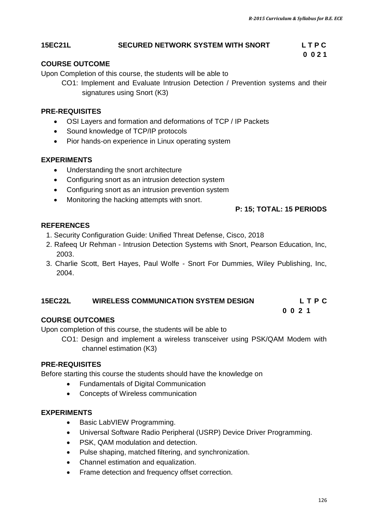#### **15EC21L SECURED NETWORK SYSTEM WITH SNORT L T P C**

#### **COURSE OUTCOME**

Upon Completion of this course, the students will be able to

CO1: Implement and Evaluate Intrusion Detection / Prevention systems and their signatures using Snort (K3)

 **0 0 2 1**

#### **PRE-REQUISITES**

- OSI Layers and formation and deformations of TCP / IP Packets
- Sound knowledge of TCP/IP protocols
- Pior hands-on experience in Linux operating system

#### **EXPERIMENTS**

- Understanding the snort architecture
- Configuring snort as an intrusion detection system
- Configuring snort as an intrusion prevention system
- Monitoring the hacking attempts with snort.

#### **P: 15; TOTAL: 15 PERIODS**

#### **REFERENCES**

- 1. Security Configuration Guide: Unified Threat Defense, Cisco, 2018
- 2. Rafeeq Ur Rehman Intrusion Detection Systems with Snort, Pearson Education, Inc, 2003.
- 3. Charlie Scott, Bert Hayes, Paul Wolfe Snort For Dummies, Wiley Publishing, Inc, 2004.

#### **15EC22L WIRELESS COMMUNICATION SYSTEM DESIGN L T P C 0 0 2 1**

#### **COURSE OUTCOMES**

Upon completion of this course, the students will be able to

CO1: Design and implement a wireless transceiver using PSK/QAM Modem with channel estimation (K3)

#### **PRE-REQUISITES**

Before starting this course the students should have the knowledge on

- Fundamentals of Digital Communication
- Concepts of Wireless communication

#### **EXPERIMENTS**

- Basic LabVIEW Programming.
- Universal Software Radio Peripheral (USRP) Device Driver Programming.
- PSK, QAM modulation and detection.
- Pulse shaping, matched filtering, and synchronization.
- Channel estimation and equalization.
- Frame detection and frequency offset correction.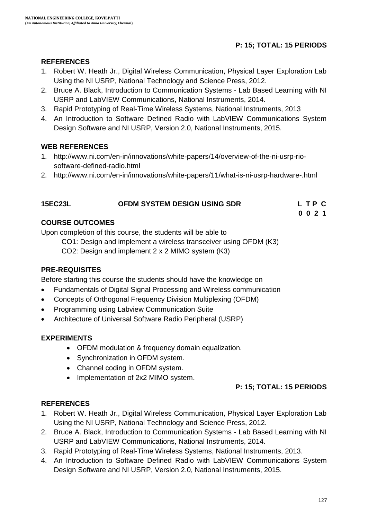#### **P: 15; TOTAL: 15 PERIODS**

#### **REFERENCES**

- 1. Robert W. Heath Jr., Digital Wireless Communication, Physical Layer Exploration Lab Using the NI USRP, National Technology and Science Press, 2012.
- 2. Bruce A. Black, Introduction to Communication Systems Lab Based Learning with NI USRP and LabVIEW Communications, National Instruments, 2014.
- 3. Rapid Prototyping of Real-Time Wireless Systems, National Instruments, 2013
- 4. An Introduction to Software Defined Radio with LabVIEW Communications System Design Software and NI USRP, Version 2.0, National Instruments, 2015.

#### **WEB REFERENCES**

- 1. [http://www.ni.com/en-in/innovations/white-papers/14/overview-of-the-ni-usrp-rio](http://www.ni.com/en-in/innovations/white-papers/14/overview-of-the-ni-usrp-rio-software-defined-radio.html)[software-defined-radio.html](http://www.ni.com/en-in/innovations/white-papers/14/overview-of-the-ni-usrp-rio-software-defined-radio.html)
- 2. <http://www.ni.com/en-in/innovations/white-papers/11/what-is-ni-usrp-hardware-.html>

 **0 0 2 1**

#### **COURSE OUTCOMES**

Upon completion of this course, the students will be able to

CO1: Design and implement a wireless transceiver using OFDM (K3)

CO2: Design and implement 2 x 2 MIMO system (K3)

#### **PRE-REQUISITES**

Before starting this course the students should have the knowledge on

- Fundamentals of Digital Signal Processing and Wireless communication
- Concepts of Orthogonal Frequency Division Multiplexing (OFDM)
- Programming using Labview Communication Suite
- Architecture of Universal Software Radio Peripheral (USRP)

#### **EXPERIMENTS**

- OFDM modulation & frequency domain equalization.
- Synchronization in OFDM system.
- Channel coding in OFDM system.
- Implementation of 2x2 MIMO system.

#### **P: 15; TOTAL: 15 PERIODS**

#### **REFERENCES**

- 1. Robert W. Heath Jr., Digital Wireless Communication, Physical Layer Exploration Lab Using the NI USRP, National Technology and Science Press, 2012.
- 2. Bruce A. Black, Introduction to Communication Systems Lab Based Learning with NI USRP and LabVIEW Communications, National Instruments, 2014.
- 3. Rapid Prototyping of Real-Time Wireless Systems, National Instruments, 2013.
- 4. An Introduction to Software Defined Radio with LabVIEW Communications System Design Software and NI USRP, Version 2.0, National Instruments, 2015.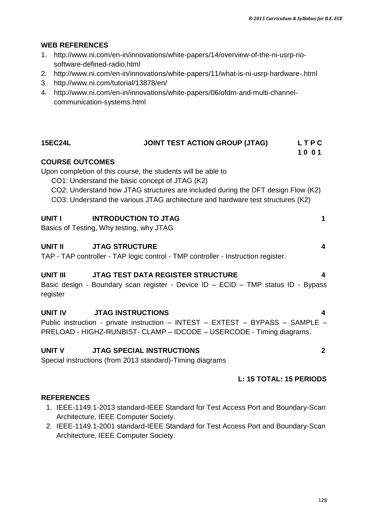#### **WEB REFERENCES**

- 1. [http://www.ni.com/en-in/innovations/white-papers/14/overview-of-the-ni-usrp-rio](http://www.ni.com/en-in/innovations/white-papers/14/overview-of-the-ni-usrp-rio-software-defined-radio.html)[software-defined-radio.html](http://www.ni.com/en-in/innovations/white-papers/14/overview-of-the-ni-usrp-rio-software-defined-radio.html)
- 2. <http://www.ni.com/en-in/innovations/white-papers/11/what-is-ni-usrp-hardware-.html>
- 3. <http://www.ni.com/tutorial/13878/en/>
- 4. [http://www.ni.com/en-in/innovations/white-papers/06/ofdm-and-multi-channel](http://www.ni.com/en-in/innovations/white-papers/06/ofdm-and-multi-channel-communication-systems.html)[communication-systems.html](http://www.ni.com/en-in/innovations/white-papers/06/ofdm-and-multi-channel-communication-systems.html)

| <b>15EC24L</b>              | <b>JOINT TEST ACTION GROUP (JTAG)</b>                                                                                                                                                                                                                                                 | LTPC<br>1001            |
|-----------------------------|---------------------------------------------------------------------------------------------------------------------------------------------------------------------------------------------------------------------------------------------------------------------------------------|-------------------------|
| <b>COURSE OUTCOMES</b>      | Upon completion of this course, the students will be able to<br>CO1: Understand the basic concept of JTAG (K2)<br>CO2: Understand how JTAG structures are included during the DFT design Flow (K2)<br>CO3: Understand the various JTAG architecture and hardware test structures (K2) |                         |
| UNIT I                      | <b>INTRODUCTION TO JTAG</b><br>Basics of Testing, Why testing, why JTAG                                                                                                                                                                                                               | 1                       |
| UNIT II                     | <b>JTAG STRUCTURE</b><br>TAP - TAP controller - TAP logic control - TMP controller - Instruction register.                                                                                                                                                                            | $\overline{\mathbf{4}}$ |
| <b>UNIT III</b><br>register | <b>JTAG TEST DATA REGISTER STRUCTURE</b><br>Basic design - Boundary scan register - Device ID - ECID - TMP status ID - Bypass                                                                                                                                                         | 4                       |
| UNIT IV                     | <b>JTAG INSTRUCTIONS</b><br>Public instruction - private instruction - INTEST - EXTEST - BYPASS - SAMPLE -<br>PRELOAD - HIGHZ-RUNBIST- CLAMP - IDCODE - USERCODE - Timing diagrams.                                                                                                   | $\blacktriangle$        |
| UNIT V                      | <b>JTAG SPECIAL INSTRUCTIONS</b><br>Special instructions (from 2013 standard)-Timing diagrams                                                                                                                                                                                         | $\mathbf{2}$            |
|                             | L: 15 TOTAL: 15 PERIODS                                                                                                                                                                                                                                                               |                         |
| <b>REFERENCES</b>           | 1. IEEE-1149.1-2013 standard-IEEE Standard for Test Access Port and Boundary-Scan                                                                                                                                                                                                     |                         |

- Architecture, IEEE Computer Society. 2. IEEE-1149.1-2001 standard-IEEE Standard for Test Access Port and Boundary-Scan
- Architecture, IEEE Computer Society.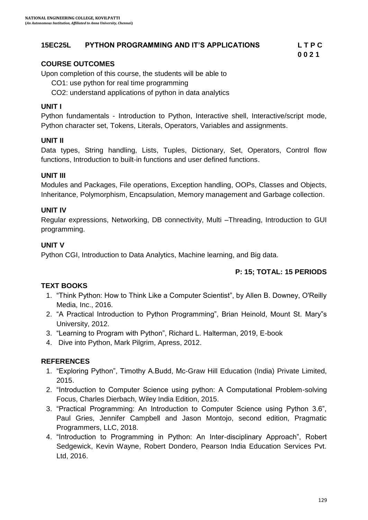#### **15EC25L PYTHON PROGRAMMING AND IT'S APPLICATIONS L T P C**

#### **COURSE OUTCOMES**

Upon completion of this course, the students will be able to

CO1: use python for real time programming

CO2: understand applications of python in data analytics

#### **UNIT I**

Python fundamentals - Introduction to Python, Interactive shell, Interactive/script mode, Python character set, Tokens, Literals, Operators, Variables and assignments.

#### **UNIT II**

Data types, String handling, Lists, Tuples, Dictionary, Set, Operators, Control flow functions, Introduction to built-in functions and user defined functions.

#### **UNIT III**

Modules and Packages, File operations, Exception handling, OOPs, Classes and Objects, Inheritance, Polymorphism, Encapsulation, Memory management and Garbage collection.

#### **UNIT IV**

Regular expressions, Networking, DB connectivity, Multi –Threading, Introduction to GUI programming.

#### **UNIT V**

Python CGI, Introduction to Data Analytics, Machine learning, and Big data.

#### **P: 15; TOTAL: 15 PERIODS**

**0 0 2 1**

#### **TEXT BOOKS**

- 1. "Think Python: How to Think Like a Computer Scientist", by Allen B. Downey, O'Reilly Media, Inc., 2016.
- 2. "A Practical Introduction to Python Programming", Brian Heinold, Mount St. Mary"s University, 2012.
- 3. "Learning to Program with Python", Richard L. Halterman, 2019, E-book
- 4. Dive into Python, Mark Pilgrim, Apress, 2012.

#### **REFERENCES**

- 1. "Exploring Python", Timothy A.Budd, Mc-Graw Hill Education (India) Private Limited, 2015.
- 2. "Introduction to Computer Science using python: A Computational Problem-solving Focus, Charles Dierbach, Wiley India Edition, 2015.
- 3. "Practical Programming: An Introduction to Computer Science using Python 3.6", Paul Gries, Jennifer Campbell and Jason Montojo, second edition, Pragmatic Programmers, LLC, 2018.
- 4. "Introduction to Programming in Python: An Inter-disciplinary Approach", Robert Sedgewick, Kevin Wayne, Robert Dondero, Pearson India Education Services Pvt. Ltd, 2016.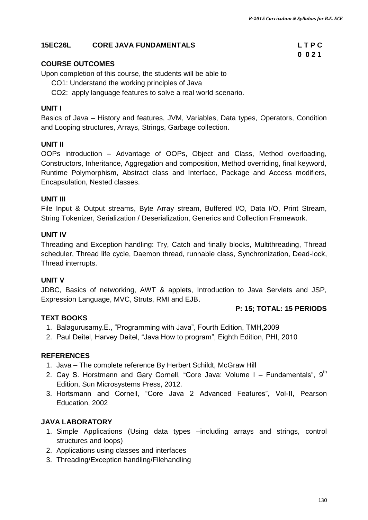**0 0 2 1**

#### **15EC26L CORE JAVA FUNDAMENTALS L T P C**

#### **COURSE OUTCOMES**

Upon completion of this course, the students will be able to

CO1: Understand the working principles of Java

CO2: apply language features to solve a real world scenario.

#### **UNIT I**

Basics of Java – History and features, JVM, Variables, Data types, Operators, Condition and Looping structures, Arrays, Strings, Garbage collection.

#### **UNIT II**

OOPs introduction – Advantage of OOPs, Object and Class, Method overloading, Constructors, Inheritance, Aggregation and composition, Method overriding, final keyword, Runtime Polymorphism, Abstract class and Interface, Package and Access modifiers, Encapsulation, Nested classes.

#### **UNIT III**

File Input & Output streams, Byte Array stream, Buffered I/O, Data I/O, Print Stream, String Tokenizer, Serialization / Deserialization, Generics and Collection Framework.

#### **UNIT IV**

Threading and Exception handling: Try, Catch and finally blocks, Multithreading, Thread scheduler, Thread life cycle, Daemon thread, runnable class, Synchronization, Dead-lock, Thread interrupts.

#### **UNIT V**

JDBC, Basics of networking, AWT & applets, Introduction to Java Servlets and JSP, Expression Language, MVC, Struts, RMI and EJB.

#### **P: 15; TOTAL: 15 PERIODS**

#### **TEXT BOOKS**

- 1. Balagurusamy.E., "Programming with Java", Fourth Edition, TMH,2009
- 2. Paul Deitel, Harvey Deitel, "Java How to program", Eighth Edition, PHI, 2010

#### **REFERENCES**

- 1. Java The complete reference By Herbert Schildt, McGraw Hill
- 2. Cay S. Horstmann and Gary Cornell, "Core Java: Volume I Fundamentals",  $9<sup>th</sup>$ Edition, Sun Microsystems Press, 2012.
- 3. Hortsmann and Cornell, "Core Java 2 Advanced Features", Vol-II, Pearson Education, 2002

#### **JAVA LABORATORY**

- 1. Simple Applications (Using data types –including arrays and strings, control structures and loops)
- 2. Applications using classes and interfaces
- 3. Threading/Exception handling/Filehandling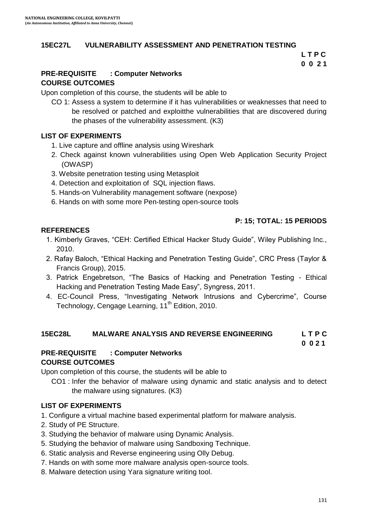#### **15EC27L VULNERABILITY ASSESSMENT AND PENETRATION TESTING**

**L T P C 0 0 2 1**

#### **PRE-REQUISITE : Computer Networks COURSE OUTCOMES**

Upon completion of this course, the students will be able to

CO 1: Assess a system to determine if it has vulnerabilities or weaknesses that need to be resolved or patched and exploitthe vulnerabilities that are discovered during the phases of the vulnerability assessment. (K3)

#### **LIST OF EXPERIMENTS**

- 1. Live capture and offline analysis using Wireshark
- 2. Check against known vulnerabilities using Open Web Application Security Project (OWASP)
- 3. Website penetration testing using Metasploit
- 4. Detection and exploitation of SQL injection flaws.
- 5. Hands-on Vulnerability management software (nexpose)
- 6. Hands on with some more Pen-testing open-source tools

#### **P: 15; TOTAL: 15 PERIODS**

#### **REFERENCES**

- 1. Kimberly Graves, "CEH: Certified Ethical Hacker Study Guide", Wiley Publishing Inc., 2010.
- 2. Rafay Baloch, "Ethical Hacking and Penetration Testing Guide", CRC Press (Taylor & Francis Group), 2015.
- 3. Patrick Engebretson, "The Basics of Hacking and Penetration Testing Ethical Hacking and Penetration Testing Made Easy", Syngress, 2011.
- 4. EC-Council Press, "Investigating Network Intrusions and Cybercrime", Course Technology, Cengage Learning, 11<sup>th</sup> Edition, 2010.

#### **15EC28L MALWARE ANALYSIS AND REVERSE ENGINEERING L T P C**

 **0 0 2 1**

#### **PRE-REQUISITE : Computer Networks COURSE OUTCOMES**

Upon completion of this course, the students will be able to

CO1 : Infer the behavior of malware using dynamic and static analysis and to detect the malware using signatures. (K3)

#### **LIST OF EXPERIMENTS**

- 1. Configure a virtual machine based experimental platform for malware analysis.
- 2. Study of PE Structure.
- 3. Studying the behavior of malware using Dynamic Analysis.
- 5. Studying the behavior of malware using Sandboxing Technique.
- 6. Static analysis and Reverse engineering using Olly Debug.
- 7. Hands on with some more malware analysis open-source tools.
- 8. Malware detection using Yara signature writing tool.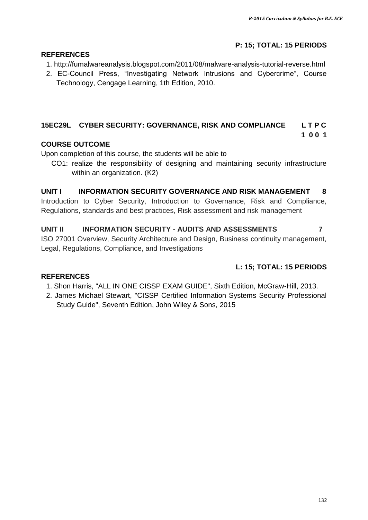### **P: 15; TOTAL: 15 PERIODS**

#### **REFERENCES**

- 1. http://fumalwareanalysis.blogspot.com/2011/08/malware-analysis-tutorial-reverse.html
- 2. EC-Council Press, "Investigating Network Intrusions and Cybercrime", Course Technology, Cengage Learning, 1th Edition, 2010.

#### **15EC29L CYBER SECURITY: GOVERNANCE, RISK AND COMPLIANCE L T P C**

#### **1 0 0 1**

#### **COURSE OUTCOME**

Upon completion of this course, the students will be able to

CO1: realize the responsibility of designing and maintaining security infrastructure within an organization. (K2)

#### **UNIT I INFORMATION SECURITY GOVERNANCE AND RISK MANAGEMENT 8**

Introduction to Cyber Security, Introduction to Governance, Risk and Compliance, Regulations, standards and best practices, Risk assessment and risk management

#### **UNIT II INFORMATION SECURITY - AUDITS AND ASSESSMENTS 7**

ISO 27001 Overview, Security Architecture and Design, Business continuity management, Legal, Regulations, Compliance, and Investigations

#### **L: 15; TOTAL: 15 PERIODS**

#### **REFERENCES**

- 1. Shon Harris, "ALL IN ONE CISSP EXAM GUIDE", Sixth Edition, McGraw-Hill, 2013.
- 2. James Michael Stewart, "CISSP Certified Information Systems Security Professional Study Guide", Seventh Edition, John Wiley & Sons, 2015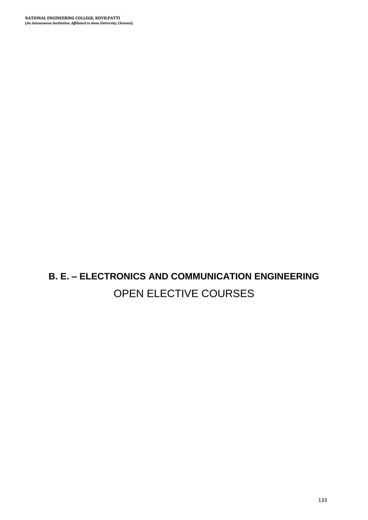**B. E. – ELECTRONICS AND COMMUNICATION ENGINEERING** OPEN ELECTIVE COURSES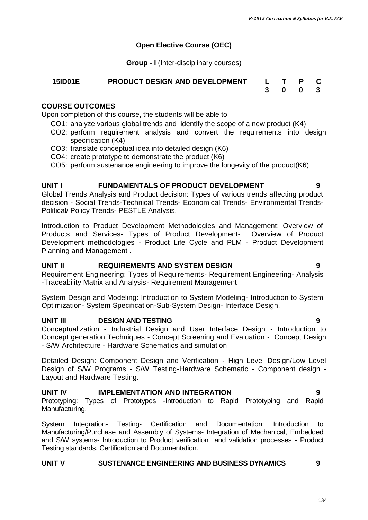#### **Open Elective Course (OEC)**

**Group - I** (Inter-disciplinary courses)

# **15ID01E PRODUCT DESIGN AND DEVELOPMENT L T P C**

#### **COURSE OUTCOMES**

Upon completion of this course, the students will be able to

- CO1: analyze various global trends and identify the scope of a new product (K4)
- CO2: perform requirement analysis and convert the requirements into design specification (K4)
- CO3: translate conceptual idea into detailed design (K6)
- CO4: create prototype to demonstrate the product (K6)
- CO5: perform sustenance engineering to improve the longevity of the product(K6)

#### **UNIT I FUNDAMENTALS OF PRODUCT DEVELOPMENT 9**

Global Trends Analysis and Product decision: Types of various trends affecting product decision - Social Trends-Technical Trends- Economical Trends- Environmental Trends-Political/ Policy Trends- PESTLE Analysis.

Introduction to Product Development Methodologies and Management: Overview of Products and Services- Types of Product Development- Overview of Product Development methodologies - Product Life Cycle and PLM - Product Development Planning and Management .

#### **UNIT II REQUIREMENTS AND SYSTEM DESIGN 9**

Requirement Engineering: Types of Requirements- Requirement Engineering- Analysis -Traceability Matrix and Analysis- Requirement Management

System Design and Modeling: Introduction to System Modeling- Introduction to System Optimization- System Specification-Sub-System Design- Interface Design.

#### **UNIT III DESIGN AND TESTING 9**

Conceptualization - Industrial Design and User Interface Design - Introduction to Concept generation Techniques - Concept Screening and Evaluation - Concept Design - S/W Architecture - Hardware Schematics and simulation

Detailed Design: Component Design and Verification - High Level Design/Low Level Design of S/W Programs - S/W Testing-Hardware Schematic - Component design - Layout and Hardware Testing.

#### **UNIT IV IMPLEMENTATION AND INTEGRATION 9**

Prototyping: Types of Prototypes -Introduction to Rapid Prototyping and Rapid Manufacturing.

System Integration- Testing- Certification and Documentation: Introduction to Manufacturing/Purchase and Assembly of Systems- Integration of Mechanical, Embedded and S/W systems- Introduction to Product verification and validation processes - Product Testing standards, Certification and Documentation.

#### **UNIT V SUSTENANCE ENGINEERING AND BUSINESS DYNAMICS 9**

**3 0 0 3**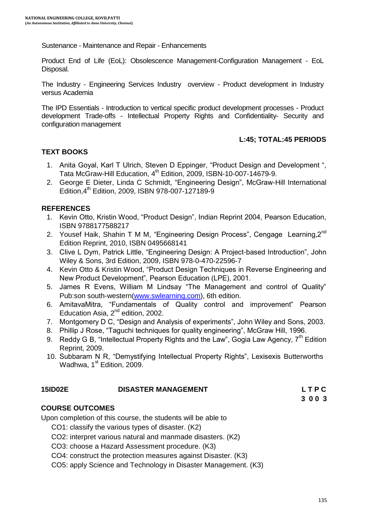Sustenance - Maintenance and Repair - Enhancements

Product End of Life (EoL): Obsolescence Management-Configuration Management - EoL Disposal.

The Industry - Engineering Services Industry overview - Product development in Industry versus Academia

The IPD Essentials - Introduction to vertical specific product development processes - Product development Trade-offs - Intellectual Property Rights and Confidentiality- Security and configuration management

#### **L:45; TOTAL:45 PERIODS**

#### **TEXT BOOKS**

- 1. Anita Goyal, Karl T Ulrich, Steven D Eppinger, "Product Design and Development ", Tata McGraw-Hill Education, 4<sup>th</sup> Edition, 2009, ISBN-10-007-14679-9.
- 2. George E Dieter, Linda C Schmidt, "Engineering Design", McGraw-Hill International Edition,4th Edition, 2009, ISBN 978-007-127189-9

#### **REFERENCES**

- 1. Kevin Otto, Kristin Wood, "Product Design", Indian Reprint 2004, Pearson Education, ISBN 9788177588217
- 2. Yousef Haik, Shahin T M M, "Engineering Design Process", Cengage Learning, 2<sup>nd</sup> Edition Reprint, 2010, ISBN 0495668141
- 3. Clive L Dym, Patrick Little, "Engineering Design: A Project-based Introduction", John Wiley & Sons, 3rd Edition, 2009, ISBN 978-0-470-22596-7
- 4. Kevin Otto & Kristin Wood, "Product Design Techniques in Reverse Engineering and New Product Development", Pearson Education (LPE), 2001.
- 5. James R Evens, William M Lindsay "The Management and control of Quality" Pub:son south-western[\(www.swlearning.com\)](http://www.swlearning.com/), 6th edition.
- 6. AmitavaMitra, "Fundamentals of Quality control and improvement" Pearson Education Asia,  $2^{nd}$  edition, 2002.
- 7. Montgomery D C, "Design and Analysis of experiments", John Wiley and Sons, 2003.
- 8. Phillip J Rose, "Taguchi techniques for quality engineering", McGraw Hill, 1996.
- 9. Reddy G B, "Intellectual Property Rights and the Law", Gogia Law Agency,  $7<sup>th</sup>$  Edition Reprint, 2009.
- 10. Subbaram N R, "Demystifying Intellectual Property Rights", Lexisexis Butterworths Wadhwa, 1<sup>st</sup> Edition, 2009.

#### **15ID02E DISASTER MANAGEMENT L T P C**

**3 0 0 3**

#### **COURSE OUTCOMES**

Upon completion of this course, the students will be able to

CO1: classify the various types of disaster. (K2)

- CO2: interpret various natural and manmade disasters. (K2)
- CO3: choose a Hazard Assessment procedure. (K3)
- CO4: construct the protection measures against Disaster. (K3)

CO5: apply Science and Technology in Disaster Management. (K3)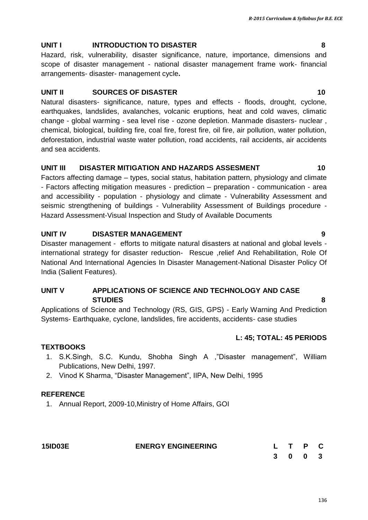## **UNIT I INTRODUCTION TO DISASTER 8**

Hazard, risk, vulnerability, disaster significance, nature, importance, dimensions and scope of disaster management - national disaster management frame work- financial arrangements- disaster- management cycle**.**

## **UNIT II SOURCES OF DISASTER 10** 10

Natural disasters- significance, nature, types and effects - floods, drought, cyclone, earthquakes, landslides, avalanches, volcanic eruptions, heat and cold waves, climatic change - global warming - sea level rise - ozone depletion. Manmade disasters- nuclear , chemical, biological, building fire, coal fire, forest fire, oil fire, air pollution, water pollution, deforestation, industrial waste water pollution, road accidents, rail accidents, air accidents and sea accidents.

### **UNIT III DISASTER MITIGATION AND HAZARDS ASSESMENT 10**

Factors affecting damage – types, social status, habitation pattern, physiology and climate - Factors affecting mitigation measures - prediction – preparation - communication - area and accessibility - population - physiology and climate - Vulnerability Assessment and seismic strengthening of buildings - Vulnerability Assessment of Buildings procedure - Hazard Assessment-Visual Inspection and Study of Available Documents

### **UNIT IV DISASTER MANAGEMENT 9**

Disaster management - efforts to mitigate natural disasters at national and global levels international strategy for disaster reduction- Rescue ,relief And Rehabilitation, Role Of National And International Agencies In Disaster Management-National Disaster Policy Of India (Salient Features).

#### **UNIT V APPLICATIONS OF SCIENCE AND TECHNOLOGY AND CASE STUDIES 8**

Applications of Science and Technology (RS, GIS, GPS) - Early Warning And Prediction Systems- Earthquake, cyclone, landslides, fire accidents, accidents- case studies

#### **L: 45; TOTAL: 45 PERIODS**

#### **TEXTBOOKS**

- 1. S.K.Singh, S.C. Kundu, Shobha Singh A ,"Disaster management", William Publications, New Delhi, 1997.
- 2. Vinod K Sharma, "Disaster Management", IIPA, New Delhi, 1995

#### **REFERENCE**

1. Annual Report, 2009-10,Ministry of Home Affairs, GOI

| <b>15ID03E</b> | <b>ENERGY ENGINEERING</b> | L T P C |  |
|----------------|---------------------------|---------|--|
|                |                           | 3 0 0 3 |  |

#### 136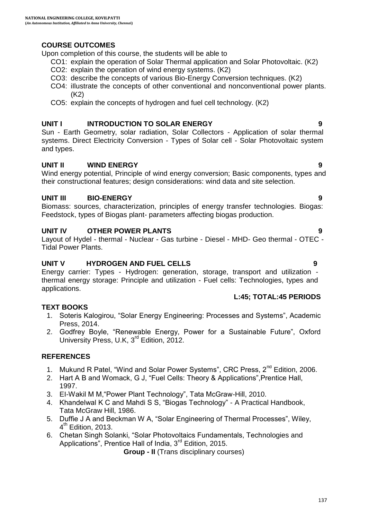#### **COURSE OUTCOMES**

Upon completion of this course, the students will be able to

- CO1: explain the operation of Solar Thermal application and Solar Photovoltaic. (K2)
	- CO2: explain the operation of wind energy systems. (K2)
	- CO3: describe the concepts of various Bio-Energy Conversion techniques. (K2)
	- CO4: iIlustrate the concepts of other conventional and nonconventional power plants. (K2)
	- CO5: explain the concepts of hydrogen and fuel cell technology. (K2)

#### **UNIT I INTRODUCTION TO SOLAR ENERGY 9**

Sun - Earth Geometry, solar radiation, Solar Collectors - Application of solar thermal systems. Direct Electricity Conversion - Types of Solar cell - Solar Photovoltaic system and types.

#### **UNIT II WIND ENERGY 9**

Wind energy potential, Principle of wind energy conversion; Basic components, types and their constructional features; design considerations: wind data and site selection.

#### **UNIT III BIO-ENERGY 9**

Biomass: sources, characterization, principles of energy transfer technologies. Biogas: Feedstock, types of Biogas plant- parameters affecting biogas production.

#### **UNIT IV OTHER POWER PLANTS 9**

Layout of Hydel - thermal - Nuclear - Gas turbine - Diesel - MHD- Geo thermal - OTEC - Tidal Power Plants.

#### **UNIT V HYDROGEN AND FUEL CELLS 9**

Energy carrier: Types - Hydrogen: generation, storage, transport and utilization thermal energy storage: Principle and utilization - Fuel cells: Technologies, types and applications.

#### **L:45; TOTAL:45 PERIODS**

#### **TEXT BOOKS**

- 1. Soteris Kalogirou, "Solar Energy Engineering: Processes and Systems", Academic Press, 2014.
- 2. Godfrey Boyle, "Renewable Energy, Power for a Sustainable Future", Oxford University Press, U.K, 3<sup>rd</sup> Edition, 2012.

#### **REFERENCES**

- 1. Mukund R Patel, "Wind and Solar Power Systems", CRC Press, 2<sup>nd</sup> Edition, 2006.
- 2. Hart A B and Womack, G J, "Fuel Cells: Theory & Applications",Prentice Hall, 1997.
- 3. EI-Wakil M M,"Power Plant Technology", Tata McGraw-Hill, 2010.
- 4. Khandelwal K C and Mahdi S S, "Biogas Technology" A Practical Handbook, Tata McGraw Hill, 1986.
- 5. Duffie J A and Beckman W A, "Solar Engineering of Thermal Processes", Wiley, 4<sup>th</sup> Edition, 2013.
- 6. Chetan Singh Solanki, "Solar Photovoltaics Fundamentals, Technologies and Applications", Prentice Hall of India, 3<sup>rd</sup> Edition, 2015.

**Group - II** (Trans disciplinary courses)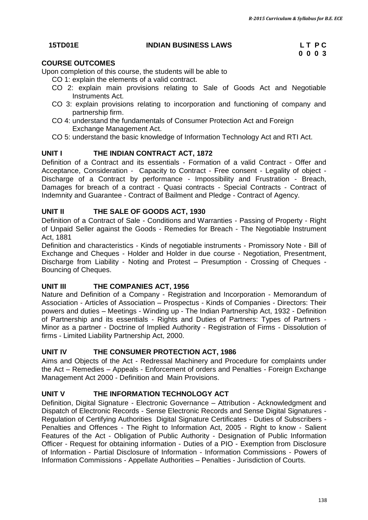#### **15TD01E INDIAN BUSINESS LAWS L T P C**

# **0 0 0 3**

#### **COURSE OUTCOMES**

Upon completion of this course, the students will be able to

- CO 1: explain the elements of a valid contract.
- CO 2: explain main provisions relating to Sale of Goods Act and Negotiable Instruments Act.
- CO 3: explain provisions relating to incorporation and functioning of company and partnership firm.
- CO 4: understand the fundamentals of Consumer Protection Act and Foreign Exchange Management Act.
- CO 5: understand the basic knowledge of Information Technology Act and RTI Act.

#### **UNIT I THE INDIAN CONTRACT ACT, 1872**

Definition of a Contract and its essentials - Formation of a valid Contract - Offer and Acceptance, Consideration - Capacity to Contract - Free consent - Legality of object - Discharge of a Contract by performance - Impossibility and Frustration - Breach, Damages for breach of a contract - Quasi contracts - Special Contracts - Contract of Indemnity and Guarantee - Contract of Bailment and Pledge - Contract of Agency.

#### **UNIT II THE SALE OF GOODS ACT, 1930**

Definition of a Contract of Sale - Conditions and Warranties - Passing of Property - Right of Unpaid Seller against the Goods - Remedies for Breach - The Negotiable Instrument Act, 1881

Definition and characteristics - Kinds of negotiable instruments - Promissory Note - Bill of Exchange and Cheques - Holder and Holder in due course - Negotiation, Presentment, Discharge from Liability - Noting and Protest – Presumption - Crossing of Cheques - Bouncing of Cheques.

#### **UNIT III THE COMPANIES ACT, 1956**

Nature and Definition of a Company - Registration and Incorporation - Memorandum of Association - Articles of Association – Prospectus - Kinds of Companies - Directors: Their powers and duties – Meetings - Winding up - The Indian Partnership Act, 1932 - Definition of Partnership and its essentials - Rights and Duties of Partners: Types of Partners - Minor as a partner - Doctrine of Implied Authority - Registration of Firms - Dissolution of firms - Limited Liability Partnership Act, 2000.

#### **UNIT IV THE CONSUMER PROTECTION ACT, 1986**

Aims and Objects of the Act - Redressal Machinery and Procedure for complaints under the Act – Remedies – Appeals - Enforcement of orders and Penalties - Foreign Exchange Management Act 2000 - Definition and Main Provisions.

#### **UNIT V THE INFORMATION TECHNOLOGY ACT**

Definition, Digital Signature - Electronic Governance – Attribution - Acknowledgment and Dispatch of Electronic Records - Sense Electronic Records and Sense Digital Signatures - Regulation of Certifying Authorities Digital Signature Certificates - Duties of Subscribers - Penalties and Offences - The Right to Information Act, 2005 - Right to know - Salient Features of the Act - Obligation of Public Authority - Designation of Public Information Officer - Request for obtaining information - Duties of a PIO - Exemption from Disclosure of Information - Partial Disclosure of Information - Information Commissions - Powers of Information Commissions - Appellate Authorities – Penalties - Jurisdiction of Courts.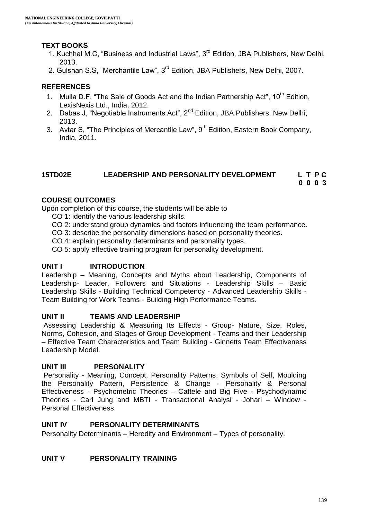#### **TEXT BOOKS**

- 1. Kuchhal M.C, "Business and Industrial Laws", 3<sup>rd</sup> Edition, JBA Publishers, New Delhi, 2013.
- 2. Gulshan S.S, "Merchantile Law", 3<sup>rd</sup> Edition, JBA Publishers, New Delhi, 2007.

#### **REFERENCES**

- 1. Mulla D.F, "The Sale of Goods Act and the Indian Partnership Act", 10<sup>th</sup> Edition, LexisNexis Ltd., India, 2012.
- 2. Dabas J, "Negotiable Instruments Act",  $2^{nd}$  Edition, JBA Publishers, New Delhi, 2013.
- 3. Avtar S, "The Principles of Mercantile Law", 9<sup>th</sup> Edition, Eastern Book Company, India, 2011.

## **15TD02E LEADERSHIP AND PERSONALITY DEVELOPMENT L T P C**

**0 0 0 3**

#### **COURSE OUTCOMES**

Upon completion of this course, the students will be able to

- CO 1: identify the various leadership skills.
- CO 2: understand group dynamics and factors influencing the team performance.
- CO 3: describe the personality dimensions based on personality theories.
- CO 4: explain personality determinants and personality types.
- CO 5: apply effective training program for personality development.

#### **UNIT I INTRODUCTION**

Leadership – Meaning, Concepts and Myths about Leadership, Components of Leadership- Leader, Followers and Situations - Leadership Skills – Basic Leadership Skills - Building Technical Competency - Advanced Leadership Skills - Team Building for Work Teams - Building High Performance Teams.

#### **UNIT II TEAMS AND LEADERSHIP**

Assessing Leadership & Measuring Its Effects - Group- Nature, Size, Roles, Norms, Cohesion, and Stages of Group Development - Teams and their Leadership – Effective Team Characteristics and Team Building - Ginnetts Team Effectiveness Leadership Model.

#### **UNIT III PERSONALITY**

Personality - Meaning, Concept, Personality Patterns, Symbols of Self, Moulding the Personality Pattern, Persistence & Change - Personality & Personal Effectiveness - Psychometric Theories – Cattele and Big Five - Psychodynamic Theories - Carl Jung and MBTI - Transactional Analysi - Johari – Window - Personal Effectiveness.

#### **UNIT IV PERSONALITY DETERMINANTS**

Personality Determinants – Heredity and Environment – Types of personality.

#### **UNIT V PERSONALITY TRAINING**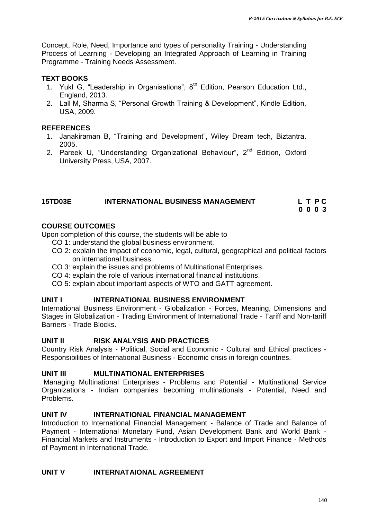Concept, Role, Need, Importance and types of personality Training - Understanding Process of Learning - Developing an Integrated Approach of Learning in Training Programme - Training Needs Assessment.

#### **TEXT BOOKS**

- 1. Yukl G, "Leadership in Organisations",  $8<sup>th</sup>$  Edition, Pearson Education Ltd., England, 2013.
- 2. Lall M, Sharma S, "Personal Growth Training & Development", Kindle Edition, USA, 2009.

#### **REFERENCES**

- 1. Janakiraman B, "Training and Development", Wiley Dream tech, Biztantra, 2005.
- 2. Pareek U, "Understanding Organizational Behaviour", 2<sup>nd</sup> Edition, Oxford University Press, USA, 2007.

### **15TD03E INTERNATIONAL BUSINESS MANAGEMENT L T P C**

**0 0 0 3**

#### **COURSE OUTCOMES**

Upon completion of this course, the students will be able to

- CO 1: understand the global business environment.
- CO 2: explain the impact of economic, legal, cultural, geographical and political factors on international business.
- CO 3: explain the issues and problems of Multinational Enterprises.
- CO 4: explain the role of various international financial institutions.
- CO 5: explain about important aspects of WTO and GATT agreement.

#### **UNIT I INTERNATIONAL BUSINESS ENVIRONMENT**

International Business Environment - Globalization - Forces, Meaning, Dimensions and Stages in Globalization - Trading Environment of International Trade - Tariff and Non-tariff Barriers - Trade Blocks.

#### **UNIT II RISK ANALYSIS AND PRACTICES**

Country Risk Analysis - Political, Social and Economic - Cultural and Ethical practices - Responsibilities of International Business - Economic crisis in foreign countries.

#### **UNIT III MULTINATIONAL ENTERPRISES**

Managing Multinational Enterprises - Problems and Potential - Multinational Service Organizations - Indian companies becoming multinationals - Potential, Need and Problems.

#### **UNIT IV INTERNATIONAL FINANCIAL MANAGEMENT**

Introduction to International Financial Management - Balance of Trade and Balance of Payment - International Monetary Fund, Asian Development Bank and World Bank - Financial Markets and Instruments - Introduction to Export and Import Finance - Methods of Payment in International Trade.

#### **UNIT V INTERNATAIONAL AGREEMENT**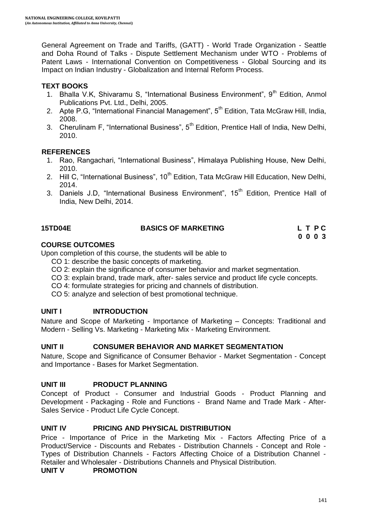General Agreement on Trade and Tariffs, (GATT) - World Trade Organization - Seattle and Doha Round of Talks - Dispute Settlement Mechanism under WTO - Problems of Patent Laws - International Convention on Competitiveness - Global Sourcing and its Impact on Indian Industry - Globalization and Internal Reform Process.

#### **TEXT BOOKS**

- 1. Bhalla V.K, Shivaramu S, "International Business Environment",  $9<sup>th</sup>$  Edition, Anmol Publications Pvt. Ltd., Delhi, 2005.
- 2. Apte P.G, "International Financial Management",  $5<sup>th</sup>$  Edition, Tata McGraw Hill, India, 2008.
- 3. Cherulinam F, "International Business", 5<sup>th</sup> Edition, Prentice Hall of India, New Delhi, 2010.

#### **REFERENCES**

- 1. Rao, Rangachari, "International Business", Himalaya Publishing House, New Delhi, 2010.
- 2. Hill C, "International Business", 10<sup>th</sup> Edition, Tata McGraw Hill Education, New Delhi, 2014.
- 3. Daniels J.D, "International Business Environment", 15<sup>th</sup> Edition, Prentice Hall of India, New Delhi, 2014.

#### **15TD04E BASICS OF MARKETING L T P C**

**0 0 0 3**

#### **COURSE OUTCOMES**

Upon completion of this course, the students will be able to

- CO 1: describe the basic concepts of marketing.
- CO 2: explain the significance of consumer behavior and market segmentation.
- CO 3: explain brand, trade mark, after- sales service and product life cycle concepts.
- CO 4: formulate strategies for pricing and channels of distribution.
- CO 5: analyze and selection of best promotional technique.

#### **UNIT I INTRODUCTION**

Nature and Scope of Marketing - Importance of Marketing – Concepts: Traditional and Modern - Selling Vs. Marketing - Marketing Mix - Marketing Environment.

#### **UNIT II CONSUMER BEHAVIOR AND MARKET SEGMENTATION**

Nature, Scope and Significance of Consumer Behavior - Market Segmentation - Concept and Importance - Bases for Market Segmentation.

#### **UNIT III PRODUCT PLANNING**

Concept of Product - Consumer and Industrial Goods - Product Planning and Development - Packaging - Role and Functions - Brand Name and Trade Mark - After-Sales Service - Product Life Cycle Concept.

#### **UNIT IV PRICING AND PHYSICAL DISTRIBUTION**

Price - Importance of Price in the Marketing Mix - Factors Affecting Price of a Product/Service - Discounts and Rebates - Distribution Channels - Concept and Role - Types of Distribution Channels - Factors Affecting Choice of a Distribution Channel - Retailer and Wholesaler - Distributions Channels and Physical Distribution.

**UNIT V PROMOTION**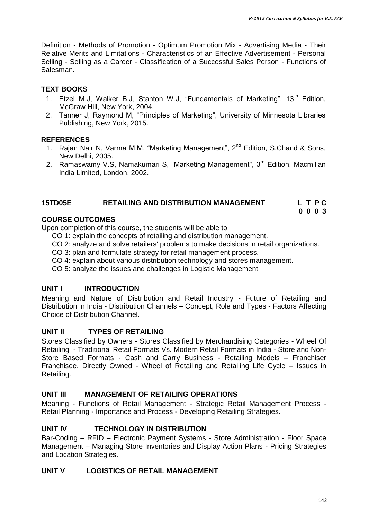Definition - Methods of Promotion - Optimum Promotion Mix - Advertising Media - Their Relative Merits and Limitations - Characteristics of an Effective Advertisement - Personal Selling - Selling as a Career - Classification of a Successful Sales Person - Functions of Salesman.

#### **TEXT BOOKS**

- 1. Etzel M.J, Walker B.J, Stanton W.J, "Fundamentals of Marketing", 13<sup>th</sup> Edition, McGraw Hill, New York, 2004.
- 2. Tanner J, Raymond M, "Principles of Marketing", University of Minnesota Libraries Publishing, New York, 2015.

#### **REFERENCES**

- 1. [Rajan Nair N, Varma](https://www.google.co.in/search?tbo=p&tbm=bks&q=inauthor:%22N+RAJAN+NAIR+%26+MM+VARMA%22&source=gbs_metadata_r&cad=3) M.M, "Marketing Management", 2<sup>nd</sup> Edition, S.Chand & Sons, New Delhi, 2005.
- 2. [Ramaswamy](https://www.google.co.in/search?tbo=p&tbm=bks&q=inauthor:%22V.+S.+Ramaswamy%22&source=gbs_metadata_r&cad=3) V.S, [Namakumari](https://www.google.co.in/search?tbo=p&tbm=bks&q=inauthor:%22S.+Namakumari%22&source=gbs_metadata_r&cad=3) S, "Marketing Management", 3<sup>rd</sup> Edition, Macmillan India Limited, London, 2002.

#### **15TD05E RETAILING AND DISTRIBUTION MANAGEMENT L T P C**

**0 0 0 3**

#### **COURSE OUTCOMES**

Upon completion of this course, the students will be able to

- CO 1: explain the concepts of retailing and distribution management.
- CO 2: analyze and solve retailers' problems to make decisions in retail organizations.
- CO 3: plan and formulate strategy for retail management process.
- CO 4: explain about various distribution technology and stores management.
- CO 5: analyze the issues and challenges in Logistic Management

#### **UNIT I INTRODUCTION**

Meaning and Nature of Distribution and Retail Industry - Future of Retailing and Distribution in India - Distribution Channels – Concept, Role and Types - Factors Affecting Choice of Distribution Channel.

#### **UNIT II TYPES OF RETAILING**

Stores Classified by Owners - Stores Classified by Merchandising Categories - Wheel Of Retailing - Traditional Retail Formats Vs. Modern Retail Formats in India - Store and Non-Store Based Formats - Cash and Carry Business - Retailing Models – Franchiser Franchisee, Directly Owned - Wheel of Retailing and Retailing Life Cycle – Issues in Retailing.

#### **UNIT III MANAGEMENT OF RETAILING OPERATIONS**

Meaning - Functions of Retail Management - Strategic Retail Management Process - Retail Planning - Importance and Process - Developing Retailing Strategies.

#### **UNIT IV TECHNOLOGY IN DISTRIBUTION**

Bar-Coding – RFID – Electronic Payment Systems - Store Administration - Floor Space Management – Managing Store Inventories and Display Action Plans - Pricing Strategies and Location Strategies.

#### **UNIT V LOGISTICS OF RETAIL MANAGEMENT**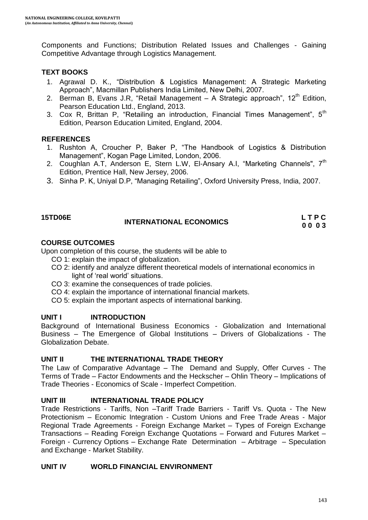Components and Functions; Distribution Related Issues and Challenges - Gaining Competitive Advantage through Logistics Management.

#### **TEXT BOOKS**

- 1. Agrawal D. K., "Distribution & Logistics Management: A Strategic Marketing Approach", Macmillan Publishers India Limited, New Delhi, 2007.
- 2. [Berman](http://www.amazon.com/s/ref=dp_byline_sr_book_1?ie=UTF8&text=Barry+R.+Berman&search-alias=books&field-author=Barry+R.+Berman&sort=relevancerank) B, [Evans](http://www.amazon.com/Joel-R.-Evans/e/B001ILMBZW/ref=dp_byline_cont_book_2) J.R, "Retail Management  $-$  A Strategic approach", 12<sup>th</sup> Edition, Pearson Education Ltd., England, 2013.
- 3. Cox R, Brittan P, "Retailing an introduction, Financial Times Management",  $5<sup>th</sup>$ Edition, Pearson Education Limited, England, 2004.

#### **REFERENCES**

- 1. Rushton A, Croucher P, Baker P, "The Handbook of Logistics & Distribution Management", Kogan Page Limited, London, 2006.
- 2. Coughlan A.T, Anderson E, Stern L.W, El-Ansary A.I, "Marketing Channels",  $7<sup>th</sup>$ Edition, Prentice Hall, New Jersey, 2006.
- 3. Sinha P. K, Uniyal D.P, "Managing Retailing", Oxford University Press, India, 2007.

#### **15TD06E INTERNATIONAL ECONOMICS L T P C 0 0 0 3**

#### **COURSE OUTCOMES**

Upon completion of this course, the students will be able to

- CO 1: explain the impact of globalization.
- CO 2: identify and analyze different theoretical models of international economics in light of 'real world' situations.
- CO 3: examine the consequences of trade policies.
- CO 4: explain the importance of international financial markets.
- CO 5: explain the important aspects of international banking.

#### **UNIT I INTRODUCTION**

Background of International Business Economics - Globalization and International Business – The Emergence of Global Institutions – Drivers of Globalizations - The Globalization Debate.

#### **UNIT II THE INTERNATIONAL TRADE THEORY**

The Law of Comparative Advantage – The Demand and Supply, Offer Curves - The Terms of Trade – Factor Endowments and the Heckscher – Ohlin Theory – Implications of Trade Theories - Economics of Scale - Imperfect Competition.

#### **UNIT III INTERNATIONAL TRADE POLICY**

Trade Restrictions - Tariffs, Non –Tariff Trade Barriers - Tariff Vs. Quota - The New Protectionism – Economic Integration - Custom Unions and Free Trade Areas - Major Regional Trade Agreements - Foreign Exchange Market – Types of Foreign Exchange Transactions – Reading Foreign Exchange Quotations – Forward and Futures Market – Foreign - Currency Options – Exchange Rate Determination – Arbitrage – Speculation and Exchange - Market Stability.

#### **UNIT IV WORLD FINANCIAL ENVIRONMENT**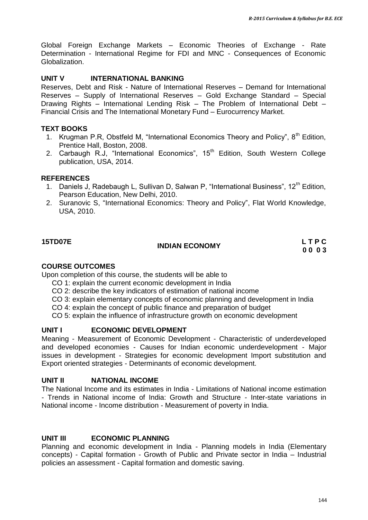Global Foreign Exchange Markets – Economic Theories of Exchange - Rate Determination - International Regime for FDI and MNC - Consequences of Economic Globalization.

#### **UNIT V INTERNATIONAL BANKING**

Reserves, Debt and Risk - Nature of International Reserves – Demand for International Reserves – Supply of International Reserves – Gold Exchange Standard – Special Drawing Rights – International Lending Risk – The Problem of International Debt – Financial Crisis and The International Monetary Fund – Eurocurrency Market.

#### **TEXT BOOKS**

- 1. Krugman P.R, Obstfeld M, "International Economics Theory and Policy", 8<sup>th</sup> Edition, Prentice Hall, Boston, 2008.
- 2. Carbaugh R.J, "International Economics",  $15<sup>th</sup>$  Edition, South Western College publication, USA, 2014.

#### **REFERENCES**

- 1. Daniels J, Radebaugh L, Sullivan D, Salwan P, "International Business", 12<sup>th</sup> Edition, Pearson Education, New Delhi, 2010.
- 2. Suranovic S, "International Economics: Theory and Policy", Flat World Knowledge, USA, 2010.

#### **15TD07E**

## **INDIAN ECONOMY** LTPC

**0 0 0 3**

#### **COURSE OUTCOMES**

Upon completion of this course, the students will be able to

- CO 1: explain the current economic development in India
- CO 2: describe the key indicators of estimation of national income
- CO 3: explain elementary concepts of economic planning and development in India
- CO 4: explain the concept of public finance and preparation of budget
- CO 5: explain the influence of infrastructure growth on economic development

#### **UNIT I ECONOMIC DEVELOPMENT**

Meaning - Measurement of Economic Development - Characteristic of underdeveloped and developed economies - Causes for Indian economic underdevelopment - Major issues in development - Strategies for economic development Import substitution and Export oriented strategies - Determinants of economic development.

#### **UNIT II NATIONAL INCOME**

The National Income and its estimates in India - Limitations of National income estimation - Trends in National income of India: Growth and Structure - Inter-state variations in National income - Income distribution - Measurement of poverty in India.

#### **UNIT III ECONOMIC PLANNING**

Planning and economic development in India - Planning models in India (Elementary concepts) - Capital formation - Growth of Public and Private sector in India – Industrial policies an assessment - Capital formation and domestic saving.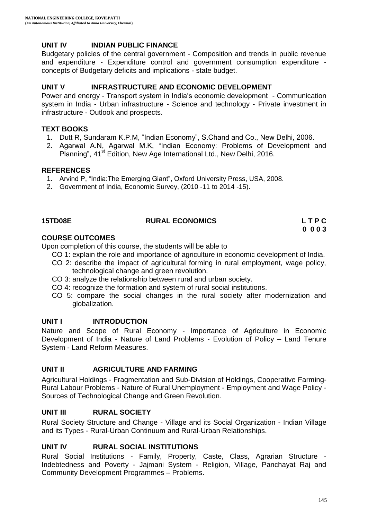# **UNIT IV INDIAN PUBLIC FINANCE**

Budgetary policies of the central government - Composition and trends in public revenue and expenditure - Expenditure control and government consumption expenditure concepts of Budgetary deficits and implications - state budget.

# **UNIT V INFRASTRUCTURE AND ECONOMIC DEVELOPMENT**

Power and energy - Transport system in India"s economic development - Communication system in India - Urban infrastructure - Science and technology - Private investment in infrastructure - Outlook and prospects.

## **TEXT BOOKS**

- 1. Dutt R, Sundaram K.P.M, "Indian Economy", S.Chand and Co., New Delhi, 2006.
- 2. Agarwal A.N, Agarwal M.K, "Indian Economy: Problems of Development and Planning", 41<sup>st</sup> Edition, New Age International Ltd., New Delhi, 2016.

# **REFERENCES**

- 1. Arvind P, "India:The Emerging Giant", Oxford University Press, USA, 2008.
- 2. Government of India, Economic Survey, (2010 -11 to 2014 -15).

### **15TD08E RURAL ECONOMICS L T P C**

**0 0 0 3**

### **COURSE OUTCOMES**

Upon completion of this course, the students will be able to

CO 1: explain the role and importance of agriculture in economic development of India.

- CO 2: describe the impact of agricultural forming in rural employment, wage policy, technological change and green revolution.
- CO 3: analyze the relationship between rural and urban society.
- CO 4: recognize the formation and system of rural social institutions.
- CO 5: compare the social changes in the rural society after modernization and globalization.

### **UNIT I INTRODUCTION**

Nature and Scope of Rural Economy - Importance of Agriculture in Economic Development of India - Nature of Land Problems - Evolution of Policy – Land Tenure System - Land Reform Measures.

### **UNIT II AGRICULTURE AND FARMING**

Agricultural Holdings - Fragmentation and Sub-Division of Holdings, Cooperative Farming-Rural Labour Problems - Nature of Rural Unemployment - Employment and Wage Policy - Sources of Technological Change and Green Revolution.

### **UNIT III RURAL SOCIETY**

Rural Society Structure and Change - Village and its Social Organization - Indian Village and its Types - Rural-Urban Continuum and Rural-Urban Relationships.

# **UNIT IV RURAL SOCIAL INSTITUTIONS**

Rural Social Institutions - Family, Property, Caste, Class, Agrarian Structure - Indebtedness and Poverty - Jajmani System - Religion, Village, Panchayat Raj and Community Development Programmes – Problems.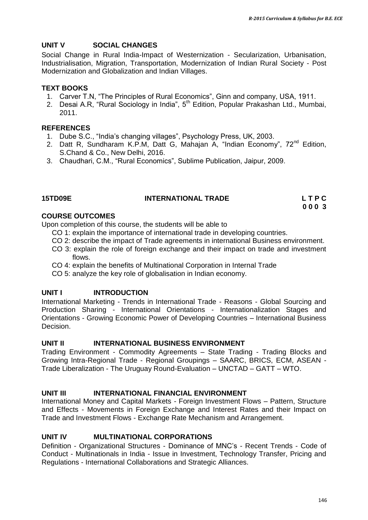# **UNIT V SOCIAL CHANGES**

Social Change in Rural India-Impact of Westernization - Secularization, Urbanisation, Industrialisation, Migration, Transportation, Modernization of Indian Rural Society - Post Modernization and Globalization and Indian Villages.

## **TEXT BOOKS**

- 1. Carver T.N, "The Principles of Rural Economics", Ginn and company, USA, 1911.
- 2. Desai A.R, "Rural Sociology in India", 5<sup>th</sup> Edition, Popular Prakashan Ltd., Mumbai, 2011.

# **REFERENCES**

- 1. Dube S.C., "India"s changing villages", Psychology Press, UK, 2003.
- 2. [Datt R,](https://www.google.co.in/search?tbo=p&tbm=bks&q=inauthor:%22Datt+Ruddar%22) Sundharam K.P.M, Datt G, Mahajan A, "Indian Economy",  $72^{nd}$  Edition, S.Chand & Co., New Delhi, 2016.
- 3. Chaudhari, C.M., "Rural Economics", Sublime Publication, Jaipur, 2009.

# **15TD09E INTERNATIONAL TRADE L T P C**

**0 0 0 3**

# **COURSE OUTCOMES**

Upon completion of this course, the students will be able to

- CO 1: explain the importance of international trade in developing countries.
- CO 2: describe the impact of Trade agreements in international Business environment.
- CO 3: explain the role of foreign exchange and their impact on trade and investment flows.
- CO 4: explain the benefits of Multinational Corporation in Internal Trade
- CO 5: analyze the key role of globalisation in Indian economy.

# **UNIT I INTRODUCTION**

International Marketing - Trends in International Trade - Reasons - Global Sourcing and Production Sharing - International Orientations - Internationalization Stages and Orientations - Growing Economic Power of Developing Countries – International Business Decision.

### **UNIT II INTERNATIONAL BUSINESS ENVIRONMENT**

Trading Environment - Commodity Agreements – State Trading - Trading Blocks and Growing Intra-Regional Trade - Regional Groupings – SAARC, BRICS, ECM, ASEAN - Trade Liberalization - The Uruguay Round-Evaluation – UNCTAD – GATT – WTO.

### **UNIT III INTERNATIONAL FINANCIAL ENVIRONMENT**

International Money and Capital Markets - Foreign Investment Flows – Pattern, Structure and Effects - Movements in Foreign Exchange and Interest Rates and their Impact on Trade and Investment Flows - Exchange Rate Mechanism and Arrangement.

### **UNIT IV MULTINATIONAL CORPORATIONS**

Definition - Organizational Structures - Dominance of MNC"s - Recent Trends - Code of Conduct - Multinationals in India - Issue in Investment, Technology Transfer, Pricing and Regulations - International Collaborations and Strategic Alliances.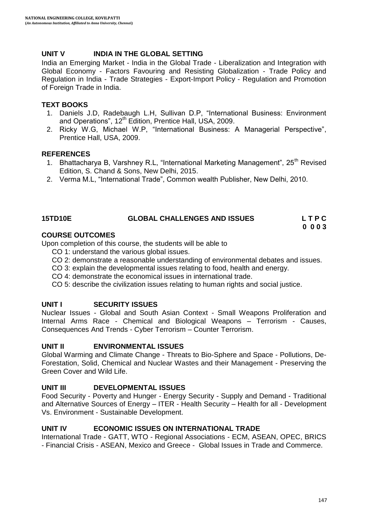# **UNIT V INDIA IN THE GLOBAL SETTING**

India an Emerging Market - India in the Global Trade - Liberalization and Integration with Global Economy - Factors Favouring and Resisting Globalization - Trade Policy and Regulation in India - Trade Strategies - Export-Import Policy - Regulation and Promotion of Foreign Trade in India.

# **TEXT BOOKS**

- 1. Daniels J.D, Radebaugh L.H, Sullivan D.P, "International Business: Environment and Operations", 12<sup>th</sup> Edition, Prentice Hall, USA, 2009.
- 2. Ricky W.G, Michael W.P, "International Business: A Managerial Perspective", Prentice Hall, USA, 2009.

### **REFERENCES**

- 1. Bhattacharya B, Varshney R.L, "International Marketing Management", 25<sup>th</sup> Revised Edition, S. Chand & Sons, New Delhi, 2015.
- 2. Verma M.L, "International Trade", Common wealth Publisher, New Delhi, 2010.

# **15TD10E GLOBAL CHALLENGES AND ISSUES L T P C**

# **0 0 0 3**

# **COURSE OUTCOMES**

Upon completion of this course, the students will be able to

- CO 1: understand the various global issues.
- CO 2: demonstrate a reasonable understanding of environmental debates and issues.
- CO 3: explain the developmental issues relating to food, health and energy.
- CO 4: demonstrate the economical issues in international trade.
- CO 5: describe the civilization issues relating to human rights and social justice.

# **UNIT I SECURITY ISSUES**

Nuclear Issues - Global and South Asian Context - Small Weapons Proliferation and Internal Arms Race - Chemical and Biological Weapons – Terrorism - Causes, Consequences And Trends - Cyber Terrorism – Counter Terrorism.

### **UNIT II ENVIRONMENTAL ISSUES**

Global Warming and Climate Change - Threats to Bio-Sphere and Space - Pollutions, De-Forestation, Solid, Chemical and Nuclear Wastes and their Management - Preserving the Green Cover and Wild Life.

# **UNIT III DEVELOPMENTAL ISSUES**

Food Security - Poverty and Hunger - Energy Security - Supply and Demand - Traditional and Alternative Sources of Energy – ITER - Health Security – Health for all - Development Vs. Environment - Sustainable Development.

### **UNIT IV ECONOMIC ISSUES ON INTERNATIONAL TRADE**

International Trade - GATT, WTO - Regional Associations - ECM, ASEAN, OPEC, BRICS - Financial Crisis - ASEAN, Mexico and Greece - Global Issues in Trade and Commerce.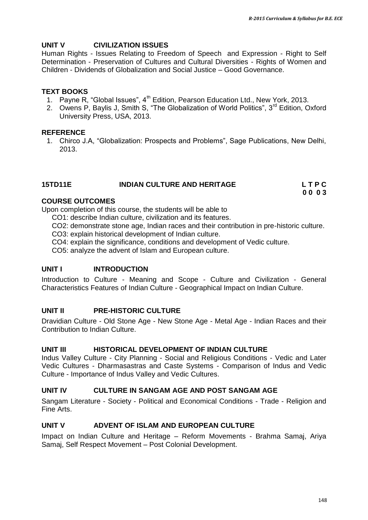# **UNIT V CIVILIZATION ISSUES**

Human Rights - Issues Relating to Freedom of Speech and Expression - Right to Self Determination - Preservation of Cultures and Cultural Diversities - Rights of Women and Children - Dividends of Globalization and Social Justice – Good Governance.

### **TEXT BOOKS**

- 1. Payne R, "Global Issues",  $4<sup>th</sup>$  Edition, Pearson Education Ltd., New York, 2013.
- 2. Owens P, Baylis J, Smith S, "The Globalization of World Politics", 3<sup>rd</sup> Edition, Oxford University Press, USA, 2013.

#### **REFERENCE**

1. Chirco J.A, "Globalization: Prospects and Problems", Sage Publications, New Delhi, 2013.

# **15TD11E INDIAN CULTURE AND HERITAGE L T P C**

**0 0 0 3**

## **COURSE OUTCOMES**

Upon completion of this course, the students will be able to

- CO1: describe Indian culture, civilization and its features.
- CO2: demonstrate stone age, Indian races and their contribution in pre-historic culture.
- CO3: explain historical development of Indian culture.
- CO4: explain the significance, conditions and development of Vedic culture.

CO5: analyze the advent of Islam and European culture.

### **UNIT I INTRODUCTION**

Introduction to Culture - Meaning and Scope - Culture and Civilization - General Characteristics Features of Indian Culture - Geographical Impact on Indian Culture.

### **UNIT II PRE-HISTORIC CULTURE**

Dravidian Culture - Old Stone Age - New Stone Age - Metal Age - Indian Races and their Contribution to Indian Culture.

### **UNIT III HISTORICAL DEVELOPMENT OF INDIAN CULTURE**

Indus Valley Culture - City Planning - Social and Religious Conditions - Vedic and Later Vedic Cultures - Dharmasastras and Caste Systems - Comparison of Indus and Vedic Culture - Importance of Indus Valley and Vedic Cultures.

### **UNIT IV CULTURE IN SANGAM AGE AND POST SANGAM AGE**

Sangam Literature - Society - Political and Economical Conditions - Trade - Religion and Fine Arts.

# **UNIT V ADVENT OF ISLAM AND EUROPEAN CULTURE**

Impact on Indian Culture and Heritage – Reform Movements - Brahma Samaj, Ariya Samaj, Self Respect Movement – Post Colonial Development.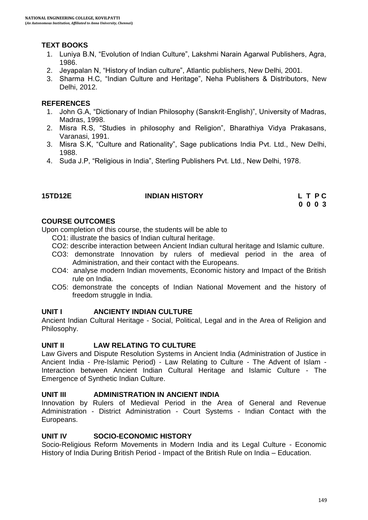# **TEXT BOOKS**

- 1. Luniya B.N, "Evolution of Indian Culture", Lakshmi Narain Agarwal Publishers, Agra, 1986.
- 2. Jeyapalan N, "History of Indian culture", Atlantic publishers, New Delhi, 2001.
- 3. Sharma H.C, "Indian Culture and Heritage", Neha Publishers & Distributors, New Delhi, 2012.

# **REFERENCES**

- 1. John G.A, "Dictionary of Indian Philosophy (Sanskrit-English)", University of Madras, Madras, 1998.
- 2. Misra R.S, "Studies in philosophy and Religion", Bharathiya Vidya Prakasans, Varanasi, 1991.
- 3. Misra S.K, "Culture and Rationality", Sage publications India Pvt. Ltd., New Delhi, 1988.
- 4. Suda J.P, "Religious in India", Sterling Publishers Pvt. Ltd., New Delhi, 1978.

### **15TD12E INDIAN HISTORY L T P C**

**0 0 0 3**

# **COURSE OUTCOMES**

Upon completion of this course, the students will be able to

- CO1: illustrate the basics of Indian cultural heritage.
- CO2: describe interaction between Ancient Indian cultural heritage and Islamic culture.
- CO3: demonstrate Innovation by rulers of medieval period in the area of Administration, and their contact with the Europeans.
- CO4: analyse modern Indian movements, Economic history and Impact of the British rule on India.
- CO5: demonstrate the concepts of Indian National Movement and the history of freedom struggle in India.

### **UNIT I ANCIENTY INDIAN CULTURE**

Ancient Indian Cultural Heritage - Social, Political, Legal and in the Area of Religion and Philosophy.

### **UNIT II LAW RELATING TO CULTURE**

Law Givers and Dispute Resolution Systems in Ancient India (Administration of Justice in Ancient India - Pre-Islamic Period) - Law Relating to Culture - The Advent of Islam - Interaction between Ancient Indian Cultural Heritage and Islamic Culture - The Emergence of Synthetic Indian Culture.

### **UNIT III ADMINISTRATION IN ANCIENT INDIA**

Innovation by Rulers of Medieval Period in the Area of General and Revenue Administration - District Administration - Court Systems - Indian Contact with the Europeans.

### **UNIT IV SOCIO-ECONOMIC HISTORY**

Socio-Religious Reform Movements in Modern India and its Legal Culture - Economic History of India During British Period - Impact of the British Rule on India – Education.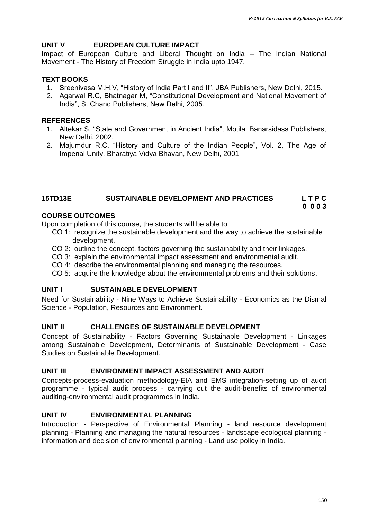# **UNIT V EUROPEAN CULTURE IMPACT**

Impact of European Culture and Liberal Thought on India – The Indian National Movement - The History of Freedom Struggle in India upto 1947.

# **TEXT BOOKS**

- 1. Sreenivasa M.H.V, "History of India Part I and II", JBA Publishers, New Delhi, 2015.
- 2. Agarwal R.C, Bhatnagar M, "Constitutional Development and National Movement of India", S. Chand Publishers, New Delhi, 2005.

## **REFERENCES**

- 1. Altekar S, "State and Government in Ancient India", Motilal Banarsidass Publishers, New Delhi, 2002.
- 2. Majumdur R.C, "History and Culture of the Indian People", Vol. 2, The Age of Imperial Unity, Bharatiya Vidya Bhavan, New Delhi, 2001

#### **15TD13E SUSTAINABLE DEVELOPMENT AND PRACTICES L T P C 0 0 0 3**

# **COURSE OUTCOMES**

Upon completion of this course, the students will be able to

- CO 1: recognize the sustainable development and the way to achieve the sustainable development.
- CO 2: outline the concept, factors governing the sustainability and their linkages.
- CO 3: explain the environmental impact assessment and environmental audit.
- CO 4: describe the environmental planning and managing the resources.
- CO 5: acquire the knowledge about the environmental problems and their solutions.

### **UNIT I SUSTAINABLE DEVELOPMENT**

Need for Sustainability - Nine Ways to Achieve Sustainability - Economics as the Dismal Science - Population, Resources and Environment.

### **UNIT II CHALLENGES OF SUSTAINABLE DEVELOPMENT**

Concept of Sustainability - Factors Governing Sustainable Development - Linkages among Sustainable Development, Determinants of Sustainable Development - Case Studies on Sustainable Development.

# **UNIT III ENVIRONMENT IMPACT ASSESSMENT AND AUDIT**

Concepts-process-evaluation methodology-EIA and EMS integration-setting up of audit programme - typical audit process - carrying out the audit-benefits of environmental auditing-environmental audit programmes in India.

### **UNIT IV ENVIRONMENTAL PLANNING**

Introduction - Perspective of Environmental Planning - land resource development planning - Planning and managing the natural resources - landscape ecological planning information and decision of environmental planning - Land use policy in India.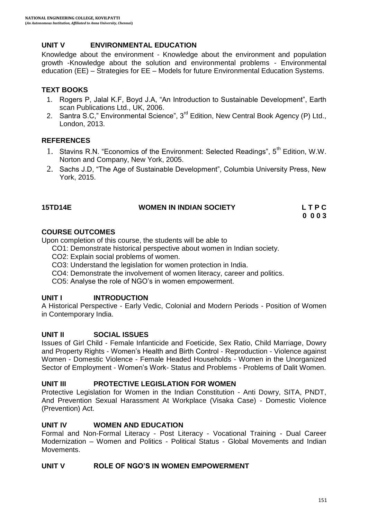# **UNIT V ENVIRONMENTAL EDUCATION**

Knowledge about the environment - Knowledge about the environment and population growth -Knowledge about the solution and environmental problems - Environmental education (EE) – Strategies for EE – Models for future Environmental Education Systems.

# **TEXT BOOKS**

- 1. Rogers P, Jalal K.F, Boyd J.A, "An Introduction to Sustainable Development", Earth scan Publications Ltd., UK, 2006.
- 2. Santra S.C," Environmental Science", 3<sup>rd</sup> Edition, New Central Book Agency (P) Ltd., London, 2013.

# **REFERENCES**

- 1. Stavins R.N. "Economics of the Environment: Selected Readings", 5<sup>th</sup> Edition, W.W. Norton and Company, New York, 2005.
- 2. Sachs J.D, "The Age of Sustainable Development", Columbia University Press, New York, 2015.

| <b>15TD14E</b> | <b>WOMEN IN INDIAN SOCIETY</b> | LTPC |
|----------------|--------------------------------|------|
|                |                                | ---- |

**0 0 0 3**

# **COURSE OUTCOMES**

Upon completion of this course, the students will be able to

- CO1: Demonstrate historical perspective about women in Indian society.
- CO2: Explain social problems of women.
- CO3: Understand the legislation for women protection in India.
- CO4: Demonstrate the involvement of women literacy, career and politics.
- CO5: Analyse the role of NGO"s in women empowerment.

# **UNIT I INTRODUCTION**

A Historical Perspective - Early Vedic, Colonial and Modern Periods - Position of Women in Contemporary India.

### **UNIT II SOCIAL ISSUES**

Issues of Girl Child - Female Infanticide and Foeticide, Sex Ratio, Child Marriage, Dowry and Property Rights - Women"s Health and Birth Control - Reproduction - Violence against Women - Domestic Violence - Female Headed Households - Women in the Unorganized Sector of Employment - Women"s Work- Status and Problems - Problems of Dalit Women.

### **UNIT III PROTECTIVE LEGISLATION FOR WOMEN**

Protective Legislation for Women in the Indian Constitution - Anti Dowry, SITA, PNDT, And Prevention Sexual Harassment At Workplace (Visaka Case) - Domestic Violence (Prevention) Act.

### **UNIT IV WOMEN AND EDUCATION**

Formal and Non-Formal Literacy - Post Literacy - Vocational Training - Dual Career Modernization – Women and Politics - Political Status - Global Movements and Indian Movements.

### **UNIT V ROLE OF NGO'S IN WOMEN EMPOWERMENT**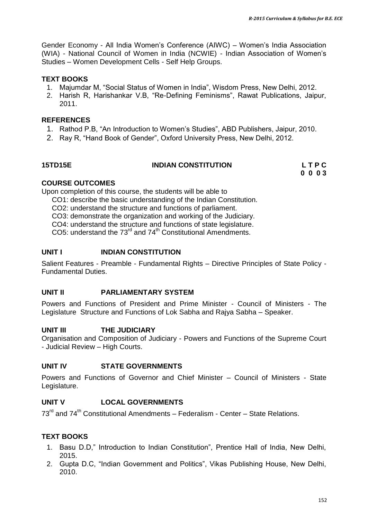Gender Economy - All India Women"s Conference (AIWC) – Women"s India Association (WIA) - National Council of Women in India (NCWIE) - Indian Association of Women"s Studies – Women Development Cells - Self Help Groups.

### **TEXT BOOKS**

- 1. Majumdar M, "Social Status of Women in India", Wisdom Press, New Delhi, 2012.
- 2. Harish R, Harishankar V.B, "Re-Defining Feminisms", Rawat Publications, Jaipur, 2011.

#### **REFERENCES**

- 1. Rathod P.B, "An Introduction to Women"s Studies", ABD Publishers, Jaipur, 2010.
- 2. Ray R, "Hand Book of Gender", Oxford University Press, New Delhi, 2012.

| <b>15TD15E</b> | <b>INDIAN CONSTITUTION</b> | LTPC |
|----------------|----------------------------|------|
|                |                            | 0003 |

### **COURSE OUTCOMES**

Upon completion of this course, the students will be able to

- CO1: describe the basic understanding of the Indian Constitution.
- CO2: understand the structure and functions of parliament.

CO3: demonstrate the organization and working of the Judiciary.

CO4: understand the structure and functions of state legislature.

CO5: understand the  $73^{\text{rd}}$  and  $74^{\text{th}}$  Constitutional Amendments.

#### **UNIT I INDIAN CONSTITUTION**

Salient Features - Preamble - Fundamental Rights – Directive Principles of State Policy - Fundamental Duties.

### **UNIT II PARLIAMENTARY SYSTEM**

Powers and Functions of President and Prime Minister - Council of Ministers - The Legislature Structure and Functions of Lok Sabha and Rajya Sabha – Speaker.

### **UNIT III THE JUDICIARY**

Organisation and Composition of Judiciary - Powers and Functions of the Supreme Court - Judicial Review – High Courts.

# **UNIT IV STATE GOVERNMENTS**

Powers and Functions of Governor and Chief Minister – Council of Ministers - State Legislature.

### **UNIT V LOCAL GOVERNMENTS**

 $73<sup>rd</sup>$  and  $74<sup>th</sup>$  Constitutional Amendments – Federalism - Center – State Relations.

### **TEXT BOOKS**

- 1. Basu D.D," Introduction to Indian Constitution", Prentice Hall of India, New Delhi, 2015.
- 2. Gupta D.C, "Indian Government and Politics", Vikas Publishing House, New Delhi, 2010.